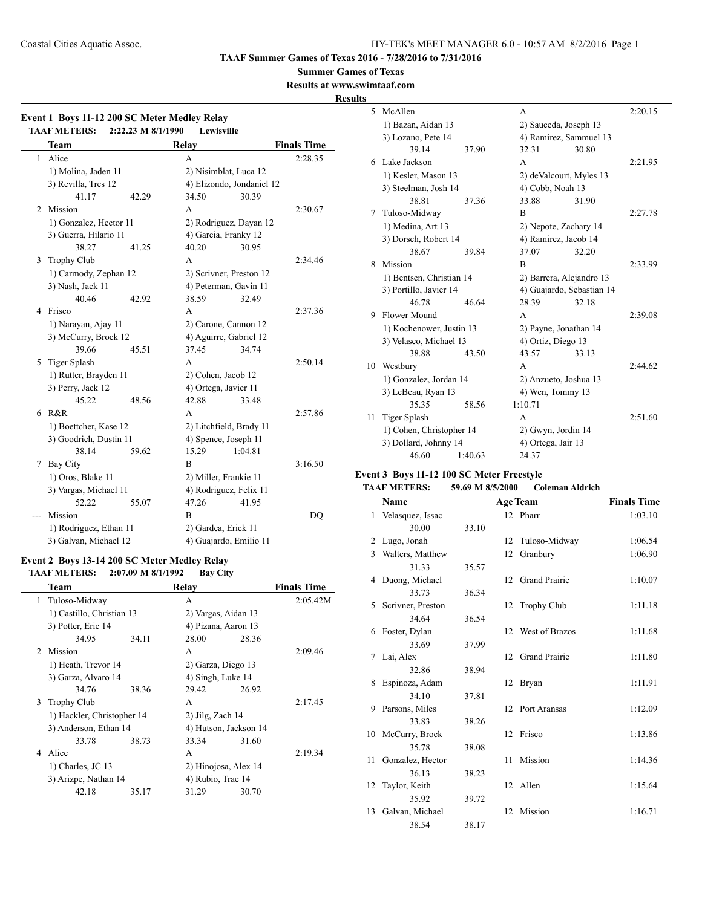**TAAF Summer Games of Texas 2016 - 7/28/2016 to 7/31/2016**

#### **Summer Games of Texas**

**Results at www.swimtaaf.com**

## **Results**

 $\sim$ 

| Event 1 Boys 11-12 200 SC Meter Medley Relay |                        |                    |                       |                           |                    |
|----------------------------------------------|------------------------|--------------------|-----------------------|---------------------------|--------------------|
|                                              | <b>TAAF METERS:</b>    | 2:22.23 M 8/1/1990 | Lewisville            |                           |                    |
|                                              | <b>Team</b>            |                    | Relay                 |                           | <b>Finals Time</b> |
| $\mathbf{1}$                                 | Alice                  |                    | A                     |                           | 2:28.35            |
|                                              | 1) Molina, Jaden 11    |                    |                       | 2) Nisimblat, Luca 12     |                    |
|                                              | 3) Revilla, Tres 12    |                    |                       | 4) Elizondo, Jondaniel 12 |                    |
|                                              | 41.17                  | 42.29              | 34.50                 | 30.39                     |                    |
| 2                                            | Mission                |                    | A                     |                           | 2:30.67            |
|                                              | 1) Gonzalez, Hector 11 |                    |                       | 2) Rodriguez, Dayan 12    |                    |
|                                              | 3) Guerra, Hilario 11  |                    | 4) Garcia, Franky 12  |                           |                    |
|                                              | 38.27                  | 41.25              | 40.20                 | 30.95                     |                    |
| 3                                            | <b>Trophy Club</b>     |                    | A                     |                           | 2:34.46            |
|                                              | 1) Carmody, Zephan 12  |                    |                       | 2) Scrivner, Preston 12   |                    |
|                                              | 3) Nash, Jack 11       |                    |                       | 4) Peterman, Gavin 11     |                    |
|                                              | 40.46                  | 42.92              | 38.59                 | 32.49                     |                    |
| 4                                            | Frisco                 |                    | A                     |                           | 2:37.36            |
|                                              | 1) Narayan, Ajay 11    |                    |                       | 2) Carone, Cannon 12      |                    |
|                                              | 3) McCurry, Brock 12   |                    |                       | 4) Aguirre, Gabriel 12    |                    |
|                                              | 39.66                  | 45.51              | 37.45                 | 34.74                     |                    |
| 5                                            | Tiger Splash           |                    | A                     |                           | 2:50.14            |
|                                              | 1) Rutter, Brayden 11  |                    | 2) Cohen, Jacob 12    |                           |                    |
|                                              | 3) Perry, Jack 12      |                    | 4) Ortega, Javier 11  |                           |                    |
|                                              | 45.22                  | 48.56              | 42.88                 | 33.48                     |                    |
| 6                                            | R&R                    |                    | A                     |                           | 2:57.86            |
|                                              | 1) Boettcher, Kase 12  |                    |                       | 2) Litchfield, Brady 11   |                    |
|                                              | 3) Goodrich, Dustin 11 |                    | 4) Spence, Joseph 11  |                           |                    |
|                                              | 38.14                  | 59.62              | 15.29                 | 1:04.81                   |                    |
| 7                                            | <b>Bay City</b>        |                    | $\overline{B}$        |                           | 3:16.50            |
|                                              | 1) Oros, Blake 11      |                    | 2) Miller, Frankie 11 |                           |                    |
|                                              | 3) Vargas, Michael 11  |                    |                       | 4) Rodriguez, Felix 11    |                    |
|                                              | 52.22                  | 55.07              | 47.26                 | 41.95                     |                    |
|                                              | Mission                |                    | B                     |                           | <b>DQ</b>          |
|                                              | 1) Rodriguez, Ethan 11 |                    | 2) Gardea, Erick 11   |                           |                    |
|                                              | 3) Galvan, Michael 12  |                    |                       | 4) Guajardo, Emilio 11    |                    |

#### **Event 2 Boys 13-14 200 SC Meter Medley Relay TAAF METERS: 2:07.09 M 8/1/1992 Bay City**

|               | Team                       |       | Relay                 |       | <b>Finals Time</b> |
|---------------|----------------------------|-------|-----------------------|-------|--------------------|
|               | 1 Tuloso-Midway            |       | A                     |       | 2:05.42M           |
|               | 1) Castillo, Christian 13  |       | 2) Vargas, Aidan 13   |       |                    |
|               | 3) Potter, Eric 14         |       | 4) Pizana, Aaron 13   |       |                    |
|               | 34.95                      | 34.11 | 28.00                 | 28.36 |                    |
| $\mathcal{D}$ | Mission                    |       | A                     |       | 2:09.46            |
|               | 1) Heath, Trevor 14        |       | 2) Garza, Diego 13    |       |                    |
|               | 3) Garza, Alvaro 14        |       | 4) Singh, Luke 14     |       |                    |
|               | 34.76                      | 38.36 | 29.42                 | 26.92 |                    |
| 3             | Trophy Club                |       | A                     |       | 2:17.45            |
|               | 1) Hackler, Christopher 14 |       | $2)$ Jilg, Zach 14    |       |                    |
|               | 3) Anderson, Ethan 14      |       | 4) Hutson, Jackson 14 |       |                    |
|               | 33.78                      | 38.73 | 33.34                 | 31.60 |                    |
| 4             | Alice                      |       | A                     |       | 2:19.34            |
|               | 1) Charles, JC 13          |       | 2) Hinojosa, Alex 14  |       |                    |
|               | 3) Arizpe, Nathan 14       |       | 4) Rubio, Trae 14     |       |                    |
|               | 42.18                      | 35.17 | 31.29                 | 30.70 |                    |
|               |                            |       |                       |       |                    |

| э  |                          |         |                       |                           |         |
|----|--------------------------|---------|-----------------------|---------------------------|---------|
| 5  | McAllen                  |         | A                     |                           | 2:20.15 |
|    | 1) Bazan, Aidan 13       |         | 2) Sauceda, Joseph 13 |                           |         |
|    | 3) Lozano, Pete 14       |         |                       | 4) Ramirez, Sammuel 13    |         |
|    | 39.14                    | 37.90   | 32.31                 | 30.80                     |         |
| 6  | Lake Jackson             |         | A                     |                           | 2:21.95 |
|    | 1) Kesler, Mason 13      |         |                       | 2) deValcourt, Myles 13   |         |
|    | 3) Steelman, Josh 14     |         | 4) Cobb, Noah 13      |                           |         |
|    | 38.81                    | 37.36   | 33.88                 | 31.90                     |         |
| 7  | Tuloso-Midway            |         | R                     |                           | 2:27.78 |
|    | 1) Medina, Art 13        |         |                       | 2) Nepote, Zachary 14     |         |
|    | 3) Dorsch, Robert 14     |         | 4) Ramirez, Jacob 14  |                           |         |
|    | 38.67                    | 39.84   | 37.07                 | 32.20                     |         |
| 8  | Mission                  |         | $\overline{B}$        |                           | 2:33.99 |
|    | 1) Bentsen, Christian 14 |         |                       | 2) Barrera, Alejandro 13  |         |
|    | 3) Portillo, Javier 14   |         |                       | 4) Guajardo, Sebastian 14 |         |
|    | 46.78                    | 46.64   | 28.39                 | 32.18                     |         |
| 9  | Flower Mound             |         | A                     |                           | 2:39.08 |
|    | 1) Kochenower, Justin 13 |         | 2) Payne, Jonathan 14 |                           |         |
|    | 3) Velasco, Michael 13   |         | 4) Ortiz, Diego 13    |                           |         |
|    | 38.88                    | 43.50   | 43.57                 | 33.13                     |         |
| 10 | Westbury                 |         | A                     |                           | 2:44.62 |
|    | 1) Gonzalez, Jordan 14   |         | 2) Anzueto, Joshua 13 |                           |         |
|    | 3) LeBeau, Ryan 13       |         | 4) Wen, Tommy 13      |                           |         |
|    | 35.35                    | 58.56   | 1:10.71               |                           |         |
| 11 | <b>Tiger Splash</b>      |         | A                     |                           | 2:51.60 |
|    | 1) Cohen, Christopher 14 |         | 2) Gwyn, Jordin 14    |                           |         |
|    | 3) Dollard, Johnny 14    |         | 4) Ortega, Jair 13    |                           |         |
|    | 46.60                    | 1:40.63 | 24.37                 |                           |         |
|    |                          |         |                       |                           |         |

## **Event 3 Boys 11-12 100 SC Meter Freestyle**

## **TAAF METERS: 59.69 M 8/5/2000 Coleman Aldrich**

|              | Name              |       |    | <b>Age Team</b>      | <b>Finals Time</b> |
|--------------|-------------------|-------|----|----------------------|--------------------|
| $\mathbf{1}$ | Velasquez, Issac  |       |    | 12 Pharr             | 1:03.10            |
|              | 30.00             | 33.10 |    |                      |                    |
| 2            | Lugo, Jonah       |       | 12 | Tuloso-Midway        | 1:06.54            |
| 3            | Walters, Matthew  |       | 12 | Granbury             | 1:06.90            |
|              | 31.33             | 35.57 |    |                      |                    |
| 4            | Duong, Michael    |       |    | 12 Grand Prairie     | 1:10.07            |
|              | 33.73             | 36.34 |    |                      |                    |
| 5            | Scrivner, Preston |       |    | 12 Trophy Club       | 1:11.18            |
|              | 34.64             | 36.54 |    |                      |                    |
| 6            | Foster, Dylan     |       | 12 | West of Brazos       | 1:11.68            |
|              | 33.69             | 37.99 |    |                      |                    |
| 7            | Lai, Alex         |       | 12 | <b>Grand Prairie</b> | 1:11.80            |
|              | 32.86             | 38.94 |    |                      |                    |
| 8            | Espinoza, Adam    |       |    | 12 Bryan             | 1:11.91            |
|              | 34.10             | 37.81 |    |                      |                    |
| 9            | Parsons, Miles    |       |    | 12 Port Aransas      | 1:12.09            |
|              | 33.83             | 38.26 |    |                      |                    |
|              | 10 McCurry, Brock |       |    | 12 Frisco            | 1:13.86            |
|              | 35.78             | 38.08 |    |                      |                    |
| 11           | Gonzalez, Hector  |       | 11 | Mission              | 1:14.36            |
|              | 36.13             | 38.23 |    |                      |                    |
| 12           | Taylor, Keith     |       |    | 12 Allen             | 1:15.64            |
|              | 35.92             | 39.72 |    |                      |                    |
| 13           | Galvan, Michael   |       |    | 12 Mission           | 1:16.71            |
|              | 38.54             | 38.17 |    |                      |                    |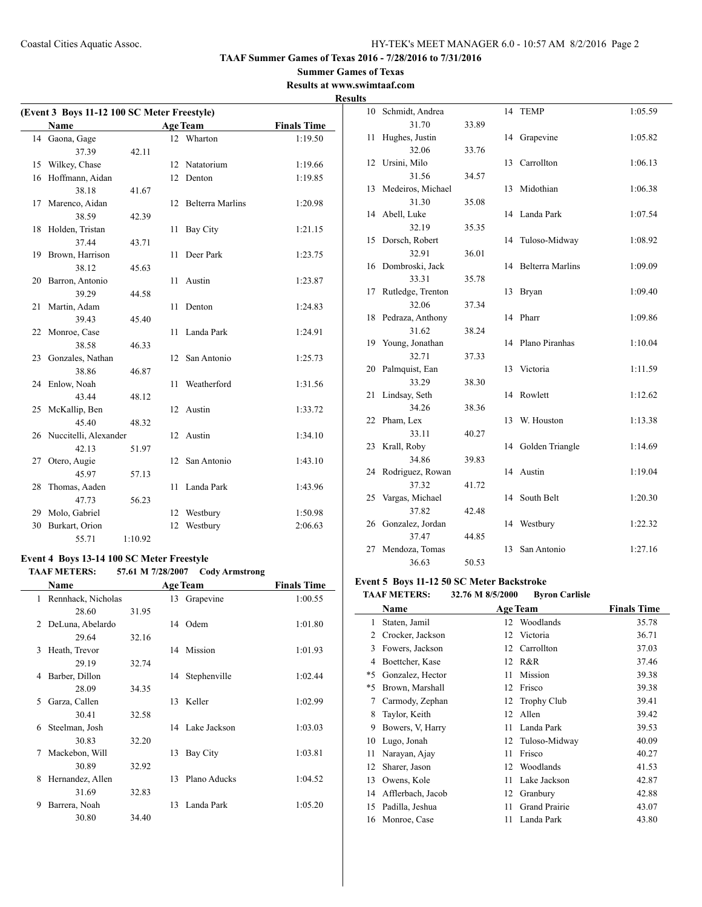#### **Summer Games of Texas Results at www.swimtaaf.com**

## **Results**

| (Event 3 Boys 11-12 100 SC Meter Freestyle) |                       |         |    |                         |                    |
|---------------------------------------------|-----------------------|---------|----|-------------------------|--------------------|
|                                             | <b>Name</b>           |         |    | <b>Age Team</b>         | <b>Finals Time</b> |
|                                             | 14 Gaona, Gage        |         |    | 12 Wharton              | 1:19.50            |
|                                             | 37.39                 | 42.11   |    |                         |                    |
| 15                                          | Wilkey, Chase         |         | 12 | Natatorium              | 1:19.66            |
| 16                                          | Hoffmann, Aidan       |         | 12 | Denton                  | 1:19.85            |
|                                             | 38.18                 | 41.67   |    |                         |                    |
| 17                                          | Marenco, Aidan        |         | 12 | <b>Belterra Marlins</b> | 1:20.98            |
|                                             | 38.59                 | 42.39   |    |                         |                    |
| 18                                          | Holden, Tristan       |         | 11 | <b>Bay City</b>         | 1:21.15            |
|                                             | 37.44                 | 43.71   |    |                         |                    |
| 19                                          | Brown, Harrison       |         | 11 | Deer Park               | 1:23.75            |
|                                             | 38.12                 | 45.63   |    |                         |                    |
| 20                                          | Barron, Antonio       |         | 11 | Austin                  | 1:23.87            |
|                                             | 39.29                 | 44.58   |    |                         |                    |
| 21                                          | Martin, Adam          |         | 11 | Denton                  | 1:24.83            |
|                                             | 39.43                 | 45.40   |    |                         |                    |
| 22                                          | Monroe, Case          |         | 11 | Landa Park              | 1:24.91            |
|                                             | 38.58                 | 46.33   |    |                         |                    |
| 23                                          | Gonzales, Nathan      |         | 12 | San Antonio             | 1:25.73            |
|                                             | 38.86                 | 46.87   |    |                         |                    |
| 24                                          | Enlow, Noah           |         | 11 | Weatherford             | 1:31.56            |
|                                             | 43.44                 | 48.12   |    |                         |                    |
|                                             | 25 McKallip, Ben      |         | 12 | Austin                  | 1:33.72            |
|                                             | 45.40                 | 48.32   |    |                         |                    |
| 26                                          | Nuccitelli, Alexander |         | 12 | Austin                  | 1:34.10            |
|                                             | 42.13                 | 51.97   |    |                         |                    |
| 27                                          | Otero, Augie          |         | 12 | San Antonio             | 1:43.10            |
|                                             | 45.97                 | 57.13   |    |                         |                    |
| 28                                          | Thomas, Aaden         |         | 11 | Landa Park              | 1:43.96            |
|                                             | 47.73                 | 56.23   |    |                         |                    |
| 29                                          | Molo, Gabriel         |         | 12 | Westbury                | 1:50.98            |
| 30                                          | Burkart, Orion        |         | 12 | Westbury                | 2:06.63            |
|                                             | 55.71                 | 1:10.92 |    |                         |                    |

## **Event 4 Boys 13-14 100 SC Meter Freestyle**

 $\overline{\phantom{0}}$ 

#### **TAAF METERS: 57.61 M 7/28/2007 Cody Armstrong**

|                | Name               |       |    | <b>Age Team</b> | <b>Finals Time</b> |
|----------------|--------------------|-------|----|-----------------|--------------------|
| 1              | Rennhack, Nicholas |       |    | 13 Grapevine    | 1:00.55            |
|                | 28.60              | 31.95 |    |                 |                    |
| $\mathfrak{D}$ | DeLuna, Abelardo   |       |    | 14 Odem         | 1:01.80            |
|                | 29.64              | 32.16 |    |                 |                    |
| 3              | Heath, Trevor      |       |    | 14 Mission      | 1:01.93            |
|                | 29.19              | 32.74 |    |                 |                    |
| 4              | Barber, Dillon     |       |    | 14 Stephenville | 1:02.44            |
|                | 28.09              | 34.35 |    |                 |                    |
| 5              | Garza, Callen      |       | 13 | Keller          | 1:02.99            |
|                | 30.41              | 32.58 |    |                 |                    |
| 6              | Steelman, Josh     |       |    | 14 Lake Jackson | 1:03.03            |
|                | 30.83              | 32.20 |    |                 |                    |
| 7              | Mackebon, Will     |       | 13 | Bay City        | 1:03.81            |
|                | 30.89              | 32.92 |    |                 |                    |
| 8              | Hernandez, Allen   |       | 13 | Plano Aducks    | 1:04.52            |
|                | 31.69              | 32.83 |    |                 |                    |
| 9              | Barrera, Noah      |       | 13 | Landa Park      | 1:05.20            |
|                | 30.80              | 34.40 |    |                 |                    |

| lЭ |                   |       |    |                         |         |
|----|-------------------|-------|----|-------------------------|---------|
| 10 | Schmidt, Andrea   |       | 14 | <b>TEMP</b>             | 1:05.59 |
|    | 31.70             | 33.89 |    |                         |         |
| 11 | Hughes, Justin    |       | 14 | Grapevine               | 1:05.82 |
|    | 32.06             | 33.76 |    |                         |         |
| 12 | Ursini, Milo      |       | 13 | Carrollton              | 1:06.13 |
|    | 31.56             | 34.57 |    |                         |         |
| 13 | Medeiros, Michael |       | 13 | Midothian               | 1:06.38 |
|    | 31.30             | 35.08 |    |                         |         |
|    | 14 Abell, Luke    |       | 14 | Landa Park              | 1:07.54 |
|    | 32.19             | 35.35 |    |                         |         |
| 15 | Dorsch, Robert    |       | 14 | Tuloso-Midway           | 1:08.92 |
|    | 32.91             | 36.01 |    |                         |         |
| 16 | Dombroski, Jack   |       | 14 | <b>Belterra Marlins</b> | 1:09.09 |
|    | 33.31             | 35.78 |    |                         |         |
| 17 | Rutledge, Trenton |       | 13 | Bryan                   | 1:09.40 |
|    | 32.06             | 37.34 |    |                         |         |
| 18 | Pedraza, Anthony  |       | 14 | Pharr                   | 1:09.86 |
|    | 31.62             | 38.24 |    |                         |         |
| 19 | Young, Jonathan   |       | 14 | Plano Piranhas          | 1:10.04 |
|    | 32.71             | 37.33 |    |                         |         |
| 20 | Palmquist, Ean    |       | 13 | Victoria                | 1:11.59 |
|    | 33.29             | 38.30 |    |                         |         |
| 21 | Lindsay, Seth     |       | 14 | Rowlett                 | 1:12.62 |
|    | 34.26             | 38.36 |    |                         |         |
| 22 | Pham, Lex         |       | 13 | W. Houston              | 1:13.38 |
|    | 33.11             | 40.27 |    |                         |         |
| 23 | Krall, Roby       |       | 14 | Golden Triangle         | 1:14.69 |
|    | 34.86             | 39.83 |    |                         |         |
| 24 | Rodriguez, Rowan  |       | 14 | Austin                  | 1:19.04 |
|    | 37.32             | 41.72 |    |                         |         |
| 25 | Vargas, Michael   |       | 14 | South Belt              | 1:20.30 |
|    | 37.82             | 42.48 |    |                         |         |
| 26 | Gonzalez, Jordan  |       | 14 | Westbury                | 1:22.32 |
|    | 37.47             | 44.85 |    |                         |         |
| 27 | Mendoza, Tomas    |       | 13 | San Antonio             | 1:27.16 |
|    | 36.63             | 50.53 |    |                         |         |

# **Event 5 Boys 11-12 50 SC Meter Backstroke**<br>TAAF METERS: 32.76 M 8/5/2000 Byre

## **TAAF METERS: 32.76 M 8/5/2000 Byron Carlisle**

|    | Name              |    | <b>Age Team</b>      | <b>Finals Time</b> |
|----|-------------------|----|----------------------|--------------------|
| 1  | Staten, Jamil     | 12 | Woodlands            | 35.78              |
| 2  | Crocker, Jackson  | 12 | Victoria             | 36.71              |
| 3  | Fowers, Jackson   | 12 | Carrollton           | 37.03              |
| 4  | Boettcher, Kase   |    | 12 R&R               | 37.46              |
| *5 | Gonzalez, Hector  | 11 | Mission              | 39.38              |
| *5 | Brown, Marshall   | 12 | Frisco               | 39.38              |
| 7  | Carmody, Zephan   | 12 | <b>Trophy Club</b>   | 39.41              |
| 8  | Taylor, Keith     | 12 | Allen                | 39.42              |
| 9  | Bowers, V, Harry  | 11 | Landa Park           | 39.53              |
| 10 | Lugo, Jonah       | 12 | Tuloso-Midway        | 40.09              |
| 11 | Narayan, Ajay     | 11 | Frisco               | 40.27              |
| 12 | Sharer, Jason     | 12 | Woodlands            | 41.53              |
| 13 | Owens, Kole       | 11 | Lake Jackson         | 42.87              |
| 14 | Afflerbach, Jacob | 12 | Granbury             | 42.88              |
| 15 | Padilla, Jeshua   | 11 | <b>Grand Prairie</b> | 43.07              |
| 16 | Monroe, Case      | 11 | Landa Park           | 43.80              |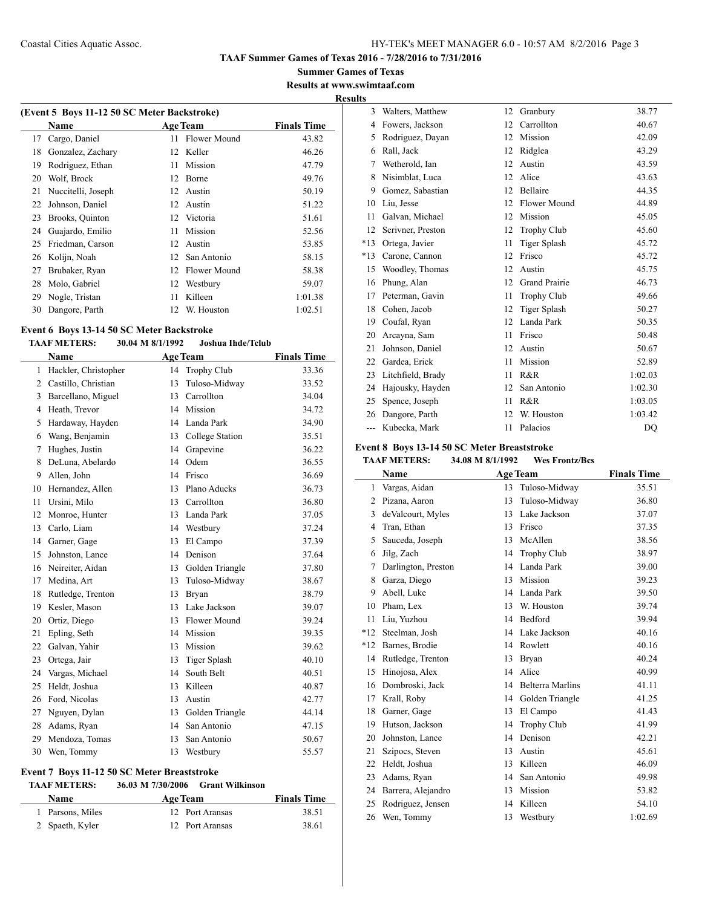**Summer Games of Texas Results at www.swimtaaf.com**

## **Results**

 $\overline{\phantom{0}}$ 

|    | (Event 5 Boys 11-12 50 SC Meter Backstroke) |                 |                 |                    |  |  |  |
|----|---------------------------------------------|-----------------|-----------------|--------------------|--|--|--|
|    | Name                                        |                 | <b>Age Team</b> | <b>Finals Time</b> |  |  |  |
| 17 | Cargo, Daniel                               | 11              | Flower Mound    | 43.82              |  |  |  |
| 18 | Gonzalez, Zachary                           | 12              | Keller          | 46.26              |  |  |  |
| 19 | Rodriguez, Ethan                            | 11              | Mission         | 47.79              |  |  |  |
| 20 | Wolf, Brock                                 | 12              | Borne           | 49.76              |  |  |  |
| 21 | Nuccitelli, Joseph                          | 12 <sup>7</sup> | Austin          | 50.19              |  |  |  |
| 22 | Johnson, Daniel                             | 12              | Austin          | 51.22              |  |  |  |
| 23 | Brooks, Quinton                             | 12              | Victoria        | 51.61              |  |  |  |
| 24 | Guajardo, Emilio                            | 11              | Mission         | 52.56              |  |  |  |
| 25 | Friedman, Carson                            | 12              | Austin          | 53.85              |  |  |  |
| 26 | Kolijn, Noah                                | 12              | San Antonio     | 58.15              |  |  |  |
| 27 | Brubaker, Ryan                              | 12              | Flower Mound    | 58.38              |  |  |  |
| 28 | Molo, Gabriel                               | 12              | Westbury        | 59.07              |  |  |  |
| 29 | Nogle, Tristan                              | 11              | Killeen         | 1:01.38            |  |  |  |
| 30 | Dangore, Parth                              | 12              | W. Houston      | 1:02.51            |  |  |  |

#### **Event 6 Boys 13-14 50 SC Meter Backstroke**

 $\overline{\phantom{0}}$ 

#### **TAAF METERS: 30.04 M 8/1/1992 Joshua Ihde/Tclub**

|    | Name                 |    | <b>Age Team</b> | <b>Finals Time</b> |
|----|----------------------|----|-----------------|--------------------|
| 1  | Hackler, Christopher | 14 | Trophy Club     | 33.36              |
| 2  | Castillo, Christian  | 13 | Tuloso-Midway   | 33.52              |
| 3  | Barcellano, Miguel   | 13 | Carrollton      | 34.04              |
| 4  | Heath, Trevor        | 14 | Mission         | 34.72              |
| 5  | Hardaway, Hayden     | 14 | Landa Park      | 34.90              |
| 6  | Wang, Benjamin       | 13 | College Station | 35.51              |
| 7  | Hughes, Justin       | 14 | Grapevine       | 36.22              |
| 8  | DeLuna, Abelardo     | 14 | Odem            | 36.55              |
| 9  | Allen, John          | 14 | Frisco          | 36.69              |
| 10 | Hernandez, Allen     | 13 | Plano Aducks    | 36.73              |
| 11 | Ursini, Milo         | 13 | Carrollton      | 36.80              |
| 12 | Monroe, Hunter       | 13 | Landa Park      | 37.05              |
| 13 | Carlo, Liam          | 14 | Westbury        | 37.24              |
| 14 | Garner, Gage         | 13 | El Campo        | 37.39              |
| 15 | Johnston, Lance      | 14 | Denison         | 37.64              |
| 16 | Neireiter, Aidan     | 13 | Golden Triangle | 37.80              |
| 17 | Medina, Art          | 13 | Tuloso-Midway   | 38.67              |
| 18 | Rutledge, Trenton    | 13 | Bryan           | 38.79              |
| 19 | Kesler, Mason        | 13 | Lake Jackson    | 39.07              |
| 20 | Ortiz, Diego         | 13 | Flower Mound    | 39.24              |
| 21 | Epling, Seth         | 14 | Mission         | 39.35              |
| 22 | Galvan, Yahir        | 13 | Mission         | 39.62              |
| 23 | Ortega, Jair         | 13 | Tiger Splash    | 40.10              |
| 24 | Vargas, Michael      | 14 | South Belt      | 40.51              |
| 25 | Heldt, Joshua        | 13 | Killeen         | 40.87              |
| 26 | Ford, Nicolas        | 13 | Austin          | 42.77              |
| 27 | Nguyen, Dylan        | 13 | Golden Triangle | 44.14              |
| 28 | Adams, Ryan          | 14 | San Antonio     | 47.15              |
| 29 | Mendoza, Tomas       | 13 | San Antonio     | 50.67              |
| 30 | Wen, Tommy           | 13 | Westbury        | 55.57              |

## **Event 7 Boys 11-12 50 SC Meter Breaststroke**

## **TAAF METERS: 36.03 M 7/30/2006 Grant Wilkinson**

| <b>Name</b>      | <b>Age Team</b> | <b>Finals Time</b> |
|------------------|-----------------|--------------------|
| 1 Parsons, Miles | 12 Port Aransas | 38.51              |
| 2 Spaeth, Kyler  | 12 Port Aransas | 38.61              |

| 3     | Walters, Matthew  | 12 | Granbury             | 38.77   |
|-------|-------------------|----|----------------------|---------|
| 4     | Fowers, Jackson   | 12 | Carrollton           | 40.67   |
| 5     | Rodriguez, Davan  | 12 | Mission              | 42.09   |
| 6     | Rall, Jack        | 12 | Ridglea              | 43.29   |
| 7     | Wetherold, Ian    | 12 | Austin               | 43.59   |
| 8     | Nisimblat, Luca   | 12 | Alice                | 43.63   |
| 9     | Gomez, Sabastian  | 12 | Bellaire             | 44.35   |
| 10    | Liu, Jesse        | 12 | <b>Flower Mound</b>  | 44.89   |
| 11    | Galvan, Michael   | 12 | Mission              | 45.05   |
| 12    | Scrivner, Preston | 12 | <b>Trophy Club</b>   | 45.60   |
| $*13$ | Ortega, Javier    | 11 | Tiger Splash         | 45.72   |
| $*13$ | Carone, Cannon    | 12 | Frisco               | 45.72   |
| 15    | Woodley, Thomas   | 12 | Austin               | 45.75   |
| 16    | Phung, Alan       | 12 | <b>Grand Prairie</b> | 46.73   |
| 17    | Peterman, Gavin   | 11 | <b>Trophy Club</b>   | 49.66   |
| 18    | Cohen, Jacob      | 12 | Tiger Splash         | 50.27   |
| 19    | Coufal, Ryan      | 12 | Landa Park           | 50.35   |
| 20    | Arcayna, Sam      | 11 | Frisco               | 50.48   |
| 21    | Johnson, Daniel   | 12 | Austin               | 50.67   |
| 22    | Gardea, Erick     | 11 | Mission              | 52.89   |
| 23    | Litchfield, Brady | 11 | R&R                  | 1:02.03 |
| 24    | Hajousky, Hayden  | 12 | San Antonio          | 1:02.30 |
| 25    | Spence, Joseph    | 11 | R&R                  | 1:03.05 |
| 26    | Dangore, Parth    | 12 | W. Houston           | 1:03.42 |
| ---   | Kubecka, Mark     | 11 | Palacios             | DO      |

## **Event 8 Boys 13-14 50 SC Meter Breaststroke**

#### **TAAF METERS: 34.08 M 8/1/1992 Wes Frontz/Bcs**

|       | Name                |    | <b>Age Team</b>         | <b>Finals Time</b> |
|-------|---------------------|----|-------------------------|--------------------|
| 1     | Vargas, Aidan       | 13 | Tuloso-Midway           | 35.51              |
| 2     | Pizana, Aaron       | 13 | Tuloso-Midway           | 36.80              |
| 3     | deValcourt, Myles   | 13 | Lake Jackson            | 37.07              |
| 4     | Tran, Ethan         | 13 | Frisco                  | 37.35              |
| 5     | Sauceda, Joseph     | 13 | McAllen                 | 38.56              |
| 6     | Jilg, Zach          | 14 | <b>Trophy Club</b>      | 38.97              |
| 7     | Darlington, Preston | 14 | Landa Park              | 39.00              |
| 8     | Garza, Diego        | 13 | Mission                 | 39.23              |
| 9     | Abell, Luke         | 14 | Landa Park              | 39.50              |
| 10    | Pham, Lex           | 13 | W. Houston              | 39.74              |
| 11    | Liu, Yuzhou         | 14 | Bedford                 | 39.94              |
| $*12$ | Steelman, Josh      | 14 | Lake Jackson            | 40.16              |
| $*12$ | Barnes, Brodie      | 14 | Rowlett                 | 40.16              |
| 14    | Rutledge, Trenton   | 13 | Bryan                   | 40.24              |
| 15    | Hinojosa, Alex      | 14 | Alice                   | 40.99              |
| 16    | Dombroski, Jack     | 14 | <b>Belterra Marlins</b> | 41.11              |
| 17    | Krall, Roby         | 14 | Golden Triangle         | 41.25              |
| 18    | Garner, Gage        | 13 | El Campo                | 41.43              |
| 19    | Hutson, Jackson     | 14 | <b>Trophy Club</b>      | 41.99              |
| 20    | Johnston, Lance     | 14 | Denison                 | 42.21              |
| 21    | Szipocs, Steven     | 13 | Austin                  | 45.61              |
| 22    | Heldt, Joshua       | 13 | Killeen                 | 46.09              |
| 23    | Adams, Ryan         | 14 | San Antonio             | 49.98              |
| 24    | Barrera, Alejandro  | 13 | Mission                 | 53.82              |
| 25    | Rodriguez, Jensen   | 14 | Killeen                 | 54.10              |
| 26    | Wen, Tommy          | 13 | Westbury                | 1:02.69            |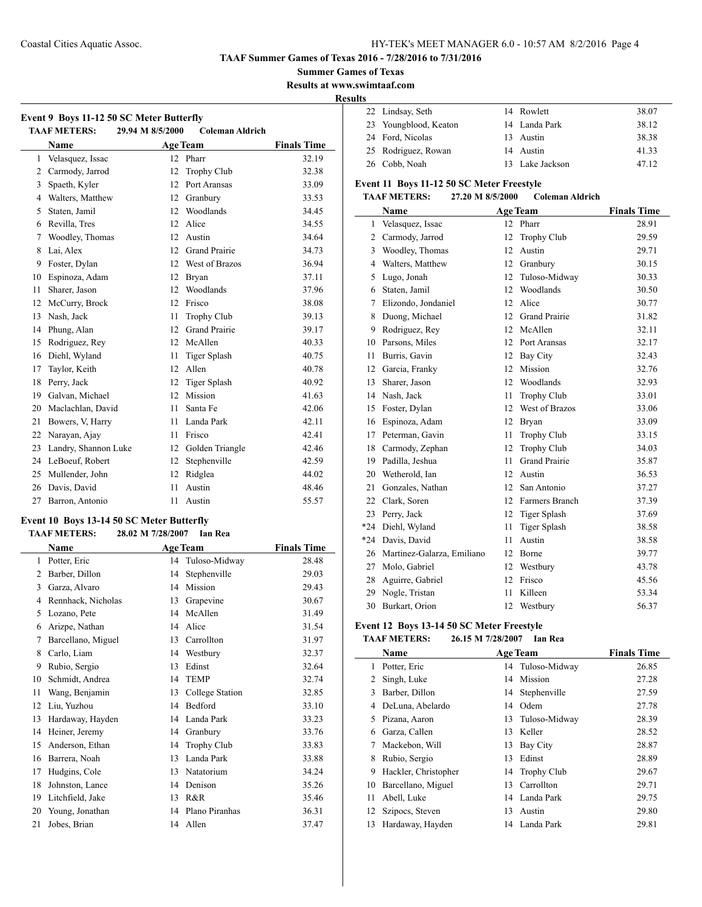#### **TAAF Summer Games of Texas 2016 - 7/28/2016 to 7/31/2016**

**Summer Games of Texas**

**Results at www.swimtaaf.com**

**Results**

l,

| Event 9 Boys 11-12 50 SC Meter Butterfly<br><b>TAAF METERS:</b><br>29.94 M 8/5/2000<br><b>Coleman Aldrich</b> |                      |    |                      |                    |  |  |  |
|---------------------------------------------------------------------------------------------------------------|----------------------|----|----------------------|--------------------|--|--|--|
|                                                                                                               | <b>Name</b>          |    | <b>Age Team</b>      | <b>Finals Time</b> |  |  |  |
| 1                                                                                                             | Velasquez, Issac     | 12 | Pharr                | 32.19              |  |  |  |
| $\overline{2}$                                                                                                | Carmody, Jarrod      | 12 | <b>Trophy Club</b>   | 32.38              |  |  |  |
| 3                                                                                                             | Spaeth, Kyler        | 12 | Port Aransas         | 33.09              |  |  |  |
| 4                                                                                                             | Walters, Matthew     | 12 | Granbury             | 33.53              |  |  |  |
| 5                                                                                                             | Staten, Jamil        | 12 | Woodlands            | 34.45              |  |  |  |
| 6                                                                                                             | Revilla, Tres        | 12 | Alice                | 34.55              |  |  |  |
| 7                                                                                                             | Woodley, Thomas      | 12 | Austin               | 34.64              |  |  |  |
| 8                                                                                                             | Lai, Alex            | 12 | <b>Grand Prairie</b> | 34.73              |  |  |  |
| 9                                                                                                             | Foster, Dylan        | 12 | West of Brazos       | 36.94              |  |  |  |
| 10                                                                                                            | Espinoza, Adam       | 12 | <b>Bryan</b>         | 37.11              |  |  |  |
| 11                                                                                                            | Sharer, Jason        | 12 | Woodlands            | 37.96              |  |  |  |
| 12                                                                                                            | McCurry, Brock       | 12 | Frisco               | 38.08              |  |  |  |
| 13                                                                                                            | Nash, Jack           | 11 | Trophy Club          | 39.13              |  |  |  |
| 14                                                                                                            | Phung, Alan          | 12 | <b>Grand Prairie</b> | 39.17              |  |  |  |
| 15                                                                                                            | Rodriguez, Rey       | 12 | McAllen              | 40.33              |  |  |  |
| 16                                                                                                            | Diehl, Wyland        | 11 | Tiger Splash         | 40.75              |  |  |  |
| 17                                                                                                            | Taylor, Keith        | 12 | Allen                | 40.78              |  |  |  |
| 18                                                                                                            | Perry, Jack          | 12 | <b>Tiger Splash</b>  | 40.92              |  |  |  |
| 19                                                                                                            | Galvan, Michael      | 12 | Mission              | 41.63              |  |  |  |
| 20                                                                                                            | Maclachlan, David    | 11 | Santa Fe             | 42.06              |  |  |  |
| 21                                                                                                            | Bowers, V, Harry     | 11 | Landa Park           | 42.11              |  |  |  |
| 22                                                                                                            | Narayan, Ajay        | 11 | Frisco               | 42.41              |  |  |  |
| 23                                                                                                            | Landry, Shannon Luke | 12 | Golden Triangle      | 42.46              |  |  |  |
| 24                                                                                                            | LeBoeuf, Robert      | 12 | Stephenville         | 42.59              |  |  |  |
| 25                                                                                                            | Mullender, John      | 12 | Ridglea              | 44.02              |  |  |  |
| 26                                                                                                            | Davis, David         | 11 | Austin               | 48.46              |  |  |  |
| 27                                                                                                            | Barron, Antonio      | 11 | Austin               | 55.57              |  |  |  |

## **Event 10 Boys 13-14 50 SC Meter Butterfly**<br>TAAE METERS: 28.03 M 7/28/2007 Lan

|    | <b>TAAF METERS:</b> | 28.02 M 7/28/2007 | Ian Rea         |                    |
|----|---------------------|-------------------|-----------------|--------------------|
|    | Name                | <b>Age Team</b>   |                 | <b>Finals Time</b> |
| 1  | Potter, Eric        | 14                | Tuloso-Midway   | 28.48              |
| 2  | Barber, Dillon      | 14                | Stephenville    | 29.03              |
| 3  | Garza, Alvaro       | 14                | Mission         | 29.43              |
| 4  | Rennhack, Nicholas  | 13                | Grapevine       | 30.67              |
| 5  | Lozano, Pete        | 14                | McAllen         | 31.49              |
| 6  | Arizpe, Nathan      | 14                | Alice           | 31.54              |
| 7  | Barcellano, Miguel  | 13                | Carrollton      | 31.97              |
| 8  | Carlo, Liam         | 14                | Westbury        | 32.37              |
| 9  | Rubio, Sergio       | 13                | Edinst          | 32.64              |
| 10 | Schmidt, Andrea     | 14                | <b>TEMP</b>     | 32.74              |
| 11 | Wang, Benjamin      | 13                | College Station | 32.85              |
| 12 | Liu, Yuzhou         | 14                | Bedford         | 33.10              |
| 13 | Hardaway, Hayden    | 14                | Landa Park      | 33.23              |
| 14 | Heiner, Jeremy      | 14                | Granbury        | 33.76              |
| 15 | Anderson, Ethan     | 14                | Trophy Club     | 33.83              |
| 16 | Barrera, Noah       | 13                | Landa Park      | 33.88              |
| 17 | Hudgins, Cole       | 13                | Natatorium      | 34.24              |
| 18 | Johnston, Lance     | 14                | Denison         | 35.26              |
| 19 | Litchfield, Jake    | 13                | R&R             | 35.46              |
| 20 | Young, Jonathan     | 14                | Plano Piranhas  | 36.31              |
| 21 | Jobes, Brian        |                   | 14 Allen        | 37.47              |

| w |                       |                 |       |
|---|-----------------------|-----------------|-------|
|   | 22 Lindsay, Seth      | 14 Rowlett      | 38.07 |
|   | 23 Youngblood, Keaton | 14 Landa Park   | 38.12 |
|   | 24 Ford, Nicolas      | 13 Austin       | 38.38 |
|   | 25 Rodriguez, Rowan   | 14 Austin       | 41.33 |
|   | 26 Cobb, Noah         | 13 Lake Jackson | 47.12 |

### **Event 11 Boys 11-12 50 SC Meter Freestyle<br>TAAF METERS: 27.20 M 8/5/2000 Co TAAF METERS: 27.20 M 8/5/2000 Coleman Aldrich**

|                | Name                       |    | <b>Age Team</b>      | <b>Finals Time</b> |
|----------------|----------------------------|----|----------------------|--------------------|
| $\mathbf{1}$   | Velasquez, Issac           | 12 | Pharr                | 28.91              |
| $\overline{2}$ | Carmody, Jarrod            | 12 | <b>Trophy Club</b>   | 29.59              |
| 3              | Woodley, Thomas            | 12 | Austin               | 29.71              |
| 4              | Walters, Matthew           | 12 | Granbury             | 30.15              |
| 5              | Lugo, Jonah                | 12 | Tuloso-Midway        | 30.33              |
| 6              | Staten, Jamil              | 12 | Woodlands            | 30.50              |
| 7              | Elizondo, Jondaniel        | 12 | Alice                | 30.77              |
| 8              | Duong, Michael             | 12 | <b>Grand Prairie</b> | 31.82              |
| 9              | Rodriguez, Rev             | 12 | McAllen              | 32.11              |
| 10             | Parsons, Miles             | 12 | Port Aransas         | 32.17              |
| 11             | Burris, Gavin              | 12 | Bay City             | 32.43              |
| 12             | Garcia, Franky             | 12 | Mission              | 32.76              |
| 13             | Sharer, Jason              | 12 | Woodlands            | 32.93              |
| 14             | Nash, Jack                 | 11 | <b>Trophy Club</b>   | 33.01              |
| 15             | Foster, Dylan              | 12 | West of Brazos       | 33.06              |
| 16             | Espinoza, Adam             | 12 | Bryan                | 33.09              |
| 17             | Peterman, Gavin            | 11 | Trophy Club          | 33.15              |
| 18             | Carmody, Zephan            | 12 | <b>Trophy Club</b>   | 34.03              |
| 19             | Padilla, Jeshua            | 11 | <b>Grand Prairie</b> | 35.87              |
| 20             | Wetherold, Ian             | 12 | Austin               | 36.53              |
| 21             | Gonzales, Nathan           | 12 | San Antonio          | 37.27              |
| 22             | Clark, Soren               | 12 | Farmers Branch       | 37.39              |
| 23             | Perry, Jack                | 12 | <b>Tiger Splash</b>  | 37.69              |
| $*24$          | Diehl, Wyland              | 11 | <b>Tiger Splash</b>  | 38.58              |
| $*24$          | Davis, David               | 11 | Austin               | 38.58              |
| 26             | Martinez-Galarza, Emiliano | 12 | Borne                | 39.77              |
| 27             | Molo, Gabriel              | 12 | Westbury             | 43.78              |
| 28             | Aguirre, Gabriel           | 12 | Frisco               | 45.56              |
| 29             | Nogle, Tristan             | 11 | Killeen              | 53.34              |
| 30             | Burkart, Orion             | 12 | Westbury             | 56.37              |

## **Event 12 Boys 13-14 50 SC Meter Freestyle**

## **TAAF METERS: 26.15 M 7/28/2007 Ian Rea**

|                | Name                 |    | <b>Age Team</b>  | <b>Finals Time</b> |
|----------------|----------------------|----|------------------|--------------------|
| 1              | Potter, Eric         |    | 14 Tuloso-Midway | 26.85              |
| $\overline{2}$ | Singh, Luke          | 14 | Mission          | 27.28              |
| 3              | Barber, Dillon       |    | 14 Stephenville  | 27.59              |
| 4              | DeLuna, Abelardo     | 14 | Odem             | 27.78              |
| 5.             | Pizana, Aaron        | 13 | Tuloso-Midway    | 28.39              |
| 6              | Garza, Callen        | 13 | Keller           | 28.52              |
|                | Mackebon, Will       | 13 | Bay City         | 28.87              |
| 8              | Rubio, Sergio        | 13 | Edinst           | 28.89              |
| 9              | Hackler, Christopher |    | 14 Trophy Club   | 29.67              |
| 10             | Barcellano, Miguel   | 13 | Carrollton       | 29.71              |
| 11             | Abell, Luke          |    | 14 Landa Park    | 29.75              |
| 12             | Szipocs, Steven      | 13 | Austin           | 29.80              |
| 13             | Hardaway, Hayden     |    | 14 Landa Park    | 29.81              |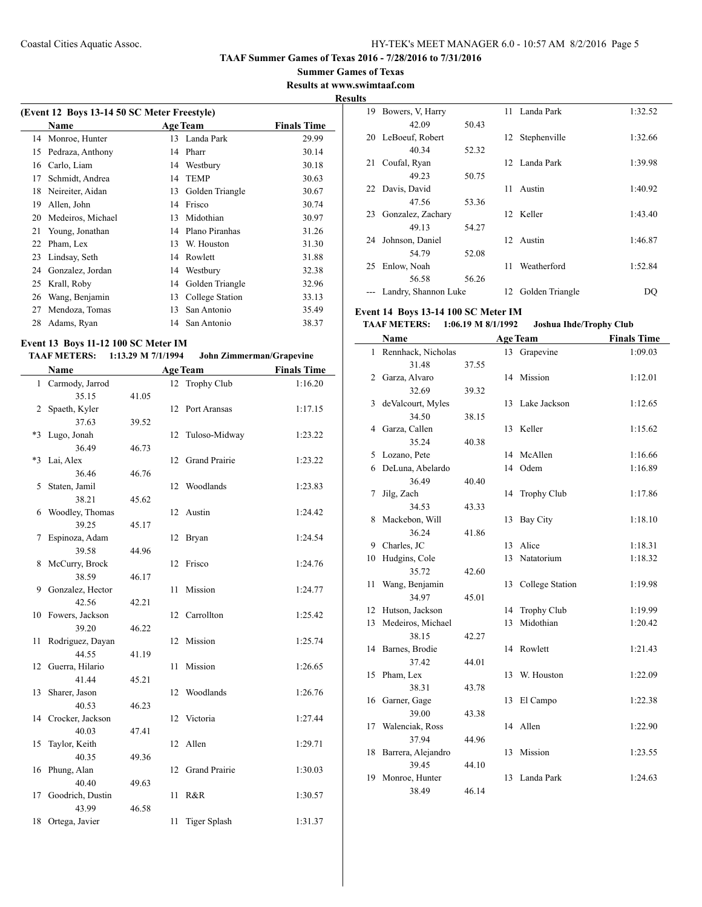**Summer Games of Texas Results at www.swimtaaf.com**

## **Results**

 $\sim$ 

|    | (Event 12 Boys 13-14 50 SC Meter Freestyle) |    |                 |                    |  |  |  |  |
|----|---------------------------------------------|----|-----------------|--------------------|--|--|--|--|
|    | Name                                        |    | <b>Age Team</b> | <b>Finals Time</b> |  |  |  |  |
| 14 | Monroe, Hunter                              | 13 | Landa Park      | 29.99              |  |  |  |  |
| 15 | Pedraza, Anthony                            | 14 | Pharr           | 30.14              |  |  |  |  |
| 16 | Carlo, Liam                                 | 14 | Westbury        | 30.18              |  |  |  |  |
| 17 | Schmidt, Andrea                             | 14 | <b>TEMP</b>     | 30.63              |  |  |  |  |
| 18 | Neireiter, Aidan                            | 13 | Golden Triangle | 30.67              |  |  |  |  |
| 19 | Allen, John                                 | 14 | Frisco          | 30.74              |  |  |  |  |
| 20 | Medeiros, Michael                           | 13 | Midothian       | 30.97              |  |  |  |  |
| 21 | Young, Jonathan                             | 14 | Plano Piranhas  | 31.26              |  |  |  |  |
| 22 | Pham, Lex                                   | 13 | W. Houston      | 31.30              |  |  |  |  |
| 23 | Lindsay, Seth                               | 14 | Rowlett         | 31.88              |  |  |  |  |
| 24 | Gonzalez, Jordan                            | 14 | Westbury        | 32.38              |  |  |  |  |
| 25 | Krall, Roby                                 | 14 | Golden Triangle | 32.96              |  |  |  |  |
| 26 | Wang, Benjamin                              | 13 | College Station | 33.13              |  |  |  |  |
| 27 | Mendoza, Tomas                              | 13 | San Antonio     | 35.49              |  |  |  |  |
| 28 | Adams, Ryan                                 | 14 | San Antonio     | 38.37              |  |  |  |  |
|    |                                             |    |                 |                    |  |  |  |  |

## **Event 13 Boys 11-12 100 SC Meter IM**

### **TAAF METERS: 1:13.29 M 7/1/1994 John Zimmerman/Grapevine**

|      | Name             | <b>Age Team</b> |    | <b>Finals Time</b>   |         |
|------|------------------|-----------------|----|----------------------|---------|
| 1    | Carmody, Jarrod  |                 | 12 | Trophy Club          | 1:16.20 |
|      | 35.15            | 41.05           |    |                      |         |
| 2    | Spaeth, Kyler    |                 | 12 | Port Aransas         | 1:17.15 |
|      | 37.63            | 39.52           |    |                      |         |
| $*3$ | Lugo, Jonah      |                 | 12 | Tuloso-Midway        | 1:23.22 |
|      | 36.49            | 46.73           |    |                      |         |
| $*3$ | Lai, Alex        |                 | 12 | Grand Prairie        | 1:23.22 |
|      | 36.46            | 46.76           |    |                      |         |
| 5    | Staten, Jamil    |                 | 12 | Woodlands            | 1:23.83 |
|      | 38.21            | 45.62           |    |                      |         |
| 6    | Woodley, Thomas  |                 | 12 | Austin               | 1:24.42 |
|      | 39.25            | 45.17           |    |                      |         |
| 7    | Espinoza, Adam   |                 | 12 | Bryan                | 1:24.54 |
|      | 39.58            | 44.96           |    |                      |         |
| 8    | McCurry, Brock   |                 | 12 | Frisco               | 1:24.76 |
|      | 38.59            | 46.17           |    |                      |         |
| 9    | Gonzalez, Hector |                 | 11 | Mission              | 1:24.77 |
|      | 42.56            | 42.21           |    |                      |         |
| 10   | Fowers, Jackson  |                 | 12 | Carrollton           | 1:25.42 |
|      | 39.20            | 46.22           |    |                      |         |
| 11   | Rodriguez, Dayan |                 | 12 | Mission              | 1:25.74 |
|      | 44.55            | 41.19           |    |                      |         |
| 12   | Guerra, Hilario  |                 | 11 | Mission              | 1:26.65 |
|      | 41.44            | 45.21           |    |                      |         |
| 13   | Sharer, Jason    |                 | 12 | Woodlands            | 1:26.76 |
|      | 40.53            | 46.23           |    |                      |         |
| 14   | Crocker, Jackson |                 | 12 | Victoria             | 1:27.44 |
|      | 40.03            | 47.41           |    |                      |         |
| 15   | Taylor, Keith    |                 | 12 | Allen                | 1:29.71 |
|      | 40.35            | 49.36           |    |                      |         |
| 16   | Phung, Alan      |                 | 12 | <b>Grand Prairie</b> | 1:30.03 |
|      | 40.40            | 49.63           |    |                      |         |
| 17   | Goodrich, Dustin |                 | 11 | R&R                  | 1:30.57 |
|      | 43.99            | 46.58           |    |                      |         |
| 18   | Ortega, Javier   |                 | 11 | Tiger Splash         | 1:31.37 |

| ັ  |                      |       |    |                    |         |
|----|----------------------|-------|----|--------------------|---------|
| 19 | Bowers, V, Harry     |       |    | 11 Landa Park      | 1:32.52 |
|    | 42.09                | 50.43 |    |                    |         |
| 20 | LeBoeuf, Robert      |       |    | 12 Stephenville    | 1:32.66 |
|    | 40.34                | 52.32 |    |                    |         |
| 21 | Coufal, Ryan         |       |    | 12 Landa Park      | 1:39.98 |
|    | 49.23                | 50.75 |    |                    |         |
| 22 | Davis, David         |       | 11 | Austin             | 1:40.92 |
|    | 47.56                | 53.36 |    |                    |         |
| 23 | Gonzalez, Zachary    |       |    | 12 Keller          | 1:43.40 |
|    | 49.13                | 54.27 |    |                    |         |
| 24 | Johnson, Daniel      |       |    | 12 Austin          | 1:46.87 |
|    | 54.79                | 52.08 |    |                    |         |
| 25 | Enlow, Noah          |       | 11 | Weatherford        | 1:52.84 |
|    | 56.58                | 56.26 |    |                    |         |
|    | Landry, Shannon Luke |       |    | 12 Golden Triangle | DQ      |
|    |                      |       |    |                    |         |

## **Event 14 Boys 13-14 100 SC Meter IM**

## **TAAF METERS: 1:06.19 M 8/1/1992 Joshua Ihde/Trophy Club**

|    | Name               | <b>Age Team</b> |    |                    | <b>Finals Time</b> |
|----|--------------------|-----------------|----|--------------------|--------------------|
| 1  | Rennhack, Nicholas |                 | 13 | Grapevine          | 1:09.03            |
|    | 31.48              | 37.55           |    |                    |                    |
| 2  | Garza, Alvaro      |                 | 14 | Mission            | 1:12.01            |
|    | 32.69              | 39.32           |    |                    |                    |
| 3  | deValcourt, Myles  |                 | 13 | Lake Jackson       | 1:12.65            |
|    | 34.50              | 38.15           |    |                    |                    |
| 4  | Garza, Callen      |                 | 13 | Keller             | 1:15.62            |
|    | 35.24              | 40.38           |    |                    |                    |
| 5  | Lozano, Pete       |                 | 14 | McAllen            | 1:16.66            |
| 6  | DeLuna, Abelardo   |                 | 14 | Odem               | 1:16.89            |
|    | 36.49              | 40.40           |    |                    |                    |
| 7  | Jilg, Zach         |                 | 14 | <b>Trophy Club</b> | 1:17.86            |
|    | 34.53              | 43.33           |    |                    |                    |
| 8  | Mackebon, Will     |                 | 13 | <b>Bay City</b>    | 1:18.10            |
|    | 36.24              | 41.86           |    |                    |                    |
| 9  | Charles, JC        |                 | 13 | Alice              | 1:18.31            |
| 10 | Hudgins, Cole      |                 | 13 | Natatorium         | 1:18.32            |
|    | 35.72              | 42.60           |    |                    |                    |
| 11 | Wang, Benjamin     |                 | 13 | College Station    | 1:19.98            |
|    | 34.97              | 45.01           |    |                    |                    |
| 12 | Hutson, Jackson    |                 | 14 | <b>Trophy Club</b> | 1:19.99            |
| 13 | Medeiros, Michael  |                 | 13 | Midothian          | 1:20.42            |
|    | 38.15              | 42.27           |    |                    |                    |
| 14 | Barnes, Brodie     |                 | 14 | Rowlett            | 1:21.43            |
|    | 37.42              | 44.01           |    |                    |                    |
| 15 | Pham, Lex          |                 | 13 | W. Houston         | 1:22.09            |
|    | 38.31              | 43.78           |    |                    |                    |
| 16 | Garner, Gage       |                 | 13 | El Campo           | 1:22.38            |
|    | 39.00              | 43.38           |    |                    |                    |
| 17 | Walenciak, Ross    |                 | 14 | Allen              | 1:22.90            |
|    | 37.94              | 44.96           |    |                    |                    |
| 18 | Barrera, Alejandro |                 | 13 | Mission            | 1:23.55            |
|    | 39.45              | 44.10           |    |                    |                    |
| 19 | Monroe, Hunter     |                 | 13 | Landa Park         | 1:24.63            |
|    | 38.49              | 46.14           |    |                    |                    |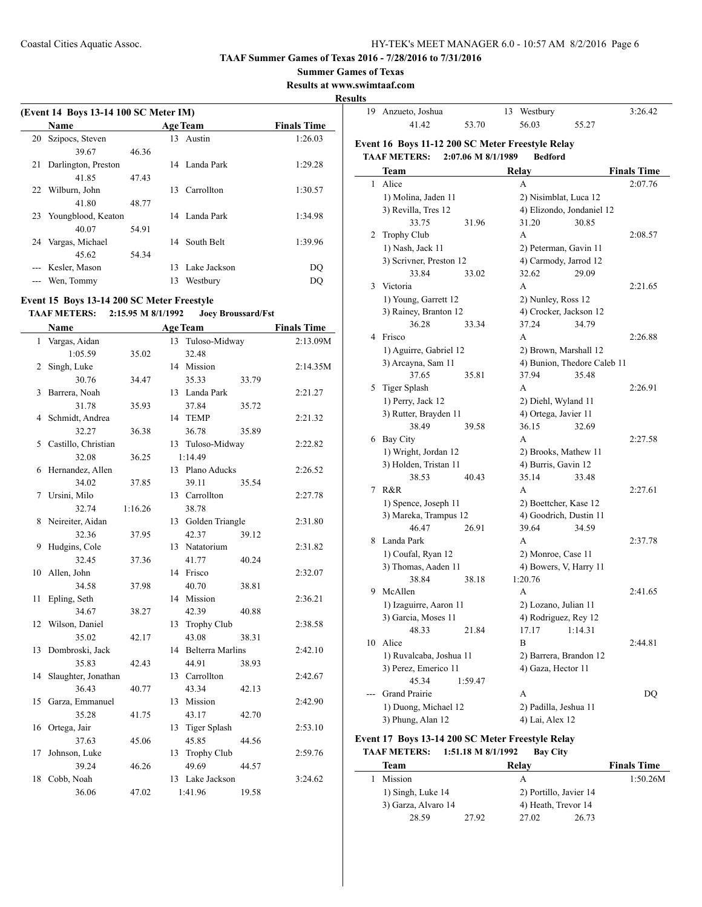#### **TAAF Summer Games of Texas 2016 - 7/28/2016 to 7/31/2016**

**Summer Games of Texas**

**Results at www.swimtaaf.com**

#### **Result**

|    | (Event 14 Boys 13-14 100 SC Meter IM) |       |    |                 |                    |  |  |
|----|---------------------------------------|-------|----|-----------------|--------------------|--|--|
|    | Name                                  |       |    | <b>Age Team</b> | <b>Finals Time</b> |  |  |
| 20 | Szipocs, Steven                       |       | 13 | Austin          | 1:26.03            |  |  |
|    | 39.67                                 | 46.36 |    |                 |                    |  |  |
| 21 | Darlington, Preston                   |       |    | 14 Landa Park   | 1:29.28            |  |  |
|    | 4185                                  | 47.43 |    |                 |                    |  |  |
| 22 | Wilburn, John                         |       | 13 | Carrollton      | 1:30.57            |  |  |
|    | 41.80                                 | 48.77 |    |                 |                    |  |  |
| 23 | Youngblood, Keaton                    |       |    | 14 Landa Park   | 1:34.98            |  |  |
|    | 40.07                                 | 54.91 |    |                 |                    |  |  |
| 24 | Vargas, Michael                       |       | 14 | South Belt      | 1:39.96            |  |  |
|    | 45.62                                 | 54.34 |    |                 |                    |  |  |
|    | Kesler, Mason                         |       | 13 | Lake Jackson    | DO                 |  |  |
|    | Wen, Tommy                            |       | 13 | Westbury        | DO                 |  |  |
|    |                                       |       |    |                 |                    |  |  |

## **Event 15 Boys 13-14 200 SC Meter Freestyle**

## **TAAF METERS: 2:15.95 M 8/1/1992 Joey Broussard/Fst**

|    | Name                |         | <b>Age Team</b> |                     | <b>Finals Time</b> |
|----|---------------------|---------|-----------------|---------------------|--------------------|
| 1  | Vargas, Aidan       |         | 13              | Tuloso-Midway       | 2:13.09M           |
|    | 1:05.59             | 35.02   |                 | 32.48               |                    |
| 2  | Singh, Luke         |         | 14 Mission      |                     | 2:14.35M           |
|    | 30.76               | 34.47   |                 | 35.33<br>33.79      |                    |
| 3  | Barrera, Noah       |         |                 | 13 Landa Park       | 2:21.27            |
|    | 31.78               | 35.93   |                 | 37.84<br>35.72      |                    |
| 4  | Schmidt, Andrea     |         | 14 TEMP         |                     | 2:21.32            |
|    | 32.27               | 36.38   |                 | 36.78<br>35.89      |                    |
| 5  | Castillo, Christian |         |                 | 13 Tuloso-Midway    | 2:22.82            |
|    | 32.08               | 36.25   | 1:14.49         |                     |                    |
| 6  | Hernandez, Allen    |         |                 | 13 Plano Aducks     | 2:26.52            |
|    | 34.02               | 37.85   |                 | 39.11<br>35.54      |                    |
| 7  | Ursini, Milo        |         |                 | 13 Carrollton       | 2:27.78            |
|    | 32.74               | 1:16.26 |                 | 38.78               |                    |
| 8  | Neireiter, Aidan    |         |                 | 13 Golden Triangle  | 2:31.80            |
|    | 32.36               | 37.95   |                 | 42.37<br>39.12      |                    |
| 9  | Hudgins, Cole       |         |                 | 13 Natatorium       | 2:31.82            |
|    | 32.45               | 37.36   |                 | 41.77<br>40.24      |                    |
| 10 | Allen, John         |         | 14 Frisco       |                     | 2:32.07            |
|    | 34.58               | 37.98   |                 | 40.70<br>38.81      |                    |
| 11 | Epling, Seth        |         | 14 Mission      |                     | 2:36.21            |
|    | 34.67               | 38.27   |                 | 42.39<br>40.88      |                    |
| 12 | Wilson, Daniel      |         |                 | 13 Trophy Club      | 2:38.58            |
|    | 35.02               | 42.17   |                 | 43.08<br>38.31      |                    |
| 13 | Dombroski, Jack     |         |                 | 14 Belterra Marlins | 2:42.10            |
|    | 35.83               | 42.43   |                 | 44.91<br>38.93      |                    |
| 14 | Slaughter, Jonathan |         |                 | 13 Carrollton       | 2:42.67            |
|    | 36.43               | 40.77   |                 | 43.34<br>42.13      |                    |
| 15 | Garza, Emmanuel     |         | 13 Mission      |                     | 2:42.90            |
|    | 35.28               | 41.75   |                 | 43.17<br>42.70      |                    |
| 16 | Ortega, Jair        |         |                 | 13 Tiger Splash     | 2:53.10            |
|    | 37.63               | 45.06   |                 | 45.85<br>44.56      |                    |
| 17 | Johnson, Luke       |         |                 | 13 Trophy Club      | 2:59.76            |
|    | 39.24               | 46.26   |                 | 49.69<br>44.57      |                    |
| 18 | Cobb, Noah          |         |                 | 13 Lake Jackson     | 3:24.62            |
|    | 36.06               | 47.02   | 1:41.96         | 19.58               |                    |

| ults         |                                                  |                    |    |                        |                             |                    |
|--------------|--------------------------------------------------|--------------------|----|------------------------|-----------------------------|--------------------|
|              | 19 Anzueto, Joshua                               |                    | 13 | Westbury               |                             | 3:26.42            |
|              | 41.42                                            | 53.70              |    | 56.03                  | 55.27                       |                    |
|              | Event 16 Boys 11-12 200 SC Meter Freestyle Relay |                    |    |                        |                             |                    |
|              | <b>TAAF METERS:</b>                              | 2:07.06 M 8/1/1989 |    | <b>Bedford</b>         |                             |                    |
|              | Team                                             |                    |    | Relay                  |                             | <b>Finals Time</b> |
| $\mathbf{1}$ | Alice                                            |                    |    | A                      |                             | 2:07.76            |
|              | 1) Molina, Jaden 11                              |                    |    | 2) Nisimblat, Luca 12  |                             |                    |
|              | 3) Revilla, Tres 12                              |                    |    |                        | 4) Elizondo, Jondaniel 12   |                    |
|              | 33.75                                            | 31.96              |    | 31.20                  | 30.85                       |                    |
| 2            | <b>Trophy Club</b>                               |                    |    | A                      |                             | 2:08.57            |
|              | 1) Nash, Jack 11                                 |                    |    | 2) Peterman, Gavin 11  |                             |                    |
|              | 3) Scrivner, Preston 12                          |                    |    | 4) Carmody, Jarrod 12  |                             |                    |
|              | 33.84                                            | 33.02              |    | 32.62                  | 29.09                       |                    |
| 3            | Victoria                                         |                    |    | A                      |                             | 2:21.65            |
|              | 1) Young, Garrett 12                             |                    |    | 2) Nunley, Ross 12     |                             |                    |
|              | 3) Rainey, Branton 12                            |                    |    | 4) Crocker, Jackson 12 |                             |                    |
|              | 36.28                                            | 33.34              |    | 37.24                  | 34.79                       |                    |
|              | 4 Frisco                                         |                    |    | A                      |                             | 2:26.88            |
|              | 1) Aguirre, Gabriel 12                           |                    |    | 2) Brown, Marshall 12  |                             |                    |
|              | 3) Arcayna, Sam 11                               |                    |    |                        | 4) Bunion, Thedore Caleb 11 |                    |
|              | 37.65                                            | 35.81              |    | 37.94                  | 35.48                       |                    |
|              | 5 Tiger Splash                                   |                    |    | A                      |                             | 2:26.91            |
|              | 1) Perry, Jack 12                                |                    |    | 2) Diehl, Wyland 11    |                             |                    |
|              | 3) Rutter, Brayden 11                            |                    |    | 4) Ortega, Javier 11   |                             |                    |
|              | 38.49                                            | 39.58              |    | 36.15                  | 32.69                       |                    |
|              | 6 Bay City                                       |                    |    | A                      |                             | 2:27.58            |
|              | 1) Wright, Jordan 12                             |                    |    | 2) Brooks, Mathew 11   |                             |                    |
|              | 3) Holden, Tristan 11                            |                    |    | 4) Burris, Gavin 12    |                             |                    |
|              | 38.53                                            | 40.43              |    | 35.14                  | 33.48                       |                    |
| 7            | R&R                                              |                    |    | A                      |                             | 2:27.61            |
|              | 1) Spence, Joseph 11                             |                    |    | 2) Boettcher, Kase 12  |                             |                    |
|              | 3) Mareka, Trampus 12                            |                    |    | 4) Goodrich, Dustin 11 |                             |                    |
|              | 46.47                                            | 26.91              |    | 39.64                  | 34.59                       |                    |
| 8            | Landa Park                                       |                    |    | A                      |                             | 2:37.78            |
|              | 1) Coufal, Ryan 12                               |                    |    | 2) Monroe, Case 11     |                             |                    |
|              | 3) Thomas, Aaden 11                              |                    |    | 4) Bowers, V, Harry 11 |                             |                    |
|              | 38.84                                            | 38.18              |    | 1:20.76                |                             |                    |
| 9            | McAllen                                          |                    |    | А                      |                             | 2:41.65            |
|              | 1) Izaguirre, Aaron 11                           |                    |    | 2) Lozano, Julian 11   |                             |                    |
|              | 3) Garcia, Moses 11                              |                    |    | 4) Rodriguez, Rey 12   |                             |                    |
|              | 48.33                                            | 21.84              |    | 17.17                  | 1:14.31                     |                    |
| 10           | Alice                                            |                    |    | B                      |                             | 2:44.81            |
|              | 1) Ruvalcaba, Joshua 11                          |                    |    | 2) Barrera, Brandon 12 |                             |                    |
|              | 3) Perez, Emerico 11                             |                    |    | 4) Gaza, Hector 11     |                             |                    |
|              | 45.34                                            | 1:59.47            |    |                        |                             |                    |
|              | Grand Prairie                                    |                    |    | А                      |                             | DQ                 |
|              | 1) Duong, Michael 12                             |                    |    | 2) Padilla, Jeshua 11  |                             |                    |
|              | 3) Phung, Alan 12                                |                    |    | 4) Lai, Alex 12        |                             |                    |

## **Event 17 Boys 13-14 200 SC Meter Freestyle Relay TAAF METERS: 1:51.18 M 8/1/1992 Bay City**

| Team                |       | Relav                  |       | <b>Finals Time</b> |
|---------------------|-------|------------------------|-------|--------------------|
| Mission             |       | А                      |       | 1:50.26M           |
| 1) Singh, Luke 14   |       | 2) Portillo, Javier 14 |       |                    |
| 3) Garza, Alvaro 14 |       | 4) Heath, Trevor 14    |       |                    |
| 28.59               | 27.92 | 27.02                  | 26.73 |                    |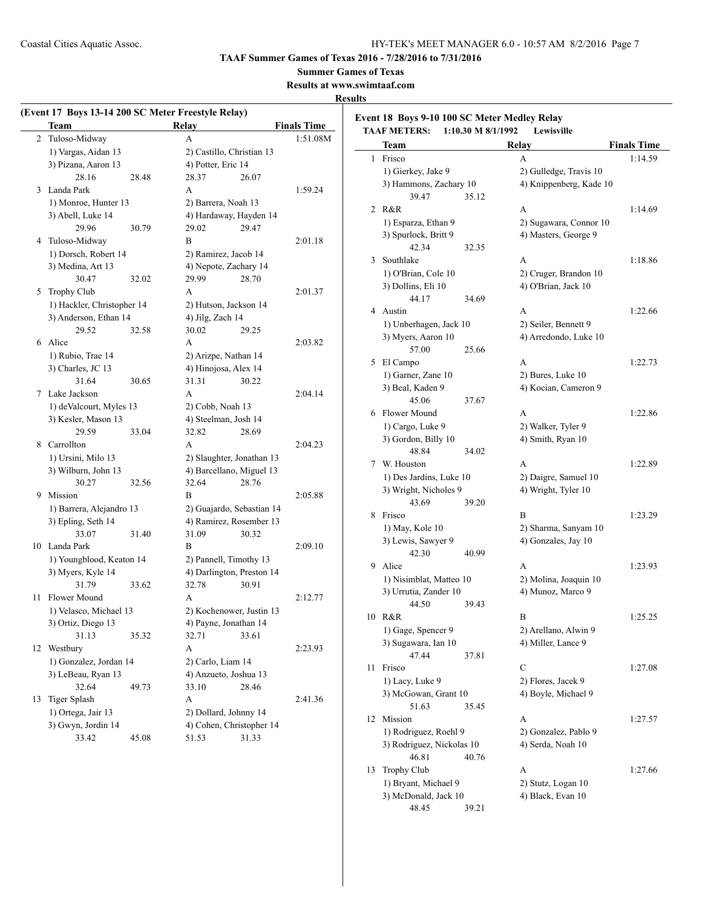**TAAF Summer Games of Texas 2016 - 7/28/2016 to 7/31/2016**

**Summer Games of Texas**

**Results at www.swimtaaf.com**

## **Results**

|    | (Event 17 Boys 13-14 200 SC Meter Freestyle Relay)<br>Team |       | <b>Relay</b>                              |                                                       | <b>Finals Time</b> |  |
|----|------------------------------------------------------------|-------|-------------------------------------------|-------------------------------------------------------|--------------------|--|
|    | 2 Tuloso-Midway                                            |       | A                                         |                                                       | 1:51.08M           |  |
|    | 1) Vargas, Aidan 13                                        |       |                                           | 2) Castillo, Christian 13                             |                    |  |
|    | 3) Pizana, Aaron 13                                        |       | 4) Potter, Eric 14                        |                                                       |                    |  |
|    | 28.16                                                      | 28.48 | 28.37                                     | 26.07                                                 |                    |  |
| 3  | Landa Park                                                 |       | A                                         |                                                       | 1:59.24            |  |
|    | 1) Monroe, Hunter 13                                       |       | 2) Barrera, Noah 13                       |                                                       |                    |  |
|    | 3) Abell, Luke 14                                          |       |                                           | 4) Hardaway, Hayden 14                                |                    |  |
|    | 29.96                                                      | 30.79 | 29.02                                     | 29.47                                                 |                    |  |
| 4  | Tuloso-Midway                                              |       | B                                         |                                                       | 2:01.18            |  |
|    | 1) Dorsch, Robert 14                                       |       | 2) Ramirez, Jacob 14                      |                                                       |                    |  |
|    | 3) Medina, Art 13                                          |       |                                           | 4) Nepote, Zachary 14                                 |                    |  |
|    | 30.47                                                      | 32.02 | 29.99                                     | 28.70                                                 |                    |  |
| 5  | Trophy Club                                                |       | А                                         |                                                       | 2:01.37            |  |
|    | 1) Hackler, Christopher 14                                 |       |                                           |                                                       |                    |  |
|    | 3) Anderson, Ethan 14                                      |       | 2) Hutson, Jackson 14<br>4) Jilg, Zach 14 |                                                       |                    |  |
|    | 29.52                                                      | 32.58 | 30.02                                     | 29.25                                                 |                    |  |
| 6  | Alice                                                      |       | A                                         |                                                       | 2:03.82            |  |
|    | 1) Rubio, Trae 14                                          |       | 2) Arizpe, Nathan 14                      |                                                       |                    |  |
|    | 3) Charles, JC 13                                          |       | 4) Hinojosa, Alex 14                      |                                                       |                    |  |
|    | 31.64                                                      | 30.65 | 31.31                                     | 30.22                                                 |                    |  |
| 7  | Lake Jackson                                               |       | A                                         |                                                       | 2:04.14            |  |
|    |                                                            |       |                                           |                                                       |                    |  |
|    | 1) deValcourt, Myles 13                                    |       | 2) Cobb, Noah 13                          |                                                       |                    |  |
|    | 3) Kesler, Mason 13                                        |       | 4) Steelman, Josh 14                      |                                                       |                    |  |
|    | 29.59                                                      | 33.04 | 32.82                                     | 28.69                                                 |                    |  |
| 8  | Carrollton                                                 |       | A                                         |                                                       | 2:04.23            |  |
|    | 1) Ursini, Milo 13                                         |       |                                           | 2) Slaughter, Jonathan 13<br>4) Barcellano, Miguel 13 |                    |  |
|    | 3) Wilburn, John 13                                        |       |                                           |                                                       |                    |  |
|    | 30.27                                                      | 32.56 | 32.64                                     | 28.76                                                 |                    |  |
| 9  | Mission                                                    |       | В                                         |                                                       | 2:05.88            |  |
|    | 1) Barrera, Alejandro 13                                   |       |                                           | 2) Guajardo, Sebastian 14                             |                    |  |
|    | 3) Epling, Seth 14                                         |       |                                           | 4) Ramirez, Rosember 13                               |                    |  |
|    | 33.07                                                      | 31.40 | 31.09                                     | 30.32                                                 |                    |  |
|    | 10 Landa Park                                              |       | B                                         |                                                       | 2:09.10            |  |
|    | 1) Youngblood, Keaton 14                                   |       |                                           | 2) Pannell, Timothy 13                                |                    |  |
|    | 3) Myers, Kyle 14                                          |       |                                           | 4) Darlington, Preston 14                             |                    |  |
|    | 31.79                                                      | 33.62 | 32.78                                     | 30.91                                                 |                    |  |
| 11 | Flower Mound                                               |       | А                                         |                                                       | 2:12.77            |  |
|    | 1) Velasco, Michael 13                                     |       |                                           | 2) Kochenower, Justin 13                              |                    |  |
|    | 3) Ortiz, Diego 13                                         |       | 4) Payne, Jonathan 14                     |                                                       |                    |  |
|    | 31.13                                                      | 35.32 | 32.71                                     | 33.61                                                 |                    |  |
| 12 | Westbury                                                   |       | A                                         |                                                       | 2:23.93            |  |
|    | 1) Gonzalez, Jordan 14                                     |       |                                           | 2) Carlo, Liam 14                                     |                    |  |
|    | 3) LeBeau, Ryan 13                                         |       |                                           | 4) Anzueto, Joshua 13                                 |                    |  |
|    | 32.64                                                      | 49.73 | 33.10                                     | 28.46                                                 |                    |  |
| 13 | <b>Tiger Splash</b>                                        |       | A                                         |                                                       | 2:41.36            |  |
|    | 1) Ortega, Jair 13                                         |       |                                           | 2) Dollard, Johnny 14                                 |                    |  |
|    | 3) Gwyn, Jordin 14                                         |       |                                           | 4) Cohen, Christopher 14                              |                    |  |
|    | 33.42                                                      | 45.08 | 51.53                                     | 31.33                                                 |                    |  |

| <b>TAAF METERS:</b> | 1:10.30 M 8/1/1992                                                                                                                                                                                                                                                                                                                                                                                                                                                    |                                                                                                                                                                                                                                                                                                                                                       |                                                                                                                                                                                                                                                                                                                                                                                                                                                                                                                                                  |
|---------------------|-----------------------------------------------------------------------------------------------------------------------------------------------------------------------------------------------------------------------------------------------------------------------------------------------------------------------------------------------------------------------------------------------------------------------------------------------------------------------|-------------------------------------------------------------------------------------------------------------------------------------------------------------------------------------------------------------------------------------------------------------------------------------------------------------------------------------------------------|--------------------------------------------------------------------------------------------------------------------------------------------------------------------------------------------------------------------------------------------------------------------------------------------------------------------------------------------------------------------------------------------------------------------------------------------------------------------------------------------------------------------------------------------------|
| Team                |                                                                                                                                                                                                                                                                                                                                                                                                                                                                       | Relay                                                                                                                                                                                                                                                                                                                                                 | <b>Finals Time</b>                                                                                                                                                                                                                                                                                                                                                                                                                                                                                                                               |
| Frisco              |                                                                                                                                                                                                                                                                                                                                                                                                                                                                       | A                                                                                                                                                                                                                                                                                                                                                     | 1:14.59                                                                                                                                                                                                                                                                                                                                                                                                                                                                                                                                          |
|                     |                                                                                                                                                                                                                                                                                                                                                                                                                                                                       |                                                                                                                                                                                                                                                                                                                                                       |                                                                                                                                                                                                                                                                                                                                                                                                                                                                                                                                                  |
|                     |                                                                                                                                                                                                                                                                                                                                                                                                                                                                       |                                                                                                                                                                                                                                                                                                                                                       |                                                                                                                                                                                                                                                                                                                                                                                                                                                                                                                                                  |
| 39.47               | 35.12                                                                                                                                                                                                                                                                                                                                                                                                                                                                 |                                                                                                                                                                                                                                                                                                                                                       |                                                                                                                                                                                                                                                                                                                                                                                                                                                                                                                                                  |
|                     |                                                                                                                                                                                                                                                                                                                                                                                                                                                                       |                                                                                                                                                                                                                                                                                                                                                       | 1:14.69                                                                                                                                                                                                                                                                                                                                                                                                                                                                                                                                          |
|                     |                                                                                                                                                                                                                                                                                                                                                                                                                                                                       |                                                                                                                                                                                                                                                                                                                                                       |                                                                                                                                                                                                                                                                                                                                                                                                                                                                                                                                                  |
|                     |                                                                                                                                                                                                                                                                                                                                                                                                                                                                       |                                                                                                                                                                                                                                                                                                                                                       |                                                                                                                                                                                                                                                                                                                                                                                                                                                                                                                                                  |
|                     |                                                                                                                                                                                                                                                                                                                                                                                                                                                                       |                                                                                                                                                                                                                                                                                                                                                       |                                                                                                                                                                                                                                                                                                                                                                                                                                                                                                                                                  |
|                     |                                                                                                                                                                                                                                                                                                                                                                                                                                                                       |                                                                                                                                                                                                                                                                                                                                                       | 1:18.86                                                                                                                                                                                                                                                                                                                                                                                                                                                                                                                                          |
|                     |                                                                                                                                                                                                                                                                                                                                                                                                                                                                       |                                                                                                                                                                                                                                                                                                                                                       |                                                                                                                                                                                                                                                                                                                                                                                                                                                                                                                                                  |
|                     |                                                                                                                                                                                                                                                                                                                                                                                                                                                                       |                                                                                                                                                                                                                                                                                                                                                       |                                                                                                                                                                                                                                                                                                                                                                                                                                                                                                                                                  |
|                     |                                                                                                                                                                                                                                                                                                                                                                                                                                                                       |                                                                                                                                                                                                                                                                                                                                                       |                                                                                                                                                                                                                                                                                                                                                                                                                                                                                                                                                  |
|                     |                                                                                                                                                                                                                                                                                                                                                                                                                                                                       |                                                                                                                                                                                                                                                                                                                                                       | 1:22.66                                                                                                                                                                                                                                                                                                                                                                                                                                                                                                                                          |
|                     |                                                                                                                                                                                                                                                                                                                                                                                                                                                                       |                                                                                                                                                                                                                                                                                                                                                       |                                                                                                                                                                                                                                                                                                                                                                                                                                                                                                                                                  |
|                     |                                                                                                                                                                                                                                                                                                                                                                                                                                                                       |                                                                                                                                                                                                                                                                                                                                                       |                                                                                                                                                                                                                                                                                                                                                                                                                                                                                                                                                  |
|                     |                                                                                                                                                                                                                                                                                                                                                                                                                                                                       |                                                                                                                                                                                                                                                                                                                                                       |                                                                                                                                                                                                                                                                                                                                                                                                                                                                                                                                                  |
|                     |                                                                                                                                                                                                                                                                                                                                                                                                                                                                       |                                                                                                                                                                                                                                                                                                                                                       |                                                                                                                                                                                                                                                                                                                                                                                                                                                                                                                                                  |
|                     |                                                                                                                                                                                                                                                                                                                                                                                                                                                                       |                                                                                                                                                                                                                                                                                                                                                       | 1:22.73                                                                                                                                                                                                                                                                                                                                                                                                                                                                                                                                          |
|                     |                                                                                                                                                                                                                                                                                                                                                                                                                                                                       |                                                                                                                                                                                                                                                                                                                                                       |                                                                                                                                                                                                                                                                                                                                                                                                                                                                                                                                                  |
|                     |                                                                                                                                                                                                                                                                                                                                                                                                                                                                       |                                                                                                                                                                                                                                                                                                                                                       |                                                                                                                                                                                                                                                                                                                                                                                                                                                                                                                                                  |
|                     |                                                                                                                                                                                                                                                                                                                                                                                                                                                                       |                                                                                                                                                                                                                                                                                                                                                       |                                                                                                                                                                                                                                                                                                                                                                                                                                                                                                                                                  |
|                     |                                                                                                                                                                                                                                                                                                                                                                                                                                                                       |                                                                                                                                                                                                                                                                                                                                                       | 1:22.86                                                                                                                                                                                                                                                                                                                                                                                                                                                                                                                                          |
|                     |                                                                                                                                                                                                                                                                                                                                                                                                                                                                       |                                                                                                                                                                                                                                                                                                                                                       |                                                                                                                                                                                                                                                                                                                                                                                                                                                                                                                                                  |
|                     |                                                                                                                                                                                                                                                                                                                                                                                                                                                                       |                                                                                                                                                                                                                                                                                                                                                       |                                                                                                                                                                                                                                                                                                                                                                                                                                                                                                                                                  |
|                     |                                                                                                                                                                                                                                                                                                                                                                                                                                                                       |                                                                                                                                                                                                                                                                                                                                                       |                                                                                                                                                                                                                                                                                                                                                                                                                                                                                                                                                  |
|                     |                                                                                                                                                                                                                                                                                                                                                                                                                                                                       |                                                                                                                                                                                                                                                                                                                                                       | 1:22.89                                                                                                                                                                                                                                                                                                                                                                                                                                                                                                                                          |
|                     |                                                                                                                                                                                                                                                                                                                                                                                                                                                                       | 2) Daigre, Samuel 10                                                                                                                                                                                                                                                                                                                                  |                                                                                                                                                                                                                                                                                                                                                                                                                                                                                                                                                  |
|                     |                                                                                                                                                                                                                                                                                                                                                                                                                                                                       |                                                                                                                                                                                                                                                                                                                                                       |                                                                                                                                                                                                                                                                                                                                                                                                                                                                                                                                                  |
| 43.69               | 39.20                                                                                                                                                                                                                                                                                                                                                                                                                                                                 |                                                                                                                                                                                                                                                                                                                                                       |                                                                                                                                                                                                                                                                                                                                                                                                                                                                                                                                                  |
| Frisco              |                                                                                                                                                                                                                                                                                                                                                                                                                                                                       | B                                                                                                                                                                                                                                                                                                                                                     | 1:23.29                                                                                                                                                                                                                                                                                                                                                                                                                                                                                                                                          |
| 1) May, Kole 10     |                                                                                                                                                                                                                                                                                                                                                                                                                                                                       |                                                                                                                                                                                                                                                                                                                                                       |                                                                                                                                                                                                                                                                                                                                                                                                                                                                                                                                                  |
| 3) Lewis, Sawyer 9  |                                                                                                                                                                                                                                                                                                                                                                                                                                                                       | 4) Gonzales, Jay 10                                                                                                                                                                                                                                                                                                                                   |                                                                                                                                                                                                                                                                                                                                                                                                                                                                                                                                                  |
| 42.30               | 40.99                                                                                                                                                                                                                                                                                                                                                                                                                                                                 |                                                                                                                                                                                                                                                                                                                                                       |                                                                                                                                                                                                                                                                                                                                                                                                                                                                                                                                                  |
| Alice               |                                                                                                                                                                                                                                                                                                                                                                                                                                                                       | A                                                                                                                                                                                                                                                                                                                                                     | 1:23.93                                                                                                                                                                                                                                                                                                                                                                                                                                                                                                                                          |
|                     |                                                                                                                                                                                                                                                                                                                                                                                                                                                                       | 2) Molina, Joaquin 10                                                                                                                                                                                                                                                                                                                                 |                                                                                                                                                                                                                                                                                                                                                                                                                                                                                                                                                  |
|                     |                                                                                                                                                                                                                                                                                                                                                                                                                                                                       | 4) Munoz, Marco 9                                                                                                                                                                                                                                                                                                                                     |                                                                                                                                                                                                                                                                                                                                                                                                                                                                                                                                                  |
| 44.50               | 39.43                                                                                                                                                                                                                                                                                                                                                                                                                                                                 |                                                                                                                                                                                                                                                                                                                                                       |                                                                                                                                                                                                                                                                                                                                                                                                                                                                                                                                                  |
| 10 R&R              |                                                                                                                                                                                                                                                                                                                                                                                                                                                                       | B                                                                                                                                                                                                                                                                                                                                                     | 1:25.25                                                                                                                                                                                                                                                                                                                                                                                                                                                                                                                                          |
|                     |                                                                                                                                                                                                                                                                                                                                                                                                                                                                       |                                                                                                                                                                                                                                                                                                                                                       |                                                                                                                                                                                                                                                                                                                                                                                                                                                                                                                                                  |
|                     |                                                                                                                                                                                                                                                                                                                                                                                                                                                                       | 4) Miller, Lance 9                                                                                                                                                                                                                                                                                                                                    |                                                                                                                                                                                                                                                                                                                                                                                                                                                                                                                                                  |
| 47.44               | 37.81                                                                                                                                                                                                                                                                                                                                                                                                                                                                 |                                                                                                                                                                                                                                                                                                                                                       |                                                                                                                                                                                                                                                                                                                                                                                                                                                                                                                                                  |
| Frisco              |                                                                                                                                                                                                                                                                                                                                                                                                                                                                       | C                                                                                                                                                                                                                                                                                                                                                     | 1:27.08                                                                                                                                                                                                                                                                                                                                                                                                                                                                                                                                          |
|                     |                                                                                                                                                                                                                                                                                                                                                                                                                                                                       |                                                                                                                                                                                                                                                                                                                                                       |                                                                                                                                                                                                                                                                                                                                                                                                                                                                                                                                                  |
|                     |                                                                                                                                                                                                                                                                                                                                                                                                                                                                       |                                                                                                                                                                                                                                                                                                                                                       |                                                                                                                                                                                                                                                                                                                                                                                                                                                                                                                                                  |
|                     |                                                                                                                                                                                                                                                                                                                                                                                                                                                                       |                                                                                                                                                                                                                                                                                                                                                       |                                                                                                                                                                                                                                                                                                                                                                                                                                                                                                                                                  |
|                     |                                                                                                                                                                                                                                                                                                                                                                                                                                                                       |                                                                                                                                                                                                                                                                                                                                                       | 1:27.57                                                                                                                                                                                                                                                                                                                                                                                                                                                                                                                                          |
|                     |                                                                                                                                                                                                                                                                                                                                                                                                                                                                       |                                                                                                                                                                                                                                                                                                                                                       |                                                                                                                                                                                                                                                                                                                                                                                                                                                                                                                                                  |
|                     |                                                                                                                                                                                                                                                                                                                                                                                                                                                                       |                                                                                                                                                                                                                                                                                                                                                       |                                                                                                                                                                                                                                                                                                                                                                                                                                                                                                                                                  |
|                     |                                                                                                                                                                                                                                                                                                                                                                                                                                                                       |                                                                                                                                                                                                                                                                                                                                                       |                                                                                                                                                                                                                                                                                                                                                                                                                                                                                                                                                  |
|                     |                                                                                                                                                                                                                                                                                                                                                                                                                                                                       |                                                                                                                                                                                                                                                                                                                                                       | 1:27.66                                                                                                                                                                                                                                                                                                                                                                                                                                                                                                                                          |
|                     |                                                                                                                                                                                                                                                                                                                                                                                                                                                                       |                                                                                                                                                                                                                                                                                                                                                       |                                                                                                                                                                                                                                                                                                                                                                                                                                                                                                                                                  |
|                     |                                                                                                                                                                                                                                                                                                                                                                                                                                                                       |                                                                                                                                                                                                                                                                                                                                                       |                                                                                                                                                                                                                                                                                                                                                                                                                                                                                                                                                  |
| 48.45               | 39.21                                                                                                                                                                                                                                                                                                                                                                                                                                                                 |                                                                                                                                                                                                                                                                                                                                                       |                                                                                                                                                                                                                                                                                                                                                                                                                                                                                                                                                  |
|                     | 1) Gierkey, Jake 9<br>R&R<br>1) Esparza, Ethan 9<br>3) Spurlock, Britt 9<br>42.34<br>Southlake<br>1) O'Brian, Cole 10<br>3) Dollins, Eli 10<br>44.17<br>4 Austin<br>3) Myers, Aaron 10<br>57.00<br>El Campo<br>1) Garner, Zane 10<br>3) Beal, Kaden 9<br>45.06<br>6 Flower Mound<br>1) Cargo, Luke 9<br>3) Gordon, Billy 10<br>48.84<br>W. Houston<br>1) Gage, Spencer 9<br>3) Sugawara, Ian 10<br>1) Lacy, Luke 9<br>51.63<br>Mission<br>46.81<br><b>Trophy Club</b> | 3) Hammons, Zachary 10<br>32.35<br>34.69<br>1) Unberhagen, Jack 10<br>25.66<br>37.67<br>34.02<br>1) Des Jardins, Luke 10<br>3) Wright, Nicholes 9<br>1) Nisimblat, Matteo 10<br>3) Urrutia, Zander 10<br>3) McGowan, Grant 10<br>35.45<br>1) Rodriguez, Roehl 9<br>3) Rodriguez, Nickolas 10<br>40.76<br>1) Bryant, Michael 9<br>3) McDonald, Jack 10 | 2) Gulledge, Travis 10<br>4) Knippenberg, Kade 10<br>А<br>2) Sugawara, Connor 10<br>4) Masters, George 9<br>A<br>2) Cruger, Brandon 10<br>4) O'Brian, Jack 10<br>A<br>2) Seiler, Bennett 9<br>4) Arredondo, Luke 10<br>А<br>2) Bures, Luke 10<br>4) Kocian, Cameron 9<br>A<br>2) Walker, Tyler 9<br>4) Smith, Ryan 10<br>A<br>4) Wright, Tyler 10<br>2) Sharma, Sanyam 10<br>2) Arellano, Alwin 9<br>2) Flores, Jacek 9<br>4) Boyle, Michael 9<br>А<br>2) Gonzalez, Pablo 9<br>4) Serda, Noah 10<br>А<br>2) Stutz, Logan 10<br>4) Black, Evan 10 |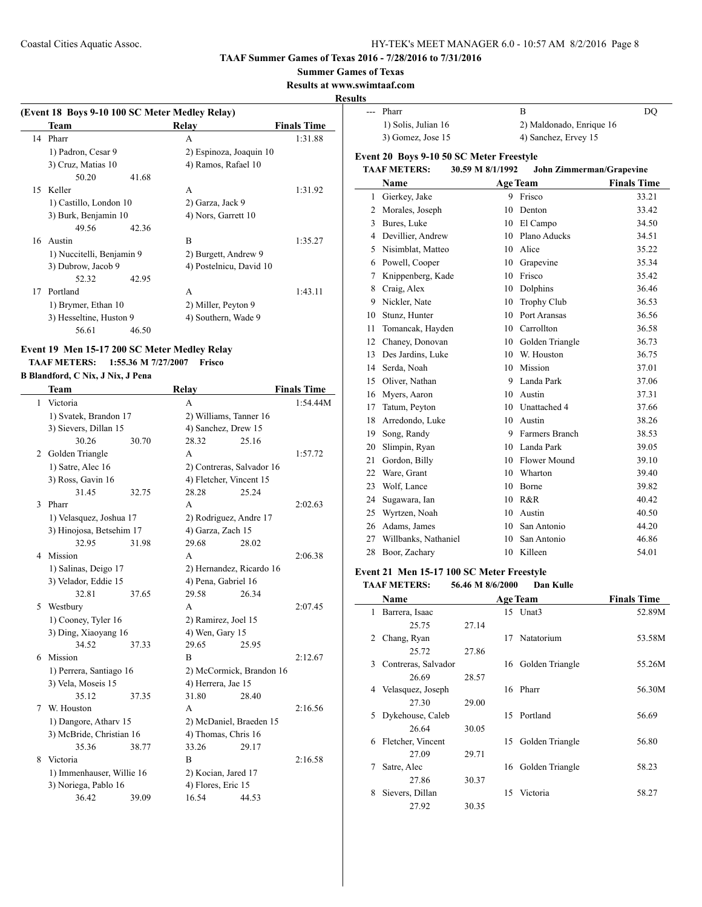**TAAF Summer Games of Texas 2016 - 7/28/2016 to 7/31/2016**

#### **Summer Games of Texas**

**Results at www.swimtaaf.com**

#### **Resu**

|    | Team                      | (Event 18 Boys 9-10 100 SC Meter Medley Relay)<br>Relay | <b>Finals Time</b> |
|----|---------------------------|---------------------------------------------------------|--------------------|
| 14 | Pharr                     | A                                                       | 1:31.88            |
|    | 1) Padron, Cesar 9        | 2) Espinoza, Joaquin 10                                 |                    |
|    | 3) Cruz, Matias 10        | 4) Ramos, Rafael 10                                     |                    |
|    | 50.20                     | 41.68                                                   |                    |
|    | 15 Keller                 | A                                                       | 1:31.92            |
|    | 1) Castillo, London 10    | 2) Garza, Jack 9                                        |                    |
|    | 3) Burk, Benjamin 10      | 4) Nors, Garrett 10                                     |                    |
|    | 49.56                     | 42.36                                                   |                    |
|    | 16 Austin                 | B                                                       | 1:35.27            |
|    | 1) Nuccitelli, Benjamin 9 | 2) Burgett, Andrew 9                                    |                    |
|    | 3) Dubrow, Jacob 9        | 4) Postelnicu, David 10                                 |                    |
|    | 52.32                     | 42.95                                                   |                    |
| 17 | Portland                  | A                                                       | 1:43.11            |
|    | 1) Brymer, Ethan 10       | 2) Miller, Peyton 9                                     |                    |
|    | 3) Hesseltine, Huston 9   | 4) Southern, Wade 9                                     |                    |
|    | 56.61                     | 46.50                                                   |                    |

## **Event 19 Men 15-17 200 SC Meter Medley Relay TAAF METERS: 1:55.36 M 7/27/2007 Frisco**

### **B Blandford, C Nix, J Nix, J Pena**

|   | <b>Team</b>               |       | <b>Relay</b>              |       | <b>Finals Time</b> |
|---|---------------------------|-------|---------------------------|-------|--------------------|
| 1 | Victoria                  |       | A                         |       | 1:54.44M           |
|   | 1) Svatek, Brandon 17     |       | 2) Williams, Tanner 16    |       |                    |
|   | 3) Sievers, Dillan 15     |       | 4) Sanchez, Drew 15       |       |                    |
|   | 30.26                     | 30.70 | 28.32                     | 25.16 |                    |
| 2 | Golden Triangle           |       | A                         |       | 1:57.72            |
|   | 1) Satre, Alec 16         |       | 2) Contreras, Salvador 16 |       |                    |
|   | 3) Ross, Gavin 16         |       | 4) Fletcher, Vincent 15   |       |                    |
|   | 31.45                     | 32.75 | 28.28                     | 25.24 |                    |
| 3 | Pharr                     |       | А                         |       | 2:02.63            |
|   | 1) Velasquez, Joshua 17   |       | 2) Rodriguez, Andre 17    |       |                    |
|   | 3) Hinojosa, Betsehim 17  |       | 4) Garza, Zach 15         |       |                    |
|   | 32.95                     | 31.98 | 29.68                     | 28.02 |                    |
| 4 | Mission                   |       | А                         |       | 2:06.38            |
|   | 1) Salinas, Deigo 17      |       | 2) Hernandez, Ricardo 16  |       |                    |
|   | 3) Velador, Eddie 15      |       | 4) Pena, Gabriel 16       |       |                    |
|   | 32.81                     | 37.65 | 29.58                     | 26.34 |                    |
| 5 | Westbury                  |       | A                         |       | 2:07.45            |
|   | 1) Cooney, Tyler 16       |       | 2) Ramirez, Joel 15       |       |                    |
|   | 3) Ding, Xiaoyang 16      |       | 4) Wen, Gary 15           |       |                    |
|   | 34.52                     | 37.33 | 29.65                     | 25.95 |                    |
| 6 | Mission                   |       | B                         |       | 2:12.67            |
|   | 1) Perrera, Santiago 16   |       | 2) McCormick, Brandon 16  |       |                    |
|   | 3) Vela, Moseis 15        |       | 4) Herrera, Jae 15        |       |                    |
|   | 35.12                     | 37.35 | 31.80                     | 28.40 |                    |
| 7 | W. Houston                |       | A                         |       | 2:16.56            |
|   | 1) Dangore, Athary 15     |       | 2) McDaniel, Braeden 15   |       |                    |
|   | 3) McBride, Christian 16  |       | 4) Thomas, Chris 16       |       |                    |
|   | 35.36                     | 38.77 | 33.26                     | 29.17 |                    |
| 8 | Victoria                  |       | B                         |       | 2:16.58            |
|   | 1) Immenhauser, Willie 16 |       | 2) Kocian, Jared 17       |       |                    |
|   | 3) Noriega, Pablo 16      |       | 4) Flores, Eric 15        |       |                    |
|   | 36.42                     | 39.09 | 16.54                     | 44.53 |                    |

| lts            |                                                 |                  |                                 |                    |
|----------------|-------------------------------------------------|------------------|---------------------------------|--------------------|
| $\overline{a}$ | Pharr                                           |                  | B                               | <b>DQ</b>          |
|                | 1) Solis, Julian 16                             |                  | 2) Maldonado, Enrique 16        |                    |
|                | 3) Gomez, Jose 15                               |                  | 4) Sanchez, Ervey 15            |                    |
|                | <b>Event 20 Boys 9-10 50 SC Meter Freestyle</b> |                  |                                 |                    |
|                | <b>TAAF METERS:</b>                             | 30.59 M 8/1/1992 | <b>John Zimmerman/Grapevine</b> |                    |
|                | Name                                            |                  | <b>Age Team</b>                 | <b>Finals Time</b> |
| 1              | Gierkey, Jake                                   | 9                | Frisco                          | 33.21              |
| $\overline{c}$ | Morales, Joseph                                 | 10               | Denton                          | 33.42              |
| 3              | Bures, Luke                                     |                  | 10 El Campo                     | 34.50              |
| 4              | Devillier, Andrew                               |                  | 10 Plano Aducks                 | 34.51              |
| 5              | Nisimblat, Matteo                               |                  | 10 Alice                        | 35.22              |
| 6              | Powell, Cooper                                  |                  | 10 Grapevine                    | 35.34              |
| 7              | Knippenberg, Kade                               |                  | 10 Frisco                       | 35.42              |
| 8              | Craig, Alex                                     |                  | 10 Dolphins                     | 36.46              |
| 9              | Nickler, Nate                                   | 10               | Trophy Club                     | 36.53              |
| 10             | Stunz, Hunter                                   |                  | 10 Port Aransas                 | 36.56              |
| 11             | Tomancak, Hayden                                | 10               | Carrollton                      | 36.58              |
| 12             | Chaney, Donovan                                 | 10               | Golden Triangle                 | 36.73              |
| 13             | Des Jardins, Luke                               |                  | 10 W. Houston                   | 36.75              |
| 14             | Serda, Noah                                     |                  | 10 Mission                      | 37.01              |
| 15             | Oliver, Nathan                                  |                  | 9 Landa Park                    | 37.06              |
| 16             | Myers, Aaron                                    |                  | 10 Austin                       | 37.31              |
| 17             | Tatum, Peyton                                   |                  | 10 Unattached 4                 | 37.66              |
| 18             | Arredondo, Luke                                 |                  | 10 Austin                       | 38.26              |
| 19             | Song, Randy                                     | 9                | Farmers Branch                  | 38.53              |
| 20             | Slimpin, Ryan                                   |                  | 10 Landa Park                   | 39.05              |
| 21             | Gordon, Billy                                   |                  | 10 Flower Mound                 | 39.10              |
| 22             | Ware, Grant                                     | 10               | Wharton                         | 39.40              |
| 23             | Wolf, Lance                                     | 10               | Borne                           | 39.82              |
| 24             | Sugawara, Ian                                   |                  | 10 R&R                          | 40.42              |
| 25             | Wyrtzen, Noah                                   | 10               | Austin                          | 40.50              |
| 26             | Adams, James                                    | 10               | San Antonio                     | 44.20              |
| 27             | Willbanks, Nathaniel                            | 10               | San Antonio                     | 46.86              |
| 28             | Boor, Zachary                                   | 10               | Killeen                         | 54.01              |
|                |                                                 |                  |                                 |                    |

#### **Event 21 Men 15-17 100 SC Meter Freestyle TAAF METERS: 56.46 M 8/6/2000 Dan Kulle**

|   |                     | JUJIU III U/U/4000 | Dan ixunc          |                    |
|---|---------------------|--------------------|--------------------|--------------------|
|   | Name                |                    | <b>Age Team</b>    | <b>Finals Time</b> |
| 1 | Barrera, Isaac      |                    | 15 Unat3           | 52.89M             |
|   | 25.75               | 27.14              |                    |                    |
| 2 | Chang, Ryan         |                    | 17 Natatorium      | 53.58M             |
|   | 25.72               | 27.86              |                    |                    |
| 3 | Contreras, Salvador |                    | 16 Golden Triangle | 55.26M             |
|   | 26.69               | 28.57              |                    |                    |
| 4 | Velasquez, Joseph   |                    | 16 Pharr           | 56.30M             |
|   | 27.30               | 29.00              |                    |                    |
| 5 | Dykehouse, Caleb    |                    | 15 Portland        | 56.69              |
|   | 26.64               | 30.05              |                    |                    |
| 6 | Fletcher, Vincent   | 15                 | Golden Triangle    | 56.80              |
|   | 27.09               | 29.71              |                    |                    |
| 7 | Satre, Alec         | 16                 | Golden Triangle    | 58.23              |
|   | 27.86               | 30.37              |                    |                    |
| 8 | Sievers, Dillan     | 15                 | Victoria           | 58.27              |
|   | 27.92               | 30.35              |                    |                    |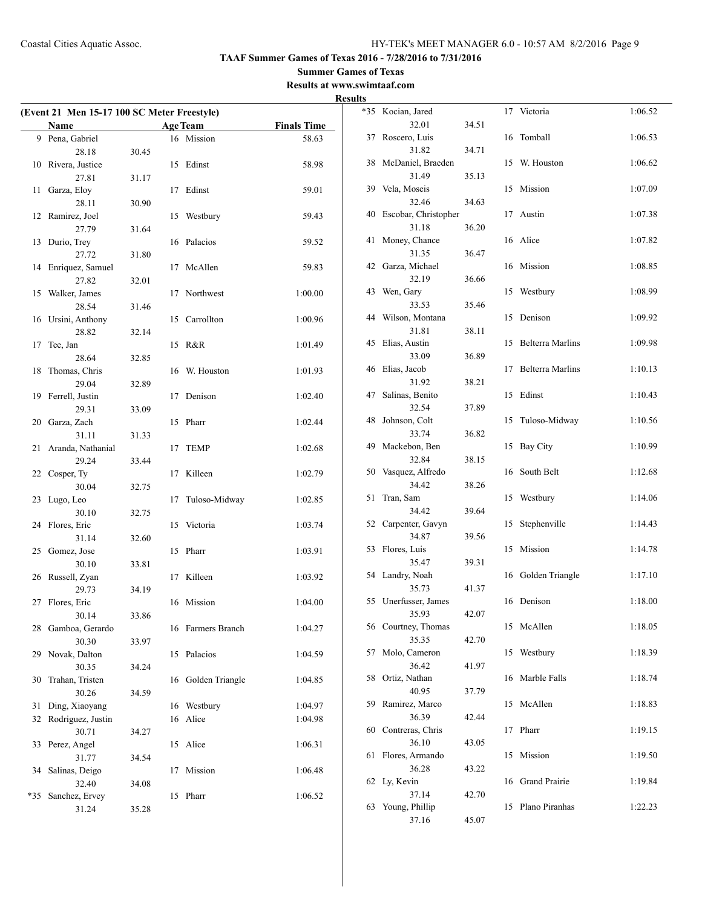## **Summer Games of Texas**

**Results at www.swimtaaf.com**

|     |                                             |       |    |                    |                    | <b>Results</b> |
|-----|---------------------------------------------|-------|----|--------------------|--------------------|----------------|
|     | (Event 21 Men 15-17 100 SC Meter Freestyle) |       |    |                    |                    | *35            |
|     | <b>Name</b>                                 |       |    | <b>Age Team</b>    | <b>Finals Time</b> |                |
|     | 9 Pena, Gabriel                             |       |    | 16 Mission         | 58.63              | 37             |
|     | 28.18                                       | 30.45 |    |                    |                    |                |
|     | 10 Rivera, Justice                          |       |    | 15 Edinst          | 58.98              | 38             |
|     | 27.81                                       | 31.17 |    |                    |                    |                |
|     | 11 Garza, Eloy                              |       |    | 17 Edinst          | 59.01              | 39             |
|     | 28.11                                       | 30.90 |    |                    |                    |                |
|     | 12 Ramirez, Joel                            |       |    | 15 Westbury        | 59.43              | 40             |
|     | 27.79                                       | 31.64 |    |                    |                    |                |
| 13  | Durio, Trey                                 |       |    | 16 Palacios        | 59.52              | 41             |
|     | 27.72                                       | 31.80 |    |                    |                    |                |
|     | 14 Enriquez, Samuel                         |       | 17 | McAllen            | 59.83              | 42             |
|     | 27.82                                       | 32.01 |    |                    |                    |                |
|     | 15 Walker, James                            |       |    | 17 Northwest       | 1:00.00            | 43             |
|     | 28.54                                       | 31.46 |    |                    |                    |                |
|     | 16 Ursini, Anthony                          |       |    | 15 Carrollton      | 1:00.96            | 44             |
|     | 28.82                                       | 32.14 |    |                    |                    |                |
| 17  | Tee, Jan                                    |       |    | 15 R&R             | 1:01.49            | 45             |
|     | 28.64                                       | 32.85 |    |                    |                    |                |
|     | 18 Thomas, Chris                            |       |    | 16 W. Houston      | 1:01.93            | 46             |
|     | 29.04                                       | 32.89 |    |                    |                    |                |
|     | 19 Ferrell, Justin                          |       | 17 | Denison            | 1:02.40            | 47             |
|     | 29.31                                       | 33.09 |    |                    |                    |                |
|     | 20 Garza, Zach                              |       |    | 15 Pharr           | 1:02.44            | 48             |
|     | 31.11                                       | 31.33 |    |                    |                    |                |
|     | 21 Aranda, Nathanial                        |       | 17 | TEMP               | 1:02.68            | 49             |
|     | 29.24                                       | 33.44 |    |                    |                    |                |
|     | 22 Cosper, Ty                               |       | 17 | Killeen            | 1:02.79            | 50             |
|     | 30.04                                       | 32.75 |    |                    |                    |                |
| 23  | Lugo, Leo                                   |       | 17 | Tuloso-Midway      | 1:02.85            | 51             |
|     | 30.10                                       | 32.75 |    |                    |                    |                |
|     | 24 Flores, Eric                             |       |    | 15 Victoria        | 1:03.74            | 52             |
|     | 31.14                                       | 32.60 |    |                    |                    |                |
|     | 25 Gomez, Jose                              |       |    | 15 Pharr           | 1:03.91            | 53             |
|     | 30.10                                       | 33.81 |    |                    |                    |                |
|     | 26 Russell, Zyan                            |       |    | 17 Killeen         | 1:03.92            | 54             |
|     | 29.73                                       | 34.19 |    |                    |                    |                |
|     | 27 Flores, Eric                             |       |    | 16 Mission         | 1:04.00            | 55             |
|     | 30.14                                       | 33.86 |    |                    |                    |                |
|     | 28 Gamboa, Gerardo                          |       |    | 16 Farmers Branch  | 1:04.27            | 56             |
|     | 30.30                                       | 33.97 |    |                    |                    |                |
|     | Novak, Dalton                               |       |    |                    |                    | 57             |
| 29  | 30.35                                       |       | 15 | Palacios           | 1:04.59            |                |
|     |                                             | 34.24 |    |                    |                    | 58             |
| 30  | Trahan, Tristen                             |       |    | 16 Golden Triangle | 1:04.85            |                |
|     | 30.26                                       | 34.59 |    |                    |                    | 59             |
| 31  | Ding, Xiaoyang                              |       |    | 16 Westbury        | 1:04.97            |                |
| 32  | Rodriguez, Justin                           |       |    | 16 Alice           | 1:04.98            |                |
|     | 30.71                                       | 34.27 |    |                    |                    | 60             |
| 33  | Perez, Angel                                |       |    | 15 Alice           | 1:06.31            |                |
|     | 31.77                                       | 34.54 |    |                    |                    | 61             |
|     | 34 Salinas, Deigo                           |       | 17 | Mission            | 1:06.48            |                |
|     | 32.40                                       | 34.08 |    |                    |                    | 62             |
| *35 | Sanchez, Ervey                              |       |    | 15 Pharr           | 1:06.52            |                |
|     | 31.24                                       | 35.28 |    |                    |                    | 63             |

| $*35$ | Kocian, Jared                 |       |    | 17 Victoria             | 1:06.52 |
|-------|-------------------------------|-------|----|-------------------------|---------|
|       | 32.01                         | 34.51 |    |                         |         |
| 37    | Roscero, Luis                 |       | 16 | Tomball                 | 1:06.53 |
|       | 31.82                         | 34.71 |    |                         |         |
| 38    | McDaniel, Braeden             |       | 15 | W. Houston              | 1:06.62 |
|       | 31.49                         | 35.13 |    |                         |         |
| 39    | Vela, Moseis                  |       | 15 | Mission                 | 1:07.09 |
|       | 32.46                         | 34.63 |    | 17 Austin               |         |
| 40    | Escobar, Christopher<br>31.18 | 36.20 |    |                         | 1:07.38 |
| 41    | Money, Chance                 |       |    | 16 Alice                | 1:07.82 |
|       | 31.35                         | 36.47 |    |                         |         |
| 42    | Garza, Michael                |       | 16 | Mission                 | 1:08.85 |
|       | 32.19                         | 36.66 |    |                         |         |
| 43    | Wen, Gary                     |       | 15 | Westbury                | 1:08.99 |
|       | 33.53                         | 35.46 |    |                         |         |
| 44    | Wilson, Montana               |       | 15 | Denison                 | 1:09.92 |
|       | 31.81                         | 38.11 |    |                         |         |
| 45    | Elias, Austin                 |       | 15 | <b>Belterra Marlins</b> | 1:09.98 |
|       | 33.09                         | 36.89 |    |                         |         |
| 46    | Elias, Jacob                  |       | 17 | <b>Belterra Marlins</b> | 1:10.13 |
|       | 31.92                         | 38.21 |    |                         |         |
| 47    | Salinas, Benito               |       | 15 | Edinst                  | 1:10.43 |
|       | 32.54                         | 37.89 |    |                         |         |
| 48    | Johnson, Colt                 |       | 15 | Tuloso-Midway           | 1:10.56 |
| 49    | 33.74                         | 36.82 | 15 |                         |         |
|       | Mackebon, Ben<br>32.84        | 38.15 |    | <b>Bay City</b>         | 1:10.99 |
| 50    | Vasquez, Alfredo              |       | 16 | South Belt              | 1:12.68 |
|       | 34.42                         | 38.26 |    |                         |         |
| 51    | Tran, Sam                     |       | 15 | Westbury                | 1:14.06 |
|       | 34.42                         | 39.64 |    |                         |         |
| 52    | Carpenter, Gavyn              |       | 15 | Stephenville            | 1:14.43 |
|       | 34.87                         | 39.56 |    |                         |         |
| 53    | Flores, Luis                  |       | 15 | Mission                 | 1:14.78 |
|       | 35.47                         | 39.31 |    |                         |         |
| 54    | Landry, Noah                  |       |    | 16 Golden Triangle      | 1:17.10 |
|       | 35.73                         | 41.37 |    |                         |         |
| 55    | Unerfusser, James             |       |    | 16 Denison              | 1:18.00 |
|       | 35.93                         | 42.07 |    | 15 McAllen              |         |
|       | 56 Courtney, Thomas<br>35.35  | 42.70 |    |                         | 1:18.05 |
| 57    | Molo, Cameron                 |       | 15 | Westbury                | 1:18.39 |
|       | 36.42                         | 41.97 |    |                         |         |
| 58    | Ortiz, Nathan                 |       | 16 | Marble Falls            | 1:18.74 |
|       | 40.95                         | 37.79 |    |                         |         |
| 59    | Ramirez, Marco                |       | 15 | McAllen                 | 1:18.83 |
|       | 36.39                         | 42.44 |    |                         |         |
| 60    | Contreras, Chris              |       | 17 | Pharr                   | 1:19.15 |
|       | 36.10                         | 43.05 |    |                         |         |
| 61    | Flores, Armando               |       | 15 | Mission                 | 1:19.50 |
|       | 36.28                         | 43.22 |    |                         |         |
| 62    | Ly, Kevin                     |       | 16 | <b>Grand Prairie</b>    | 1:19.84 |
|       | 37.14                         | 42.70 |    |                         |         |
| 63    | Young, Phillip<br>37.16       | 45.07 | 15 | Plano Piranhas          | 1:22.23 |
|       |                               |       |    |                         |         |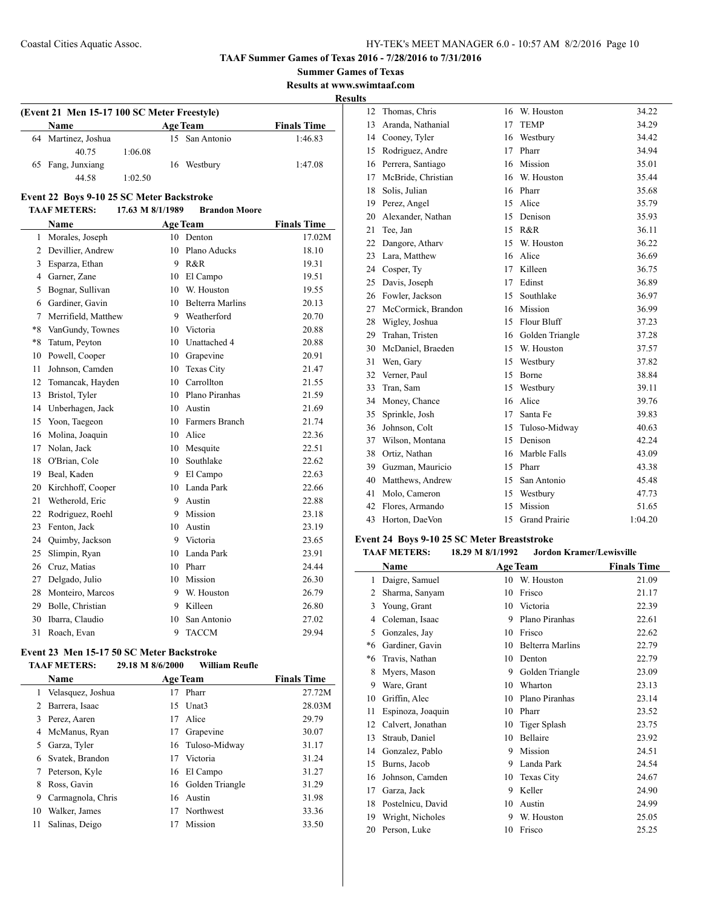**Summer Games of Texas Results at www.swimtaaf.com**

**Results**

 $\overline{a}$ 

| (Event 21 Men 15-17 100 SC Meter Freestyle) |                     |         |  |                 |                    |  |  |
|---------------------------------------------|---------------------|---------|--|-----------------|--------------------|--|--|
|                                             | Name                |         |  | <b>Age Team</b> | <b>Finals Time</b> |  |  |
|                                             | 64 Martinez, Joshua |         |  | 15 San Antonio  | 1:46.83            |  |  |
|                                             | 40.75               | 1:06.08 |  |                 |                    |  |  |
|                                             | 65 Fang, Junxiang   |         |  | 16 Westbury     | 1:47.08            |  |  |
|                                             | 44 58               | 1:02.50 |  |                 |                    |  |  |

## **Event 22 Boys 9-10 25 SC Meter Backstroke**

#### **TAAF METERS: 17.63 M 8/1/1989 Brandon Moore**

|              | Name                |    | <b>Age Team</b>         | <b>Finals Time</b> |
|--------------|---------------------|----|-------------------------|--------------------|
| $\mathbf{1}$ | Morales, Joseph     | 10 | Denton                  | 17.02M             |
| 2            | Devillier, Andrew   | 10 | Plano Aducks            | 18.10              |
| 3            | Esparza, Ethan      | 9  | R&R                     | 19.31              |
| 4            | Garner, Zane        | 10 | El Campo                | 19.51              |
| 5            | Bognar, Sullivan    | 10 | W. Houston              | 19.55              |
| 6            | Gardiner, Gavin     | 10 | <b>Belterra Marlins</b> | 20.13              |
| 7            | Merrifield, Matthew | 9  | Weatherford             | 20.70              |
| $*8$         | VanGundy, Townes    | 10 | Victoria                | 20.88              |
| $*8$         | Tatum, Peyton       | 10 | Unattached 4            | 20.88              |
| 10           | Powell, Cooper      | 10 | Grapevine               | 20.91              |
| 11           | Johnson, Camden     | 10 | Texas City              | 21.47              |
| 12           | Tomancak, Hayden    | 10 | Carrollton              | 21.55              |
| 13           | Bristol, Tyler      | 10 | Plano Piranhas          | 21.59              |
| 14           | Unberhagen, Jack    | 10 | Austin                  | 21.69              |
| 15           | Yoon, Taegeon       | 10 | Farmers Branch          | 21.74              |
| 16           | Molina, Joaquin     | 10 | Alice                   | 22.36              |
| 17           | Nolan, Jack         | 10 | Mesquite                | 22.51              |
| 18           | O'Brian, Cole       | 10 | Southlake               | 22.62              |
| 19           | Beal, Kaden         | 9  | El Campo                | 22.63              |
| 20           | Kirchhoff, Cooper   | 10 | Landa Park              | 22.66              |
| 21           | Wetherold, Eric     | 9  | Austin                  | 22.88              |
| 22           | Rodriguez, Roehl    | 9  | Mission                 | 23.18              |
| 23           | Fenton, Jack        | 10 | Austin                  | 23.19              |
| 24           | Quimby, Jackson     | 9  | Victoria                | 23.65              |
| 25           | Slimpin, Ryan       | 10 | Landa Park              | 23.91              |
| 26           | Cruz, Matias        | 10 | Pharr                   | 24.44              |
| 27           | Delgado, Julio      | 10 | Mission                 | 26.30              |
| 28           | Monteiro, Marcos    | 9  | W. Houston              | 26.79              |
| 29           | Bolle, Christian    | 9  | Killeen                 | 26.80              |
| 30           | Ibarra, Claudio     | 10 | San Antonio             | 27.02              |
| 31           | Roach, Evan         | 9  | <b>TACCM</b>            | 29.94              |

## **Event 23 Men 15-17 50 SC Meter Backstroke**

| <b>TAAF METERS:</b> | 29.18 M 8/6/2000 | William Reufle |
|---------------------|------------------|----------------|
|                     |                  |                |

|    | Name              |    | <b>Age Team</b>    | <b>Finals Time</b> |
|----|-------------------|----|--------------------|--------------------|
| 1  | Velasquez, Joshua | 17 | Pharr              | 27.72M             |
| 2  | Barrera, Isaac    |    | 15 Unat3           | 28.03M             |
|    | 3 Perez, Aaren    | 17 | Alice              | 29.79              |
| 4  | McManus, Ryan     | 17 | Grapevine          | 30.07              |
|    | 5 Garza, Tyler    |    | 16 Tuloso-Midway   | 31.17              |
| 6  | Svatek, Brandon   | 17 | Victoria           | 31.24              |
| 7  | Peterson, Kyle    |    | 16 El Campo        | 31.27              |
| 8  | Ross, Gavin       |    | 16 Golden Triangle | 31.29              |
| 9  | Carmagnola, Chris | 16 | Austin             | 31.98              |
| 10 | Walker, James     | 17 | Northwest          | 33.36              |
| 11 | Salinas, Deigo    |    | Mission            | 33.50              |

| 12 | Thomas, Chris      | 16 | W. Houston           | 34.22   |
|----|--------------------|----|----------------------|---------|
| 13 | Aranda, Nathanial  | 17 | <b>TEMP</b>          | 34.29   |
| 14 | Cooney, Tyler      | 16 | Westbury             | 34.42   |
| 15 | Rodriguez, Andre   | 17 | Pharr                | 34.94   |
| 16 | Perrera, Santiago  | 16 | Mission              | 35.01   |
| 17 | McBride, Christian | 16 | W. Houston           | 35.44   |
| 18 | Solis, Julian      | 16 | Pharr                | 35.68   |
|    | 19 Perez, Angel    | 15 | Alice                | 35.79   |
| 20 | Alexander, Nathan  | 15 | Denison              | 35.93   |
| 21 | Tee, Jan           | 15 | R&R                  | 36.11   |
| 22 | Dangore, Atharv    | 15 | W. Houston           | 36.22   |
| 23 | Lara, Matthew      | 16 | Alice                | 36.69   |
| 24 | Cosper, Ty         | 17 | Killeen              | 36.75   |
| 25 | Davis, Joseph      | 17 | Edinst               | 36.89   |
| 26 | Fowler, Jackson    | 15 | Southlake            | 36.97   |
| 27 | McCormick, Brandon | 16 | Mission              | 36.99   |
| 28 | Wigley, Joshua     | 15 | Flour Bluff          | 37.23   |
| 29 | Trahan, Tristen    | 16 | Golden Triangle      | 37.28   |
| 30 | McDaniel, Braeden  | 15 | W. Houston           | 37.57   |
| 31 | Wen, Gary          | 15 | Westbury             | 37.82   |
| 32 | Verner, Paul       | 15 | Borne                | 38.84   |
| 33 | Tran, Sam          | 15 | Westbury             | 39.11   |
| 34 | Money, Chance      | 16 | Alice                | 39.76   |
| 35 | Sprinkle, Josh     | 17 | Santa Fe             | 39.83   |
| 36 | Johnson, Colt      | 15 | Tuloso-Midway        | 40.63   |
| 37 | Wilson, Montana    | 15 | Denison              | 42.24   |
| 38 | Ortiz, Nathan      | 16 | Marble Falls         | 43.09   |
| 39 | Guzman, Mauricio   | 15 | Pharr                | 43.38   |
| 40 | Matthews, Andrew   | 15 | San Antonio          | 45.48   |
| 41 | Molo, Cameron      | 15 | Westbury             | 47.73   |
| 42 | Flores, Armando    | 15 | Mission              | 51.65   |
| 43 | Horton, DaeVon     | 15 | <b>Grand Prairie</b> | 1:04.20 |

## **Event 24 Boys 9-10 25 SC Meter Breaststroke**

| <b>TAAF METERS:</b> | 18.29 M 8/1/1992 | <b>Jordon Kramer/Lewisville</b> |
|---------------------|------------------|---------------------------------|
|---------------------|------------------|---------------------------------|

|      | Name              |    | <b>Age Team</b>   | <b>Finals Time</b> |
|------|-------------------|----|-------------------|--------------------|
| 1    | Daigre, Samuel    | 10 | W. Houston        | 21.09              |
| 2    | Sharma, Sanyam    | 10 | Frisco            | 21.17              |
| 3    | Young, Grant      | 10 | Victoria          | 22.39              |
| 4    | Coleman, Isaac    | 9  | Plano Piranhas    | 22.61              |
| 5    | Gonzales, Jay     | 10 | Frisco            | 22.62              |
| $*6$ | Gardiner, Gavin   | 10 | Belterra Marlins  | 22.79              |
| *6   | Travis, Nathan    | 10 | Denton            | 22.79              |
| 8    | Myers, Mason      | 9  | Golden Triangle   | 23.09              |
| 9    | Ware, Grant       | 10 | Wharton           | 23.13              |
| 10   | Griffin, Alec     | 10 | Plano Piranhas    | 23.14              |
| 11   | Espinoza, Joaquin | 10 | Pharr             | 23.52              |
| 12   | Calvert, Jonathan | 10 | Tiger Splash      | 23.75              |
| 13   | Straub, Daniel    | 10 | Bellaire          | 23.92              |
| 14   | Gonzalez, Pablo   | 9  | Mission           | 24.51              |
| 15   | Burns, Jacob      | 9  | Landa Park        | 24.54              |
| 16   | Johnson, Camden   | 10 | <b>Texas City</b> | 24.67              |
| 17   | Garza, Jack       | 9  | Keller            | 24.90              |
| 18   | Postelnicu, David | 10 | Austin            | 24.99              |
| 19   | Wright, Nicholes  | 9  | W. Houston        | 25.05              |
| 20   | Person, Luke      | 10 | Frisco            | 25.25              |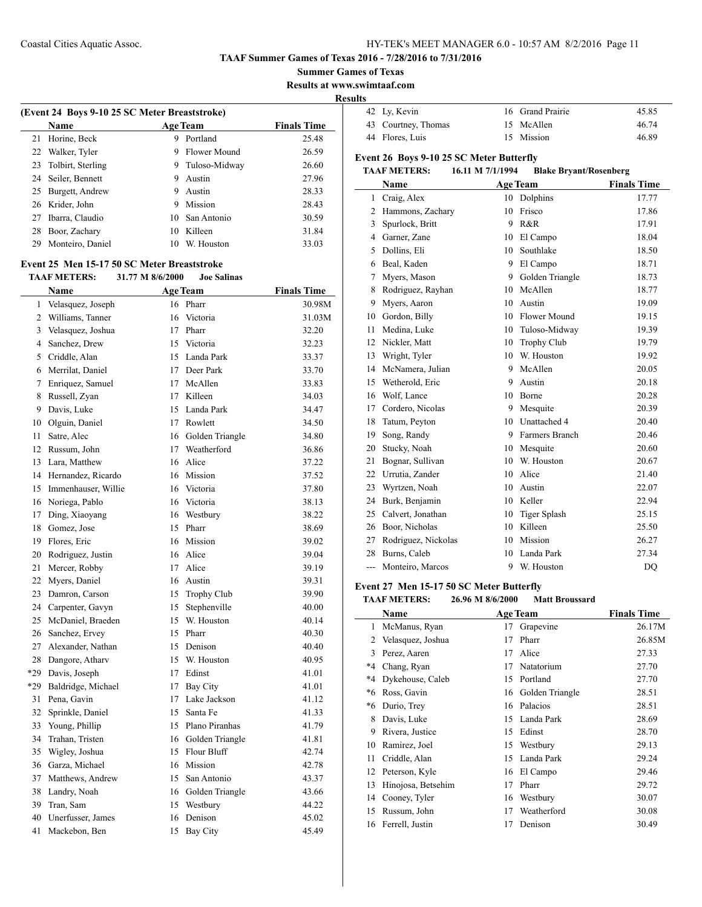#### **TAAF Summer Games of Texas 2016 - 7/28/2016 to 7/31/2016**

**Summer Games of Texas**

**Results at www.swimtaaf.com**

**Results**

|    | (Event 24 Boys 9-10 25 SC Meter Breaststroke)<br><b>Name</b> |    | <b>Age Team</b> | <b>Finals Time</b> |
|----|--------------------------------------------------------------|----|-----------------|--------------------|
|    |                                                              |    |                 |                    |
| 21 | Horine, Beck                                                 | 9  | Portland        | 25.48              |
| 22 | Walker, Tyler                                                | 9  | Flower Mound    | 26.59              |
| 23 | Tolbirt, Sterling                                            | 9  | Tuloso-Midway   | 26.60              |
| 24 | Seiler, Bennett                                              | 9  | Austin          | 27.96              |
| 25 | Burgett, Andrew                                              | 9  | Austin          | 28.33              |
|    | 26 Krider, John                                              | 9  | Mission         | 28.43              |
| 27 | Ibarra, Claudio                                              | 10 | San Antonio     | 30.59              |
| 28 | Boor, Zachary                                                | 10 | Killeen         | 31.84              |
| 29 | Monteiro, Daniel                                             | 10 | W. Houston      | 33.03              |

## **Event 25 Men 15-17 50 SC Meter Breaststroke**

**TAAF METERS: 31.77 M 8/6/2000 Joe Salinas**

|                | Name                |    | <b>Age Team</b>    | <b>Finals Time</b> |
|----------------|---------------------|----|--------------------|--------------------|
| $\mathbf{1}$   | Velasquez, Joseph   | 16 | Pharr              | 30.98M             |
| $\overline{c}$ | Williams, Tanner    | 16 | Victoria           | 31.03M             |
| 3              | Velasquez, Joshua   |    | 17 Pharr           | 32.20              |
| $\overline{4}$ | Sanchez, Drew       |    | 15 Victoria        | 32.23              |
| 5              | Criddle, Alan       | 15 | Landa Park         | 33.37              |
| 6              | Merrilat, Daniel    | 17 | Deer Park          | 33.70              |
| $\tau$         | Enriquez, Samuel    | 17 | McAllen            | 33.83              |
| 8              | Russell, Zyan       |    | 17 Killeen         | 34.03              |
| 9              | Davis, Luke         |    | 15 Landa Park      | 34.47              |
| 10             | Olguin, Daniel      |    | 17 Rowlett         | 34.50              |
| 11             | Satre, Alec         |    | 16 Golden Triangle | 34.80              |
| 12             | Russum, John        |    | 17 Weatherford     | 36.86              |
| 13             | Lara, Matthew       |    | 16 Alice           | 37.22              |
| 14             | Hernandez, Ricardo  |    | 16 Mission         | 37.52              |
| 15             | Immenhauser, Willie |    | 16 Victoria        | 37.80              |
| 16             | Noriega, Pablo      |    | 16 Victoria        | 38.13              |
| 17             | Ding, Xiaoyang      |    | 16 Westbury        | 38.22              |
| 18             | Gomez, Jose         | 15 | Pharr              | 38.69              |
| 19             | Flores, Eric        |    | 16 Mission         | 39.02              |
| 20             | Rodriguez, Justin   |    | 16 Alice           | 39.04              |
| 21             | Mercer, Robby       | 17 | Alice              | 39.19              |
| 22             | Myers, Daniel       |    | 16 Austin          | 39.31              |
| 23             | Damron, Carson      | 15 | Trophy Club        | 39.90              |
| 24             | Carpenter, Gavyn    | 15 | Stephenville       | 40.00              |
| 25             | McDaniel, Braeden   | 15 | W. Houston         | 40.14              |
| 26             | Sanchez, Ervey      | 15 | Pharr              | 40.30              |
| 27             | Alexander, Nathan   | 15 | Denison            | 40.40              |
| 28             | Dangore, Atharv     | 15 | W. Houston         | 40.95              |
| *29            | Davis, Joseph       | 17 | Edinst             | 41.01              |
| *29            | Baldridge, Michael  | 17 | Bay City           | 41.01              |
| 31             | Pena, Gavin         | 17 | Lake Jackson       | 41.12              |
| 32             | Sprinkle, Daniel    | 15 | Santa Fe           | 41.33              |
| 33             | Young, Phillip      | 15 | Plano Piranhas     | 41.79              |
| 34             | Trahan, Tristen     | 16 | Golden Triangle    | 41.81              |
| 35             | Wigley, Joshua      | 15 | Flour Bluff        | 42.74              |
| 36             | Garza, Michael      |    | 16 Mission         | 42.78              |
| 37             | Matthews, Andrew    | 15 | San Antonio        | 43.37              |
| 38             | Landry, Noah        |    | 16 Golden Triangle | 43.66              |
| 39             | Tran, Sam           | 15 | Westbury           | 44.22              |
| 40             | Unerfusser, James   | 16 | Denison            | 45.02              |
| 41             | Mackebon, Ben       | 15 | <b>Bay City</b>    | 45.49              |

|                                                        | 45.85                                        |
|--------------------------------------------------------|----------------------------------------------|
|                                                        | 46.74                                        |
|                                                        | 46.89                                        |
| 42 Ly, Kevin<br>43 Courtney, Thomas<br>44 Flores, Luis | 16 Grand Prairie<br>15 McAllen<br>15 Mission |

## **Event 26 Boys 9-10 25 SC Meter Butterfly**

## **TAAF METERS: 16.11 M 7/1/1994 Blake Bryant/Rosenberg**

|                | Name                |    | <b>Age Team</b>       | <b>Finals Time</b> |
|----------------|---------------------|----|-----------------------|--------------------|
| 1              | Craig, Alex         | 10 | Dolphins              | 17.77              |
| $\overline{c}$ | Hammons, Zachary    | 10 | Frisco                | 17.86              |
| 3              | Spurlock, Britt     | 9  | R&R                   | 17.91              |
| $\overline{4}$ | Garner, Zane        | 10 | El Campo              | 18.04              |
| 5              | Dollins, Eli        | 10 | Southlake             | 18.50              |
| 6              | Beal, Kaden         | 9  | El Campo              | 18.71              |
| 7              | Myers, Mason        | 9  | Golden Triangle       | 18.73              |
| 8              | Rodriguez, Rayhan   | 10 | McAllen               | 18.77              |
| 9              | Myers, Aaron        | 10 | Austin                | 19.09              |
| 10             | Gordon, Billy       | 10 | Flower Mound          | 19.15              |
| 11             | Medina, Luke        | 10 | Tuloso-Midway         | 19.39              |
| 12             | Nickler, Matt       | 10 | Trophy Club           | 19.79              |
| 13             | Wright, Tyler       | 10 | W. Houston            | 19.92              |
| 14             | McNamera, Julian    | 9  | McAllen               | 20.05              |
| 15             | Wetherold, Eric     | 9  | Austin                | 20.18              |
| 16             | Wolf, Lance         | 10 | Borne                 | 20.28              |
| 17             | Cordero, Nicolas    | 9  | Mesquite              | 20.39              |
| 18             | Tatum, Peyton       | 10 | Unattached 4          | 20.40              |
| 19             | Song, Randy         | 9  | <b>Farmers Branch</b> | 20.46              |
| 20             | Stucky, Noah        | 10 | Mesquite              | 20.60              |
| 21             | Bognar, Sullivan    | 10 | W. Houston            | 20.67              |
| 22             | Urrutia, Zander     | 10 | Alice                 | 21.40              |
| 23             | Wyrtzen, Noah       | 10 | Austin                | 22.07              |
| 24             | Burk, Benjamin      | 10 | Keller                | 22.94              |
| 25             | Calvert, Jonathan   | 10 | <b>Tiger Splash</b>   | 25.15              |
| 26             | Boor, Nicholas      | 10 | Killeen               | 25.50              |
| 27             | Rodriguez, Nickolas | 10 | Mission               | 26.27              |
| 28             | Burns, Caleb        | 10 | Landa Park            | 27.34              |
| $---$          | Monteiro, Marcos    | 9  | W. Houston            | DO                 |

#### **Event 27 Men 15-17 50 SC Meter Butterfly**

 $\overline{a}$ 

#### **TAAF METERS: 26.96 M 8/6/2000 Matt Broussard**

|              | Name               |    | <b>Age Team</b> | <b>Finals Time</b> |
|--------------|--------------------|----|-----------------|--------------------|
| 1            | McManus, Ryan      | 17 | Grapevine       | 26.17M             |
| 2            | Velasquez, Joshua  | 17 | Pharr           | 26.85M             |
| $\mathbf{3}$ | Perez, Aaren       | 17 | Alice           | 27.33              |
| $*4$         | Chang, Ryan        | 17 | Natatorium      | 27.70              |
| *4           | Dykehouse, Caleb   | 15 | Portland        | 27.70              |
| *6           | Ross, Gavin        | 16 | Golden Triangle | 28.51              |
| *6           | Durio, Trey        | 16 | Palacios        | 28.51              |
| 8            | Davis, Luke        | 15 | Landa Park      | 28.69              |
| 9            | Rivera, Justice    | 15 | Edinst          | 28.70              |
| 10           | Ramirez, Joel      | 15 | Westbury        | 29.13              |
| 11           | Criddle, Alan      | 15 | Landa Park      | 29.24              |
| 12           | Peterson, Kyle     | 16 | El Campo        | 29.46              |
| 13           | Hinojosa, Betsehim | 17 | Pharr           | 29.72              |
| 14           | Cooney, Tyler      | 16 | Westbury        | 30.07              |
| 15           | Russum, John       | 17 | Weatherford     | 30.08              |
| 16           | Ferrell, Justin    | 17 | Denison         | 30.49              |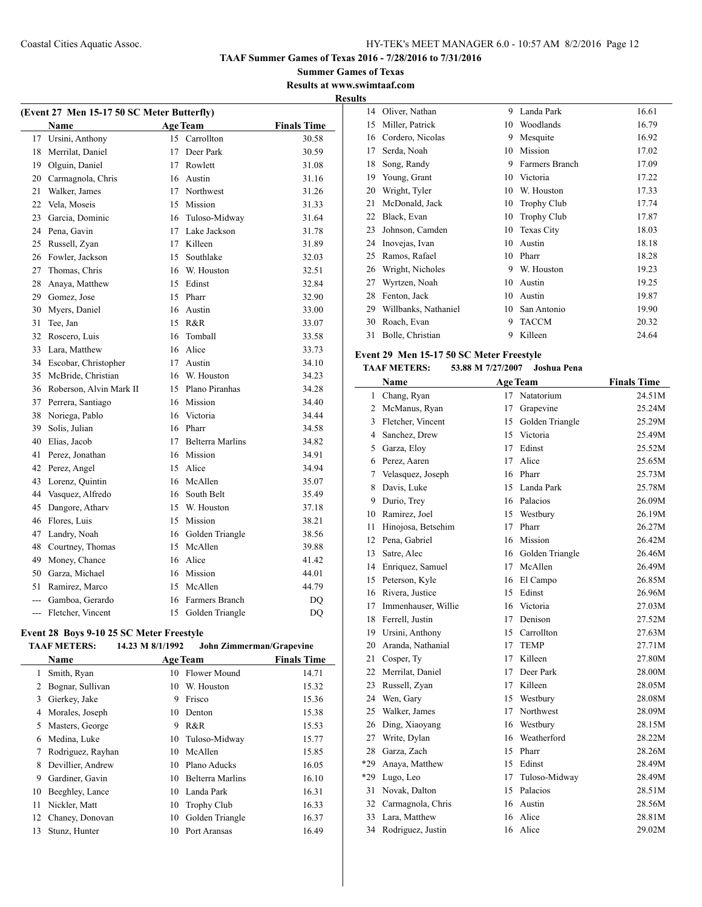**Summer Games of Texas Results at www.swimtaaf.com Results**

| (Event 27 Men 15-17 50 SC Meter Butterfly) |                         |    |                         |                    |
|--------------------------------------------|-------------------------|----|-------------------------|--------------------|
|                                            | Name                    |    | <b>Age Team</b>         | <b>Finals Time</b> |
| 17                                         | Ursini, Anthony         | 15 | Carrollton              | 30.58              |
| 18                                         | Merrilat, Daniel        | 17 | Deer Park               | 30.59              |
| 19                                         | Olguin, Daniel          | 17 | Rowlett                 | 31.08              |
| 20                                         | Carmagnola, Chris       |    | 16 Austin               | 31.16              |
| 21                                         | Walker, James           |    | 17 Northwest            | 31.26              |
| 22                                         | Vela, Moseis            |    | 15 Mission              | 31.33              |
| 23                                         | Garcia, Dominic         | 16 | Tuloso-Midway           | 31.64              |
| 24                                         | Pena, Gavin             | 17 | Lake Jackson            | 31.78              |
| 25                                         | Russell, Zyan           |    | 17 Killeen              | 31.89              |
| 26                                         | Fowler, Jackson         | 15 | Southlake               | 32.03              |
| 27                                         | Thomas, Chris           | 16 | W. Houston              | 32.51              |
| 28                                         | Anaya, Matthew          |    | 15 Edinst               | 32.84              |
| 29                                         | Gomez, Jose             |    | 15 Pharr                | 32.90              |
| 30                                         | Myers, Daniel           |    | 16 Austin               | 33.00              |
| 31                                         | Tee, Jan                |    | 15 R&R                  | 33.07              |
| 32                                         | Roscero, Luis           | 16 | Tomball                 | 33.58              |
| 33                                         | Lara, Matthew           |    | 16 Alice                | 33.73              |
| 34                                         | Escobar, Christopher    |    | 17 Austin               | 34.10              |
| 35                                         | McBride, Christian      |    | 16 W. Houston           | 34.23              |
| 36                                         | Roberson, Alvin Mark II |    | 15 Plano Piranhas       | 34.28              |
| 37                                         | Perrera, Santiago       | 16 | Mission                 | 34.40              |
| 38                                         | Noriega, Pablo          | 16 | Victoria                | 34.44              |
| 39                                         | Solis, Julian           |    | 16 Pharr                | 34.58              |
| 40                                         | Elias, Jacob            | 17 | <b>Belterra Marlins</b> | 34.82              |
| 41                                         | Perez, Jonathan         | 16 | Mission                 | 34.91              |
| 42                                         | Perez, Angel            |    | 15 Alice                | 34.94              |
| 43                                         | Lorenz, Quintin         |    | 16 McAllen              | 35.07              |
| 44                                         | Vasquez, Alfredo        | 16 | South Belt              | 35.49              |
| 45                                         | Dangore, Atharv         |    | 15 W. Houston           | 37.18              |
| 46                                         | Flores, Luis            |    | 15 Mission              | 38.21              |
| 47                                         | Landry, Noah            |    | 16 Golden Triangle      | 38.56              |
| 48                                         | Courtney, Thomas        | 15 | McAllen                 | 39.88              |
| 49                                         | Money, Chance           | 16 | Alice                   | 41.42              |
| 50                                         | Garza, Michael          | 16 | Mission                 | 44.01              |
| 51                                         | Ramirez, Marco          | 15 | McAllen                 | 44.79              |
|                                            | --- Gamboa, Gerardo     |    | 16 Farmers Branch       | DO                 |
| $\overline{a}$                             | Fletcher. Vincent       | 15 | Golden Triangle         | DO                 |

## **Event 28 Boys 9-10 25 SC Meter Freestyle**

| 14.23 M 8/1/1992<br><b>TAAF METERS:</b> | John Zimmerman/Grapevine |
|-----------------------------------------|--------------------------|
|-----------------------------------------|--------------------------|

|    | <b>Name</b>       |    | <b>Age Team</b>         | <b>Finals Time</b> |
|----|-------------------|----|-------------------------|--------------------|
| 1  | Smith, Ryan       | 10 | Flower Mound            | 14.71              |
| 2  | Bognar, Sullivan  | 10 | W. Houston              | 15.32              |
| 3  | Gierkey, Jake     | 9  | Frisco                  | 15.36              |
| 4  | Morales, Joseph   | 10 | Denton                  | 15.38              |
| 5  | Masters, George   | 9  | R&R                     | 15.53              |
| 6  | Medina, Luke      | 10 | Tuloso-Midway           | 15.77              |
| 7  | Rodriguez, Rayhan | 10 | McAllen                 | 15.85              |
| 8  | Devillier, Andrew | 10 | Plano Aducks            | 16.05              |
| 9  | Gardiner, Gavin   | 10 | <b>Belterra Marlins</b> | 16.10              |
| 10 | Beeghley, Lance   | 10 | Landa Park              | 16.31              |
| 11 | Nickler, Matt     | 10 | <b>Trophy Club</b>      | 16.33              |
| 12 | Chaney, Donovan   | 10 | Golden Triangle         | 16.37              |
| 13 | Stunz, Hunter     | 10 | Port Aransas            | 16.49              |

| 14 | Oliver, Nathan       | 9  | Landa Park         | 16.61 |
|----|----------------------|----|--------------------|-------|
| 15 | Miller, Patrick      | 10 | Woodlands          | 16.79 |
| 16 | Cordero, Nicolas     | 9  | Mesquite           | 16.92 |
| 17 | Serda, Noah          | 10 | Mission            | 17.02 |
| 18 | Song, Randy          | 9  | Farmers Branch     | 17.09 |
| 19 | Young, Grant         | 10 | Victoria           | 17.22 |
| 20 | Wright, Tyler        | 10 | W. Houston         | 17.33 |
| 21 | McDonald, Jack       | 10 | <b>Trophy Club</b> | 17.74 |
| 22 | Black, Evan          | 10 | <b>Trophy Club</b> | 17.87 |
| 23 | Johnson, Camden      | 10 | <b>Texas City</b>  | 18.03 |
| 24 | Inovejas, Ivan       | 10 | Austin             | 18.18 |
| 25 | Ramos, Rafael        | 10 | Pharr              | 18.28 |
| 26 | Wright, Nicholes     | 9  | W. Houston         | 19.23 |
| 27 | Wyrtzen, Noah        | 10 | Austin             | 19.25 |
| 28 | Fenton, Jack         | 10 | Austin             | 19.87 |
| 29 | Willbanks, Nathaniel | 10 | San Antonio        | 19.90 |
| 30 | Roach, Evan          | 9  | <b>TACCM</b>       | 20.32 |
| 31 | Bolle, Christian     | 9  | Killeen            | 24.64 |

## **Event 29 Men 15-17 50 SC Meter Freestyle**

## **TAAF METERS: 53.88 M 7/27/2007 Joshua Pena**

|     | Name                |    | <b>Age Team</b> | <b>Finals Time</b> |
|-----|---------------------|----|-----------------|--------------------|
| 1   | Chang, Ryan         | 17 | Natatorium      | 24.51M             |
| 2   | McManus, Ryan       | 17 | Grapevine       | 25.24M             |
| 3   | Fletcher, Vincent   | 15 | Golden Triangle | 25.29M             |
| 4   | Sanchez, Drew       | 15 | Victoria        | 25.49M             |
| 5   | Garza, Eloy         | 17 | Edinst          | 25.52M             |
| 6   | Perez, Aaren        | 17 | Alice           | 25.65M             |
| 7   | Velasquez, Joseph   | 16 | Pharr           | 25.73M             |
| 8   | Davis, Luke         | 15 | Landa Park      | 25.78M             |
| 9   | Durio, Trey         | 16 | Palacios        | 26.09M             |
| 10  | Ramirez, Joel       | 15 | Westbury        | 26.19M             |
| 11  | Hinojosa, Betsehim  | 17 | Pharr           | 26.27M             |
| 12  | Pena, Gabriel       | 16 | Mission         | 26.42M             |
| 13  | Satre, Alec         | 16 | Golden Triangle | 26.46M             |
| 14  | Enriquez, Samuel    | 17 | McAllen         | 26.49M             |
| 15  | Peterson, Kyle      | 16 | El Campo        | 26.85M             |
| 16  | Rivera, Justice     | 15 | Edinst          | 26.96M             |
| 17  | Immenhauser, Willie | 16 | Victoria        | 27.03M             |
| 18  | Ferrell, Justin     | 17 | Denison         | 27.52M             |
| 19  | Ursini, Anthony     | 15 | Carrollton      | 27.63M             |
| 20  | Aranda, Nathanial   | 17 | <b>TEMP</b>     | 27.71M             |
| 21  | Cosper, Ty          | 17 | Killeen         | 27.80M             |
| 22  | Merrilat, Daniel    | 17 | Deer Park       | 28.00M             |
| 23  | Russell, Zyan       | 17 | Killeen         | 28.05M             |
| 24  | Wen, Gary           | 15 | Westbury        | 28.08M             |
| 25  | Walker, James       | 17 | Northwest       | 28.09M             |
| 26  | Ding, Xiaoyang      | 16 | Westbury        | 28.15M             |
| 27  | Write, Dylan        | 16 | Weatherford     | 28.22M             |
| 28  | Garza, Zach         | 15 | Pharr           | 28.26M             |
| *29 | Anaya, Matthew      | 15 | Edinst          | 28.49M             |
| *29 | Lugo, Leo           | 17 | Tuloso-Midway   | 28.49M             |
| 31  | Novak, Dalton       | 15 | Palacios        | 28.51M             |
| 32  | Carmagnola, Chris   | 16 | Austin          | 28.56M             |
| 33  | Lara, Matthew       | 16 | Alice           | 28.81M             |
| 34  | Rodriguez, Justin   | 16 | Alice           | 29.02M             |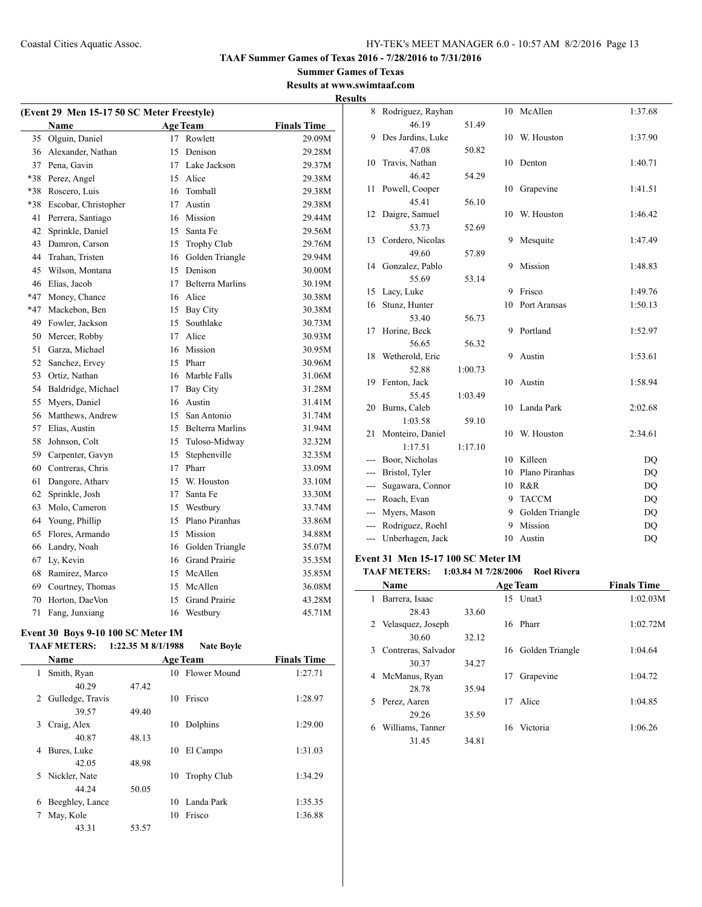#### **Summer Games of Texas Results at www.swimtaaf.com**

**Results**

| (Event 29 Men 15-17 50 SC Meter Freestyle) |                      |    |                         |                    |  |
|--------------------------------------------|----------------------|----|-------------------------|--------------------|--|
|                                            | Name                 |    | <b>Age Team</b>         | <b>Finals Time</b> |  |
| 35                                         | Olguin, Daniel       | 17 | Rowlett                 | 29.09M             |  |
| 36                                         | Alexander, Nathan    | 15 | Denison                 | 29.28M             |  |
| 37                                         | Pena. Gavin          | 17 | Lake Jackson            | 29.37M             |  |
| *38                                        | Perez, Angel         | 15 | Alice                   | 29.38M             |  |
| *38                                        | Roscero, Luis        | 16 | Tomball                 | 29.38M             |  |
| *38                                        | Escobar, Christopher | 17 | Austin                  | 29.38M             |  |
| 41                                         | Perrera, Santiago    | 16 | Mission                 | 29.44M             |  |
| 42                                         | Sprinkle, Daniel     | 15 | Santa Fe                | 29.56M             |  |
| 43                                         | Damron, Carson       | 15 | Trophy Club             | 29.76M             |  |
| 44                                         | Trahan, Tristen      | 16 | Golden Triangle         | 29.94M             |  |
| 45                                         | Wilson, Montana      | 15 | Denison                 | 30.00M             |  |
| 46                                         | Elias, Jacob         | 17 | <b>Belterra Marlins</b> | 30.19M             |  |
| $*47$                                      | Money, Chance        |    | 16 Alice                | 30.38M             |  |
| $*47$                                      | Mackebon, Ben        |    | 15 Bay City             | 30.38M             |  |
| 49                                         | Fowler, Jackson      |    | 15 Southlake            | 30.73M             |  |
| 50                                         | Mercer, Robby        | 17 | Alice                   | 30.93M             |  |
| 51                                         | Garza, Michael       | 16 | Mission                 | 30.95M             |  |
| 52                                         | Sanchez, Ervey       | 15 | Pharr                   | 30.96M             |  |
| 53                                         | Ortiz, Nathan        | 16 | Marble Falls            | 31.06M             |  |
| 54                                         | Baldridge, Michael   | 17 | <b>Bay City</b>         | 31.28M             |  |
| 55                                         | Myers, Daniel        | 16 | Austin                  | 31.41M             |  |
| 56                                         | Matthews, Andrew     | 15 | San Antonio             | 31.74M             |  |
| 57                                         | Elias, Austin        |    | 15 Belterra Marlins     | 31.94M             |  |
| 58                                         | Johnson, Colt        |    | 15 Tuloso-Midway        | 32.32M             |  |
| 59                                         | Carpenter, Gavyn     | 15 | Stephenville            | 32.35M             |  |
| 60                                         | Contreras, Chris     | 17 | Pharr                   | 33.09M             |  |
| 61                                         | Dangore, Athary      | 15 | W. Houston              | 33.10M             |  |
| 62                                         | Sprinkle, Josh       | 17 | Santa Fe                | 33.30M             |  |
| 63                                         | Molo, Cameron        | 15 | Westbury                | 33.74M             |  |
| 64                                         | Young, Phillip       | 15 | Plano Piranhas          | 33.86M             |  |
| 65                                         | Flores, Armando      | 15 | Mission                 | 34.88M             |  |
| 66                                         | Landry, Noah         |    | 16 Golden Triangle      | 35.07M             |  |
| 67                                         | Ly, Kevin            |    | 16 Grand Prairie        | 35.35M             |  |
| 68                                         | Ramirez, Marco       | 15 | McAllen                 | 35.85M             |  |
| 69                                         | Courtney, Thomas     | 15 | McAllen                 | 36.08M             |  |
| 70                                         | Horton, DaeVon       | 15 | <b>Grand Prairie</b>    | 43.28M             |  |
| 71                                         | Fang, Junxiang       | 16 | Westbury                | 45.71M             |  |

#### **Event 30 Boys 9-10 100 SC Meter IM TAAF METERS: 1:22.35 M 8/1/1988 Nate Boyle**

|   | <b>Name</b>      |       |    | <b>Age Team</b> | <b>Finals Time</b> |
|---|------------------|-------|----|-----------------|--------------------|
| 1 | Smith, Ryan      |       |    | 10 Flower Mound | 1:27.71            |
|   | 40.29            | 47.42 |    |                 |                    |
| 2 | Gulledge, Travis |       | 10 | Frisco          | 1:28.97            |
|   | 39.57            | 49.40 |    |                 |                    |
| 3 | Craig, Alex      |       | 10 | Dolphins        | 1:29.00            |
|   | 40.87            | 48.13 |    |                 |                    |
| 4 | Bures, Luke      |       | 10 | El Campo        | 1:31.03            |
|   | 42.05            | 48.98 |    |                 |                    |
| 5 | Nickler, Nate    |       | 10 | Trophy Club     | 1:34.29            |
|   | 44.24            | 50.05 |    |                 |                    |
| 6 | Beeghley, Lance  |       | 10 | Landa Park      | 1:35.35            |
| 7 | May, Kole        |       | 10 | Frisco          | 1:36.88            |
|   | 43.31            | 53.57 |    |                 |                    |

| 8                        | Rodriguez, Rayhan |         | 10 | McAllen         | 1:37.68   |
|--------------------------|-------------------|---------|----|-----------------|-----------|
|                          | 46.19             | 51.49   |    |                 |           |
| 9                        | Des Jardins, Luke |         | 10 | W. Houston      | 1:37.90   |
|                          | 47.08             | 50.82   |    |                 |           |
| 10                       | Travis, Nathan    |         | 10 | Denton          | 1:40.71   |
|                          | 46.42             | 54.29   |    |                 |           |
| 11                       | Powell, Cooper    |         | 10 | Grapevine       | 1:41.51   |
|                          | 45.41             | 56.10   |    |                 |           |
| 12                       | Daigre, Samuel    |         | 10 | W. Houston      | 1:46.42   |
|                          | 53.73             | 52.69   |    |                 |           |
| 13                       | Cordero, Nicolas  |         | 9  | Mesquite        | 1:47.49   |
|                          | 49.60             | 57.89   |    |                 |           |
| 14                       | Gonzalez, Pablo   |         | 9  | Mission         | 1:48.83   |
|                          | 55.69             | 53.14   |    |                 |           |
| 15                       | Lacy, Luke        |         | 9  | Frisco          | 1:49.76   |
| 16                       | Stunz, Hunter     |         | 10 | Port Aransas    | 1:50.13   |
|                          | 53.40             | 56.73   |    |                 |           |
| 17                       | Horine, Beck      |         | 9  | Portland        | 1:52.97   |
|                          | 56.65             | 56.32   |    |                 |           |
| 18                       | Wetherold, Eric   |         | 9  | Austin          | 1:53.61   |
|                          | 52.88             | 1:00.73 |    |                 |           |
| 19                       | Fenton, Jack      |         | 10 | Austin          | 1:58.94   |
|                          | 55.45             | 1:03.49 |    |                 |           |
| 20                       | Burns, Caleb      |         | 10 | Landa Park      | 2:02.68   |
|                          | 1:03.58           | 59.10   |    |                 |           |
| 21                       | Monteiro, Daniel  |         | 10 | W. Houston      | 2:34.61   |
|                          | 1:17.51           | 1:17.10 |    |                 |           |
| ---                      | Boor, Nicholas    |         | 10 | Killeen         | DQ        |
| ---                      | Bristol, Tyler    |         | 10 | Plano Piranhas  | <b>DQ</b> |
|                          | Sugawara, Connor  |         | 10 | R&R             | <b>DQ</b> |
| ---                      | Roach, Evan       |         | 9  | <b>TACCM</b>    | DQ        |
| ---                      | Myers, Mason      |         | 9  | Golden Triangle | DQ        |
| $\overline{\phantom{a}}$ | Rodriguez, Roehl  |         | 9  | Mission         | <b>DQ</b> |
| ---                      | Unberhagen, Jack  |         | 10 | Austin          | DQ        |

#### **Event 31 Men 15-17 100 SC Meter IM**

#### **TAAF METERS: 1:03.84 M 7/28/2006 Roel Rivera**

|   | Name                |       |    | <b>Age Team</b>    | <b>Finals Time</b> |
|---|---------------------|-------|----|--------------------|--------------------|
| 1 | Barrera, Isaac      |       | 15 | Unat3              | 1:02.03M           |
|   | 28.43               | 33.60 |    |                    |                    |
|   | 2 Velasquez, Joseph |       |    | 16 Pharr           | 1:02.72M           |
|   | 30.60               | 32.12 |    |                    |                    |
| 3 | Contreras, Salvador |       |    | 16 Golden Triangle | 1:04.64            |
|   | 30.37               | 34.27 |    |                    |                    |
| 4 | McManus, Ryan       |       | 17 | Grapevine          | 1:04.72            |
|   | 28.78               | 35.94 |    |                    |                    |
|   | 5 Perez, Aaren      |       | 17 | Alice              | 1:04.85            |
|   | 29.26               | 35.59 |    |                    |                    |
| 6 | Williams, Tanner    |       | 16 | Victoria           | 1:06.26            |
|   | 31.45               | 34.81 |    |                    |                    |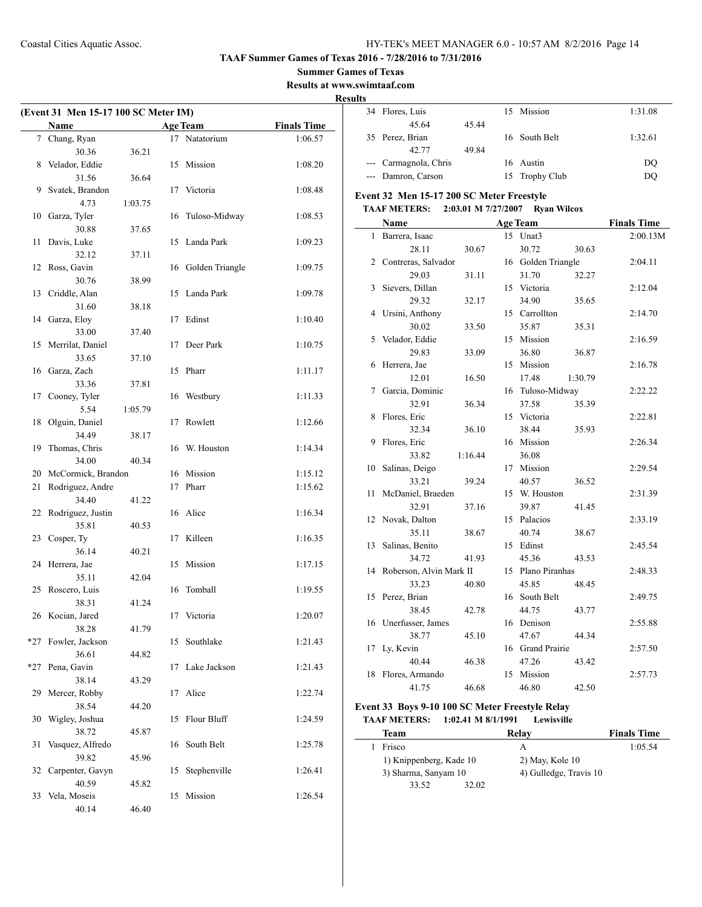**Summer Games of Texas**

**Results at www.swimtaaf.com**

**Results**

| (Event 31 Men 15-17 100 SC Meter IM) |                      |         |    |                 |                    |
|--------------------------------------|----------------------|---------|----|-----------------|--------------------|
|                                      | Name                 |         |    | <b>Age Team</b> | <b>Finals Time</b> |
|                                      | 7 Chang, Ryan        |         |    | 17 Natatorium   | 1:06.57            |
|                                      | 30.36                | 36.21   |    |                 |                    |
| 8                                    | Velador, Eddie       |         | 15 | Mission         | 1:08.20            |
|                                      | 31.56                | 36.64   |    |                 |                    |
| 9                                    | Svatek, Brandon      |         | 17 | Victoria        | 1:08.48            |
|                                      | 4.73                 | 1:03.75 |    |                 |                    |
| 10                                   | Garza, Tyler         |         | 16 | Tuloso-Midway   | 1:08.53            |
|                                      | 30.88                | 37.65   |    |                 |                    |
| 11                                   | Davis, Luke          |         | 15 | Landa Park      | 1:09.23            |
|                                      | 32.12                | 37.11   |    |                 |                    |
| 12                                   | Ross, Gavin          |         | 16 | Golden Triangle | 1:09.75            |
|                                      | 30.76                | 38.99   |    |                 |                    |
| 13                                   | Criddle, Alan        |         | 15 | Landa Park      | 1:09.78            |
|                                      | 31.60                | 38.18   |    |                 |                    |
| 14                                   | Garza, Eloy          |         | 17 | Edinst          | 1:10.40            |
|                                      | 33.00                | 37.40   |    |                 |                    |
| 15                                   | Merrilat, Daniel     |         | 17 | Deer Park       | 1:10.75            |
|                                      | 33.65                | 37.10   |    |                 |                    |
| 16                                   | Garza, Zach          |         | 15 | Pharr           | 1:11.17            |
|                                      | 33.36                | 37.81   |    |                 |                    |
| 17                                   | Cooney, Tyler        |         | 16 | Westbury        | 1:11.33            |
|                                      | 5.54                 | 1:05.79 |    |                 |                    |
| 18                                   | Olguin, Daniel       |         | 17 | Rowlett         | 1:12.66            |
|                                      | 34.49                | 38.17   |    |                 |                    |
| 19                                   | Thomas, Chris        |         | 16 | W. Houston      | 1:14.34            |
|                                      | 34.00                | 40.34   |    |                 |                    |
| 20                                   | McCormick, Brandon   |         |    | 16 Mission      | 1:15.12            |
| 21                                   | Rodriguez, Andre     |         | 17 | Pharr           | 1:15.62            |
|                                      | 34.40                | 41.22   |    |                 |                    |
| 22                                   | Rodriguez, Justin    |         | 16 | Alice           | 1:16.34            |
|                                      | 35.81                | 40.53   |    |                 |                    |
| 23                                   | Cosper, Ty           |         | 17 | Killeen         | 1:16.35            |
|                                      | 36.14                | 40.21   |    |                 |                    |
| 24                                   | Herrera, Jae         |         | 15 | Mission         | 1:17.15            |
|                                      | 35.11                | 42.04   |    |                 |                    |
|                                      | 25 Roscero, Luis     |         | 16 | Tomball         | 1:19.55            |
|                                      | 38.31                | 41.24   |    |                 |                    |
|                                      | 26 Kocian, Jared     |         |    | 17 Victoria     | 1:20.07            |
|                                      | 38.28                | 41.79   |    |                 |                    |
| $*27$                                | Fowler, Jackson      |         | 15 | Southlake       | 1:21.43            |
| $*27$                                | 36.61                | 44.82   |    | Lake Jackson    |                    |
|                                      | Pena, Gavin<br>38.14 |         | 17 |                 | 1:21.43            |
| 29                                   | Mercer, Robby        | 43.29   | 17 | Alice           | 1:22.74            |
|                                      | 38.54                | 44.20   |    |                 |                    |
| 30                                   | Wigley, Joshua       |         | 15 | Flour Bluff     | 1:24.59            |
|                                      | 38.72                | 45.87   |    |                 |                    |
| 31                                   | Vasquez, Alfredo     |         | 16 | South Belt      | 1:25.78            |
|                                      | 39.82                | 45.96   |    |                 |                    |
| 32                                   | Carpenter, Gavyn     |         | 15 | Stephenville    | 1:26.41            |
|                                      | 40.59                | 45.82   |    |                 |                    |
| 33                                   | Vela, Moseis         |         | 15 | Mission         | 1:26.54            |
|                                      | 40.14                | 46.40   |    |                 |                    |

| 34 Flores, Luis       |       | 15 Mission     | 1:31.08 |
|-----------------------|-------|----------------|---------|
| 45.64                 | 45.44 |                |         |
| 35 Perez, Brian       |       | 16 South Belt  | 1:32.61 |
| 42.77                 | 49.84 |                |         |
| --- Carmagnola, Chris |       | 16 Austin      | DO      |
| --- Damron, Carson    |       | 15 Trophy Club | DO      |

## **Event 32 Men 15-17 200 SC Meter Freestyle**

## **TAAF METERS: 2:03.01 M 7/27/2007 Ryan Wilcox**

|              | <b>Name</b>             |         |    | <b>Age Team</b>    |         | <b>Finals Time</b> |
|--------------|-------------------------|---------|----|--------------------|---------|--------------------|
| $\mathbf{1}$ | Barrera, Isaac          |         |    | 15 Unat3           |         | 2:00.13M           |
|              | 28.11                   | 30.67   |    | 30.72              | 30.63   |                    |
| 2            | Contreras, Salvador     |         |    | 16 Golden Triangle |         | 2:04.11            |
|              | 29.03                   | 31.11   |    | 31.70              | 32.27   |                    |
| 3            | Sievers, Dillan         |         | 15 | Victoria           |         | 2:12.04            |
|              | 29.32                   | 32.17   |    | 34.90              | 35.65   |                    |
| 4            | Ursini, Anthony         |         |    | 15 Carrollton      |         | 2:14.70            |
|              | 30.02                   | 33.50   |    | 35.87              | 35.31   |                    |
| 5            | Velador, Eddie          |         | 15 | Mission            |         | 2:16.59            |
|              | 29.83                   | 33.09   |    | 36.80              | 36.87   |                    |
| 6            | Herrera, Jae            |         | 15 | Mission            |         | 2:16.78            |
|              | 12.01                   | 16.50   |    | 17.48              | 1:30.79 |                    |
| 7            | Garcia, Dominic         |         | 16 | Tuloso-Midway      |         | 2:22.22            |
|              | 32.91                   | 36.34   |    | 37.58              | 35.39   |                    |
| 8            | Flores, Eric            |         | 15 | Victoria           |         | 2:22.81            |
|              | 32.34                   | 36.10   |    | 38.44              | 35.93   |                    |
| 9            | Flores, Eric            |         | 16 | Mission            |         | 2:26.34            |
|              | 33.82                   | 1:16.44 |    | 36.08              |         |                    |
| 10           | Salinas, Deigo          |         | 17 | Mission            |         | 2:29.54            |
|              | 33.21                   | 39.24   |    | 40.57              | 36.52   |                    |
| 11           | McDaniel, Braeden       |         | 15 | W. Houston         |         | 2:31.39            |
|              | 32.91                   | 37.16   |    | 39.87              | 41.45   |                    |
|              | 12 Novak, Dalton        |         |    | 15 Palacios        |         | 2:33.19            |
|              | 35.11                   | 38.67   |    | 40.74              | 38.67   |                    |
| 13           | Salinas, Benito         |         |    | 15 Edinst          |         | 2:45.54            |
|              | 34.72                   | 41.93   |    | 45.36              | 43.53   |                    |
| 14           | Roberson, Alvin Mark II |         |    | 15 Plano Piranhas  |         | 2:48.33            |
|              | 33.23                   | 40.80   |    | 45.85              | 48.45   |                    |
| 15           | Perez, Brian            |         |    | 16 South Belt      |         | 2:49.75            |
|              | 38.45                   | 42.78   |    | 44.75              | 43.77   |                    |
|              | 16 Unerfusser, James    |         |    | 16 Denison         |         | 2:55.88            |
|              | 38.77                   | 45.10   |    | 47.67              | 44.34   |                    |
| 17           | Ly, Kevin               |         |    | 16 Grand Prairie   |         | 2:57.50            |
|              | 40.44                   | 46.38   |    | 47.26              | 43.42   |                    |
| 18           | Flores, Armando         |         | 15 | Mission            |         | 2:57.73            |
|              | 41.75                   | 46.68   |    | 46.80              | 42.50   |                    |

#### **Event 33 Boys 9-10 100 SC Meter Freestyle Relay TAAF METERS: 1:02.41 M 8/1/1991 Lewisville**

| Team                    | Relay                  | <b>Finals Time</b> |
|-------------------------|------------------------|--------------------|
| Frisco                  |                        | 1:05.54            |
| 1) Knippenberg, Kade 10 | $2)$ May, Kole 10      |                    |
| 3) Sharma, Sanyam 10    | 4) Gulledge, Travis 10 |                    |
| 33.52                   | 32.02                  |                    |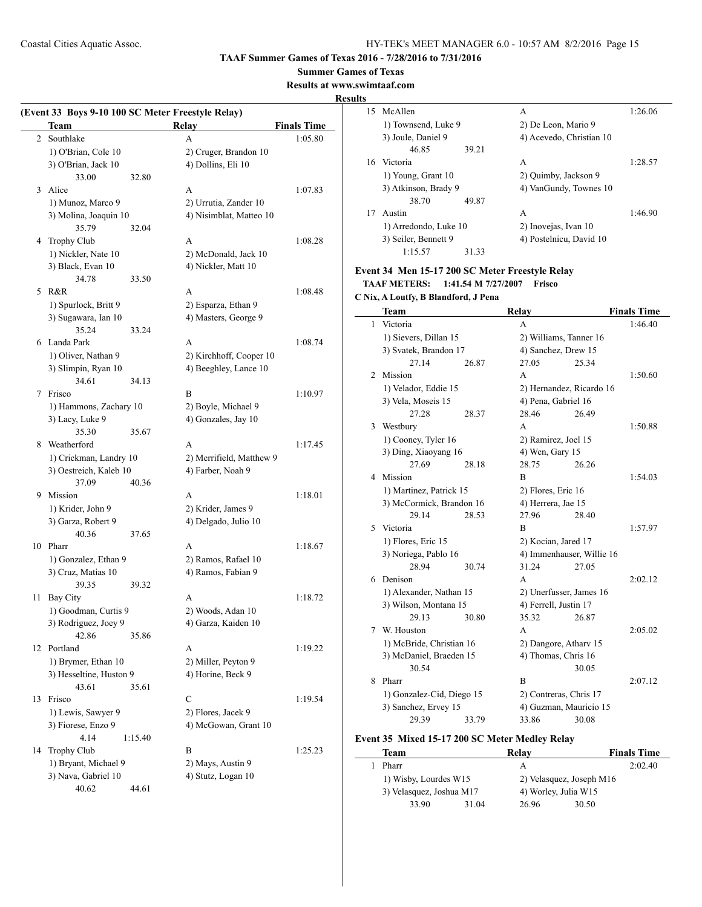#### **Summer Games of Texas**

**Results at www.swimtaaf.com**

## **Results**

|                | (Event 33 Boys 9-10 100 SC Meter Freestyle Relay)<br>Team |         | <b>Relay</b>                                  | <b>Finals Time</b> |
|----------------|-----------------------------------------------------------|---------|-----------------------------------------------|--------------------|
| $\overline{2}$ | Southlake                                                 |         | A                                             | 1:05.80            |
|                | 1) O'Brian, Cole 10                                       |         | 2) Cruger, Brandon 10                         |                    |
|                | 3) O'Brian, Jack 10                                       |         | 4) Dollins, Eli 10                            |                    |
|                | 33.00                                                     | 32.80   |                                               |                    |
| 3              | Alice                                                     |         | A                                             | 1:07.83            |
|                | 1) Munoz, Marco 9                                         |         | 2) Urrutia, Zander 10                         |                    |
|                | 3) Molina, Joaquin 10                                     |         | 4) Nisimblat, Matteo 10                       |                    |
|                | 35.79                                                     | 32.04   |                                               |                    |
| 4              | Trophy Club                                               |         | A                                             | 1:08.28            |
|                | 1) Nickler, Nate 10                                       |         | 2) McDonald, Jack 10                          |                    |
|                | 3) Black, Evan 10                                         |         | 4) Nickler, Matt 10                           |                    |
|                | 34.78                                                     | 33.50   |                                               |                    |
|                | 5 R&R                                                     |         | A                                             | 1:08.48            |
|                | 1) Spurlock, Britt 9                                      |         | 2) Esparza, Ethan 9                           |                    |
|                | 3) Sugawara, Ian 10                                       |         | 4) Masters, George 9                          |                    |
|                | 35.24                                                     | 33.24   |                                               |                    |
|                | 6 Landa Park                                              |         | A                                             | 1:08.74            |
|                | 1) Oliver, Nathan 9                                       |         | 2) Kirchhoff, Cooper 10                       |                    |
|                | 3) Slimpin, Ryan 10                                       |         | 4) Beeghley, Lance 10                         |                    |
|                | 34.61                                                     | 34.13   |                                               |                    |
| $7^{\circ}$    | Frisco                                                    |         | B                                             | 1:10.97            |
|                | 1) Hammons, Zachary 10                                    |         | 2) Boyle, Michael 9                           |                    |
|                | 3) Lacy, Luke 9                                           |         | 4) Gonzales, Jay 10                           |                    |
|                | 35.30                                                     | 35.67   |                                               |                    |
| 8              | Weatherford                                               |         | A                                             | 1:17.45            |
|                |                                                           |         |                                               |                    |
|                | 1) Crickman, Landry 10                                    |         | 2) Merrifield, Matthew 9<br>4) Farber, Noah 9 |                    |
|                | 3) Oestreich, Kaleb 10<br>37.09                           | 40.36   |                                               |                    |
| 9.             | Mission                                                   |         | A                                             | 1:18.01            |
|                | 1) Krider, John 9                                         |         | 2) Krider, James 9                            |                    |
|                | 3) Garza, Robert 9                                        |         | 4) Delgado, Julio 10                          |                    |
|                | 40.36                                                     | 37.65   |                                               |                    |
|                | 10 Pharr                                                  |         | A                                             | 1:18.67            |
|                | 1) Gonzalez, Ethan 9                                      |         |                                               |                    |
|                | 3) Cruz, Matias 10                                        |         | 2) Ramos, Rafael 10<br>4) Ramos, Fabian 9     |                    |
|                | 39.35                                                     | 39.32   |                                               |                    |
| 11             | Bay City                                                  |         | А                                             | 1:18.72            |
|                | 1) Goodman, Curtis 9                                      |         | 2) Woods, Adan 10                             |                    |
|                | 3) Rodriguez, Joey 9                                      |         | 4) Garza, Kaiden 10                           |                    |
|                | 42.86                                                     | 35.86   |                                               |                    |
| 12             | Portland                                                  |         | A                                             | 1:19.22            |
|                | 1) Brymer, Ethan 10                                       |         | 2) Miller, Peyton 9                           |                    |
|                | 3) Hesseltine, Huston 9                                   |         | 4) Horine, Beck 9                             |                    |
|                | 43.61                                                     | 35.61   |                                               |                    |
| 13             | Frisco                                                    |         | C                                             | 1:19.54            |
|                | 1) Lewis, Sawyer 9                                        |         |                                               |                    |
|                | 3) Fiorese, Enzo 9                                        |         | 2) Flores, Jacek 9                            |                    |
|                | 4.14                                                      |         | 4) McGowan, Grant 10                          |                    |
|                |                                                           | 1:15.40 |                                               |                    |
| 14             | Trophy Club                                               |         | B                                             | 1:25.23            |
|                | 1) Bryant, Michael 9                                      |         | 2) Mays, Austin 9                             |                    |
|                | 3) Nava, Gabriel 10                                       |         | 4) Stutz, Logan 10                            |                    |
|                | 40.62                                                     | 44.61   |                                               |                    |

| 15. | McAllen               |       | A                        | 1:26.06 |
|-----|-----------------------|-------|--------------------------|---------|
|     | 1) Townsend, Luke 9   |       | 2) De Leon, Mario 9      |         |
|     | 3) Joule, Daniel 9    |       | 4) Acevedo, Christian 10 |         |
|     | 46.85                 | 39.21 |                          |         |
| 16  | Victoria              |       | A                        | 1:28.57 |
|     | 1) Young, Grant 10    |       | 2) Quimby, Jackson 9     |         |
|     | 3) Atkinson, Brady 9  |       | 4) VanGundy, Townes 10   |         |
|     | 38.70                 | 49.87 |                          |         |
| 17  | Austin                |       | A                        | 1:46.90 |
|     | 1) Arredondo, Luke 10 |       | 2) Inovejas, Ivan 10     |         |
|     | 3) Seiler, Bennett 9  |       | 4) Postelnicu, David 10  |         |
|     | 1:15.57               | 31.33 |                          |         |

## **Event 34 Men 15-17 200 SC Meter Freestyle Relay TAAF METERS: 1:41.54 M 7/27/2007 Frisco**

**C Nix, A Loutfy, B Blandford, J Pena**

|   | <b>Team</b>               |       | Relay                    |                           | <b>Finals Time</b> |
|---|---------------------------|-------|--------------------------|---------------------------|--------------------|
| 1 | Victoria                  |       | A                        |                           | 1:46.40            |
|   | 1) Sievers, Dillan 15     |       | 2) Williams, Tanner 16   |                           |                    |
|   | 3) Svatek, Brandon 17     |       | 4) Sanchez, Drew 15      |                           |                    |
|   | 27.14                     | 26.87 | 27.05                    | 25.34                     |                    |
| 2 | Mission                   |       | A                        |                           | 1:50.60            |
|   | 1) Velador, Eddie 15      |       | 2) Hernandez, Ricardo 16 |                           |                    |
|   | 3) Vela, Moseis 15        |       | 4) Pena, Gabriel 16      |                           |                    |
|   | 27.28                     | 28.37 | 28.46                    | 26.49                     |                    |
| 3 | Westbury                  |       | A                        |                           | 1:50.88            |
|   | 1) Cooney, Tyler 16       |       | 2) Ramirez, Joel 15      |                           |                    |
|   | 3) Ding, Xiaoyang 16      |       | 4) Wen, Gary 15          |                           |                    |
|   | 27.69                     | 28.18 | 28.75                    | 26.26                     |                    |
| 4 | Mission                   |       | B                        |                           | 1:54.03            |
|   | 1) Martinez, Patrick 15   |       | 2) Flores, Eric 16       |                           |                    |
|   | 3) McCormick, Brandon 16  |       | 4) Herrera, Jae 15       |                           |                    |
|   | 29.14                     | 28.53 | 27.96                    | 28.40                     |                    |
| 5 | Victoria                  |       | B                        |                           | 1:57.97            |
|   | 1) Flores, Eric 15        |       | 2) Kocian, Jared 17      |                           |                    |
|   | 3) Noriega, Pablo 16      |       |                          | 4) Immenhauser, Willie 16 |                    |
|   | 28.94                     | 30.74 | 31.24                    | 27.05                     |                    |
| 6 | Denison                   |       | A                        |                           | 2:02.12            |
|   | 1) Alexander, Nathan 15   |       | 2) Unerfusser, James 16  |                           |                    |
|   | 3) Wilson, Montana 15     |       | 4) Ferrell, Justin 17    |                           |                    |
|   | 29.13                     | 30.80 | 35.32                    | 26.87                     |                    |
| 7 | W. Houston                |       | A                        |                           | 2:05.02            |
|   | 1) McBride, Christian 16  |       | 2) Dangore, Athary 15    |                           |                    |
|   | 3) McDaniel, Braeden 15   |       | 4) Thomas, Chris 16      |                           |                    |
|   | 30.54                     |       |                          | 30.05                     |                    |
| 8 | Pharr                     |       | R                        |                           | 2:07.12            |
|   | 1) Gonzalez-Cid, Diego 15 |       | 2) Contreras, Chris 17   |                           |                    |
|   | 3) Sanchez, Ervey 15      |       | 4) Guzman, Mauricio 15   |                           |                    |
|   | 29.39                     | 33.79 | 33.86                    | 30.08                     |                    |

## **Event 35 Mixed 15-17 200 SC Meter Medley Relay**

 $\overline{\phantom{a}}$ 

| Team                     |       | Relay                    | <b>Finals Time</b> |
|--------------------------|-------|--------------------------|--------------------|
| Pharr                    |       |                          | 2:02.40            |
| 1) Wisby, Lourdes W15    |       | 2) Velasquez, Joseph M16 |                    |
| 3) Velasquez, Joshua M17 |       | 4) Worley, Julia W15     |                    |
| 33.90                    | 31.04 | 26.96                    | 30.50              |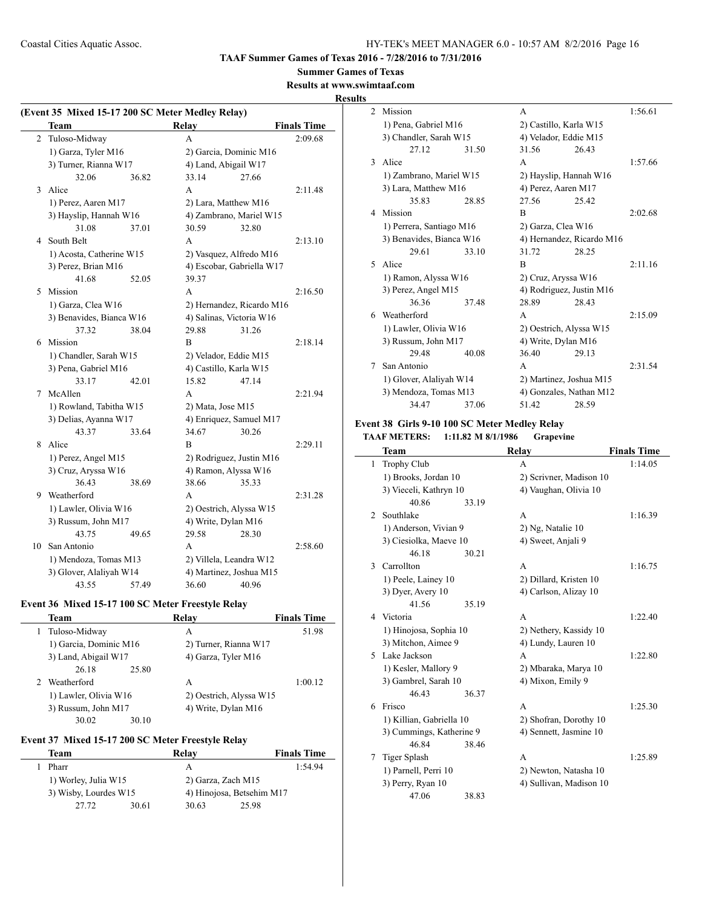## **Summer Games of Texas**

## **Results at www.swimtaaf.com**

## **Results**

|    | (Event 35 Mixed 15-17 200 SC Meter Medley Relay) |       |                      |                           |                    |
|----|--------------------------------------------------|-------|----------------------|---------------------------|--------------------|
|    | <b>Team</b>                                      |       | Relay                |                           | <b>Finals Time</b> |
| 2  | Tuloso-Midway                                    |       | A                    |                           | 2:09.68            |
|    | 1) Garza, Tyler M16                              |       |                      | 2) Garcia, Dominic M16    |                    |
|    | 3) Turner, Rianna W17                            |       | 4) Land, Abigail W17 |                           |                    |
|    | 32.06                                            | 36.82 | 33.14                | 27.66                     |                    |
| 3  | Alice                                            |       | A                    |                           | 2:11.48            |
|    | 1) Perez, Aaren M17                              |       |                      | 2) Lara, Matthew M16      |                    |
|    | 3) Hayslip, Hannah W16                           |       |                      | 4) Zambrano, Mariel W15   |                    |
|    | 31.08                                            | 37.01 | 30.59                | 32.80                     |                    |
| 4  | South Belt                                       |       | A                    |                           | 2:13.10            |
|    | 1) Acosta, Catherine W15                         |       |                      | 2) Vasquez, Alfredo M16   |                    |
|    | 3) Perez, Brian M16                              |       |                      | 4) Escobar, Gabriella W17 |                    |
|    | 41.68                                            | 52.05 | 39.37                |                           |                    |
| 5  | Mission                                          |       | A                    |                           | 2:16.50            |
|    | 1) Garza, Clea W16                               |       |                      | 2) Hernandez, Ricardo M16 |                    |
|    | 3) Benavides, Bianca W16                         |       |                      | 4) Salinas, Victoria W16  |                    |
|    | 37.32                                            | 38.04 | 29.88                | 31.26                     |                    |
| 6  | Mission                                          |       | B                    |                           | 2:18.14            |
|    | 1) Chandler, Sarah W15                           |       |                      | 2) Velador, Eddie M15     |                    |
|    | 3) Pena, Gabriel M16                             |       |                      | 4) Castillo, Karla W15    |                    |
|    | 33.17                                            | 42.01 | 15.82                | 47.14                     |                    |
| 7  | McAllen                                          |       | A                    |                           | 2:21.94            |
|    | 1) Rowland, Tabitha W15                          |       | 2) Mata, Jose M15    |                           |                    |
|    | 3) Delias, Ayanna W17                            |       |                      | 4) Enriquez, Samuel M17   |                    |
|    | 43.37                                            | 33.64 | 34.67                | 30.26                     |                    |
| 8  | Alice                                            |       | B                    |                           | 2:29.11            |
|    | 1) Perez, Angel M15                              |       |                      | 2) Rodriguez, Justin M16  |                    |
|    | 3) Cruz, Aryssa W16                              |       |                      | 4) Ramon, Alyssa W16      |                    |
|    | 36.43                                            | 38.69 | 38.66                | 35.33                     |                    |
| 9  | Weatherford                                      |       | A                    |                           | 2:31.28            |
|    | 1) Lawler, Olivia W16                            |       |                      | 2) Oestrich, Alyssa W15   |                    |
|    | 3) Russum, John M17                              |       | 4) Write, Dylan M16  |                           |                    |
|    | 43.75                                            | 49.65 | 29.58                | 28.30                     |                    |
| 10 | San Antonio                                      |       | A                    |                           | 2:58.60            |
|    | 1) Mendoza, Tomas M13                            |       |                      | 2) Villela, Leandra W12   |                    |
|    | 3) Glover, Alaliyah W14                          |       |                      | 4) Martinez, Joshua M15   |                    |
|    | 43.55                                            | 57.49 | 36.60                | 40.96                     |                    |

## **Event 36 Mixed 15-17 100 SC Meter Freestyle Relay**

| Team                   | Relav                   | <b>Finals Time</b> |
|------------------------|-------------------------|--------------------|
| Tuloso-Midway          | A                       | 51.98              |
| 1) Garcia, Dominic M16 | 2) Turner, Rianna W17   |                    |
| 3) Land, Abigail W17   | 4) Garza, Tyler M16     |                    |
| 26.18<br>25.80         |                         |                    |
| Weatherford            | А                       | 1:00.12            |
| 1) Lawler, Olivia W16  | 2) Oestrich, Alyssa W15 |                    |
| 3) Russum, John M17    | 4) Write, Dylan M16     |                    |
| 30.02<br>30.10         |                         |                    |

## **Event 37 Mixed 15-17 200 SC Meter Freestyle Relay**

| Team                  |       | Relav                     | <b>Finals Time</b> |  |
|-----------------------|-------|---------------------------|--------------------|--|
| Pharr                 |       |                           | 1.5494             |  |
| 1) Worley, Julia W15  |       | 2) Garza, Zach M15        |                    |  |
| 3) Wisby, Lourdes W15 |       | 4) Hinojosa, Betsehim M17 |                    |  |
| 27.72                 | 30.61 | 30.63                     | 25.98              |  |

| $\mathfrak{D}$ | Mission                  |       | A                        |                           | 1:56.61 |
|----------------|--------------------------|-------|--------------------------|---------------------------|---------|
|                | 1) Pena, Gabriel M16     |       | 2) Castillo, Karla W15   |                           |         |
|                | 3) Chandler, Sarah W15   |       | 4) Velador, Eddie M15    |                           |         |
|                | 27.12                    | 31.50 | 31.56                    | 26.43                     |         |
| 3              | Alice                    |       | A                        |                           | 1:57.66 |
|                | 1) Zambrano, Mariel W15  |       | 2) Hayslip, Hannah W16   |                           |         |
|                | 3) Lara, Matthew M16     |       | 4) Perez, Aaren M17      |                           |         |
|                | 35.83                    | 28.85 | 27.56                    | 25.42                     |         |
| 4              | Mission                  |       | R                        |                           | 2:02.68 |
|                | 1) Perrera, Santiago M16 |       | 2) Garza, Clea W16       |                           |         |
|                | 3) Benavides, Bianca W16 |       |                          | 4) Hernandez, Ricardo M16 |         |
|                | 29.61                    | 33.10 | 31.72                    | 28.25                     |         |
| 5.             | Alice                    |       | R                        |                           | 2:11.16 |
|                | 1) Ramon, Alyssa W16     |       | 2) Cruz, Aryssa W16      |                           |         |
|                | 3) Perez, Angel M15      |       | 4) Rodriguez, Justin M16 |                           |         |
|                | 3636                     | 3748  | 28.89                    | 28.43                     |         |
| 6              | Weatherford              |       | A                        |                           | 2:15.09 |
|                | 1) Lawler, Olivia W16    |       | 2) Oestrich, Alyssa W15  |                           |         |
|                | 3) Russum, John M17      |       | 4) Write, Dylan M16      |                           |         |
|                | 29.48                    | 40.08 | 36.40                    | 29.13                     |         |
| 7              | San Antonio              |       | A                        |                           | 2:31.54 |
|                | 1) Glover, Alaliyah W14  |       | 2) Martinez, Joshua M15  |                           |         |
|                | 3) Mendoza, Tomas M13    |       | 4) Gonzales, Nathan M12  |                           |         |
|                | 34.47                    | 37.06 | 51.42                    | 28.59                     |         |

## **Event 38 Girls 9-10 100 SC Meter Medley Relay TAAF METERS: 1:11.82 M 8/1/1986 Grapevine**

|    | Team                     |       | Relay                   | <b>Finals Time</b> |
|----|--------------------------|-------|-------------------------|--------------------|
| 1  | <b>Trophy Club</b>       |       | A                       | 1:14.05            |
|    | 1) Brooks, Jordan 10     |       | 2) Scrivner, Madison 10 |                    |
|    | 3) Vieceli, Kathryn 10   |       | 4) Vaughan, Olivia 10   |                    |
|    | 40.86                    | 33.19 |                         |                    |
| 2  | Southlake                |       | A                       | 1:16.39            |
|    | 1) Anderson, Vivian 9    |       | 2) Ng, Natalie 10       |                    |
|    | 3) Ciesiolka, Maeve 10   |       | 4) Sweet, Anjali 9      |                    |
|    | 46.18                    | 30.21 |                         |                    |
| 3  | Carrollton               |       | A                       | 1:16.75            |
|    | 1) Peele, Lainey 10      |       | 2) Dillard, Kristen 10  |                    |
|    | 3) Dyer, Avery 10        |       | 4) Carlson, Alizay 10   |                    |
|    | 41.56                    | 35.19 |                         |                    |
| 4  | Victoria                 |       | A                       | 1:22.40            |
|    | 1) Hinojosa, Sophia 10   |       | 2) Nethery, Kassidy 10  |                    |
|    | 3) Mitchon, Aimee 9      |       | 4) Lundy, Lauren 10     |                    |
| 5. | Lake Jackson             |       | A                       | 1:22.80            |
|    | 1) Kesler, Mallory 9     |       | 2) Mbaraka, Marya 10    |                    |
|    | 3) Gambrel, Sarah 10     |       | 4) Mixon, Emily 9       |                    |
|    | 46.43                    | 36.37 |                         |                    |
| 6  | Frisco                   |       | A                       | 1:25.30            |
|    | 1) Killian, Gabriella 10 |       | 2) Shofran, Dorothy 10  |                    |
|    | 3) Cummings, Katherine 9 |       | 4) Sennett, Jasmine 10  |                    |
|    | 46.84                    | 38.46 |                         |                    |
| 7  | Tiger Splash             |       | A                       | 1:25.89            |
|    | 1) Parnell, Perri 10     |       | 2) Newton, Natasha 10   |                    |
|    | 3) Perry, Ryan 10        |       | 4) Sullivan, Madison 10 |                    |
|    | 47.06                    | 38.83 |                         |                    |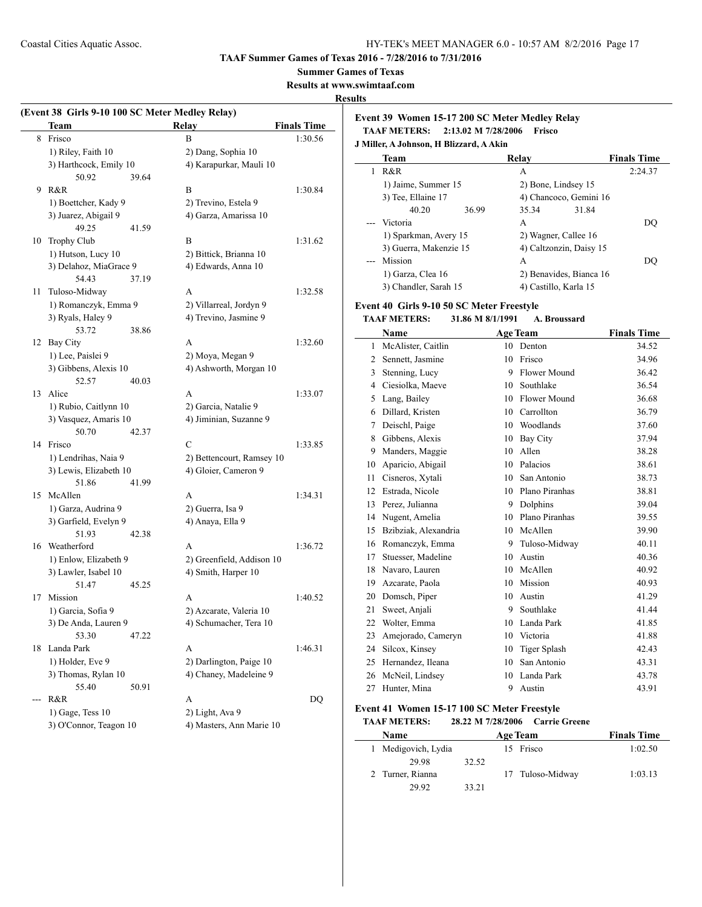#### **Summer Games of Texas**

**Results at www.swimtaaf.com**

#### **Results**

 $\overline{a}$ 

|    | (Event 38 Girls 9-10 100 SC Meter Medley Relay) |                           |                    |
|----|-------------------------------------------------|---------------------------|--------------------|
|    | <b>Team</b>                                     | Relay                     | <b>Finals Time</b> |
| 8  | Frisco                                          | B                         | 1:30.56            |
|    | 1) Riley, Faith 10                              | 2) Dang, Sophia 10        |                    |
|    | 3) Harthcock, Emily 10                          | 4) Karapurkar, Mauli 10   |                    |
|    | 50.92<br>39.64                                  |                           |                    |
| 9  | R&R                                             | B                         | 1:30.84            |
|    | 1) Boettcher, Kady 9                            | 2) Trevino, Estela 9      |                    |
|    | 3) Juarez, Abigail 9                            | 4) Garza, Amarissa 10     |                    |
|    | 49.25<br>41.59                                  |                           |                    |
| 10 | Trophy Club                                     | B                         | 1:31.62            |
|    | 1) Hutson, Lucy 10                              | 2) Bittick, Brianna 10    |                    |
|    | 3) Delahoz, MiaGrace 9                          | 4) Edwards, Anna 10       |                    |
|    | 54.43<br>37.19                                  |                           |                    |
| 11 | Tuloso-Midway                                   | A                         | 1:32.58            |
|    | 1) Romanczyk, Emma 9                            | 2) Villarreal, Jordyn 9   |                    |
|    | 3) Ryals, Haley 9                               | 4) Trevino, Jasmine 9     |                    |
|    | 53.72<br>38.86                                  |                           |                    |
| 12 | Bay City                                        | A                         | 1:32.60            |
|    | 1) Lee, Paislei 9                               | 2) Moya, Megan 9          |                    |
|    | 3) Gibbens, Alexis 10                           | 4) Ashworth, Morgan 10    |                    |
|    | 52.57<br>40.03                                  |                           |                    |
| 13 | Alice                                           | A                         | 1:33.07            |
|    | 1) Rubio, Caitlynn 10                           | 2) Garcia, Natalie 9      |                    |
|    | 3) Vasquez, Amaris 10                           | 4) Jiminian, Suzanne 9    |                    |
|    | 50.70<br>42.37                                  |                           |                    |
|    | 14 Frisco                                       | C                         | 1:33.85            |
|    | 1) Lendrihas, Naia 9                            | 2) Bettencourt, Ramsey 10 |                    |
|    | 3) Lewis, Elizabeth 10                          | 4) Gloier, Cameron 9      |                    |
|    | 51.86<br>41.99                                  |                           |                    |
| 15 | McAllen                                         | A                         | 1:34.31            |
|    | 1) Garza, Audrina 9                             | 2) Guerra, Isa 9          |                    |
|    | 3) Garfield, Evelyn 9                           | 4) Anaya, Ella 9          |                    |
|    | 51.93<br>42.38                                  |                           |                    |
|    | 16 Weatherford                                  | A                         | 1:36.72            |
|    | 1) Enlow, Elizabeth 9                           | 2) Greenfield, Addison 10 |                    |
|    | 3) Lawler, Isabel 10                            | 4) Smith, Harper 10       |                    |
|    | 51.47<br>45.25                                  |                           |                    |
| 17 | Mission                                         | A                         | 1:40.52            |
|    | 1) Garcia, Sofia 9                              | 2) Azcarate, Valeria 10   |                    |
|    | 3) De Anda, Lauren 9                            | 4) Schumacher, Tera 10    |                    |
|    | 53.30<br>47.22                                  |                           |                    |
| 18 | Landa Park                                      | А                         | 1:46.31            |
|    | 1) Holder, Eve 9                                | 2) Darlington, Paige 10   |                    |
|    | 3) Thomas, Rylan 10                             | 4) Chaney, Madeleine 9    |                    |
|    | 55.40<br>50.91                                  |                           |                    |
|    | R&R                                             | A                         | DQ                 |
|    | $1)$ Gage, Tess $10$                            | 2) Light, Ava 9           |                    |
|    | 3) O'Connor, Teagon 10                          | 4) Masters, Ann Marie 10  |                    |
|    |                                                 |                           |                    |

#### **Event 39 Women 15-17 200 SC Meter Medley Relay TAAF METERS: 2:13.02 M 7/28/2006 Frisco**

**J Miller, A Johnson, H Blizzard, A Akin**

| <b>Team</b>            |       | Relay |                         | <b>Finals Time</b> |
|------------------------|-------|-------|-------------------------|--------------------|
| R&R                    |       | А     |                         | 2:24.37            |
| 1) Jaime, Summer 15    |       |       | 2) Bone, Lindsey 15     |                    |
| 3) Tee, Ellaine 17     |       |       | 4) Chancoco, Gemini 16  |                    |
| 40.20                  | 36.99 | 35.34 | 31.84                   |                    |
| --- Victoria           |       | A     |                         | DO                 |
| 1) Sparkman, Avery 15  |       |       | 2) Wagner, Callee 16    |                    |
| 3) Guerra, Makenzie 15 |       |       | 4) Caltzonzin, Daisy 15 |                    |
| --- Mission            |       | А     |                         | DO                 |
| 1) Garza, Clea 16      |       |       | 2) Benavides, Bianca 16 |                    |
| 3) Chandler, Sarah 15  |       |       | 4) Castillo, Karla 15   |                    |

#### **Event 40 Girls 9-10 50 SC Meter Freestyle**

#### **TAAF METERS: 31.86 M 8/1/1991 A. Broussard**

|    | Name                 |    | <b>Age Team</b>     | <b>Finals Time</b> |
|----|----------------------|----|---------------------|--------------------|
| 1  | McAlister, Caitlin   | 10 | Denton              | 34.52              |
| 2  | Sennett, Jasmine     | 10 | Frisco              | 34.96              |
| 3  | Stenning, Lucy       | 9  | Flower Mound        | 36.42              |
| 4  | Ciesiolka, Maeve     | 10 | Southlake           | 36.54              |
| 5  | Lang, Bailey         | 10 | Flower Mound        | 36.68              |
| 6  | Dillard, Kristen     | 10 | Carrollton          | 36.79              |
| 7  | Deischl, Paige       | 10 | Woodlands           | 37.60              |
| 8  | Gibbens, Alexis      | 10 | Bay City            | 37.94              |
| 9  | Manders, Maggie      | 10 | Allen               | 38.28              |
| 10 | Aparicio, Abigail    | 10 | Palacios            | 38.61              |
| 11 | Cisneros, Xytali     | 10 | San Antonio         | 38.73              |
| 12 | Estrada, Nicole      | 10 | Plano Piranhas      | 38.81              |
| 13 | Perez, Julianna      | 9  | Dolphins            | 39.04              |
| 14 | Nugent, Amelia       | 10 | Plano Piranhas      | 39.55              |
| 15 | Bzibziak, Alexandria | 10 | McAllen             | 39.90              |
| 16 | Romanczyk, Emma      | 9  | Tuloso-Midway       | 40.11              |
| 17 | Stuesser, Madeline   | 10 | Austin              | 40.36              |
| 18 | Navaro, Lauren       | 10 | McAllen             | 40.92              |
| 19 | Azcarate, Paola      | 10 | Mission             | 40.93              |
| 20 | Domsch, Piper        | 10 | Austin              | 41.29              |
| 21 | Sweet, Anjali        | 9  | Southlake           | 41.44              |
| 22 | Wolter, Emma         | 10 | Landa Park          | 41.85              |
| 23 | Amejorado, Cameryn   | 10 | Victoria            | 41.88              |
| 24 | Silcox, Kinsey       | 10 | <b>Tiger Splash</b> | 42.43              |
| 25 | Hernandez, Ileana    | 10 | San Antonio         | 43.31              |
| 26 | McNeil, Lindsey      | 10 | Landa Park          | 43.78              |
| 27 | Hunter, Mina         | 9  | Austin              | 43.91              |

### **Event 41 Women 15-17 100 SC Meter Freestyle**

#### **TAAF METERS: 28.22 M 7/28/2006 Carrie Greene**

| Name                |       |    | <b>Age Team</b>  | <b>Finals Time</b> |
|---------------------|-------|----|------------------|--------------------|
| 1 Medigovich, Lydia |       | 15 | Frisco           | 1:02.50            |
| 29.98               | 32.52 |    |                  |                    |
| 2 Turner, Rianna    |       |    | 17 Tuloso-Midway | 1:03.13            |
| 29.92               | 33.21 |    |                  |                    |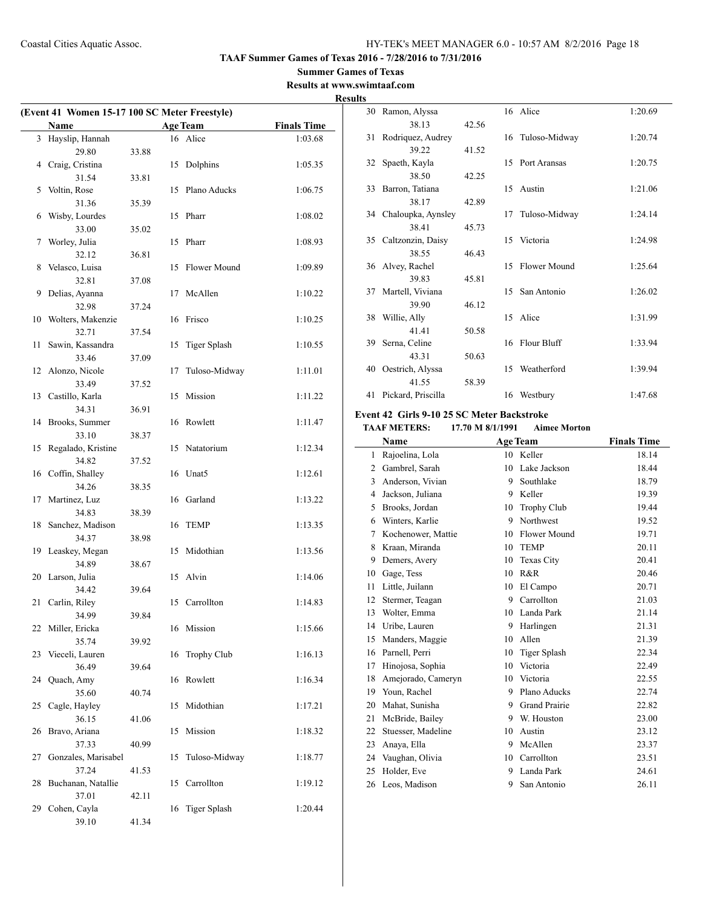## **Summer Games of Texas**

**Results at www.swimtaaf.com Results**

| (Event 41 Women 15-17 100 SC Meter Freestyle) |                             |       |    |                     |                    |
|-----------------------------------------------|-----------------------------|-------|----|---------------------|--------------------|
|                                               | Name                        |       |    | <b>Age Team</b>     | <b>Finals Time</b> |
| 3                                             | Hayslip, Hannah             |       |    | 16 Alice            | 1:03.68            |
|                                               | 29.80                       | 33.88 |    |                     |                    |
| 4                                             | Craig, Cristina             |       |    | 15 Dolphins         | 1:05.35            |
|                                               | 31.54                       | 33.81 |    |                     |                    |
| 5                                             | Voltin, Rose                |       | 15 | Plano Aducks        | 1:06.75            |
|                                               | 31.36                       | 35.39 |    |                     |                    |
| 6                                             | Wisby, Lourdes              |       | 15 | Pharr               | 1:08.02            |
|                                               | 33.00                       | 35.02 |    |                     |                    |
| 7                                             | Worley, Julia<br>32.12      |       | 15 | Pharr               | 1:08.93            |
| 8                                             | Velasco, Luisa              | 36.81 | 15 | Flower Mound        | 1:09.89            |
|                                               | 32.81                       | 37.08 |    |                     |                    |
| 9                                             | Delias, Ayanna              |       | 17 | McAllen             | 1:10.22            |
|                                               | 32.98                       | 37.24 |    |                     |                    |
| 10                                            | Wolters, Makenzie           |       |    | 16 Frisco           | 1:10.25            |
|                                               | 32.71                       | 37.54 |    |                     |                    |
| 11                                            | Sawin, Kassandra            |       | 15 | <b>Tiger Splash</b> | 1:10.55            |
|                                               | 33.46                       | 37.09 |    |                     |                    |
| 12                                            | Alonzo, Nicole              |       | 17 | Tuloso-Midway       | 1:11.01            |
|                                               | 33.49                       | 37.52 |    |                     |                    |
| 13                                            | Castillo, Karla             |       | 15 | Mission             | 1:11.22            |
|                                               | 34.31                       | 36.91 |    |                     |                    |
| 14                                            | Brooks, Summer              |       |    | 16 Rowlett          | 1:11.47            |
|                                               | 33.10                       | 38.37 |    |                     |                    |
| 15                                            | Regalado, Kristine<br>34.82 | 37.52 | 15 | Natatorium          | 1:12.34            |
| 16                                            | Coffin, Shalley             |       |    | 16 Unat5            | 1:12.61            |
|                                               | 34.26                       | 38.35 |    |                     |                    |
| 17                                            | Martinez, Luz               |       |    | 16 Garland          | 1:13.22            |
|                                               | 34.83                       | 38.39 |    |                     |                    |
| 18                                            | Sanchez, Madison            |       |    | 16 TEMP             | 1:13.35            |
|                                               | 34.37                       | 38.98 |    |                     |                    |
| 19                                            | Leaskey, Megan              |       | 15 | Midothian           | 1:13.56            |
|                                               | 34.89                       | 38.67 |    |                     |                    |
| 20                                            | Larson, Julia               |       |    | 15 Alvin            | 1:14.06            |
|                                               | 34.42                       | 39.64 |    |                     |                    |
| 21                                            | Carlin, Riley               |       | 15 | Carrollton          | 1:14.83            |
| 22                                            | 34.99<br>Miller, Ericka     | 39.84 |    | 16 Mission          |                    |
|                                               | 35.74                       | 39.92 |    |                     | 1:15.66            |
| 23                                            | Vieceli, Lauren             |       | 16 | Trophy Club         | 1:16.13            |
|                                               | 36.49                       | 39.64 |    |                     |                    |
| 24                                            | Quach, Amy                  |       | 16 | Rowlett             | 1:16.34            |
|                                               | 35.60                       | 40.74 |    |                     |                    |
| 25                                            | Cagle, Hayley               |       | 15 | Midothian           | 1:17.21            |
|                                               | 36.15                       | 41.06 |    |                     |                    |
| 26                                            | Bravo, Ariana               |       | 15 | Mission             | 1:18.32            |
|                                               | 37.33                       | 40.99 |    |                     |                    |
| 27                                            | Gonzales, Marisabel         |       | 15 | Tuloso-Midway       | 1:18.77            |
|                                               | 37.24                       | 41.53 |    |                     |                    |
| 28                                            | Buchanan, Natallie          |       | 15 | Carrollton          | 1:19.12            |
| 29                                            | 37.01<br>Cohen, Cayla       | 42.11 | 16 | Tiger Splash        | 1:20.44            |
|                                               | 39.10                       | 41.34 |    |                     |                    |
|                                               |                             |       |    |                     |                    |

|    | 30 Ramon, Alyssa      |       |    | 16 Alice         | 1:20.69 |
|----|-----------------------|-------|----|------------------|---------|
|    | 38.13                 | 42.56 |    |                  |         |
|    | 31 Rodriguez, Audrey  |       |    | 16 Tuloso-Midway | 1:20.74 |
|    | 39.22                 | 41.52 |    |                  |         |
| 32 | Spaeth, Kayla         |       |    | 15 Port Aransas  | 1:20.75 |
|    | 38.50                 | 42.25 |    |                  |         |
| 33 | Barron, Tatiana       |       |    | 15 Austin        | 1:21.06 |
|    | 38.17                 | 42.89 |    |                  |         |
|    | 34 Chaloupka, Aynsley |       | 17 | Tuloso-Midway    | 1:24.14 |
|    | 38.41                 | 45.73 |    |                  |         |
|    | 35 Caltzonzin, Daisy  |       |    | 15 Victoria      | 1:24.98 |
|    | 38.55                 | 46.43 |    |                  |         |
|    | 36 Alvey, Rachel      |       |    | 15 Flower Mound  | 1:25.64 |
|    | 39.83                 | 45.81 |    |                  |         |
| 37 | Martell, Viviana      |       | 15 | San Antonio      | 1:26.02 |
|    | 39.90                 | 46.12 |    |                  |         |
| 38 | Willie, Ally          |       |    | 15 Alice         | 1:31.99 |
|    | 41.41                 | 50.58 |    |                  |         |
|    | 39 Serna, Celine      |       |    | 16 Flour Bluff   | 1:33.94 |
|    | 43.31                 | 50.63 |    |                  |         |
|    | 40 Oestrich, Alyssa   |       |    | 15 Weatherford   | 1:39.94 |
|    | 41.55                 | 58.39 |    |                  |         |
| 41 | Pickard, Priscilla    |       |    | 16 Westbury      | 1:47.68 |

# **Event 42 Girls 9-10 25 SC Meter Backstroke**

#### **TAAF METERS: 17.70 M 8/1/1991 Aimee Morton**

|                | Name               | <b>Age Team</b> |                      | <b>Finals Time</b> |
|----------------|--------------------|-----------------|----------------------|--------------------|
| 1              | Rajoelina, Lola    | 10              | Keller               | 18.14              |
| $\overline{2}$ | Gambrel, Sarah     | 10              | Lake Jackson         | 18.44              |
| 3              | Anderson, Vivian   | 9               | Southlake            | 18.79              |
| $\overline{4}$ | Jackson, Juliana   | 9               | Keller               | 19.39              |
| 5              | Brooks, Jordan     | 10              | <b>Trophy Club</b>   | 19.44              |
| 6              | Winters, Karlie    | 9               | Northwest            | 19.52              |
| 7              | Kochenower, Mattie | 10              | Flower Mound         | 19.71              |
| 8              | Kraan, Miranda     | 10              | <b>TEMP</b>          | 20.11              |
| 9              | Demers, Avery      | 10              | Texas City           | 20.41              |
| 10             | Gage, Tess         | 10              | R&R                  | 20.46              |
| 11             | Little, Juilann    | 10              | El Campo             | 20.71              |
| 12             | Stermer, Teagan    | 9               | Carrollton           | 21.03              |
| 13             | Wolter, Emma       | 10              | Landa Park           | 21.14              |
| 14             | Uribe, Lauren      | 9               | Harlingen            | 21.31              |
| 15             | Manders, Maggie    | 10              | Allen                | 21.39              |
| 16             | Parnell, Perri     | 10              | <b>Tiger Splash</b>  | 22.34              |
| 17             | Hinojosa, Sophia   | 10              | Victoria             | 22.49              |
| 18             | Amejorado, Cameryn | 10              | Victoria             | 22.55              |
| 19             | Youn, Rachel       | 9               | Plano Aducks         | 22.74              |
| 20             | Mahat, Sunisha     | 9               | <b>Grand Prairie</b> | 22.82              |
| 21             | McBride, Bailey    | 9               | W. Houston           | 23.00              |
| 22             | Stuesser, Madeline | 10              | Austin               | 23.12              |
| 23             | Anaya, Ella        | 9               | McAllen              | 23.37              |
| 24             | Vaughan, Olivia    | 10              | Carrollton           | 23.51              |
| 25             | Holder, Eve        | 9               | Landa Park           | 24.61              |
| 26             | Leos, Madison      | 9               | San Antonio          | 26.11              |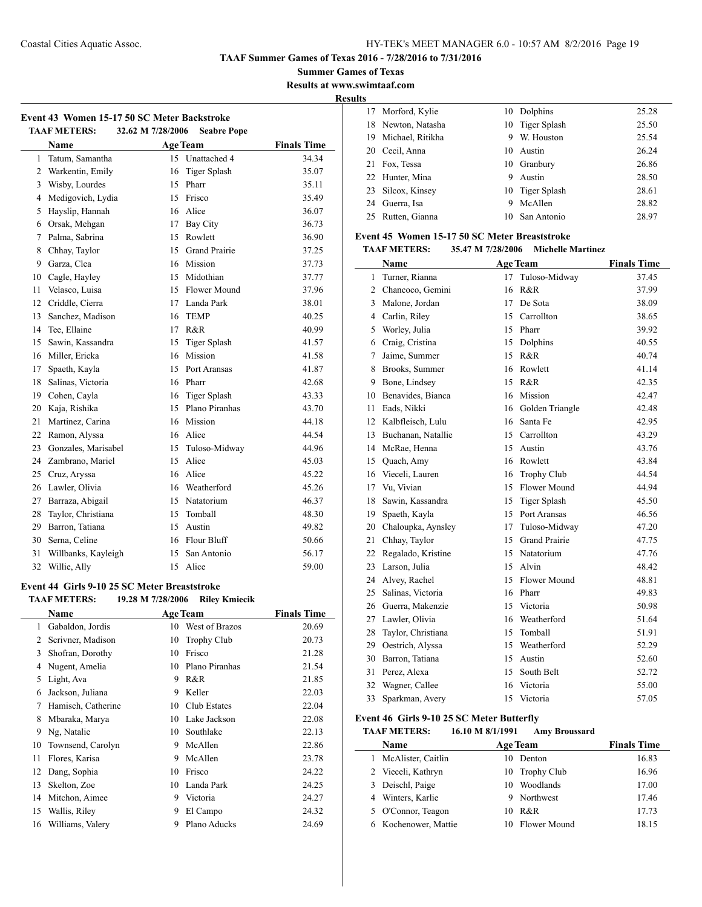**TAAF Summer Games of Texas 2016 - 7/28/2016 to 7/31/2016**

**Summer Games of Texas**

**Results at www.swimtaaf.com**

**Results**

| Event 43 Women 15-17 50 SC Meter Backstroke |                     |                   |                     |                    |  |
|---------------------------------------------|---------------------|-------------------|---------------------|--------------------|--|
|                                             | <b>TAAF METERS:</b> | 32.62 M 7/28/2006 | <b>Seabre Pope</b>  |                    |  |
|                                             | <b>Name</b>         |                   | <b>Age Team</b>     | <b>Finals Time</b> |  |
| 1                                           | Tatum, Samantha     |                   | 15 Unattached 4     | 34.34              |  |
| $\overline{c}$                              | Warkentin, Emily    | 16                | <b>Tiger Splash</b> | 35.07              |  |
| 3                                           | Wisby, Lourdes      | 15                | Pharr               | 35.11              |  |
| 4                                           | Medigovich, Lydia   | 15                | Frisco              | 35.49              |  |
| 5                                           | Hayslip, Hannah     | 16                | Alice               | 36.07              |  |
| 6                                           | Orsak, Mehgan       | 17                | <b>Bay City</b>     | 36.73              |  |
| 7                                           | Palma, Sabrina      | 15                | Rowlett             | 36.90              |  |
| 8                                           | Chhay, Taylor       |                   | 15 Grand Prairie    | 37.25              |  |
| 9                                           | Garza, Clea         | 16                | Mission             | 37.73              |  |
| 10                                          | Cagle, Hayley       | 15                | Midothian           | 37.77              |  |
| 11                                          | Velasco, Luisa      |                   | 15 Flower Mound     | 37.96              |  |
| 12                                          | Criddle, Cierra     |                   | 17 Landa Park       | 38.01              |  |
| 13                                          | Sanchez, Madison    | 16                | <b>TEMP</b>         | 40.25              |  |
| 14                                          | Tee, Ellaine        | 17                | R&R                 | 40.99              |  |
| 15                                          | Sawin, Kassandra    | 15                | Tiger Splash        | 41.57              |  |
| 16                                          | Miller, Ericka      | 16                | Mission             | 41.58              |  |
| 17                                          | Spaeth, Kayla       | 15                | Port Aransas        | 41.87              |  |
| 18                                          | Salinas, Victoria   |                   | 16 Pharr            | 42.68              |  |
| 19                                          | Cohen, Cayla        |                   | 16 Tiger Splash     | 43.33              |  |
| 20                                          | Kaja, Rishika       |                   | 15 Plano Piranhas   | 43.70              |  |
| 21                                          | Martinez, Carina    | 16                | Mission             | 44.18              |  |
| 22                                          | Ramon, Alyssa       |                   | 16 Alice            | 44.54              |  |
| 23                                          | Gonzales, Marisabel |                   | 15 Tuloso-Midway    | 44.96              |  |
| 24                                          | Zambrano, Mariel    | 15                | Alice               | 45.03              |  |
| 25                                          | Cruz, Aryssa        |                   | 16 Alice            | 45.22              |  |
| 26                                          | Lawler, Olivia      |                   | 16 Weatherford      | 45.26              |  |
| 27                                          | Barraza, Abigail    |                   | 15 Natatorium       | 46.37              |  |
| 28                                          | Taylor, Christiana  | 15                | Tomball             | 48.30              |  |
| 29                                          | Barron, Tatiana     | 15                | Austin              | 49.82              |  |
| 30                                          | Serna, Celine       |                   | 16 Flour Bluff      | 50.66              |  |
| 31                                          | Willbanks, Kayleigh | 15                | San Antonio         | 56.17              |  |
| 32                                          | Willie, Ally        | 15                | Alice               | 59.00              |  |

#### **Event 44 Girls 9-10 25 SC Meter Breaststroke TAAF METERS: 19.28 M 7/28/2006 Riley Kmiecik**

|    | $1/140$ $11/40/4000$ $1000/15000$ |    |                    |                    |  |
|----|-----------------------------------|----|--------------------|--------------------|--|
|    | Name                              |    | <b>Age Team</b>    | <b>Finals Time</b> |  |
| 1  | Gabaldon, Jordis                  | 10 | West of Brazos     | 20.69              |  |
| 2  | Scrivner, Madison                 | 10 | <b>Trophy Club</b> | 20.73              |  |
| 3  | Shofran, Dorothy                  | 10 | Frisco             | 21.28              |  |
| 4  | Nugent, Amelia                    | 10 | Plano Piranhas     | 21.54              |  |
| 5  | Light, Ava                        | 9  | R&R                | 21.85              |  |
| 6  | Jackson, Juliana                  | 9  | Keller             | 22.03              |  |
| 7  | Hamisch, Catherine                | 10 | Club Estates       | 22.04              |  |
| 8  | Mbaraka, Marya                    | 10 | Lake Jackson       | 22.08              |  |
| 9  | Ng, Natalie                       | 10 | Southlake          | 22.13              |  |
| 10 | Townsend, Carolyn                 | 9  | McAllen            | 22.86              |  |
| 11 | Flores, Karisa                    | 9  | McAllen            | 23.78              |  |
| 12 | Dang, Sophia                      | 10 | Frisco             | 24.22              |  |
| 13 | Skelton, Zoe                      | 10 | Landa Park         | 24.25              |  |
| 14 | Mitchon, Aimee                    | 9  | Victoria           | 24.27              |  |
| 15 | Wallis, Riley                     | 9  | El Campo           | 24.32              |  |
| 16 | Williams, Valery                  | 9  | Plano Aducks       | 24.69              |  |
|    |                                   |    |                    |                    |  |

|    | 17 Morford, Kylie  |   | 10 Dolphins     | 25.28 |
|----|--------------------|---|-----------------|-------|
|    | 18 Newton, Natasha |   | 10 Tiger Splash | 25.50 |
| 19 | Michael, Ritikha   | 9 | W. Houston      | 25.54 |
|    | 20 Cecil, Anna     |   | 10 Austin       | 26.24 |
| 21 | Fox, Tessa         |   | 10 Granbury     | 26.86 |
|    | 22 Hunter, Mina    | 9 | Austin          | 28.50 |
|    | 23 Silcox, Kinsey  |   | 10 Tiger Splash | 28.61 |
| 24 | Guerra, Isa        | 9 | McAllen         | 28.82 |
| 25 | Rutten, Gianna     |   | 10 San Antonio  | 28.97 |
|    |                    |   |                 |       |

#### **Event 45 Women 15-17 50 SC Meter Breaststroke**

#### **TAAF METERS: 35.47 M 7/28/2006 Michelle Martinez**

|                | Name               |    | <b>Age Team</b>      | <b>Finals Time</b> |
|----------------|--------------------|----|----------------------|--------------------|
| 1              | Turner, Rianna     | 17 | Tuloso-Midway        | 37.45              |
| $\overline{2}$ | Chancoco, Gemini   | 16 | R&R                  | 37.99              |
| $\overline{3}$ | Malone, Jordan     | 17 | De Sota              | 38.09              |
| 4              | Carlin, Riley      | 15 | Carrollton           | 38.65              |
| 5              | Worley, Julia      |    | 15 Pharr             | 39.92              |
| 6              | Craig, Cristina    | 15 | Dolphins             | 40.55              |
| 7              | Jaime, Summer      | 15 | R&R                  | 40.74              |
| 8              | Brooks, Summer     |    | 16 Rowlett           | 41.14              |
| 9              | Bone, Lindsey      | 15 | R&R                  | 42.35              |
| 10             | Benavides, Bianca  | 16 | Mission              | 42.47              |
| 11             | Eads, Nikki        | 16 | Golden Triangle      | 42.48              |
| 12             | Kalbfleisch, Lulu  | 16 | Santa Fe             | 42.95              |
| 13             | Buchanan, Natallie |    | 15 Carrollton        | 43.29              |
| 14             | McRae, Henna       | 15 | Austin               | 43.76              |
| 15             | Quach, Amy         |    | 16 Rowlett           | 43.84              |
| 16             | Vieceli, Lauren    | 16 | <b>Trophy Club</b>   | 44.54              |
| 17             | Vu, Vivian         | 15 | Flower Mound         | 44.94              |
| 18             | Sawin, Kassandra   | 15 | Tiger Splash         | 45.50              |
| 19             | Spaeth, Kayla      |    | 15 Port Aransas      | 46.56              |
| 20             | Chaloupka, Aynsley | 17 | Tuloso-Midway        | 47.20              |
| 21             | Chhay, Taylor      | 15 | <b>Grand Prairie</b> | 47.75              |
| 22             | Regalado, Kristine |    | 15 Natatorium        | 47.76              |
| 23             | Larson, Julia      |    | 15 Alvin             | 48.42              |
| 24             | Alvey, Rachel      |    | 15 Flower Mound      | 48.81              |
| 25             | Salinas, Victoria  |    | 16 Pharr             | 49.83              |
| 26             | Guerra, Makenzie   | 15 | Victoria             | 50.98              |
| 27             | Lawler, Olivia     |    | 16 Weatherford       | 51.64              |
| 28             | Taylor, Christiana | 15 | Tomball              | 51.91              |
| 29             | Oestrich, Alyssa   | 15 | Weatherford          | 52.29              |
| 30             | Barron, Tatiana    | 15 | Austin               | 52.60              |
| 31             | Perez, Alexa       | 15 | South Belt           | 52.72              |
| 32             | Wagner, Callee     | 16 | Victoria             | 55.00              |
| 33             | Sparkman, Avery    | 15 | Victoria             | 57.05              |

## **Event 46 Girls 9-10 25 SC Meter Butterfly**

#### **TAAF METERS: 16.10 M 8/1/1991 Amy Broussard**

|   | Name                 |    | <b>Age Team</b> | <b>Finals Time</b> |
|---|----------------------|----|-----------------|--------------------|
|   | McAlister, Caitlin   | 10 | Denton          | 16.83              |
|   | 2 Vieceli, Kathryn   |    | 10 Trophy Club  | 16.96              |
| 3 | Deischl, Paige       | 10 | Woodlands       | 17.00              |
|   | 4 Winters, Karlie    | 9  | Northwest       | 17.46              |
|   | 5 O'Connor, Teagon   | 10 | R&R             | 17.73              |
|   | 6 Kochenower, Mattie | 10 | Flower Mound    | 18.15              |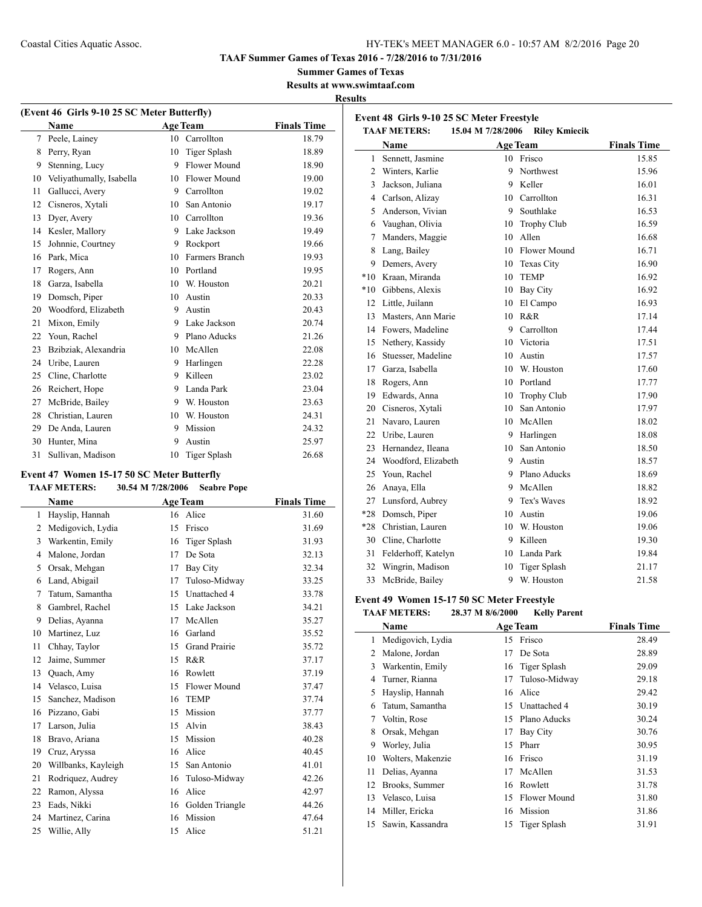**Event 48 Girls 9-10 25 SC Meter Freestyle**

**TAAF Summer Games of Texas 2016 - 7/28/2016 to 7/31/2016**

## **Summer Games of Texas**

**Results at www.swimtaaf.com**

 $\overline{a}$ 

## **Results**

| (Event 46 Girls 9-10 25 SC Meter Butterfly) |                          |    |                     |                    |  |
|---------------------------------------------|--------------------------|----|---------------------|--------------------|--|
|                                             | Name                     |    | <b>Age Team</b>     | <b>Finals Time</b> |  |
| 7                                           | Peele, Lainey            | 10 | Carrollton          | 18.79              |  |
| 8                                           | Perry, Ryan              | 10 | <b>Tiger Splash</b> | 18.89              |  |
| 9                                           | Stenning, Lucy           | 9  | Flower Mound        | 18.90              |  |
| 10                                          | Veliyathumally, Isabella | 10 | Flower Mound        | 19.00              |  |
| 11                                          | Gallucci, Avery          | 9  | Carrollton          | 19.02              |  |
| 12                                          | Cisneros, Xytali         | 10 | San Antonio         | 19.17              |  |
| 13                                          | Dyer, Avery              | 10 | Carrollton          | 19.36              |  |
| 14                                          | Kesler, Mallory          | 9  | Lake Jackson        | 19.49              |  |
| 15                                          | Johnnie, Courtney        | 9  | Rockport            | 19.66              |  |
| 16                                          | Park, Mica               | 10 | Farmers Branch      | 19.93              |  |
| 17                                          | Rogers, Ann              | 10 | Portland            | 19.95              |  |
| 18                                          | Garza, Isabella          | 10 | W. Houston          | 20.21              |  |
| 19                                          | Domsch, Piper            | 10 | Austin              | 20.33              |  |
| 20                                          | Woodford, Elizabeth      | 9  | Austin              | 20.43              |  |
| 21                                          | Mixon, Emily             | 9  | Lake Jackson        | 20.74              |  |
| 22                                          | Youn, Rachel             | 9  | Plano Aducks        | 21.26              |  |
| 23                                          | Bzibziak, Alexandria     | 10 | McAllen             | 22.08              |  |
| 24                                          | Uribe, Lauren            | 9  | Harlingen           | 22.28              |  |
| 25                                          | Cline, Charlotte         | 9  | Killeen             | 23.02              |  |
| 26                                          | Reichert, Hope           | 9  | Landa Park          | 23.04              |  |
| 27                                          | McBride, Bailey          | 9  | W. Houston          | 23.63              |  |
| 28                                          | Christian, Lauren        | 10 | W. Houston          | 24.31              |  |
| 29                                          | De Anda, Lauren          | 9  | Mission             | 24.32              |  |
| 30                                          | Hunter, Mina             | 9  | Austin              | 25.97              |  |
| 31                                          | Sullivan, Madison        | 10 | <b>Tiger Splash</b> | 26.68              |  |

#### **Event 47 Women 15-17 50 SC Meter Butterfly TAAF METERS: 30.54 M 7/28/2006 Seabre Pope**

 $\overline{\phantom{0}}$ 

|                | <b>Name</b>         |    | <b>Age Team</b>      | <b>Finals Time</b> |
|----------------|---------------------|----|----------------------|--------------------|
| 1              | Hayslip, Hannah     |    | 16 Alice             | 31.60              |
| $\overline{2}$ | Medigovich, Lydia   | 15 | Frisco               | 31.69              |
| 3              | Warkentin, Emily    | 16 | Tiger Splash         | 31.93              |
| 4              | Malone, Jordan      | 17 | De Sota              | 32.13              |
| 5              | Orsak, Mehgan       | 17 | <b>Bay City</b>      | 32.34              |
| 6              | Land, Abigail       | 17 | Tuloso-Midway        | 33.25              |
| 7              | Tatum, Samantha     | 15 | Unattached 4         | 33.78              |
| 8              | Gambrel, Rachel     | 15 | Lake Jackson         | 34.21              |
| 9              | Delias, Ayanna      | 17 | McAllen              | 35.27              |
| 10             | Martinez, Luz       | 16 | Garland              | 35.52              |
| 11             | Chhay, Taylor       | 15 | <b>Grand Prairie</b> | 35.72              |
| 12             | Jaime, Summer       | 15 | R&R                  | 37.17              |
| 13             | Quach, Amy          | 16 | Rowlett              | 37.19              |
| 14             | Velasco, Luisa      | 15 | Flower Mound         | 37.47              |
| 15             | Sanchez, Madison    | 16 | <b>TEMP</b>          | 37.74              |
| 16             | Pizzano, Gabi       | 15 | Mission              | 37.77              |
| 17             | Larson, Julia       | 15 | Alvin                | 38.43              |
| 18             | Bravo, Ariana       | 15 | Mission              | 40.28              |
| 19             | Cruz, Aryssa        | 16 | Alice                | 40.45              |
| 20             | Willbanks, Kayleigh | 15 | San Antonio          | 41.01              |
| 21             | Rodriquez, Audrey   | 16 | Tuloso-Midway        | 42.26              |
| 22             | Ramon, Alyssa       | 16 | Alice                | 42.97              |
| 23             | Eads, Nikki         | 16 | Golden Triangle      | 44.26              |
| 24             | Martinez, Carina    | 16 | Mission              | 47.64              |
| 25             | Willie, Ally        | 15 | Alice                | 51.21              |

| <b>TAAF METERS:</b> |                     | 15.04 M 7/28/2006 |                     |                    |
|---------------------|---------------------|-------------------|---------------------|--------------------|
|                     | Name                |                   | <b>Age Team</b>     | <b>Finals Time</b> |
| 1                   | Sennett, Jasmine    | 10                | Frisco              | 15.85              |
| 2                   | Winters, Karlie     | 9                 | Northwest           | 15.96              |
| 3                   | Jackson, Juliana    | 9                 | Keller              | 16.01              |
| 4                   | Carlson, Alizay     | 10                | Carrollton          | 16.31              |
| 5                   | Anderson, Vivian    | 9                 | Southlake           | 16.53              |
| 6                   | Vaughan, Olivia     | 10                | Trophy Club         | 16.59              |
| 7                   | Manders, Maggie     | 10                | Allen               | 16.68              |
| 8                   | Lang, Bailey        | 10                | Flower Mound        | 16.71              |
| 9                   | Demers, Avery       | 10                | <b>Texas City</b>   | 16.90              |
| $*10$               | Kraan, Miranda      | 10                | <b>TEMP</b>         | 16.92              |
| $*10$               | Gibbens, Alexis     | 10                | Bay City            | 16.92              |
| 12                  | Little, Juilann     | 10                | El Campo            | 16.93              |
| 13                  | Masters, Ann Marie  | 10                | $R\&R$              | 17.14              |
| 14                  | Fowers, Madeline    | 9                 | Carrollton          | 17.44              |
| 15                  | Nethery, Kassidy    | 10                | Victoria            | 17.51              |
| 16                  | Stuesser, Madeline  | 10                | Austin              | 17.57              |
| 17                  | Garza, Isabella     | 10                | W. Houston          | 17.60              |
| 18                  | Rogers, Ann         | 10                | Portland            | 17.77              |
| 19                  | Edwards, Anna       | 10                | Trophy Club         | 17.90              |
|                     | 20 Cisneros, Xytali | 10                | San Antonio         | 17.97              |
| 21                  | Navaro, Lauren      | 10                | McAllen             | 18.02              |
| 22                  | Uribe, Lauren       | 9                 | Harlingen           | 18.08              |
| 23                  | Hernandez, Ileana   | 10                | San Antonio         | 18.50              |
| 24                  | Woodford, Elizabeth | 9                 | Austin              | 18.57              |
| 25                  | Youn, Rachel        | 9                 | Plano Aducks        | 18.69              |
| 26                  | Anaya, Ella         | 9                 | McAllen             | 18.82              |
| 27                  | Lunsford, Aubrey    | 9                 | Tex's Waves         | 18.92              |
| $*28$               | Domsch, Piper       | 10                | Austin              | 19.06              |
| $*28$               | Christian, Lauren   | 10                | W. Houston          | 19.06              |
| 30                  | Cline, Charlotte    | 9                 | Killeen             | 19.30              |
| 31                  | Felderhoff, Katelyn | 10                | Landa Park          | 19.84              |
| 32                  | Wingrin, Madison    | 10                | <b>Tiger Splash</b> | 21.17              |
| 33                  | McBride, Bailey     | 9                 | W. Houston          | 21.58              |

#### **Event 49 Women 15-17 50 SC Meter Freestyle**

### **TAAF METERS: 28.37 M 8/6/2000 Kelly Parent**

|    | Name              |    | <b>Age Team</b> | <b>Finals Time</b> |
|----|-------------------|----|-----------------|--------------------|
| 1  | Medigovich, Lydia | 15 | Frisco          | 28.49              |
| 2  | Malone, Jordan    | 17 | De Sota         | 28.89              |
| 3  | Warkentin, Emily  | 16 | Tiger Splash    | 29.09              |
| 4  | Turner, Rianna    | 17 | Tuloso-Midway   | 29.18              |
| 5  | Hayslip, Hannah   | 16 | Alice           | 29.42              |
| 6  | Tatum, Samantha   | 15 | Unattached 4    | 30.19              |
| 7  | Voltin, Rose      | 15 | Plano Aducks    | 30.24              |
| 8  | Orsak, Mehgan     | 17 | Bay City        | 30.76              |
| 9  | Worley, Julia     | 15 | Pharr           | 30.95              |
| 10 | Wolters, Makenzie | 16 | Frisco          | 31.19              |
| 11 | Delias, Ayanna    | 17 | McAllen         | 31.53              |
| 12 | Brooks, Summer    | 16 | Rowlett         | 31.78              |
| 13 | Velasco, Luisa    | 15 | Flower Mound    | 31.80              |
| 14 | Miller, Ericka    | 16 | Mission         | 31.86              |
| 15 | Sawin, Kassandra  | 15 | Tiger Splash    | 31.91              |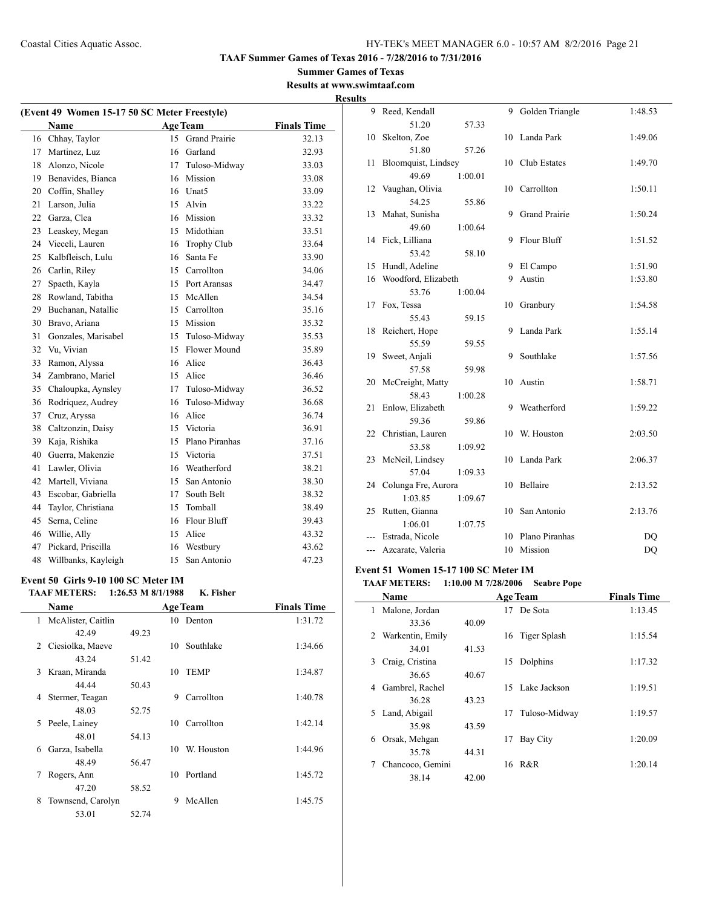#### **Summer Games of Texas Results at www.swimtaaf.com**

|    |                                              |                   | Results at www.swi | <b>Results</b> |
|----|----------------------------------------------|-------------------|--------------------|----------------|
|    | (Event 49 Women 15-17 50 SC Meter Freestyle) |                   |                    |                |
|    | Name                                         | <b>Age Team</b>   | <b>Finals Time</b> |                |
|    | 16 Chhay, Taylor                             | 15 Grand Prairie  | 32.13              |                |
|    | 17 Martinez, Luz                             | 16 Garland        | 32.93              |                |
|    | 18 Alonzo, Nicole                            | 17 Tuloso-Midway  | 33.03              |                |
|    | 19 Benavides, Bianca                         | 16 Mission        | 33.08              |                |
|    | 20 Coffin, Shalley                           | 16 Unat5          | 33.09              |                |
|    | 21 Larson, Julia                             | 15 Alvin          | 33.22              |                |
|    | 22 Garza, Clea                               | 16 Mission        | 33.32              |                |
|    | 23 Leaskey, Megan                            | 15 Midothian      | 33.51              |                |
|    | 24 Vieceli, Lauren                           | 16 Trophy Club    | 33.64              |                |
|    | 25 Kalbfleisch, Lulu                         | 16 Santa Fe       | 33.90              |                |
|    | 26 Carlin, Riley                             | 15 Carrollton     | 34.06              |                |
| 27 | Spaeth, Kayla                                | 15 Port Aransas   | 34.47              |                |
|    | 28 Rowland, Tabitha                          | 15 McAllen        | 34.54              |                |
|    | 29 Buchanan, Natallie                        | 15 Carrollton     | 35.16              |                |
|    | 30 Bravo, Ariana                             | 15 Mission        | 35.32              |                |
| 31 | Gonzales, Marisabel                          | 15 Tuloso-Midway  | 35.53              |                |
|    | 32 Vu, Vivian                                | 15 Flower Mound   | 35.89              |                |
|    | 33 Ramon, Alyssa                             | 16 Alice          | 36.43              |                |
|    | 34 Zambrano, Mariel                          | 15 Alice          | 36.46              |                |
|    | 35 Chaloupka, Aynsley                        | 17 Tuloso-Midway  | 36.52              |                |
|    | 36 Rodriguez, Audrey                         | 16 Tuloso-Midway  | 36.68              |                |
| 37 | Cruz, Aryssa                                 | 16 Alice          | 36.74              |                |
|    | 38 Caltzonzin, Daisy                         | 15 Victoria       | 36.91              |                |
|    | 39 Kaja, Rishika                             | 15 Plano Piranhas | 37.16              |                |
|    | 40 Guerra, Makenzie                          | 15 Victoria       | 37.51              |                |
|    | 41 Lawler, Olivia                            | 16 Weatherford    | 38.21              |                |
|    | 42 Martell, Viviana                          | 15 San Antonio    | 38.30              |                |
|    | 43 Escobar, Gabriella                        | 17 South Belt     | 38.32              |                |
| 44 | Taylor, Christiana                           | 15 Tomball        | 38.49              |                |
|    | 45 Serna, Celine                             | 16 Flour Bluff    | 39.43              |                |
|    | 46 Willie, Ally                              | 15 Alice          | 43.32              |                |
| 47 | Pickard, Priscilla                           | 16 Westbury       | 43.62              |                |
|    | 48 Willbanks, Kayleigh                       | 15 San Antonio    | 47.23              |                |
|    | Event 50  Girls 9-10 100 SC Meter IM         |                   |                    | Ev             |

#### **Event 50 Girls 9-10 100 SC Meter IM**

L,

|   | <b>TAAF METERS:</b>  | $1:26.53 \text{ M } 8/1/1988$ |     | K. Fisher       |                    |
|---|----------------------|-------------------------------|-----|-----------------|--------------------|
|   | Name                 |                               |     | <b>Age Team</b> | <b>Finals Time</b> |
|   | 1 McAlister, Caitlin |                               |     | 10 Denton       | 1:31.72            |
|   | 42.49                | 49.23                         |     |                 |                    |
| 2 | Ciesiolka, Maeve     |                               | 10. | Southlake       | 1:34.66            |
|   | 43.24                | 51.42                         |     |                 |                    |
| 3 | Kraan, Miranda       |                               | 10  | <b>TEMP</b>     | 1:34.87            |
|   | 44 44                | 50.43                         |     |                 |                    |
| 4 | Stermer, Teagan      |                               | 9   | Carrollton      | 1:40.78            |
|   | 48.03                | 52.75                         |     |                 |                    |
| 5 | Peele, Lainey        |                               | 10  | Carrollton      | 1:42.14            |
|   | 48.01                | 54.13                         |     |                 |                    |
| 6 | Garza, Isabella      |                               | 10  | W. Houston      | 1:44.96            |
|   | 48.49                | 56.47                         |     |                 |                    |
| 7 | Rogers, Ann          |                               | 10  | Portland        | 1:45.72            |
|   | 47.20                | 58.52                         |     |                 |                    |
| 8 | Townsend, Carolyn    |                               | 9   | McAllen         | 1:45.75            |
|   | 53.01                | 52.74                         |     |                 |                    |

| 9     | Reed, Kendall       |         | 9  | Golden Triangle      | 1:48.53 |
|-------|---------------------|---------|----|----------------------|---------|
|       | 51.20               | 57.33   |    |                      |         |
| 10    | Skelton, Zoe        |         | 10 | Landa Park           | 1:49.06 |
|       | 51.80               | 57.26   |    |                      |         |
| 11    | Bloomquist, Lindsey |         | 10 | Club Estates         | 1:49.70 |
|       | 49.69               | 1:00.01 |    |                      |         |
| 12    | Vaughan, Olivia     |         | 10 | Carrollton           | 1:50.11 |
|       | 54.25               | 55.86   |    |                      |         |
| 13    | Mahat, Sunisha      |         | 9  | <b>Grand Prairie</b> | 1:50.24 |
|       | 49.60               | 1:00.64 |    |                      |         |
| 14    | Fick, Lilliana      |         | 9  | <b>Flour Bluff</b>   | 1:51.52 |
|       | 53.42               | 58.10   |    |                      |         |
| 15    | Hundl, Adeline      |         | 9  | El Campo             | 1:51.90 |
| 16    | Woodford, Elizabeth |         | 9  | Austin               | 1:53.80 |
|       | 53.76               | 1:00.04 |    |                      |         |
| 17    | Fox, Tessa          |         | 10 | Granbury             | 1:54.58 |
|       | 55.43               | 59.15   |    |                      |         |
| 18    | Reichert, Hope      |         | 9  | Landa Park           | 1:55.14 |
|       | 55.59               | 59.55   |    |                      |         |
| 19    | Sweet, Anjali       |         | 9  | Southlake            | 1:57.56 |
|       | 57.58               | 59.98   |    |                      |         |
| 20    | McCreight, Matty    |         | 10 | Austin               | 1:58.71 |
|       | 58.43               | 1:00.28 |    |                      |         |
| 21    | Enlow, Elizabeth    |         | 9  | Weatherford          | 1:59.22 |
|       | 59.36               | 59.86   |    |                      |         |
| 22    | Christian, Lauren   |         | 10 | W. Houston           | 2:03.50 |
|       | 53.58               | 1:09.92 |    |                      |         |
| 23    | McNeil, Lindsey     |         | 10 | Landa Park           | 2:06.37 |
|       | 57.04               | 1:09.33 |    |                      |         |
| 24    | Colunga Fre, Aurora |         | 10 | Bellaire             | 2:13.52 |
|       | 1:03.85             | 1:09.67 |    |                      |         |
| 25    | Rutten, Gianna      |         | 10 | San Antonio          | 2:13.76 |
|       | 1:06.01             | 1:07.75 |    |                      |         |
| ---   | Estrada, Nicole     |         | 10 | Plano Piranhas       | DQ      |
| $---$ | Azcarate, Valeria   |         | 10 | Mission              | DQ      |

## **Event 51 Women 15-17 100 SC Meter IM**

## **TAAF METERS: 1:10.00 M 7/28/2006 Seabre Pope**

|   | Name               |       |    | <b>Age Team</b> | <b>Finals Time</b> |
|---|--------------------|-------|----|-----------------|--------------------|
| 1 | Malone, Jordan     |       |    | 17 De Sota      | 1:13.45            |
|   | 33.36              | 40.09 |    |                 |                    |
|   | 2 Warkentin, Emily |       |    | 16 Tiger Splash | 1:15.54            |
|   | 34.01              | 41.53 |    |                 |                    |
| 3 | Craig, Cristina    |       | 15 | Dolphins        | 1:17.32            |
|   | 36.65              | 40.67 |    |                 |                    |
| 4 | Gambrel, Rachel    |       |    | 15 Lake Jackson | 1:19.51            |
|   | 36.28              | 43.23 |    |                 |                    |
|   | 5 Land, Abigail    |       | 17 | Tuloso-Midway   | 1:19.57            |
|   | 35.98              | 43.59 |    |                 |                    |
| 6 | Orsak, Mehgan      |       | 17 | Bay City        | 1:20.09            |
|   | 35.78              | 44.31 |    |                 |                    |
|   | Chancoco, Gemini   |       | 16 | R&R             | 1:20.14            |
|   | 38.14              | 42.00 |    |                 |                    |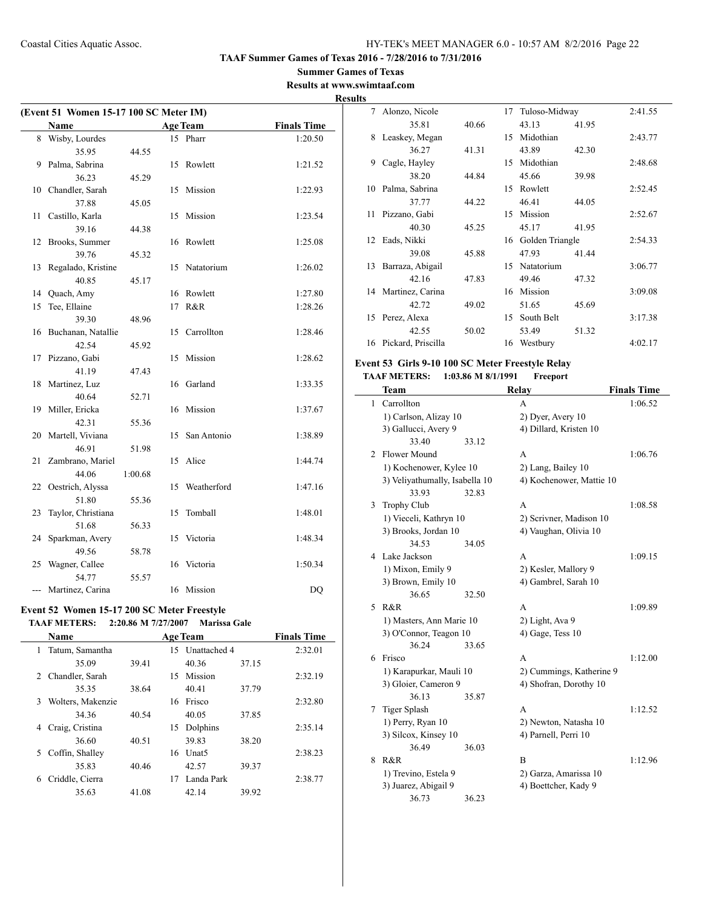#### **Summer Games of Texas Results at www.swimtaaf.com**

**Results**

| (Event 51 Women 15-17 100 SC Meter IM) |                    |         |    |                 |                    |
|----------------------------------------|--------------------|---------|----|-----------------|--------------------|
|                                        | <b>Name</b>        |         |    | <b>Age Team</b> | <b>Finals Time</b> |
| 8                                      | Wisby, Lourdes     |         |    | 15 Pharr        | 1:20.50            |
|                                        | 35.95              | 44.55   |    |                 |                    |
| 9                                      | Palma, Sabrina     |         | 15 | Rowlett         | 1:21.52            |
|                                        | 36.23              | 45.29   |    |                 |                    |
| 10                                     | Chandler, Sarah    |         | 15 | Mission         | 1:22.93            |
|                                        | 37.88              | 45.05   |    |                 |                    |
| 11                                     | Castillo, Karla    |         | 15 | Mission         | 1:23.54            |
|                                        | 39.16              | 44.38   |    |                 |                    |
| 12                                     | Brooks, Summer     |         | 16 | Rowlett         | 1:25.08            |
|                                        | 39.76              | 45.32   |    |                 |                    |
| 13                                     | Regalado, Kristine |         | 15 | Natatorium      | 1:26.02            |
|                                        | 40.85              | 45.17   |    |                 |                    |
| 14                                     | Quach, Amy         |         | 16 | Rowlett         | 1:27.80            |
| 15                                     | Tee, Ellaine       |         | 17 | R&R             | 1:28.26            |
|                                        | 39.30              | 48.96   |    |                 |                    |
| 16                                     | Buchanan, Natallie |         | 15 | Carrollton      | 1:28.46            |
|                                        | 42.54              | 45.92   |    |                 |                    |
| 17                                     | Pizzano, Gabi      |         | 15 | Mission         | 1:28.62            |
|                                        | 41.19              | 47.43   |    |                 |                    |
| 18                                     | Martinez, Luz      |         | 16 | Garland         | 1:33.35            |
|                                        | 40.64              | 52.71   |    |                 |                    |
| 19                                     | Miller, Ericka     |         | 16 | Mission         | 1:37.67            |
|                                        | 42.31              | 55.36   |    |                 |                    |
| 20                                     | Martell, Viviana   |         | 15 | San Antonio     | 1:38.89            |
|                                        | 46.91              | 51.98   |    |                 |                    |
| 21                                     | Zambrano, Mariel   |         | 15 | Alice           | 1:44.74            |
|                                        | 44.06              | 1:00.68 |    |                 |                    |
| 22                                     | Oestrich, Alyssa   |         | 15 | Weatherford     | 1:47.16            |
|                                        | 51.80              | 55.36   |    |                 |                    |
| 23                                     | Taylor, Christiana |         | 15 | Tomball         | 1:48.01            |
|                                        | 51.68              | 56.33   |    |                 |                    |
| 24                                     | Sparkman, Avery    |         | 15 | Victoria        | 1:48.34            |
|                                        | 49.56              | 58.78   |    |                 |                    |
| 25                                     | Wagner, Callee     |         | 16 | Victoria        | 1:50.34            |
|                                        | 54.77              | 55.57   |    |                 |                    |
|                                        | Martinez, Carina   |         |    | 16 Mission      | DQ                 |

#### **Event 52 Women 15-17 200 SC Meter Freestyle TAAF METERS: 2:20.86 M 7/27/2007 Marissa Gale**

|    | <b>Name</b>       |       |    | <b>Age Team</b>   |       | <b>Finals Time</b> |  |
|----|-------------------|-------|----|-------------------|-------|--------------------|--|
| 1  | Tatum, Samantha   |       | 15 | Unattached 4      |       | 2:32.01            |  |
|    | 35.09             | 39.41 |    | 40.36             | 37.15 |                    |  |
| 2  | Chandler, Sarah   |       | 15 | Mission           |       | 2:32.19            |  |
|    | 35.35             | 38.64 |    | 40.41             | 37.79 |                    |  |
| 3  | Wolters, Makenzie |       | 16 | Frisco            |       | 2:32.80            |  |
|    | 34.36             | 40.54 |    | 40.05             | 37.85 |                    |  |
| 4  | Craig, Cristina   |       | 15 | Dolphins          |       | 2:35.14            |  |
|    | 36.60             | 40.51 |    | 39.83             | 38.20 |                    |  |
| 5. | Coffin, Shalley   |       | 16 | Unat <sub>5</sub> |       | 2:38.23            |  |
|    | 35.83             | 40.46 |    | 42.57             | 39.37 |                    |  |
| 6  | Criddle, Cierra   |       | 17 | Landa Park        |       | 2:38.77            |  |
|    | 35.63             | 41.08 |    | 42.14             | 39.92 |                    |  |
|    |                   |       |    |                   |       |                    |  |

|    | 7 Alonzo, Nicole      |       | 17 | Tuloso-Midway      |       | 2:41.55 |
|----|-----------------------|-------|----|--------------------|-------|---------|
|    | 35.81                 | 40.66 |    | 43.13              | 41.95 |         |
| 8  | Leaskey, Megan        |       | 15 | Midothian          |       | 2:43.77 |
|    | 36.27                 | 41.31 |    | 43.89              | 42.30 |         |
| 9  | Cagle, Hayley         |       | 15 | Midothian          |       | 2:48.68 |
|    | 38.20                 | 44.84 |    | 45.66              | 39.98 |         |
| 10 | Palma, Sabrina        |       | 15 | Rowlett            |       | 2:52.45 |
|    | 37.77                 | 44.22 |    | 46.41              | 44.05 |         |
| 11 | Pizzano, Gabi         |       | 15 | Mission            |       | 2:52.67 |
|    | 40.30                 | 45.25 |    | 45.17              | 41.95 |         |
| 12 | Eads, Nikki           |       |    | 16 Golden Triangle |       | 2:54.33 |
|    | 39.08                 | 45.88 |    | 47.93              | 41.44 |         |
| 13 | Barraza, Abigail      |       | 15 | Natatorium         |       | 3:06.77 |
|    | 42.16                 | 47.83 |    | 49.46              | 47.32 |         |
|    | 14 Martinez, Carina   |       |    | 16 Mission         |       | 3:09.08 |
|    | 42.72                 | 49.02 |    | 51.65              | 45.69 |         |
| 15 | Perez, Alexa          |       | 15 | South Belt         |       | 3:17.38 |
|    | 42.55                 | 50.02 |    | 53.49              | 51.32 |         |
|    | 16 Pickard, Priscilla |       |    | 16 Westbury        |       | 4:02.17 |

## **Event 53 Girls 9-10 100 SC Meter Freestyle Relay TAAF METERS: 1:03.86 M 8/1/1991 Freeport**

|   | Team                           |       | Relay                    | <b>Finals Time</b> |
|---|--------------------------------|-------|--------------------------|--------------------|
| 1 | Carrollton                     |       | А                        | 1:06.52            |
|   | 1) Carlson, Alizay 10          |       | 2) Dyer, Avery 10        |                    |
|   | 3) Gallucci, Avery 9           |       | 4) Dillard, Kristen 10   |                    |
|   | 33.40                          | 33.12 |                          |                    |
| 2 | Flower Mound                   |       | A                        | 1:06.76            |
|   | 1) Kochenower, Kylee 10        |       | 2) Lang, Bailey 10       |                    |
|   | 3) Veliyathumally, Isabella 10 |       | 4) Kochenower, Mattie 10 |                    |
|   | 33.93                          | 32.83 |                          |                    |
| 3 | <b>Trophy Club</b>             |       | A                        | 1:08.58            |
|   | 1) Vieceli, Kathryn 10         |       | 2) Scrivner, Madison 10  |                    |
|   | 3) Brooks, Jordan 10           |       | 4) Vaughan, Olivia 10    |                    |
|   | 34.53                          | 34.05 |                          |                    |
| 4 | Lake Jackson                   |       | A                        | 1:09.15            |
|   | 1) Mixon, Emily 9              |       | 2) Kesler, Mallory 9     |                    |
|   | 3) Brown, Emily 10             |       | 4) Gambrel, Sarah 10     |                    |
|   | 36.65                          | 32.50 |                          |                    |
| 5 | R&R                            |       | A                        | 1:09.89            |
|   | 1) Masters, Ann Marie 10       |       | 2) Light, Ava 9          |                    |
|   | 3) O'Connor, Teagon 10         |       | 4) Gage, Tess 10         |                    |
|   | 36.24                          | 33.65 |                          |                    |
| 6 | Frisco                         |       | A                        | 1:12.00            |
|   | 1) Karapurkar, Mauli 10        |       | 2) Cummings, Katherine 9 |                    |
|   | 3) Gloier, Cameron 9           |       | 4) Shofran, Dorothy 10   |                    |
|   | 36.13                          | 35.87 |                          |                    |
| 7 | <b>Tiger Splash</b>            |       | А                        | 1:12.52            |
|   | 1) Perry, Ryan 10              |       | 2) Newton, Natasha 10    |                    |
|   | 3) Silcox, Kinsey 10           |       | 4) Parnell, Perri 10     |                    |
|   | 36.49                          | 36.03 |                          |                    |
| 8 | R&R                            |       | B                        | 1:12.96            |
|   | 1) Trevino, Estela 9           |       | 2) Garza, Amarissa 10    |                    |
|   | 3) Juarez, Abigail 9           |       | 4) Boettcher, Kady 9     |                    |
|   | 36.73                          | 36.23 |                          |                    |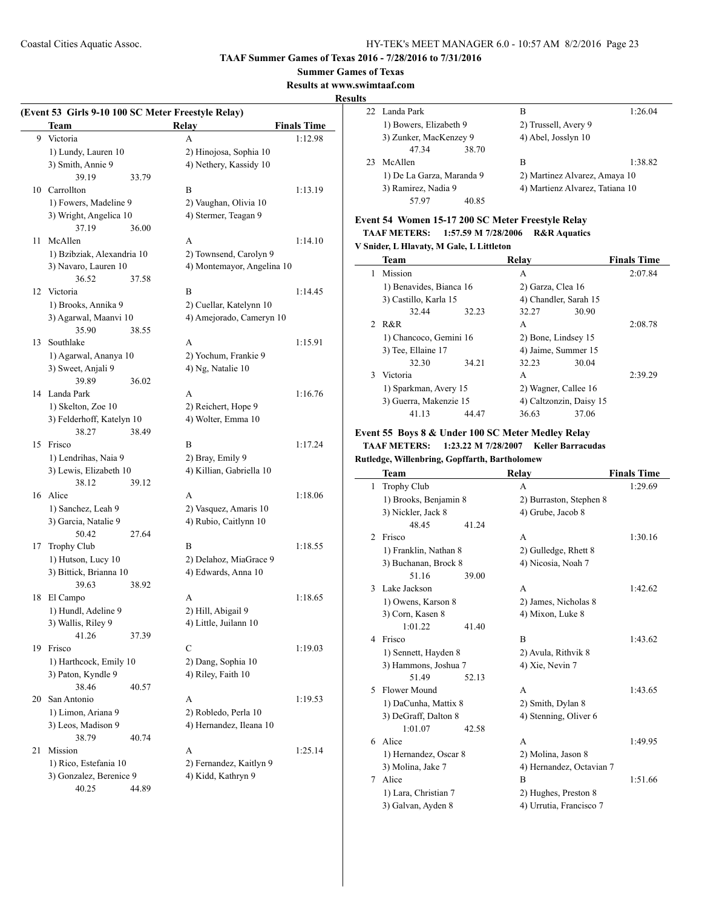#### **Summer Games of Texas**

**Results at www.swimtaaf.com**

#### **Results**

 $\sim$ 

 $\mathcal{L}^{\mathcal{L}}$ 

|    | (Event 53 Girls 9-10 100 SC Meter Freestyle Relay)<br>Team |       | <b>Relay</b>                                        | <b>Finals Time</b> |
|----|------------------------------------------------------------|-------|-----------------------------------------------------|--------------------|
| 9  | Victoria                                                   |       | A                                                   | 1:12.98            |
|    | 1) Lundy, Lauren 10                                        |       | 2) Hinojosa, Sophia 10                              |                    |
|    | 3) Smith, Annie 9                                          |       | 4) Nethery, Kassidy 10                              |                    |
|    | 39.19                                                      | 33.79 |                                                     |                    |
| 10 | Carrollton                                                 |       | B                                                   | 1:13.19            |
|    | 1) Fowers, Madeline 9                                      |       | 2) Vaughan, Olivia 10                               |                    |
|    | 3) Wright, Angelica 10                                     |       | 4) Stermer, Teagan 9                                |                    |
|    | 37.19                                                      | 36.00 |                                                     |                    |
| 11 | McAllen                                                    |       | A                                                   | 1:14.10            |
|    | 1) Bzibziak, Alexandria 10                                 |       | 2) Townsend, Carolyn 9                              |                    |
|    | 3) Navaro, Lauren 10                                       |       | 4) Montemayor, Angelina 10                          |                    |
|    | 36.52                                                      | 37.58 |                                                     |                    |
| 12 | Victoria                                                   |       | B                                                   | 1:14.45            |
|    | 1) Brooks, Annika 9                                        |       |                                                     |                    |
|    | 3) Agarwal, Maanvi 10                                      |       | 2) Cuellar, Katelynn 10<br>4) Amejorado, Cameryn 10 |                    |
|    | 35.90                                                      | 38.55 |                                                     |                    |
| 13 | Southlake                                                  |       | A                                                   |                    |
|    |                                                            |       |                                                     | 1:15.91            |
|    | 1) Agarwal, Ananya 10                                      |       | 2) Yochum, Frankie 9                                |                    |
|    | 3) Sweet, Anjali 9                                         |       | 4) Ng, Natalie 10                                   |                    |
|    | 39.89                                                      | 36.02 |                                                     |                    |
| 14 | Landa Park                                                 |       | A                                                   | 1:16.76            |
|    | 1) Skelton, Zoe 10                                         |       | 2) Reichert, Hope 9                                 |                    |
|    | 3) Felderhoff, Katelyn 10                                  |       | 4) Wolter, Emma 10                                  |                    |
|    | 38.27                                                      | 38.49 |                                                     |                    |
| 15 | Frisco                                                     |       | B                                                   | 1:17.24            |
|    | 1) Lendrihas, Naia 9                                       |       | 2) Bray, Emily 9                                    |                    |
|    | 3) Lewis, Elizabeth 10                                     |       | 4) Killian, Gabriella 10                            |                    |
|    | 38.12                                                      | 39.12 |                                                     |                    |
| 16 | Alice                                                      |       | A                                                   | 1:18.06            |
|    | 1) Sanchez, Leah 9                                         |       | 2) Vasquez, Amaris 10                               |                    |
|    | 3) Garcia, Natalie 9                                       |       | 4) Rubio, Caitlynn 10                               |                    |
|    | 50.42                                                      | 27.64 |                                                     |                    |
| 17 | Trophy Club                                                |       | B                                                   | 1:18.55            |
|    | 1) Hutson, Lucy 10                                         |       | 2) Delahoz, MiaGrace 9                              |                    |
|    | 3) Bittick, Brianna 10                                     |       | 4) Edwards, Anna 10                                 |                    |
|    | 39.63                                                      | 38.92 |                                                     |                    |
| 18 | El Campo                                                   |       | А                                                   | 1:18.65            |
|    | 1) Hundl, Adeline 9                                        |       | 2) Hill, Abigail 9                                  |                    |
|    | 3) Wallis, Riley 9                                         |       | 4) Little, Juilann 10                               |                    |
|    | 41.26                                                      | 37.39 |                                                     |                    |
| 19 | Frisco                                                     |       | C                                                   | 1:19.03            |
|    | 1) Harthcock, Emily 10                                     |       | 2) Dang, Sophia 10                                  |                    |
|    | 3) Paton, Kyndle 9                                         |       | 4) Riley, Faith 10                                  |                    |
|    | 38.46                                                      | 40.57 |                                                     |                    |
| 20 | San Antonio                                                |       | A                                                   | 1:19.53            |
|    | 1) Limon, Ariana 9                                         |       | 2) Robledo, Perla 10                                |                    |
|    | 3) Leos, Madison 9                                         |       | 4) Hernandez, Ileana 10                             |                    |
|    | 38.79                                                      | 40.74 |                                                     |                    |
| 21 | Mission                                                    |       | A                                                   | 1:25.14            |
|    | 1) Rico, Estefania 10                                      |       | 2) Fernandez, Kaitlyn 9                             |                    |
|    | 3) Gonzalez, Berenice 9                                    |       | 4) Kidd, Kathryn 9                                  |                    |
|    | 40.25                                                      | 44.89 |                                                     |                    |
|    |                                                            |       |                                                     |                    |

| э. |                           |                                 |         |  |
|----|---------------------------|---------------------------------|---------|--|
|    | 22 Landa Park             | в                               | 1:26.04 |  |
|    | 1) Bowers, Elizabeth 9    | 2) Trussell, Avery 9            |         |  |
|    | 3) Zunker, MacKenzey 9    | 4) Abel, Josslyn 10             |         |  |
|    | 47.34<br>38.70            |                                 |         |  |
| 23 | McAllen                   | B                               | 1:38.82 |  |
|    | 1) De La Garza, Maranda 9 | 2) Martinez Alvarez, Amaya 10   |         |  |
|    | 3) Ramirez, Nadia 9       | 4) Martienz Alvarez, Tatiana 10 |         |  |
|    | 40.85<br>57.97            |                                 |         |  |

## **Event 54 Women 15-17 200 SC Meter Freestyle Relay**

**TAAF METERS: 1:57.59 M 7/28/2006 R&R Aquatics**

## **V Snider, L Hlavaty, M Gale, L Littleton**

| <b>Team</b>            |       |                         |       | <b>Finals Time</b>                                                                                                  |
|------------------------|-------|-------------------------|-------|---------------------------------------------------------------------------------------------------------------------|
| Mission                |       | A                       |       | 2:07.84                                                                                                             |
|                        |       |                         |       |                                                                                                                     |
| 3) Castillo, Karla 15  |       |                         |       |                                                                                                                     |
| 32.44                  | 32.23 | 32.27                   | 30.90 |                                                                                                                     |
| 2 R&R                  |       | A                       |       | 2:08.78                                                                                                             |
| 1) Chancoco, Gemini 16 |       |                         |       |                                                                                                                     |
| 3) Tee, Ellaine 17     |       |                         |       |                                                                                                                     |
| 32.30                  | 34.21 | 32.23                   | 30.04 |                                                                                                                     |
| Victoria               |       | A                       |       | 2:39.29                                                                                                             |
| 1) Sparkman, Avery 15  |       | 2) Wagner, Callee 16    |       |                                                                                                                     |
| 3) Guerra, Makenzie 15 |       |                         |       |                                                                                                                     |
| 41.13                  | 44 47 | 36.63                   | 37.06 |                                                                                                                     |
|                        |       | 1) Benavides, Bianca 16 | Relav | 2) Garza, Clea 16<br>4) Chandler, Sarah 15<br>2) Bone, Lindsey 15<br>4) Jaime, Summer 15<br>4) Caltzonzin, Daisy 15 |

### **Event 55 Boys 8 & Under 100 SC Meter Medley Relay TAAF METERS: 1:23.22 M 7/28/2007 Keller Barracudas Rutledge, Willenbring, Gopffarth, Bartholomew**

|    | Team                  |       | Relay                    | <b>Finals Time</b> |
|----|-----------------------|-------|--------------------------|--------------------|
| 1  | <b>Trophy Club</b>    |       | A                        | 1:29.69            |
|    | 1) Brooks, Benjamin 8 |       | 2) Burraston, Stephen 8  |                    |
|    | 3) Nickler, Jack 8    |       | 4) Grube, Jacob 8        |                    |
|    | 48.45                 | 41.24 |                          |                    |
| 2  | Frisco                |       | A                        | 1:30.16            |
|    | 1) Franklin, Nathan 8 |       | 2) Gulledge, Rhett 8     |                    |
|    | 3) Buchanan, Brock 8  |       | 4) Nicosia, Noah 7       |                    |
|    | 51.16                 | 39.00 |                          |                    |
| 3  | Lake Jackson          |       | A                        | 1:42.62            |
|    | 1) Owens, Karson 8    |       | 2) James, Nicholas 8     |                    |
|    | 3) Corn, Kasen 8      |       | 4) Mixon, Luke 8         |                    |
|    | 1:01.22               | 41.40 |                          |                    |
| 4  | Frisco                |       | B                        | 1:43.62            |
|    | 1) Sennett, Hayden 8  |       | 2) Avula, Rithvik 8      |                    |
|    | 3) Hammons, Joshua 7  |       | 4) Xie, Nevin 7          |                    |
|    | 51.49                 | 52.13 |                          |                    |
| 5. | Flower Mound          |       | A                        | 1:43.65            |
|    | 1) DaCunha, Mattix 8  |       | 2) Smith, Dylan 8        |                    |
|    | 3) DeGraff, Dalton 8  |       | 4) Stenning, Oliver 6    |                    |
|    | 1:01.07               | 42.58 |                          |                    |
| 6  | Alice                 |       | A                        | 1:49.95            |
|    | 1) Hernandez, Oscar 8 |       | 2) Molina, Jason 8       |                    |
|    | 3) Molina, Jake 7     |       | 4) Hernandez, Octavian 7 |                    |
| 7  | Alice                 |       | B                        | 1:51.66            |
|    | 1) Lara, Christian 7  |       | 2) Hughes, Preston 8     |                    |
|    | 3) Galvan, Ayden 8    |       | 4) Urrutia, Francisco 7  |                    |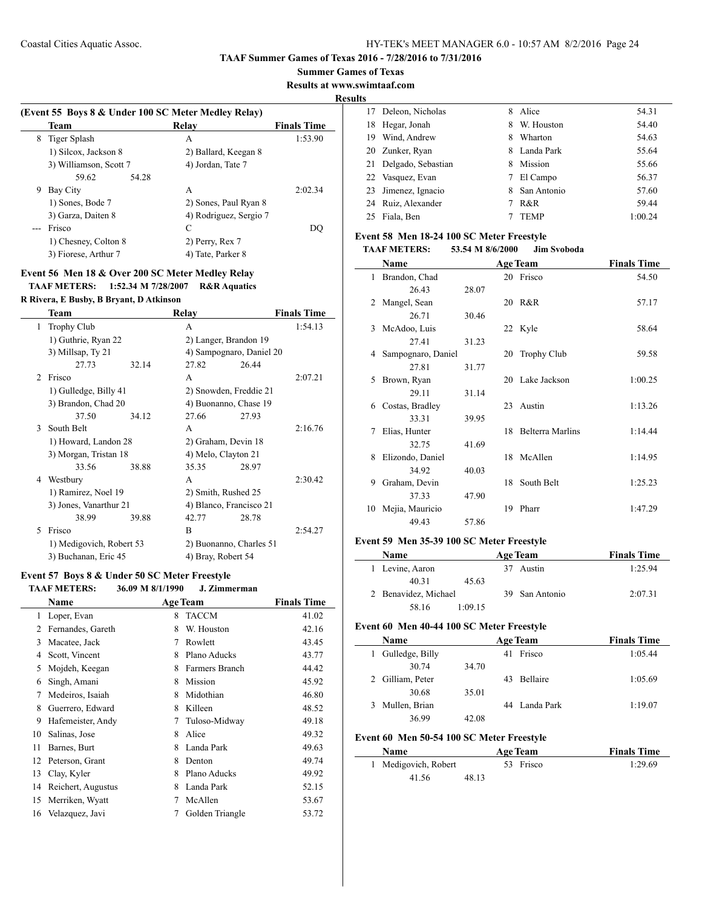**Results at www.swimtaaf.com**

**Results**

 $\overline{\phantom{a}}$ 

 $\frac{1}{2}$ 

|   | <b>Team</b>            | Relay                  | <b>Finals Time</b> |
|---|------------------------|------------------------|--------------------|
| 8 | Tiger Splash           | А                      | 1:53.90            |
|   | 1) Silcox, Jackson 8   | 2) Ballard, Keegan 8   |                    |
|   | 3) Williamson, Scott 7 | 4) Jordan, Tate 7      |                    |
|   | 59.62<br>54.28         |                        |                    |
| 9 | Bay City               | A                      | 2:02.34            |
|   | 1) Sones, Bode 7       | 2) Sones, Paul Ryan 8  |                    |
|   | 3) Garza, Daiten 8     | 4) Rodriguez, Sergio 7 |                    |
|   | Frisco                 | C                      | DO                 |
|   | 1) Chesney, Colton 8   | 2) Perry, Rex 7        |                    |
|   | 3) Fiorese, Arthur 7   | 4) Tate, Parker 8      |                    |

## **Event 56 Men 18 & Over 200 SC Meter Medley Relay TAAF METERS: 1:52.34 M 7/28/2007 R&R Aquatics**

**R Rivera, E Busby, B Bryant, D Atkinson**

 $\overline{a}$ 

|               | Team                     |       | Relay                    |       | <b>Finals Time</b> |
|---------------|--------------------------|-------|--------------------------|-------|--------------------|
| 1             | <b>Trophy Club</b>       |       | A                        |       | 1:54.13            |
|               | 1) Guthrie, Ryan 22      |       | 2) Langer, Brandon 19    |       |                    |
|               | 3) Millsap, Ty 21        |       | 4) Sampognaro, Daniel 20 |       |                    |
|               | 27.73                    | 32.14 | 27.82                    | 26.44 |                    |
| $\mathcal{D}$ | Frisco                   |       | A                        |       | 2:07.21            |
|               | 1) Gulledge, Billy 41    |       | 2) Snowden, Freddie 21   |       |                    |
|               | 3) Brandon, Chad 20      |       | 4) Buonanno, Chase 19    |       |                    |
|               | 37.50                    | 34.12 | 27.66                    | 27.93 |                    |
| 3             | South Belt               |       | A                        |       | 2:16.76            |
|               | 1) Howard, Landon 28     |       | 2) Graham, Devin 18      |       |                    |
|               | 3) Morgan, Tristan 18    |       | 4) Melo, Clayton 21      |       |                    |
|               | 33.56                    | 38.88 | 35.35                    | 28.97 |                    |
| 4             | Westbury                 |       | A                        |       | 2:30.42            |
|               | 1) Ramirez, Noel 19      |       | 2) Smith, Rushed 25      |       |                    |
|               | 3) Jones, Vanarthur 21   |       | 4) Blanco, Francisco 21  |       |                    |
|               | 38.99                    | 39.88 | 42.77                    | 28.78 |                    |
| 5             | Frisco                   |       | R                        |       | 2:54.27            |
|               | 1) Medigovich, Robert 53 |       | 2) Buonanno, Charles 51  |       |                    |
|               | 3) Buchanan, Eric 45     |       | 4) Bray, Robert 54       |       |                    |

## **Event 57 Boys 8 & Under 50 SC Meter Freestyle**

| <b>TAAF METERS:</b> | 36.09 M 8/1/1990 | J. Zimmerman |
|---------------------|------------------|--------------|
|---------------------|------------------|--------------|

|    | Name               |   | <b>Age Team</b> | <b>Finals Time</b> |
|----|--------------------|---|-----------------|--------------------|
| 1  | Loper, Evan        | 8 | <b>TACCM</b>    | 41.02              |
| 2  | Fernandes, Gareth  | 8 | W. Houston      | 42.16              |
| 3  | Macatee, Jack      | 7 | Rowlett         | 43.45              |
| 4  | Scott, Vincent     | 8 | Plano Aducks    | 43.77              |
| 5  | Mojdeh, Keegan     | 8 | Farmers Branch  | 44.42              |
| 6  | Singh, Amani       | 8 | Mission         | 45.92              |
| 7  | Medeiros, Isaiah   | 8 | Midothian       | 46.80              |
| 8  | Guerrero, Edward   | 8 | Killeen         | 48.52              |
| 9  | Hafemeister, Andy  | 7 | Tuloso-Midway   | 49.18              |
| 10 | Salinas, Jose      | 8 | Alice           | 49.32              |
| 11 | Barnes, Burt       | 8 | Landa Park      | 49.63              |
| 12 | Peterson, Grant    | 8 | Denton          | 49.74              |
| 13 | Clay, Kyler        | 8 | Plano Aducks    | 49.92              |
| 14 | Reichert, Augustus | 8 | Landa Park      | 52.15              |
| 15 | Merriken, Wyatt    | 7 | McAllen         | 53.67              |
| 16 | Velazquez, Javi    | 7 | Golden Triangle | 53.72              |
|    |                    |   |                 |                    |

|    | 17 Deleon, Nicholas   | 8 | Alice       | 54.31   |
|----|-----------------------|---|-------------|---------|
|    | 18 Hegar, Jonah       | 8 | W. Houston  | 54.40   |
| 19 | Wind, Andrew          | 8 | Wharton     | 54.63   |
|    | 20 Zunker, Ryan       | 8 | Landa Park  | 55.64   |
|    | 21 Delgado, Sebastian | 8 | Mission     | 55.66   |
|    | 22 Vasquez, Evan      | 7 | El Campo    | 56.37   |
|    | 23 Jimenez, Ignacio   | 8 | San Antonio | 57.60   |
|    | 24 Ruiz, Alexander    |   | R&R         | 59.44   |
| 25 | Fiala, Ben            |   | <b>TEMP</b> | 1:00.24 |
|    |                       |   |             |         |

#### **Event 58 Men 18-24 100 SC Meter Freestyle**

#### **TAAF METERS: 53.54 M 8/6/2000 Jim Svoboda**

|    | Name               |       |    | <b>Age Team</b>         | <b>Finals Time</b> |
|----|--------------------|-------|----|-------------------------|--------------------|
| 1  | Brandon, Chad      |       |    | 20 Frisco               | 54.50              |
|    | 26.43              | 28.07 |    |                         |                    |
| 2  | Mangel, Sean       |       |    | 20 R&R                  | 57.17              |
|    | 26.71              | 30.46 |    |                         |                    |
| 3  | McAdoo, Luis       |       |    | 22 Kyle                 | 58.64              |
|    | 27.41              | 31.23 |    |                         |                    |
| 4  | Sampognaro, Daniel |       | 20 | <b>Trophy Club</b>      | 59.58              |
|    | 27.81              | 31.77 |    |                         |                    |
| 5  | Brown, Ryan        |       |    | 20 Lake Jackson         | 1:00.25            |
|    | 29.11              | 31.14 |    |                         |                    |
| 6  | Costas, Bradley    |       |    | 23 Austin               | 1:13.26            |
|    | 33.31              | 39.95 |    |                         |                    |
| 7  | Elias, Hunter      |       | 18 | <b>Belterra Marlins</b> | 1:14.44            |
|    | 32.75              | 41.69 |    |                         |                    |
| 8  | Elizondo, Daniel   |       |    | 18 McAllen              | 1:14.95            |
|    | 34.92              | 40.03 |    |                         |                    |
| 9  | Graham, Devin      |       | 18 | South Belt              | 1:25.23            |
|    | 37.33              | 47.90 |    |                         |                    |
| 10 | Mejia, Mauricio    |       | 19 | Pharr                   | 1:47.29            |
|    | 49.43              | 57.86 |    |                         |                    |

## **Event 59 Men 35-39 100 SC Meter Freestyle**

| <b>Name</b>          |         | <b>Age Team</b> | <b>Finals Time</b> |
|----------------------|---------|-----------------|--------------------|
| 1 Levine, Aaron      |         | Austin          | 1:25.94            |
| 40 31                | 45.63   |                 |                    |
| 2 Benavidez, Michael |         | 39 San Antonio  | 2:07.31            |
| 58.16                | 1:09.15 |                 |                    |

#### **Event 60 Men 40-44 100 SC Meter Freestyle**

| Name                  |       | <b>Age Team</b> | <b>Finals Time</b> |  |
|-----------------------|-------|-----------------|--------------------|--|
| Gulledge, Billy<br>1. |       | Frisco<br>41    | 1:05.44            |  |
| 30.74                 | 34.70 |                 |                    |  |
| 2 Gilliam, Peter      |       | Bellaire<br>43  | 1:05.69            |  |
| 30.68                 | 35.01 |                 |                    |  |
| Mullen, Brian<br>3.   |       | 44 Landa Park   | 1:19.07            |  |
| 36.99                 | 42.08 |                 |                    |  |
|                       |       |                 |                    |  |

## **Event 60 Men 50-54 100 SC Meter Freestyle**

| <b>Name</b> |                      |       | <b>Age Team</b> | <b>Finals Time</b> |
|-------------|----------------------|-------|-----------------|--------------------|
|             | 1 Medigovich, Robert |       | 53 Frisco       | 1:29.69            |
|             | 41.56                | 48.13 |                 |                    |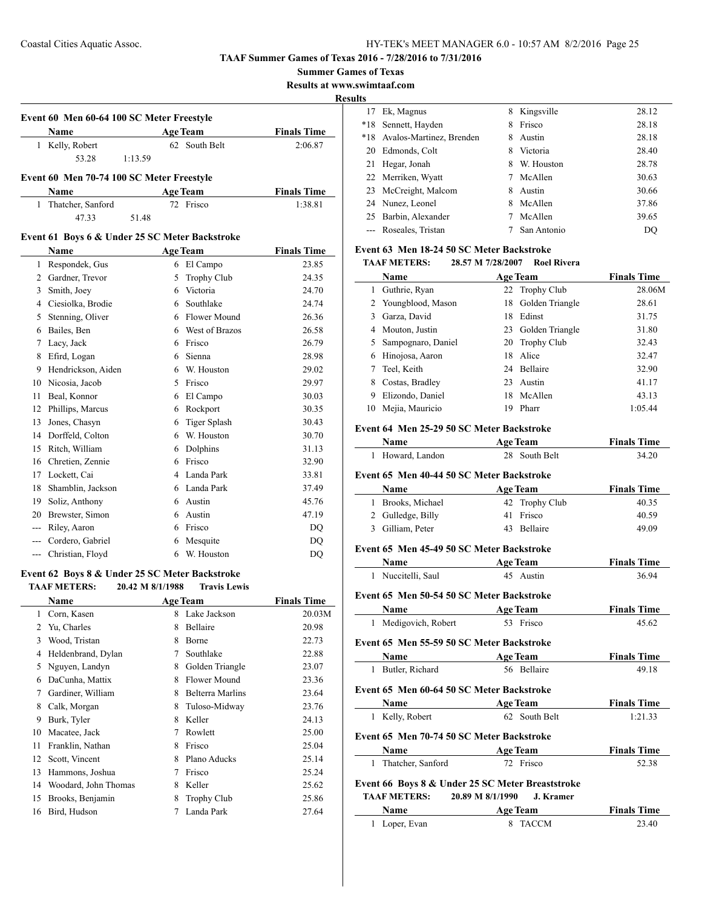| <b>Summer Games of Texas</b> |
|------------------------------|
|------------------------------|

**Results at www.swimtaaf.com**

#### **Results**

 $\overline{\phantom{a}}$ 

|    | Event 60 Men 60-64 100 SC Meter Freestyle      |         |   |                     |                    |
|----|------------------------------------------------|---------|---|---------------------|--------------------|
|    | <b>Name</b>                                    |         |   | <b>Age Team</b>     | <b>Finals Time</b> |
|    | 1 Kelly, Robert                                |         |   | 62 South Belt       | 2:06.87            |
|    | 53.28                                          | 1:13.59 |   |                     |                    |
|    | Event 60 Men 70-74 100 SC Meter Freestyle      |         |   |                     |                    |
|    | Name                                           |         |   | <b>Age Team</b>     | <b>Finals Time</b> |
| 1  | Thatcher, Sanford                              |         |   | 72 Frisco           | 1:38.81            |
|    | 47.33                                          | 51.48   |   |                     |                    |
|    | Event 61 Boys 6 & Under 25 SC Meter Backstroke |         |   |                     |                    |
|    | <b>Name</b>                                    |         |   | <b>Age Team</b>     | <b>Finals Time</b> |
| 1  | Respondek, Gus                                 |         |   | 6 El Campo          | 23.85              |
| 2  | Gardner, Trevor                                |         | 5 | Trophy Club         | 24.35              |
| 3  | Smith, Joey                                    |         | 6 | Victoria            | 24.70              |
| 4  | Ciesiolka, Brodie                              |         | 6 | Southlake           | 24.74              |
| 5  | Stenning, Oliver                               |         |   | 6 Flower Mound      | 26.36              |
| 6  | Bailes, Ben                                    |         | 6 | West of Brazos      | 26.58              |
| 7  | Lacy, Jack                                     |         | 6 | Frisco              | 26.79              |
| 8  | Efird, Logan                                   |         | 6 | Sienna              | 28.98              |
| 9  | Hendrickson, Aiden                             |         | 6 | W. Houston          | 29.02              |
| 10 | Nicosia, Jacob                                 |         | 5 | Frisco              | 29.97              |
| 11 | Beal, Konnor                                   |         | 6 | El Campo            | 30.03              |
| 12 | Phillips, Marcus                               |         | 6 | Rockport            | 30.35              |
| 13 | Jones, Chasyn                                  |         | 6 | <b>Tiger Splash</b> | 30.43              |
| 14 | Dorffeld, Colton                               |         | 6 | W. Houston          | 30.70              |
| 15 | Ritch, William                                 |         | 6 | Dolphins            | 31.13              |
| 16 | Chretien, Zennie                               |         | 6 | Frisco              | 32.90              |
| 17 | Lockett, Cai                                   |         | 4 | Landa Park          | 33.81              |
| 18 | Shamblin, Jackson                              |         | 6 | Landa Park          | 37.49              |

## 20 Brewster, Simon 6 Austin 47.19 --- Riley, Aaron 6 Frisco DQ --- Cordero, Gabriel 6 Mesquite DQ --- Christian, Floyd 6 W. Houston DQ

19 Soliz, Anthony 6 Austin 45.76

## **Event 62 Boys 8 & Under 25 SC Meter Backstroke**

|    | <b>TAAF METERS:</b>  | 20.42 M 8/1/1988 | <b>Travis Lewis</b> |                    |
|----|----------------------|------------------|---------------------|--------------------|
|    | Name                 |                  | <b>Age Team</b>     | <b>Finals Time</b> |
| 1  | Corn, Kasen          | 8                | Lake Jackson        | 20.03M             |
| 2  | Yu, Charles          | 8                | Bellaire            | 20.98              |
| 3  | Wood, Tristan        | 8                | Borne               | 22.73              |
| 4  | Heldenbrand, Dylan   | 7                | Southlake           | 22.88              |
| 5  | Nguyen, Landyn       | 8                | Golden Triangle     | 23.07              |
| 6  | DaCunha, Mattix      | 8                | Flower Mound        | 23.36              |
| 7  | Gardiner, William    | 8                | Belterra Marlins    | 23.64              |
| 8  | Calk, Morgan         | 8                | Tuloso-Midway       | 23.76              |
| 9  | Burk, Tyler          | 8                | Keller              | 24.13              |
| 10 | Macatee, Jack        | 7                | Rowlett             | 25.00              |
| 11 | Franklin, Nathan     | 8                | Frisco              | 25.04              |
| 12 | Scott, Vincent       | 8                | Plano Aducks        | 25.14              |
| 13 | Hammons, Joshua      | 7                | Frisco              | 25.24              |
| 14 | Woodard, John Thomas | 8                | Keller              | 25.62              |
| 15 | Brooks, Benjamin     | 8                | <b>Trophy Club</b>  | 25.86              |
| 16 | Bird, Hudson         | 7                | Landa Park          | 27.64              |
|    |                      |                  |                     |                    |

| LS.   |                              |   |             |       |
|-------|------------------------------|---|-------------|-------|
| 17    | Ek, Magnus                   | 8 | Kingsville  | 28.12 |
| $*18$ | Sennett, Hayden              | 8 | Frisco      | 28.18 |
|       | *18 Avalos-Martinez, Brenden | 8 | Austin      | 28.18 |
|       | 20 Edmonds, Colt             | 8 | Victoria    | 28.40 |
| 21    | Hegar, Jonah                 | 8 | W. Houston  | 28.78 |
|       | 22 Merriken, Wyatt           | 7 | McAllen     | 30.63 |
|       | 23 McCreight, Malcom         | 8 | Austin      | 30.66 |
|       | 24 Nunez, Leonel             | 8 | McAllen     | 37.86 |
|       | 25 Barbin, Alexander         |   | McAllen     | 39.65 |
|       | --- Roseales, Tristan        |   | San Antonio | DO    |

#### **Event 63 Men 18-24 50 SC Meter Backstroke**

#### **TAAF METERS: 28.57 M 7/28/2007 Roel Rivera**

|    | Name                 |    | <b>Age Team</b>    | <b>Finals Time</b> |
|----|----------------------|----|--------------------|--------------------|
|    | Guthrie, Ryan        |    | 22 Trophy Club     | 28.06M             |
|    | 2 Youngblood, Mason  |    | 18 Golden Triangle | 28.61              |
| 3  | Garza, David         | 18 | Edinst             | 31.75              |
| 4  | Mouton, Justin       |    | 23 Golden Triangle | 31.80              |
|    | 5 Sampognaro, Daniel |    | 20 Trophy Club     | 32.43              |
| 6  | Hinojosa, Aaron      | 18 | Alice              | 32.47              |
|    | Teel, Keith          |    | 24 Bellaire        | 32.90              |
| 8  | Costas, Bradley      | 23 | Austin             | 41.17              |
| 9  | Elizondo, Daniel     | 18 | McAllen            | 43.13              |
| 10 | Mejia, Mauricio      | 19 | Pharr              | 1:05.44            |

## **Event 64 Men 25-29 50 SC Meter Backstroke**

| Name Age Team                             |                                                                                | <b>Finals Time</b> |  |  |  |
|-------------------------------------------|--------------------------------------------------------------------------------|--------------------|--|--|--|
| 1 Howard, Landon                          | 28 South Belt                                                                  | 34.20              |  |  |  |
| Event 65 Men 40-44 50 SC Meter Backstroke |                                                                                |                    |  |  |  |
| Name                                      | <b>Example 2</b> Age Team                                                      | <b>Finals Time</b> |  |  |  |
| 1 Brooks, Michael                         | 42 Trophy Club                                                                 | 40.35              |  |  |  |
| 2 Gulledge, Billy                         | 41 Frisco                                                                      | 40.59              |  |  |  |
| 3 Gilliam, Peter                          | 43 Bellaire                                                                    | 49.09              |  |  |  |
| Event 65 Men 45-49 50 SC Meter Backstroke |                                                                                |                    |  |  |  |
| <b>Name</b>                               | <b>Example 2 Age Team</b>                                                      | <b>Finals Time</b> |  |  |  |
| 1 Nuccitelli, Saul                        | 45 Austin                                                                      | 36.94              |  |  |  |
| Event 65 Men 50-54 50 SC Meter Backstroke |                                                                                |                    |  |  |  |
| <b>Name</b>                               | <b>Age Team</b>                                                                | <b>Finals Time</b> |  |  |  |
| 1 Medigovich, Robert                      | 53 Frisco                                                                      | 45.62              |  |  |  |
| Event 65 Men 55-59 50 SC Meter Backstroke |                                                                                |                    |  |  |  |
| Name                                      | <b>Example 2</b> Age Team                                                      | <b>Finals Time</b> |  |  |  |
| 1 Butler, Richard                         | 56 Bellaire                                                                    | 49.18              |  |  |  |
| Event 65 Men 60-64 50 SC Meter Backstroke |                                                                                |                    |  |  |  |
| Name                                      | <b>Age Team</b>                                                                | <b>Finals Time</b> |  |  |  |
| 1 Kelly, Robert                           | 62 South Belt                                                                  | 1:21.33            |  |  |  |
| Event 65 Men 70-74 50 SC Meter Backstroke |                                                                                |                    |  |  |  |
| <b>Name</b>                               | <b>Example 2 Age Team</b>                                                      | <b>Finals Time</b> |  |  |  |
| 1 Thatcher, Sanford                       | 72 Frisco                                                                      | 52.38              |  |  |  |
|                                           |                                                                                |                    |  |  |  |
| TAAF METERS:                              | Event 66 Boys 8 & Under 25 SC Meter Breaststroke<br>20.89 M 8/1/1990 J. Kramer |                    |  |  |  |
| Name                                      | <b>Example 2018</b> Age Team                                                   | <b>Finals Time</b> |  |  |  |
| 1 Loper, Evan                             | 8 TACCM                                                                        | 23.40              |  |  |  |
|                                           |                                                                                |                    |  |  |  |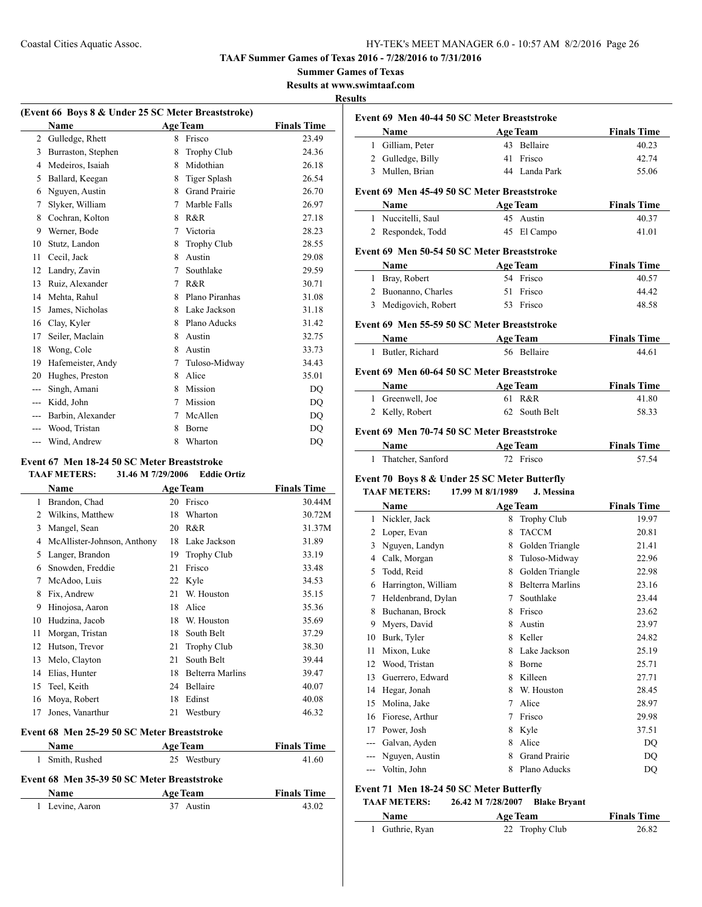**Summer Games of Texas**

**Results at www.swimtaaf.com**

#### **Results**

| (Event 66 Boys 8 & Under 25 SC Meter Breaststroke) |                    |   |                      |                    |  |  |
|----------------------------------------------------|--------------------|---|----------------------|--------------------|--|--|
|                                                    | <b>Name</b>        |   | <b>Age Team</b>      | <b>Finals Time</b> |  |  |
| 2                                                  | Gulledge, Rhett    | 8 | Frisco               | 23.49              |  |  |
| 3                                                  | Burraston, Stephen | 8 | <b>Trophy Club</b>   | 24.36              |  |  |
| 4                                                  | Medeiros, Isaiah   | 8 | Midothian            | 26.18              |  |  |
| 5                                                  | Ballard, Keegan    | 8 | <b>Tiger Splash</b>  | 26.54              |  |  |
| 6                                                  | Nguyen, Austin     | 8 | <b>Grand Prairie</b> | 26.70              |  |  |
| 7                                                  | Slyker, William    | 7 | Marble Falls         | 26.97              |  |  |
| 8                                                  | Cochran, Kolton    | 8 | R&R                  | 27.18              |  |  |
| 9                                                  | Werner, Bode       | 7 | Victoria             | 28.23              |  |  |
| 10                                                 | Stutz, Landon      | 8 | <b>Trophy Club</b>   | 28.55              |  |  |
| 11                                                 | Cecil, Jack        | 8 | Austin               | 29.08              |  |  |
| 12                                                 | Landry, Zavin      | 7 | Southlake            | 29.59              |  |  |
| 13                                                 | Ruiz, Alexander    | 7 | R&R                  | 30.71              |  |  |
| 14                                                 | Mehta, Rahul       | 8 | Plano Piranhas       | 31.08              |  |  |
| 15                                                 | James, Nicholas    | 8 | Lake Jackson         | 31.18              |  |  |
| 16                                                 | Clay, Kyler        | 8 | Plano Aducks         | 31.42              |  |  |
| 17                                                 | Seiler, Maclain    | 8 | Austin               | 32.75              |  |  |
| 18                                                 | Wong, Cole         | 8 | Austin               | 33.73              |  |  |
| 19                                                 | Hafemeister, Andy  | 7 | Tuloso-Midway        | 34.43              |  |  |
| 20                                                 | Hughes, Preston    | 8 | Alice                | 35.01              |  |  |
| ---                                                | Singh, Amani       | 8 | Mission              | D <sub>O</sub>     |  |  |
| ---                                                | Kidd, John         | 7 | Mission              | D <sub>O</sub>     |  |  |
| ---                                                | Barbin, Alexander  | 7 | McAllen              | D <sub>O</sub>     |  |  |
| ---                                                | Wood, Tristan      | 8 | Borne                | <b>DQ</b>          |  |  |
| ---                                                | Wind, Andrew       | 8 | Wharton              | DQ                 |  |  |
|                                                    |                    |   |                      |                    |  |  |

## **Event 67 Men 18-24 50 SC Meter Breaststroke**

#### **TAAF METERS: 31.46 M 7/29/2006 Eddie Ortiz**

|    | <b>Name</b>                 |    | <b>Age Team</b>    | <b>Finals Time</b> |
|----|-----------------------------|----|--------------------|--------------------|
| 1  | Brandon, Chad               | 20 | Frisco             | 30.44M             |
| 2  | Wilkins, Matthew            | 18 | Wharton            | 30.72M             |
| 3  | Mangel, Sean                | 20 | R&R                | 31.37M             |
| 4  | McAllister-Johnson, Anthony | 18 | Lake Jackson       | 31.89              |
| 5  | Langer, Brandon             | 19 | <b>Trophy Club</b> | 33.19              |
| 6  | Snowden, Freddie            | 21 | Frisco             | 33.48              |
| 7  | McAdoo, Luis                | 22 | Kyle               | 34.53              |
| 8  | Fix, Andrew                 | 21 | W. Houston         | 35.15              |
| 9  | Hinojosa, Aaron             | 18 | Alice              | 35.36              |
| 10 | Hudzina, Jacob              | 18 | W. Houston         | 35.69              |
| 11 | Morgan, Tristan             | 18 | South Belt         | 37.29              |
| 12 | Hutson, Trevor              | 21 | <b>Trophy Club</b> | 38.30              |
| 13 | Melo, Clayton               | 21 | South Belt         | 39.44              |
| 14 | Elias, Hunter               | 18 | Belterra Marlins   | 39.47              |
| 15 | Teel, Keith                 | 24 | Bellaire           | 40.07              |
| 16 | Moya, Robert                | 18 | Edinst             | 40.08              |
| 17 | Jones, Vanarthur            | 21 | Westbury           | 46.32              |

#### **Event 68 Men 25-29 50 SC Meter Breaststroke**

| <b>Name</b>     | <b>Age Team</b>                             | <b>Finals Time</b> |
|-----------------|---------------------------------------------|--------------------|
| 1 Smith, Rushed | 25 Westbury                                 | 41.60              |
|                 | Event 68 Men 35-39 50 SC Meter Breaststroke |                    |
|                 |                                             | --                 |

| <b>Name</b>     | <b>Age Team</b> | <b>Finals Time</b> |
|-----------------|-----------------|--------------------|
| 1 Levine, Aaron | 37 Austin       | 43.02              |

|       | Event 69 Men 40-44 50 SC Meter Breaststroke   |                   |                        |                    |  |  |
|-------|-----------------------------------------------|-------------------|------------------------|--------------------|--|--|
|       | Name                                          |                   | <b>Age Team</b>        | <b>Finals Time</b> |  |  |
|       | 1 Gilliam, Peter                              |                   | 43 Bellaire            | 40.23              |  |  |
|       | 2 Gulledge, Billy                             |                   | 41 Frisco              | 42.74              |  |  |
|       | 3 Mullen, Brian                               |                   | 44 Landa Park          | 55.06              |  |  |
|       | Event 69 Men 45-49 50 SC Meter Breaststroke   |                   |                        |                    |  |  |
|       | Name                                          |                   | <b>Age Team</b>        | <b>Finals Time</b> |  |  |
|       | 1 Nuccitelli, Saul                            |                   | 45 Austin              | 40.37              |  |  |
|       | 2 Respondek, Todd                             |                   | 45 El Campo            | 41.01              |  |  |
|       |                                               |                   |                        |                    |  |  |
|       | Event 69 Men 50-54 50 SC Meter Breaststroke   |                   |                        |                    |  |  |
|       | Name                                          |                   | <b>Age Team</b>        | <b>Finals Time</b> |  |  |
|       | 1 Bray, Robert                                |                   | 54 Frisco              | 40.57              |  |  |
|       | 2 Buonanno, Charles                           |                   | 51 Frisco<br>53 Frisco | 44.42              |  |  |
|       | 3 Medigovich, Robert                          |                   |                        | 48.58              |  |  |
|       | Event 69 Men 55-59 50 SC Meter Breaststroke   |                   |                        |                    |  |  |
|       | Name                                          |                   | <b>Age Team</b>        | <b>Finals Time</b> |  |  |
|       | 1 Butler, Richard                             |                   | 56 Bellaire            | 44.61              |  |  |
|       | Event 69 Men 60-64 50 SC Meter Breaststroke   |                   |                        |                    |  |  |
|       | Name                                          |                   | <b>Age Team</b>        | <b>Finals Time</b> |  |  |
|       | 1 Greenwell, Joe                              |                   | 61 R&R                 | 41.80              |  |  |
|       | 2 Kelly, Robert                               |                   | 62 South Belt          | 58.33              |  |  |
|       |                                               |                   |                        |                    |  |  |
|       | Event 69 Men 70-74 50 SC Meter Breaststroke   |                   |                        |                    |  |  |
|       | Name                                          |                   | <b>Age Team</b>        | <b>Finals Time</b> |  |  |
|       | 1 Thatcher, Sanford                           |                   | 72 Frisco              | 57.54              |  |  |
|       | Event 70 Boys 8 & Under 25 SC Meter Butterfly |                   |                        |                    |  |  |
|       | <b>TAAF METERS:</b>                           | 17.99 M 8/1/1989  | J. Messina             |                    |  |  |
|       | <b>Name</b>                                   |                   | <b>Age Team</b>        | <b>Finals Time</b> |  |  |
|       | 1 Nickler, Jack                               |                   | 8 Trophy Club          | 19.97              |  |  |
|       | 2 Loper, Evan                                 |                   | 8 TACCM                | 20.81              |  |  |
|       | 3 Nguyen, Landyn                              |                   | 8 Golden Triangle      | 21.41              |  |  |
|       | 4 Calk, Morgan                                |                   | 8 Tuloso-Midway        | 22.96              |  |  |
|       | 5 Todd, Reid                                  |                   | 8 Golden Triangle      | 22.98              |  |  |
|       | 6 Harrington, William                         |                   | 8 Belterra Marlins     | 23.16              |  |  |
|       | 7 Heldenbrand, Dylan                          |                   | 7 Southlake            | 23.44              |  |  |
| 8     | Buchanan, Brock                               |                   | 8 Frisco               | 23.62              |  |  |
| 9     | Myers, David                                  |                   | 8 Austin               | 23.97              |  |  |
| 10    | Burk, Tyler                                   |                   | 8 Keller               | 24.82              |  |  |
| 11    | Mixon, Luke                                   |                   | 8 Lake Jackson         | 25.19              |  |  |
| 12    | Wood, Tristan                                 |                   | 8 Borne                | 25.71              |  |  |
| 13    | Guerrero, Edward                              |                   | 8 Killeen              | 27.71              |  |  |
| 14    | Hegar, Jonah                                  |                   | 8 W. Houston           | 28.45              |  |  |
| 15    | Molina, Jake                                  |                   | 7 Alice                | 28.97              |  |  |
|       | 16 Fiorese, Arthur                            |                   | 7 Frisco               | 29.98              |  |  |
| 17    | Power, Josh                                   |                   | 8 Kyle                 | 37.51              |  |  |
|       | --- Galvan, Ayden                             |                   | 8 Alice                | DQ                 |  |  |
|       | --- Nguyen, Austin                            |                   | 8 Grand Prairie        | DQ                 |  |  |
| $---$ | Voltin, John                                  | 8                 | Plano Aducks           | DQ                 |  |  |
|       | Event 71 Men 18-24 50 SC Meter Butterfly      |                   |                        |                    |  |  |
|       | <b>TAAF METERS:</b>                           | 26.42 M 7/28/2007 | <b>Blake Bryant</b>    |                    |  |  |
|       | Name                                          |                   | <b>Age Team</b>        | <b>Finals Time</b> |  |  |

Guthrie, Ryan 22 Trophy Club 26.82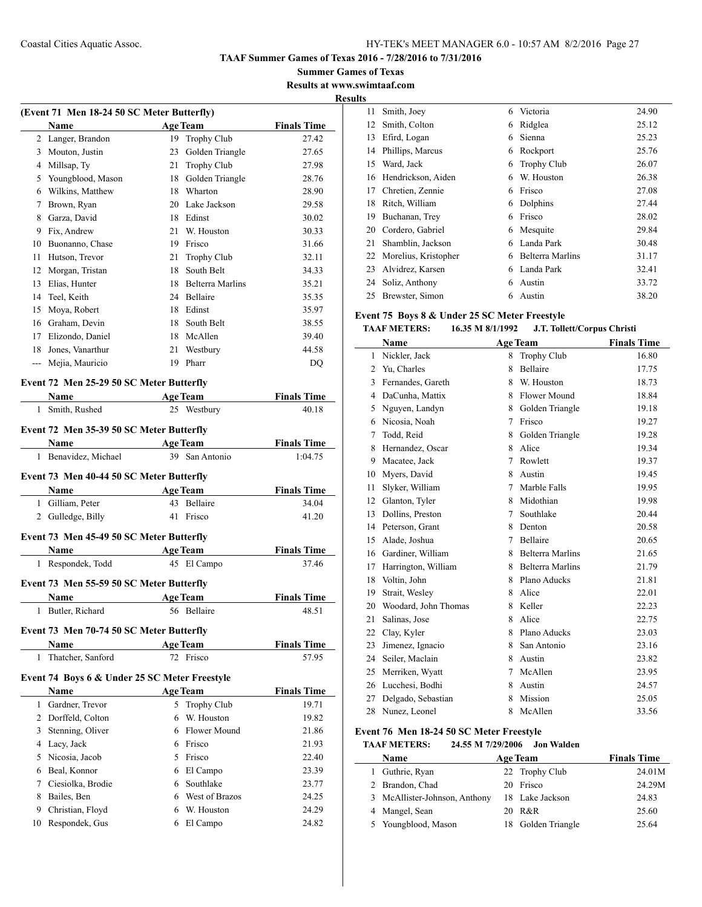**Summer Games of Texas Results at www.swimtaaf.com**

#### **Results**

|    | (Event 71 Men 18-24 50 SC Meter Butterfly) |    |                         |                    |  |  |  |
|----|--------------------------------------------|----|-------------------------|--------------------|--|--|--|
|    | <b>Name</b>                                |    | <b>Age Team</b>         | <b>Finals Time</b> |  |  |  |
| 2  | Langer, Brandon                            | 19 | <b>Trophy Club</b>      | 27.42              |  |  |  |
| 3  | Mouton, Justin                             | 23 | Golden Triangle         | 27.65              |  |  |  |
| 4  | Millsap, Ty                                | 21 | <b>Trophy Club</b>      | 27.98              |  |  |  |
| 5  | Youngblood, Mason                          | 18 | Golden Triangle         | 28.76              |  |  |  |
| 6  | Wilkins, Matthew                           | 18 | Wharton                 | 28.90              |  |  |  |
| 7  | Brown, Ryan                                | 20 | Lake Jackson            | 29.58              |  |  |  |
| 8  | Garza, David                               | 18 | Edinst                  | 30.02              |  |  |  |
| 9  | Fix, Andrew                                | 21 | W. Houston              | 30.33              |  |  |  |
| 10 | Buonanno, Chase                            | 19 | Frisco                  | 31.66              |  |  |  |
| 11 | Hutson, Trevor                             | 21 | <b>Trophy Club</b>      | 32.11              |  |  |  |
| 12 | Morgan, Tristan                            | 18 | South Belt              | 34.33              |  |  |  |
| 13 | Elias, Hunter                              | 18 | <b>Belterra Marlins</b> | 35.21              |  |  |  |
| 14 | Teel, Keith                                | 24 | Bellaire                | 35.35              |  |  |  |
| 15 | Moya, Robert                               | 18 | Edinst                  | 35.97              |  |  |  |
| 16 | Graham, Devin                              | 18 | South Belt              | 38.55              |  |  |  |
| 17 | Elizondo, Daniel                           | 18 | McAllen                 | 39.40              |  |  |  |
| 18 | Jones, Vanarthur                           | 21 | Westbury                | 44.58              |  |  |  |
|    | Mejia, Mauricio                            | 19 | Pharr                   | DQ                 |  |  |  |
|    |                                            |    |                         |                    |  |  |  |

## **Event 72 Men 25-29 50 SC Meter Butterfly**

|              | Name                                          | <b>Age Team</b>     | <b>Finals Time</b> |
|--------------|-----------------------------------------------|---------------------|--------------------|
| 1            | Smith, Rushed                                 | 25 Westbury         | 40.18              |
|              | Event 72 Men 35-39 50 SC Meter Butterfly      |                     |                    |
|              | Name                                          | <b>Age Team</b>     | <b>Finals Time</b> |
| $\mathbf{1}$ | Benavidez, Michael                            | 39 San Antonio      | 1:04.75            |
|              | Event 73 Men 40-44 50 SC Meter Butterfly      |                     |                    |
|              | <b>Name</b>                                   | <b>Age Team</b>     | <b>Finals Time</b> |
|              | 1 Gilliam, Peter                              | 43 Bellaire         | 34.04              |
| 2            | Gulledge, Billy                               | Frisco<br>41        | 41.20              |
|              | Event 73 Men 45-49 50 SC Meter Butterfly      |                     |                    |
|              | <b>Name</b>                                   | <b>Age Team</b>     | <b>Finals Time</b> |
| 1            | Respondek, Todd                               | 45 El Campo         | 37.46              |
|              | Event 73 Men 55-59 50 SC Meter Butterfly      |                     |                    |
|              | Name                                          | <b>Age Team</b>     | <b>Finals Time</b> |
| $\mathbf{1}$ | Butler, Richard                               | 56 Bellaire         | 48.51              |
|              | Event 73 Men 70-74 50 SC Meter Butterfly      |                     |                    |
|              | <b>Name</b>                                   | <b>Age Team</b>     | <b>Finals Time</b> |
|              | 1 Thatcher, Sanford                           | 72 Frisco           | 57.95              |
|              | Event 74 Boys 6 & Under 25 SC Meter Freestyle |                     |                    |
|              | <b>Name</b>                                   | <b>Age Team</b>     | <b>Finals Time</b> |
|              | 1 Gardner, Trevor                             | 5 Trophy Club       | 19.71              |
| 2            | Dorffeld, Colton                              | W. Houston<br>6     | 19.82              |
| 3            | Stenning, Oliver                              | <b>Flower Mound</b> | 21.86              |
| 4            | Lacy, Jack                                    | Frisco<br>6         | 21.93              |

 Nicosia, Jacob 5 Frisco 22.40 Beal, Konnor 6 El Campo 23.39 Ciesiolka, Brodie 6 Southlake 23.77 8 Bailes, Ben 6 West of Brazos 24.25 9 Christian, Floyd 6 W. Houston 24.29 10 Respondek, Gus 6 El Campo 24.82

|    | ımtaai.com              |   |                    |       |
|----|-------------------------|---|--------------------|-------|
| 11 | Smith, Joey             | 6 | Victoria           | 24.90 |
|    | 12 Smith, Colton        | 6 | Ridglea            | 25.12 |
| 13 | Efird, Logan            | 6 | Sienna             | 25.23 |
|    | 14 Phillips, Marcus     | 6 | Rockport           | 25.76 |
|    | 15 Ward, Jack           | 6 | <b>Trophy Club</b> | 26.07 |
|    | 16 Hendrickson, Aiden   | 6 | W. Houston         | 26.38 |
|    | 17 Chretien, Zennie     | 6 | Frisco             | 27.08 |
|    | 18 Ritch, William       | 6 | Dolphins           | 27.44 |
| 19 | Buchanan, Trey          | 6 | Frisco             | 28.02 |
| 20 | Cordero, Gabriel        | 6 | Mesquite           | 29.84 |
| 21 | Shamblin, Jackson       | 6 | Landa Park         | 30.48 |
|    | 22 Morelius, Kristopher | 6 | Belterra Marlins   | 31.17 |
|    | 23 Alvidrez, Karsen     | 6 | Landa Park         | 32.41 |
|    | 24 Soliz, Anthony       | 6 | Austin             | 33.72 |

## **Event 75 Boys 8 & Under 25 SC Meter Freestyle**

### **TAAF METERS: 16.35 M 8/1/1992 J.T. Tollett/Corpus Christi**

25 Brewster, Simon 6 Austin 38.20

|                | Name                 |   | <b>Age Team</b>         | <b>Finals Time</b> |
|----------------|----------------------|---|-------------------------|--------------------|
| 1              | Nickler, Jack        | 8 | <b>Trophy Club</b>      | 16.80              |
| $\overline{2}$ | Yu, Charles          | 8 | Bellaire                | 17.75              |
| 3              | Fernandes, Gareth    | 8 | W. Houston              | 18.73              |
| 4              | DaCunha, Mattix      | 8 | Flower Mound            | 18.84              |
| 5              | Nguyen, Landyn       | 8 | Golden Triangle         | 19.18              |
| 6              | Nicosia, Noah        | 7 | Frisco                  | 19.27              |
| 7              | Todd, Reid           | 8 | Golden Triangle         | 19.28              |
| 8              | Hernandez, Oscar     | 8 | Alice                   | 19.34              |
| 9              | Macatee, Jack        | 7 | Rowlett                 | 19.37              |
| 10             | Myers, David         | 8 | Austin                  | 19.45              |
| 11             | Slyker, William      | 7 | Marble Falls            | 19.95              |
| 12             | Glanton, Tyler       | 8 | Midothian               | 19.98              |
| 13             | Dollins, Preston     | 7 | Southlake               | 20.44              |
| 14             | Peterson, Grant      | 8 | Denton                  | 20.58              |
| 15             | Alade, Joshua        | 7 | Bellaire                | 20.65              |
| 16             | Gardiner, William    | 8 | <b>Belterra Marlins</b> | 21.65              |
| 17             | Harrington, William  | 8 | <b>Belterra Marlins</b> | 21.79              |
| 18             | Voltin, John         | 8 | Plano Aducks            | 21.81              |
| 19             | Strait, Wesley       | 8 | Alice                   | 22.01              |
| 20             | Woodard, John Thomas | 8 | Keller                  | 22.23              |
| 21             | Salinas, Jose        | 8 | Alice                   | 22.75              |
| 22             | Clay, Kyler          | 8 | Plano Aducks            | 23.03              |
| 23             | Jimenez, Ignacio     | 8 | San Antonio             | 23.16              |
| 24             | Seiler, Maclain      | 8 | Austin                  | 23.82              |
| 25             | Merriken, Wyatt      | 7 | McAllen                 | 23.95              |
| 26             | Lucchesi, Bodhi      | 8 | Austin                  | 24.57              |
| 27             | Delgado, Sebastian   | 8 | Mission                 | 25.05              |
| 28             | Nunez, Leonel        | 8 | McAllen                 | 33.56              |

#### **Event 76 Men 18-24 50 SC Meter Freestyle**

#### **TAAF METERS: 24.55 M 7/29/2006 Jon Walden**

| <b>Name</b>                   | <b>Age Team</b> | <b>Finals Time</b> |
|-------------------------------|-----------------|--------------------|
| 1 Guthrie, Ryan               | 22 Trophy Club  | 24.01M             |
| 2 Brandon, Chad               | 20 Frisco       | 24.29M             |
| 3 McAllister-Johnson, Anthony | 18 Lake Jackson | 24.83              |
| 4 Mangel, Sean                | 20 R&R          | 25.60              |
| 5 Youngblood, Mason           | Golden Triangle | 25.64              |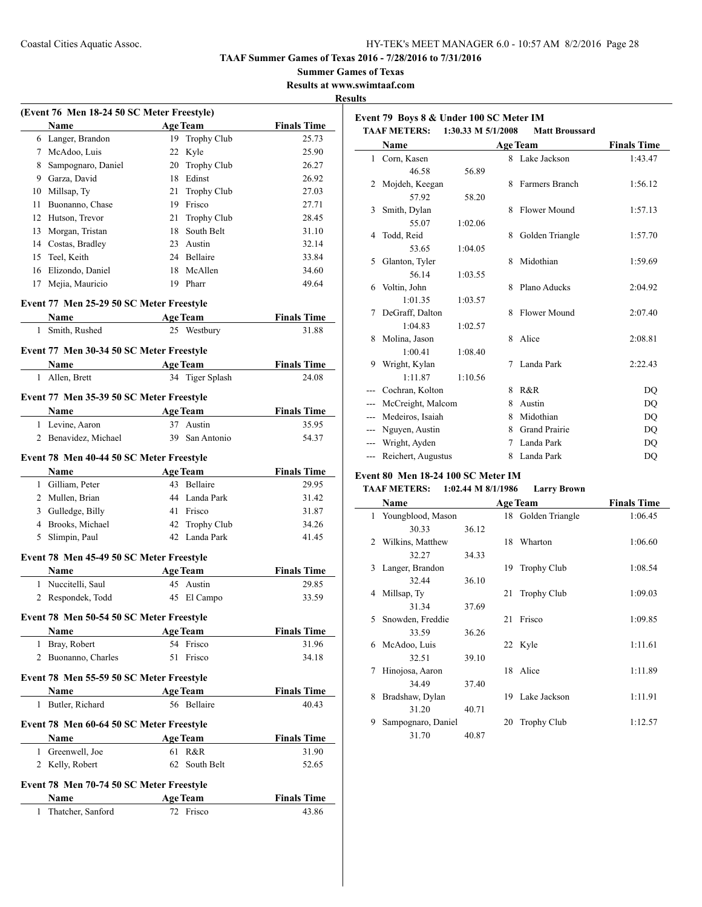**Event 79 Boys 8 & Under 100 SC Meter IM**

#### **TAAF Summer Games of Texas 2016 - 7/28/2016 to 7/31/2016**

**Summer Games of Texas**

#### **Results at www.swimtaaf.com Results**

 $\sim$ 

|              | (Event 76 Men 18-24 50 SC Meter Freestyle) |                   |                    |
|--------------|--------------------------------------------|-------------------|--------------------|
|              | <b>Name</b>                                | <b>Age Team</b>   | <b>Finals Time</b> |
|              | 6 Langer, Brandon                          | Trophy Club<br>19 | 25.73              |
|              | 7 McAdoo, Luis                             | 22 Kyle           | 25.90              |
|              | 8 Sampognaro, Daniel                       | 20 Trophy Club    | 26.27              |
|              | 9 Garza, David                             | 18 Edinst         | 26.92              |
|              | 10 Millsap, Ty                             | 21 Trophy Club    | 27.03              |
| 11           | Buonanno, Chase                            | 19 Frisco         | 27.71              |
|              | 12 Hutson, Trevor                          | 21 Trophy Club    | 28.45              |
|              | 13 Morgan, Tristan                         | 18<br>South Belt  | 31.10              |
|              | 14 Costas, Bradley                         | 23 Austin         | 32.14              |
| 15           | Teel, Keith                                | 24 Bellaire       | 33.84              |
|              | 16 Elizondo, Daniel                        | McAllen<br>18     | 34.60              |
| 17           | Mejia, Mauricio                            | 19<br>Pharr       | 49.64              |
|              | Event 77 Men 25-29 50 SC Meter Freestyle   |                   |                    |
|              |                                            |                   |                    |
| 1            | Name<br>Smith, Rushed                      | <b>Age Team</b>   | <b>Finals Time</b> |
|              |                                            | 25 Westbury       | 31.88              |
|              | Event 77 Men 30-34 50 SC Meter Freestyle   |                   |                    |
|              | Name                                       | <b>Age Team</b>   | <b>Finals Time</b> |
| 1            | Allen, Brett                               | 34 Tiger Splash   | 24.08              |
|              | Event 77 Men 35-39 50 SC Meter Freestyle   |                   |                    |
|              | <b>Name</b>                                | <b>Age Team</b>   | <b>Finals Time</b> |
|              | 1 Levine, Aaron                            | 37 Austin         | 35.95              |
|              | 2 Benavidez, Michael                       | 39 San Antonio    | 54.37              |
|              |                                            |                   |                    |
|              | Event 78 Men 40-44 50 SC Meter Freestyle   |                   |                    |
|              | Name                                       | <b>Age Team</b>   | <b>Finals Time</b> |
|              | 1 Gilliam, Peter                           | 43 Bellaire       | 29.95              |
|              | 2 Mullen, Brian                            | 44 Landa Park     | 31.42              |
|              | 3 Gulledge, Billy                          | 41 Frisco         | 31.87              |
|              | 4 Brooks, Michael                          | 42<br>Trophy Club | 34.26              |
| 5            | Slimpin, Paul                              | 42 Landa Park     | 41.45              |
|              | Event 78 Men 45-49 50 SC Meter Freestyle   |                   |                    |
|              | Name                                       | <b>Age Team</b>   | <b>Finals Time</b> |
|              | 1 Nuccitelli, Saul                         | 45 Austin         | 29.85              |
|              | 2 Respondek, Todd                          | 45 El Campo       | 33.59              |
|              |                                            |                   |                    |
|              | Event 78 Men 50-54 50 SC Meter Freestyle   |                   |                    |
|              | Name                                       | <b>Age Team</b>   | <b>Finals Time</b> |
| 1            | Bray, Robert                               | 54 Frisco         | 31.96              |
| 2            | Buonanno, Charles                          | 51<br>Frisco      | 34.18              |
|              | Event 78 Men 55-59 50 SC Meter Freestyle   |                   |                    |
|              | Name                                       | <b>Age Team</b>   | <b>Finals Time</b> |
|              | 1 Butler, Richard                          | 56 Bellaire       | 40.43              |
|              | Event 78 Men 60-64 50 SC Meter Freestyle   |                   |                    |
|              | Name                                       | <b>Age Team</b>   | <b>Finals Time</b> |
| $\mathbf{1}$ | Greenwell, Joe                             | R&R<br>61         | 31.90              |
|              | 2 Kelly, Robert                            | 62<br>South Belt  | 52.65              |
|              |                                            |                   |                    |
|              | Event 78 Men 70-74 50 SC Meter Freestyle   |                   |                    |
|              | Name                                       | <b>Age Team</b>   | <b>Finals Time</b> |
| 1            | Thatcher, Sanford                          | 72 Frisco         | 43.86              |
|              |                                            |                   |                    |

|               | <b>TAAF METERS:</b> | 1:30.33 M 5/1/2008 |                 | <b>Matt Broussard</b> |                        |
|---------------|---------------------|--------------------|-----------------|-----------------------|------------------------|
|               | Name                |                    | <b>Age Team</b> |                       | <b>Finals Time</b>     |
| $\mathbf{1}$  | Corn, Kasen         |                    |                 | 8 Lake Jackson        | 1:43.47                |
|               | 46.58               | 56.89              |                 |                       |                        |
| 2             | Mojdeh, Keegan      |                    | 8               | Farmers Branch        | 1:56.12                |
|               | 57.92               | 58.20              |                 |                       |                        |
| 3             | Smith, Dylan        |                    | 8               | Flower Mound          | 1:57.13                |
|               | 55.07               | 1:02.06            |                 |                       |                        |
| 4             | Todd, Reid          |                    | 8               | Golden Triangle       | 1:57.70                |
|               | 53.65               | 1:04.05            |                 |                       |                        |
| 5             | Glanton, Tyler      |                    | 8               | Midothian             | 1:59.69                |
|               | 56.14               | 1:03.55            |                 |                       |                        |
| 6             | Voltin, John        |                    | 8               | Plano Aducks          | 2:04.92                |
|               | 1:01.35             | 1:03.57            |                 |                       |                        |
| 7             | DeGraff, Dalton     |                    | 8               | Flower Mound          | 2:07.40                |
|               | 1:04.83             | 1:02.57            |                 |                       |                        |
| 8             | Molina, Jason       |                    | 8               | Alice                 | 2:08.81                |
|               | 1:00.41             | 1:08.40            |                 |                       |                        |
| 9             | Wright, Kylan       |                    | 7               | Landa Park            | 2:22.43                |
|               | 1:11.87             | 1:10.56            |                 |                       |                        |
|               | Cochran, Kolton     |                    | 8               | R&R                   | DO                     |
| ---           | McCreight, Malcom   |                    | 8               | Austin                | DO                     |
| ---           | Medeiros, Isaiah    |                    | 8               | Midothian             | DQ                     |
| $\sim$ $\sim$ | Nguyen, Austin      |                    | 8               | <b>Grand Prairie</b>  | DO                     |
| $---$         | Wright, Ayden       |                    | 7               | Landa Park            | DQ                     |
| $---$         | Reichert, Augustus  |                    | 8               | Landa Park            | $\mathbf{D}\mathbf{Q}$ |

## **Event 80 Men 18-24 100 SC Meter IM**

## **TAAF METERS: 1:02.44 M 8/1/1986 Larry Brown**

|   | Name                |       |    | <b>Age Team</b>    | <b>Finals Time</b> |
|---|---------------------|-------|----|--------------------|--------------------|
|   | 1 Youngblood, Mason |       |    | 18 Golden Triangle | 1:06.45            |
|   | 30.33               | 36.12 |    |                    |                    |
| 2 | Wilkins, Matthew    |       | 18 | Wharton            | 1:06.60            |
|   | 32.27               | 34.33 |    |                    |                    |
| 3 | Langer, Brandon     |       | 19 | <b>Trophy Club</b> | 1:08.54            |
|   | 32.44               | 36.10 |    |                    |                    |
| 4 | Millsap, Ty         |       | 21 | <b>Trophy Club</b> | 1:09.03            |
|   | 31.34               | 37.69 |    |                    |                    |
| 5 | Snowden, Freddie    |       | 21 | Frisco             | 1:09.85            |
|   | 33.59               | 36.26 |    |                    |                    |
| 6 | McAdoo, Luis        |       |    | 22 Kyle            | 1:11.61            |
|   | 32.51               | 39.10 |    |                    |                    |
| 7 | Hinojosa, Aaron     |       | 18 | Alice              | 1:11.89            |
|   | 34.49               | 37.40 |    |                    |                    |
| 8 | Bradshaw, Dylan     |       |    | 19 Lake Jackson    | 1:11.91            |
|   | 31.20               | 40.71 |    |                    |                    |
| 9 | Sampognaro, Daniel  |       | 20 | <b>Trophy Club</b> | 1:12.57            |
|   | 31.70               | 40.87 |    |                    |                    |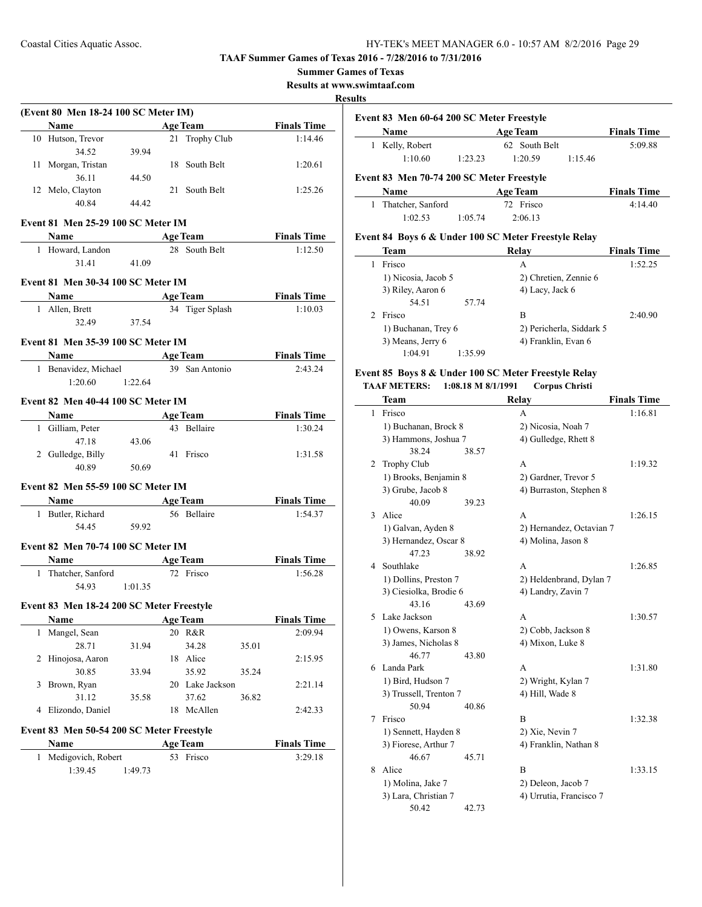**Summer Games of Texas**

**Results at www.swimtaaf.com**

## **Results**

|   | (Event 80 Men 18-24 100 SC Meter IM)<br>Name                                                                                                                                                                                                                                                                                                                                                                  |         | <b>Age Team</b>              |       | <b>Finals Time</b>            |
|---|---------------------------------------------------------------------------------------------------------------------------------------------------------------------------------------------------------------------------------------------------------------------------------------------------------------------------------------------------------------------------------------------------------------|---------|------------------------------|-------|-------------------------------|
|   | 10 Hutson, Trevor                                                                                                                                                                                                                                                                                                                                                                                             |         | 21 Trophy Club               |       | 1:14.46                       |
|   | 34.52                                                                                                                                                                                                                                                                                                                                                                                                         | 39.94   |                              |       |                               |
|   | 11 Morgan, Tristan                                                                                                                                                                                                                                                                                                                                                                                            |         | 18 South Belt                |       | 1:20.61                       |
|   | 36.11                                                                                                                                                                                                                                                                                                                                                                                                         | 44.50   |                              |       |                               |
|   | 12 Melo, Clayton                                                                                                                                                                                                                                                                                                                                                                                              |         | 21 South Belt                |       | 1:25.26                       |
|   | 40.84                                                                                                                                                                                                                                                                                                                                                                                                         | 44.42   |                              |       |                               |
|   |                                                                                                                                                                                                                                                                                                                                                                                                               |         |                              |       |                               |
|   | Event 81 Men 25-29 100 SC Meter IM<br>Name                                                                                                                                                                                                                                                                                                                                                                    |         | <b>Age Team</b>              |       | <b>Finals Time</b>            |
|   | 1 Howard, Landon                                                                                                                                                                                                                                                                                                                                                                                              |         | 28 South Belt                |       | 1:12.50                       |
|   | 31.41                                                                                                                                                                                                                                                                                                                                                                                                         | 41.09   |                              |       |                               |
|   |                                                                                                                                                                                                                                                                                                                                                                                                               |         |                              |       |                               |
|   | <b>Event 81 Men 30-34 100 SC Meter IM</b>                                                                                                                                                                                                                                                                                                                                                                     |         |                              |       |                               |
|   | Name                                                                                                                                                                                                                                                                                                                                                                                                          |         | <b>Age Team</b>              |       | <b>Finals Time</b>            |
|   | 1 Allen, Brett                                                                                                                                                                                                                                                                                                                                                                                                |         | 34 Tiger Splash              |       | 1:10.03                       |
|   | 32.49                                                                                                                                                                                                                                                                                                                                                                                                         | 37.54   |                              |       |                               |
|   | <b>Event 81 Men 35-39 100 SC Meter IM</b>                                                                                                                                                                                                                                                                                                                                                                     |         |                              |       |                               |
|   | Name<br>$\mathcal{L}^{\mathcal{L}}(\mathcal{L}^{\mathcal{L}})$ and $\mathcal{L}^{\mathcal{L}}(\mathcal{L}^{\mathcal{L}})$ and $\mathcal{L}^{\mathcal{L}}(\mathcal{L}^{\mathcal{L}})$                                                                                                                                                                                                                          |         | <b>Age Team</b>              |       | <b>Finals Time</b>            |
|   | 1 Benavidez, Michael                                                                                                                                                                                                                                                                                                                                                                                          |         | 39 San Antonio               |       | 2:43.24                       |
|   | $1:20.60$ 1:22.64                                                                                                                                                                                                                                                                                                                                                                                             |         |                              |       |                               |
|   | Event 82 Men 40-44 100 SC Meter IM                                                                                                                                                                                                                                                                                                                                                                            |         |                              |       |                               |
|   | Name $\frac{1}{\sqrt{1-\frac{1}{2}}\sqrt{1-\frac{1}{2}}\sqrt{1-\frac{1}{2}}\sqrt{1-\frac{1}{2}}\sqrt{1-\frac{1}{2}}\sqrt{1-\frac{1}{2}}\sqrt{1-\frac{1}{2}}\sqrt{1-\frac{1}{2}}\sqrt{1-\frac{1}{2}}\sqrt{1-\frac{1}{2}}\sqrt{1-\frac{1}{2}}\sqrt{1-\frac{1}{2}}\sqrt{1-\frac{1}{2}}\sqrt{1-\frac{1}{2}}\sqrt{1-\frac{1}{2}}\sqrt{1-\frac{1}{2}}\sqrt{1-\frac{1}{2}}\sqrt{1-\frac{1}{2}}\sqrt{1-\frac{1}{2}}\$ |         | <b>Age Team</b>              |       | <b>Finals Time</b>            |
|   | 1 Gilliam, Peter                                                                                                                                                                                                                                                                                                                                                                                              |         | 43 Bellaire                  |       | 1:30.24                       |
|   | 47.18                                                                                                                                                                                                                                                                                                                                                                                                         | 43.06   |                              |       |                               |
|   | 2 Gulledge, Billy                                                                                                                                                                                                                                                                                                                                                                                             |         | 41 Frisco                    |       | 1:31.58                       |
|   | 40.89                                                                                                                                                                                                                                                                                                                                                                                                         | 50.69   |                              |       |                               |
|   |                                                                                                                                                                                                                                                                                                                                                                                                               |         |                              |       |                               |
|   | Event 82 Men 55-59 100 SC Meter IM                                                                                                                                                                                                                                                                                                                                                                            |         |                              |       |                               |
|   | Name $\qquad \qquad$                                                                                                                                                                                                                                                                                                                                                                                          |         | <b>Age Team</b>              |       | <b>Finals Time</b>            |
|   | 1 Butler, Richard                                                                                                                                                                                                                                                                                                                                                                                             |         | 56 Bellaire                  |       | 1:54.37                       |
|   |                                                                                                                                                                                                                                                                                                                                                                                                               |         |                              |       |                               |
|   | 54.45                                                                                                                                                                                                                                                                                                                                                                                                         | 59.92   |                              |       |                               |
|   | <b>Event 82 Men 70-74 100 SC Meter IM</b>                                                                                                                                                                                                                                                                                                                                                                     |         |                              |       |                               |
|   | Name                                                                                                                                                                                                                                                                                                                                                                                                          |         | <b>Age Team</b>              |       | <b>Finals Time</b>            |
|   | 1 Thatcher, Sanford                                                                                                                                                                                                                                                                                                                                                                                           |         | 72 Frisco                    |       | 1:56.28                       |
|   | 54.93                                                                                                                                                                                                                                                                                                                                                                                                         | 1:01.35 |                              |       |                               |
|   |                                                                                                                                                                                                                                                                                                                                                                                                               |         |                              |       |                               |
|   | Event 83 Men 18-24 200 SC Meter Freestyle<br>Name                                                                                                                                                                                                                                                                                                                                                             |         | <b>Age Team</b>              |       | <b>Finals Time</b>            |
| 1 | Mangel, Sean                                                                                                                                                                                                                                                                                                                                                                                                  |         | 20 R&R                       |       | 2:09.94                       |
|   | 28.71                                                                                                                                                                                                                                                                                                                                                                                                         | 31.94   | 34.28                        | 35.01 |                               |
| 2 | Hinojosa, Aaron                                                                                                                                                                                                                                                                                                                                                                                               |         | 18 Alice                     |       | 2:15.95                       |
|   | 30.85                                                                                                                                                                                                                                                                                                                                                                                                         | 33.94   | 35.92                        | 35.24 |                               |
| 3 | Brown, Ryan                                                                                                                                                                                                                                                                                                                                                                                                   |         | 20 Lake Jackson              |       | 2:21.14                       |
|   | 31.12                                                                                                                                                                                                                                                                                                                                                                                                         | 35.58   | 37.62                        | 36.82 |                               |
| 4 | Elizondo, Daniel                                                                                                                                                                                                                                                                                                                                                                                              |         | 18 McAllen                   |       | 2:42.33                       |
|   |                                                                                                                                                                                                                                                                                                                                                                                                               |         |                              |       |                               |
|   | Event 83 Men 50-54 200 SC Meter Freestyle                                                                                                                                                                                                                                                                                                                                                                     |         |                              |       |                               |
| 1 | Name<br>Medigovich, Robert                                                                                                                                                                                                                                                                                                                                                                                    |         | <b>Age Team</b><br>53 Frisco |       | <b>Finals Time</b><br>3:29.18 |

|                                                      | Event 83 Men 60-64 200 SC Meter Freestyle |         |                 |         |                    |  |  |
|------------------------------------------------------|-------------------------------------------|---------|-----------------|---------|--------------------|--|--|
|                                                      | Name                                      |         | <b>Age Team</b> |         | <b>Finals Time</b> |  |  |
| 1                                                    | Kelly, Robert                             |         | 62 South Belt   |         |                    |  |  |
|                                                      | 1:10.60                                   | 1:23.23 | 1:20.59         | 1:15.46 |                    |  |  |
|                                                      | Event 83 Men 70-74 200 SC Meter Freestyle |         |                 |         |                    |  |  |
|                                                      | Name                                      |         | <b>Age Team</b> |         | <b>Finals Time</b> |  |  |
| 1.                                                   | Thatcher, Sanford                         |         | 72 Frisco       |         | 4:14.40            |  |  |
|                                                      | 1:02.53                                   | 1:05.74 | 2:06.13         |         |                    |  |  |
| Event 84 Boys 6 & Under 100 SC Meter Freestyle Relay |                                           |         |                 |         |                    |  |  |
|                                                      | <b>Team</b>                               |         | Relav           |         | <b>Finals Time</b> |  |  |
|                                                      | Frisco                                    |         | А               |         | 1:52.25            |  |  |

| Frisco              | A                        | 1:52.25 |
|---------------------|--------------------------|---------|
| 1) Nicosia, Jacob 5 | 2) Chretien, Zennie 6    |         |
| 3) Riley, Aaron 6   | 4) Lacy, Jack 6          |         |
| 54.51<br>57.74      |                          |         |
| Frisco              | в                        | 2:40.90 |
| 1) Buchanan, Trey 6 | 2) Pericherla, Siddark 5 |         |
| 3) Means, Jerry 6   | 4) Franklin, Evan 6      |         |
| 1:04.91<br>1:35.99  |                          |         |

#### **Event 85 Boys 8 & Under 100 SC Meter Freestyle Relay TAAF METERS: 1:08.18 M 8/1/1991 Corpus Christi**

|    | Team                   |       | Relay                    | <b>Finals Time</b> |
|----|------------------------|-------|--------------------------|--------------------|
| 1  | Frisco                 |       | A                        | 1:16.81            |
|    | 1) Buchanan, Brock 8   |       | 2) Nicosia, Noah 7       |                    |
|    | 3) Hammons, Joshua 7   |       | 4) Gulledge, Rhett 8     |                    |
|    | 38.24                  | 38.57 |                          |                    |
| 2  | <b>Trophy Club</b>     |       | A                        | 1:19.32            |
|    | 1) Brooks, Benjamin 8  |       | 2) Gardner, Trevor 5     |                    |
|    | 3) Grube, Jacob 8      |       | 4) Burraston, Stephen 8  |                    |
|    | 40.09                  | 39.23 |                          |                    |
| 3  | Alice                  |       | A                        | 1:26.15            |
|    | 1) Galvan, Ayden 8     |       | 2) Hernandez, Octavian 7 |                    |
|    | 3) Hernandez, Oscar 8  |       | 4) Molina, Jason 8       |                    |
|    | 47 23                  | 38.92 |                          |                    |
| 4  | Southlake              |       | A                        | 1:26.85            |
|    | 1) Dollins, Preston 7  |       | 2) Heldenbrand, Dylan 7  |                    |
|    | 3) Ciesiolka, Brodie 6 |       | 4) Landry, Zavin 7       |                    |
|    | 43.16                  | 43.69 |                          |                    |
| 5. | Lake Jackson           |       | A                        | 1:30.57            |
|    | 1) Owens, Karson 8     |       | 2) Cobb, Jackson 8       |                    |
|    | 3) James, Nicholas 8   |       | 4) Mixon, Luke 8         |                    |
|    | 46.77                  | 43.80 |                          |                    |
| 6  | Landa Park             |       | A                        | 1:31.80            |
|    | 1) Bird, Hudson 7      |       | 2) Wright, Kylan 7       |                    |
|    | 3) Trussell, Trenton 7 |       | 4) Hill, Wade 8          |                    |
|    | 50.94                  | 40.86 |                          |                    |
| 7  | Frisco                 |       | B                        | 1:32.38            |
|    | 1) Sennett, Hayden 8   |       | 2) Xie, Nevin 7          |                    |
|    | 3) Fiorese, Arthur 7   |       | 4) Franklin, Nathan 8    |                    |
|    | 46.67                  | 45.71 |                          |                    |
| 8  | Alice                  |       | B                        | 1:33.15            |
|    | 1) Molina, Jake 7      |       | 2) Deleon, Jacob 7       |                    |
|    | 3) Lara, Christian 7   |       | 4) Urrutia, Francisco 7  |                    |
|    | 50.42                  | 42.73 |                          |                    |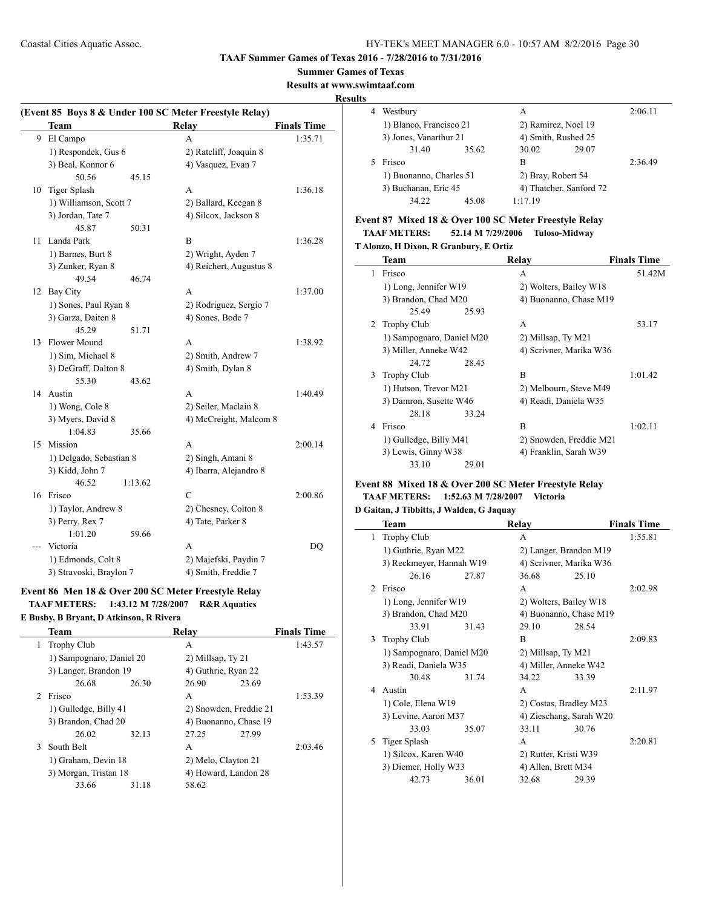#### **Summer Games of Texas**

**Results at www.swimtaaf.com**

#### **Results**

 $\sim$ 

| (Event 85 Boys 8 & Under 100 SC Meter Freestyle Relay) |                         |         |                         |                    |  |
|--------------------------------------------------------|-------------------------|---------|-------------------------|--------------------|--|
|                                                        | <b>Team</b>             |         | <b>Relay</b>            | <b>Finals Time</b> |  |
| 9                                                      | El Campo                |         | A                       | 1:35.71            |  |
|                                                        | 1) Respondek, Gus 6     |         | 2) Ratcliff, Joaquin 8  |                    |  |
|                                                        | 3) Beal, Konnor 6       |         | 4) Vasquez, Evan 7      |                    |  |
|                                                        | 50.56                   | 45.15   |                         |                    |  |
| 10                                                     | <b>Tiger Splash</b>     |         | A                       | 1:36.18            |  |
|                                                        | 1) Williamson, Scott 7  |         | 2) Ballard, Keegan 8    |                    |  |
|                                                        | 3) Jordan, Tate 7       |         | 4) Silcox, Jackson 8    |                    |  |
|                                                        | 45.87                   | 50.31   |                         |                    |  |
| 11                                                     | Landa Park              |         | B                       | 1:36.28            |  |
|                                                        | 1) Barnes, Burt 8       |         | 2) Wright, Ayden 7      |                    |  |
|                                                        | 3) Zunker, Ryan 8       |         | 4) Reichert, Augustus 8 |                    |  |
|                                                        | 49.54                   | 46.74   |                         |                    |  |
| 12                                                     | <b>Bay City</b>         |         | A                       | 1:37.00            |  |
|                                                        | 1) Sones, Paul Ryan 8   |         | 2) Rodriguez, Sergio 7  |                    |  |
|                                                        | 3) Garza, Daiten 8      |         | 4) Sones, Bode 7        |                    |  |
|                                                        | 45.29                   | 51.71   |                         |                    |  |
| 13                                                     | <b>Flower Mound</b>     |         | A                       | 1:38.92            |  |
|                                                        | 1) Sim, Michael 8       |         | 2) Smith, Andrew 7      |                    |  |
|                                                        | 3) DeGraff, Dalton 8    |         | 4) Smith, Dylan 8       |                    |  |
|                                                        | 55.30                   | 43.62   |                         |                    |  |
|                                                        | 14 Austin               |         | A                       | 1:40.49            |  |
|                                                        | 1) Wong, Cole 8         |         | 2) Seiler, Maclain 8    |                    |  |
|                                                        | 3) Myers, David 8       |         | 4) McCreight, Malcom 8  |                    |  |
|                                                        | 1:04.83                 | 35.66   |                         |                    |  |
| 15                                                     | Mission                 |         | A                       | 2:00.14            |  |
|                                                        | 1) Delgado, Sebastian 8 |         | 2) Singh, Amani 8       |                    |  |
|                                                        | 3) Kidd, John 7         |         | 4) Ibarra, Alejandro 8  |                    |  |
|                                                        | 46.52                   | 1:13.62 |                         |                    |  |
|                                                        | 16 Frisco               |         | C                       | 2:00.86            |  |
|                                                        | 1) Taylor, Andrew 8     |         | 2) Chesney, Colton 8    |                    |  |
|                                                        | 3) Perry, Rex 7         |         | 4) Tate, Parker 8       |                    |  |
|                                                        | 1:01.20                 | 59.66   |                         |                    |  |
| ---                                                    | Victoria                |         | A                       | DO                 |  |
|                                                        | 1) Edmonds, Colt 8      |         | 2) Majefski, Paydin 7   |                    |  |
|                                                        | 3) Stravoski, Braylon 7 |         | 4) Smith, Freddie 7     |                    |  |

## **Event 86 Men 18 & Over 200 SC Meter Freestyle Relay TAAF METERS: 1:43.12 M 7/28/2007 R&R Aquatics**

**E Busby, B Bryant, D Atkinson, R Rivera**

|   | Team                     |       | Relav                  |       | <b>Finals Time</b> |
|---|--------------------------|-------|------------------------|-------|--------------------|
| 1 | <b>Trophy Club</b>       |       | A                      |       | 1:43.57            |
|   | 1) Sampognaro, Daniel 20 |       | 2) Millsap, Ty 21      |       |                    |
|   | 3) Langer, Brandon 19    |       | 4) Guthrie, Ryan 22    |       |                    |
|   | 26.68                    | 26.30 | 26.90                  | 23.69 |                    |
|   | Frisco                   |       | A                      |       | 1:53.39            |
|   | 1) Gulledge, Billy 41    |       | 2) Snowden, Freddie 21 |       |                    |
|   | 3) Brandon, Chad 20      |       | 4) Buonanno, Chase 19  |       |                    |
|   | 26.02                    | 32.13 | 27.25                  | 27.99 |                    |
| 3 | South Belt               |       | A                      |       | 2:03.46            |
|   | 1) Graham, Devin 18      |       | 2) Melo, Clayton 21    |       |                    |
|   | 3) Morgan, Tristan 18    |       | 4) Howard, Landon 28   |       |                    |
|   | 33.66                    | 31.18 | 58.62                  |       |                    |
|   |                          |       |                        |       |                    |

| 4 | Westbury                |       | A                       |       | 2:06.11 |
|---|-------------------------|-------|-------------------------|-------|---------|
|   | 1) Blanco, Francisco 21 |       | 2) Ramirez, Noel 19     |       |         |
|   | 3) Jones, Vanarthur 21  |       | 4) Smith, Rushed 25     |       |         |
|   | 31.40                   | 35.62 | 30.02                   | 29.07 |         |
|   | Frisco                  |       | в                       |       | 2:36.49 |
|   | 1) Buonanno, Charles 51 |       | 2) Bray, Robert 54      |       |         |
|   | 3) Buchanan, Eric 45    |       | 4) Thatcher, Sanford 72 |       |         |
|   | 34.22                   | 45.08 | 1:17.19                 |       |         |
|   |                         |       |                         |       |         |

## **Event 87 Mixed 18 & Over 100 SC Meter Freestyle Relay**

| <b>TAAF METERS:</b>                    | 52.14 M 7/29/2006 | <b>Tuloso-Midway</b> |
|----------------------------------------|-------------------|----------------------|
| T Alonzo, H Dixon, R Granbury, E Ortiz |                   |                      |

|   | Team                      | Relay                   | <b>Finals Time</b> |
|---|---------------------------|-------------------------|--------------------|
| 1 | Frisco                    | A                       | 51.42M             |
|   | 1) Long, Jennifer W19     | 2) Wolters, Bailey W18  |                    |
|   | 3) Brandon, Chad M20      | 4) Buonanno, Chase M19  |                    |
|   | 25.49<br>25.93            |                         |                    |
| 2 | Trophy Club               | A                       | 53.17              |
|   | 1) Sampognaro, Daniel M20 | 2) Millsap, Ty M21      |                    |
|   | 3) Miller, Anneke W42     | 4) Scrivner, Marika W36 |                    |
|   | 24.72<br>28.45            |                         |                    |
| 3 | <b>Trophy Club</b>        | B                       | 1:01.42            |
|   | 1) Hutson, Trevor M21     | 2) Melbourn, Steve M49  |                    |
|   | 3) Damron, Susette W46    | 4) Readi, Daniela W35   |                    |
|   | 28.18<br>33.24            |                         |                    |
| 4 | Frisco                    | B                       | 1:02.11            |
|   | 1) Gulledge, Billy M41    | 2) Snowden, Freddie M21 |                    |
|   | 3) Lewis, Ginny W38       | 4) Franklin, Sarah W39  |                    |
|   | 33.10<br>29.01            |                         |                    |

#### **Event 88 Mixed 18 & Over 200 SC Meter Freestyle Relay TAAF METERS: 1:52.63 M 7/28/2007 Victoria**

## **D Gaitan, J Tibbitts, J Walden, G Jaquay**

|                               | Team                      |       | Relay                   |       | <b>Finals Time</b> |
|-------------------------------|---------------------------|-------|-------------------------|-------|--------------------|
| 1                             | <b>Trophy Club</b>        |       | A                       |       | 1:55.81            |
|                               | 1) Guthrie, Ryan M22      |       | 2) Langer, Brandon M19  |       |                    |
|                               | 3) Reckmeyer, Hannah W19  |       | 4) Scrivner, Marika W36 |       |                    |
|                               | 26.16                     | 27.87 | 36.68                   | 25.10 |                    |
| $\mathfrak{D}_{\mathfrak{p}}$ | Frisco                    |       | A                       |       | 2:02.98            |
|                               | 1) Long, Jennifer W19     |       | 2) Wolters, Bailey W18  |       |                    |
|                               | 3) Brandon, Chad M20      |       | 4) Buonanno, Chase M19  |       |                    |
|                               | 33.91                     | 31.43 | 29.10                   | 28.54 |                    |
| 3                             | <b>Trophy Club</b>        |       | B                       |       | 2:09.83            |
|                               | 1) Sampognaro, Daniel M20 |       | 2) Millsap, Ty M21      |       |                    |
|                               | 3) Readi, Daniela W35     |       | 4) Miller, Anneke W42   |       |                    |
|                               | 30.48                     | 31.74 | 34.22                   | 33.39 |                    |
| 4                             | Austin                    |       | A                       |       | 2:11.97            |
|                               | 1) Cole, Elena W19        |       | 2) Costas, Bradley M23  |       |                    |
|                               | 3) Levine, Aaron M37      |       | 4) Zieschang, Sarah W20 |       |                    |
|                               | 33.03                     | 35.07 | 33.11                   | 30.76 |                    |
| 5                             | Tiger Splash              |       | A                       |       | 2:20.81            |
|                               | 1) Silcox, Karen W40      |       | 2) Rutter, Kristi W39   |       |                    |
|                               | 3) Diemer, Holly W33      |       | 4) Allen, Brett M34     |       |                    |
|                               | 42.73                     | 36.01 | 32.68                   | 29.39 |                    |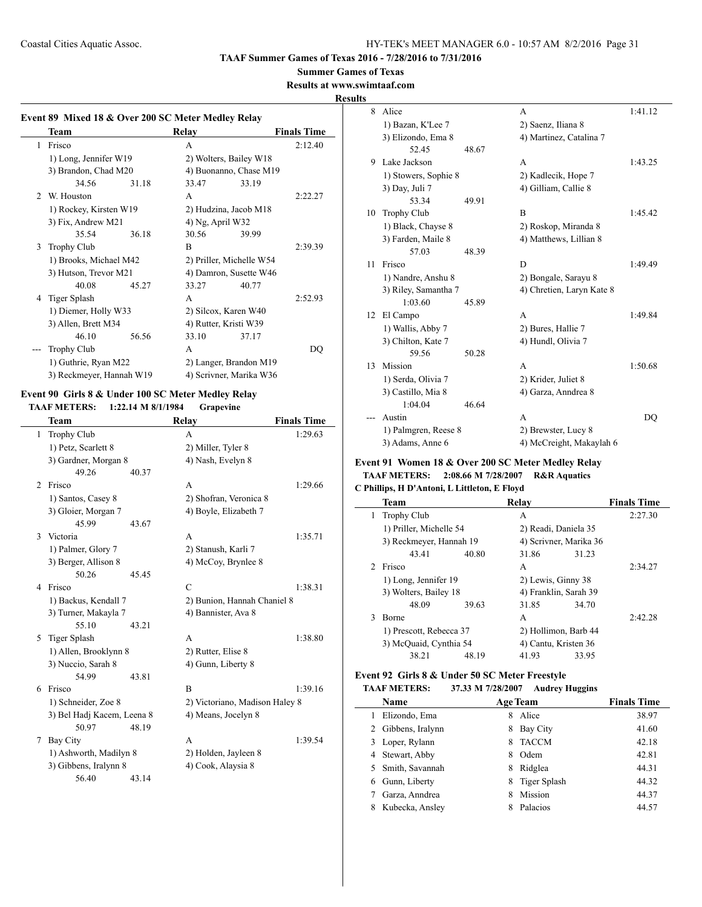#### **Summer Games of Texas**

**Results at www.swimtaaf.com**

#### **Results**

 $\sim$ 

 $\overline{\phantom{a}}$ 

|                | Team                     |       | Relay            |                          | <b>Finals Time</b> |
|----------------|--------------------------|-------|------------------|--------------------------|--------------------|
| 1              | Frisco                   |       | A                |                          | 2:12.40            |
|                | 1) Long, Jennifer W19    |       |                  | 2) Wolters, Bailey W18   |                    |
|                | 3) Brandon, Chad M20     |       |                  | 4) Buonanno, Chase M19   |                    |
|                | 34.56                    | 31.18 | 33.47            | 33.19                    |                    |
| $\mathfrak{D}$ | W. Houston               |       | A                |                          | 2:22.27            |
|                | 1) Rockey, Kirsten W19   |       |                  | 2) Hudzina, Jacob M18    |                    |
|                | 3) Fix, Andrew M21       |       | 4) Ng, April W32 |                          |                    |
|                | 35.54                    | 36.18 | 30.56            | 39.99                    |                    |
| 3              | <b>Trophy Club</b>       |       | <sub>R</sub>     |                          | 2:39.39            |
|                | 1) Brooks, Michael M42   |       |                  | 2) Priller, Michelle W54 |                    |
|                | 3) Hutson, Trevor M21    |       |                  | 4) Damron, Susette W46   |                    |
|                | 40.08                    | 45.27 | 33.27            | 40.77                    |                    |
| 4              | Tiger Splash             |       | A                |                          | 2:52.93            |
|                | 1) Diemer, Holly W33     |       |                  | 2) Silcox, Karen W40     |                    |
|                | 3) Allen, Brett M34      |       |                  | 4) Rutter, Kristi W39    |                    |
|                | 46.10                    | 56.56 | 33.10            | 37.17                    |                    |
|                | <b>Trophy Club</b>       |       | A                |                          | DQ                 |
|                | 1) Guthrie, Ryan M22     |       |                  | 2) Langer, Brandon M19   |                    |
|                | 3) Reckmeyer, Hannah W19 |       |                  | 4) Scrivner, Marika W36  |                    |

#### **Event 90 Girls 8 & Under 100 SC Meter Medley Relay TAAF METERS: 1:22.14 M 8/1/1984 Grapevine**

|   | Team                       |       | Relay                          | <b>Finals Time</b> |
|---|----------------------------|-------|--------------------------------|--------------------|
| 1 | <b>Trophy Club</b>         |       | A                              | 1:29.63            |
|   | 1) Petz, Scarlett 8        |       | 2) Miller, Tyler 8             |                    |
|   | 3) Gardner, Morgan 8       |       | 4) Nash, Evelyn 8              |                    |
|   | 49.26                      | 40.37 |                                |                    |
| 2 | Frisco                     |       | A                              | 1:29.66            |
|   | 1) Santos, Casey 8         |       | 2) Shofran, Veronica 8         |                    |
|   | 3) Gloier, Morgan 7        |       | 4) Boyle, Elizabeth 7          |                    |
|   | 45.99                      | 43.67 |                                |                    |
| 3 | Victoria                   |       | A                              | 1:35.71            |
|   | 1) Palmer, Glory 7         |       | 2) Stanush, Karli 7            |                    |
|   | 3) Berger, Allison 8       |       | 4) McCoy, Brynlee 8            |                    |
|   | 50.26                      | 45.45 |                                |                    |
| 4 | Frisco                     |       | $\mathcal{C}$                  | 1:38.31            |
|   | 1) Backus, Kendall 7       |       | 2) Bunion, Hannah Chaniel 8    |                    |
|   | 3) Turner, Makayla 7       |       | 4) Bannister, Ava 8            |                    |
|   | 55.10                      | 43.21 |                                |                    |
| 5 | Tiger Splash               |       | A                              | 1:38.80            |
|   | 1) Allen, Brooklynn 8      |       | 2) Rutter, Elise 8             |                    |
|   | 3) Nuccio, Sarah 8         |       | 4) Gunn, Liberty 8             |                    |
|   | 54.99                      | 43.81 |                                |                    |
| 6 | Frisco                     |       | B                              | 1:39.16            |
|   | 1) Schneider, Zoe 8        |       | 2) Victoriano, Madison Haley 8 |                    |
|   | 3) Bel Hadj Kacem, Leena 8 |       | 4) Means, Jocelyn 8            |                    |
|   | 50.97                      | 48.19 |                                |                    |
| 7 | <b>Bay City</b>            |       | A                              | 1:39.54            |
|   | 1) Ashworth, Madilyn 8     |       | 2) Holden, Jayleen 8           |                    |
|   | 3) Gibbens, Iralynn 8      |       | 4) Cook, Alaysia 8             |                    |
|   | 56.40                      | 43.14 |                                |                    |

| Š  |                      |       |                           |         |
|----|----------------------|-------|---------------------------|---------|
| 8  | Alice                |       | A                         | 1:41.12 |
|    | 1) Bazan, K'Lee 7    |       | 2) Saenz, Iliana 8        |         |
|    | 3) Elizondo, Ema 8   |       | 4) Martinez, Catalina 7   |         |
|    | 52.45                | 48.67 |                           |         |
| 9  | Lake Jackson         |       | A                         | 1:43.25 |
|    | 1) Stowers, Sophie 8 |       | 2) Kadlecik, Hope 7       |         |
|    | 3) Day, Juli 7       |       | 4) Gilliam, Callie 8      |         |
|    | 53.34                | 49.91 |                           |         |
| 10 | <b>Trophy Club</b>   |       | B                         | 1:45.42 |
|    | 1) Black, Chayse 8   |       | 2) Roskop, Miranda 8      |         |
|    | 3) Farden, Maile 8   |       | 4) Matthews, Lillian 8    |         |
|    | 57.03                | 48.39 |                           |         |
| 11 | Frisco               |       | D                         | 1:49.49 |
|    | 1) Nandre, Anshu 8   |       | 2) Bongale, Sarayu 8      |         |
|    | 3) Riley, Samantha 7 |       | 4) Chretien, Laryn Kate 8 |         |
|    | 1:03.60              | 45.89 |                           |         |
| 12 | El Campo             |       | A                         | 1:49.84 |
|    | 1) Wallis, Abby 7    |       | 2) Bures, Hallie 7        |         |
|    | 3) Chilton, Kate 7   |       | 4) Hundl, Olivia 7        |         |
|    | 59.56                | 50.28 |                           |         |
| 13 | Mission              |       | A                         | 1:50.68 |
|    | 1) Serda, Olivia 7   |       | 2) Krider, Juliet 8       |         |
|    | 3) Castillo, Mia 8   |       | 4) Garza, Anndrea 8       |         |
|    | 1:04.04              | 46.64 |                           |         |
|    | Austin               |       | A                         | DO      |
|    | 1) Palmgren, Reese 8 |       | 2) Brewster, Lucy 8       |         |
|    | 3) Adams, Anne 6     |       | 4) McCreight, Makaylah 6  |         |
|    |                      |       |                           |         |

#### **Event 91 Women 18 & Over 200 SC Meter Medley Relay TAAF METERS: 2:08.66 M 7/28/2007 R&R Aquatics**

**C Phillips, H D'Antoni, L Littleton, E Floyd**

|               | Team                    |       | Relay                  |       | <b>Finals Time</b> |
|---------------|-------------------------|-------|------------------------|-------|--------------------|
| 1             | <b>Trophy Club</b>      |       | A                      |       | 2:27.30            |
|               | 1) Priller, Michelle 54 |       | 2) Readi, Daniela 35   |       |                    |
|               | 3) Reckmeyer, Hannah 19 |       | 4) Scrivner, Marika 36 |       |                    |
|               | 43.41                   | 40.80 | 31.86                  | 31.23 |                    |
| $\mathcal{L}$ | Frisco                  |       | A                      |       | 2:34.27            |
|               | 1) Long, Jennifer 19    |       | 2) Lewis, Ginny 38     |       |                    |
|               | 3) Wolters, Bailey 18   |       | 4) Franklin, Sarah 39  |       |                    |
|               | 48.09                   | 39.63 | 31.85                  | 34.70 |                    |
| 3             | Borne                   |       | A                      |       | 2:42.28            |
|               | 1) Prescott, Rebecca 37 |       | 2) Hollimon, Barb 44   |       |                    |
|               | 3) McQuaid, Cynthia 54  |       | 4) Cantu, Kristen 36   |       |                    |
|               | 38.21                   | 48.19 | 41.93                  | 33.95 |                    |
|               |                         |       |                        |       |                    |

## **Event 92 Girls 8 & Under 50 SC Meter Freestyle**

| <b>TAAF METERS:</b> | 37.33 M 7/28/2007 | <b>Audrey Huggins</b> |
|---------------------|-------------------|-----------------------|
|---------------------|-------------------|-----------------------|

| Name               | <b>Age Team</b>   | <b>Finals Time</b> |
|--------------------|-------------------|--------------------|
| Elizondo, Ema      | Alice<br>8        | 38.97              |
| 2 Gibbens, Iralynn | Bay City<br>8     | 41.60              |
| Loper, Rylann      | <b>TACCM</b><br>8 | 42.18              |
| 4 Stewart, Abby    | Odem<br>8         | 42.81              |
| 5 Smith, Savannah  | Ridglea<br>8      | 44.31              |
| Gunn, Liberty      | Tiger Splash<br>8 | 44.32              |
| Garza, Anndrea     | Mission<br>8      | 44.37              |
| Kubecka, Ansley    | Palacios          | 44.57              |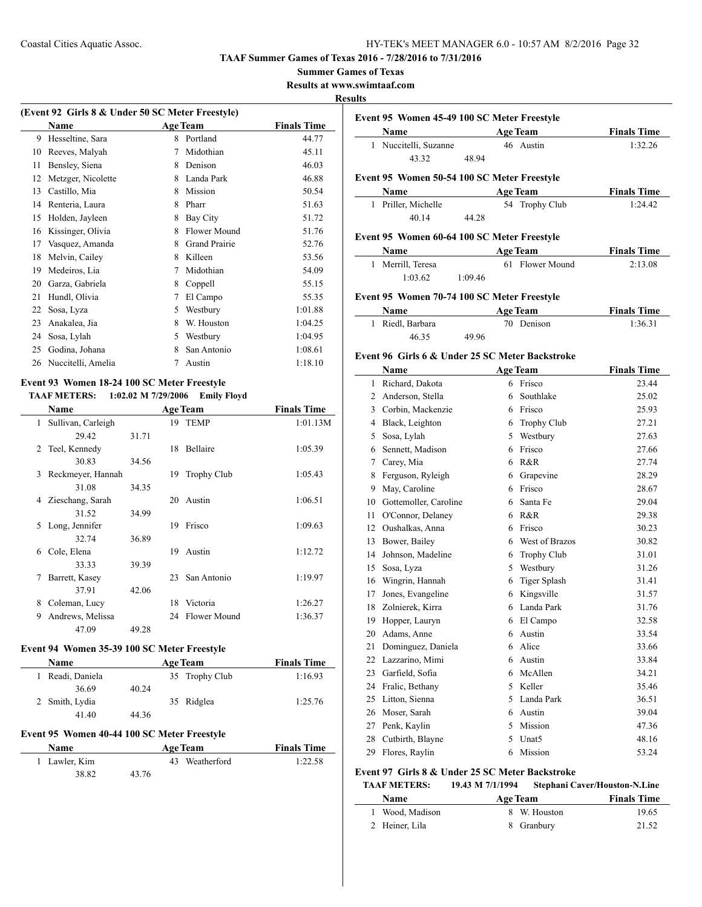#### **Summer Games of Texas**

**Results at www.swimtaaf.com**

#### **Results**

 $\overline{a}$ 

| (Event 92 Girls 8 & Under 50 SC Meter Freestyle) |                    |   |                      |                    |
|--------------------------------------------------|--------------------|---|----------------------|--------------------|
|                                                  | Name               |   | <b>Age Team</b>      | <b>Finals Time</b> |
| 9                                                | Hesseltine, Sara   | 8 | Portland             | 44.77              |
| 10                                               | Reeves, Malyah     | 7 | Midothian            | 45.11              |
| 11                                               | Bensley, Siena     | 8 | Denison              | 46.03              |
| 12                                               | Metzger, Nicolette | 8 | Landa Park           | 46.88              |
| 13                                               | Castillo, Mia      | 8 | Mission              | 50.54              |
| 14                                               | Renteria, Laura    | 8 | Pharr                | 51.63              |
| 15                                               | Holden, Jayleen    | 8 | Bay City             | 51.72              |
| 16                                               | Kissinger, Olivia  | 8 | Flower Mound         | 51.76              |
| 17                                               | Vasquez, Amanda    | 8 | <b>Grand Prairie</b> | 52.76              |
| 18                                               | Melvin, Cailey     | 8 | Killeen              | 53.56              |
| 19                                               | Medeiros, Lia      | 7 | Midothian            | 54.09              |
| 20                                               | Garza, Gabriela    | 8 | Coppell              | 55.15              |
| 21                                               | Hundl, Olivia      | 7 | El Campo             | 55.35              |
| 22                                               | Sosa, Lyza         | 5 | Westbury             | 1:01.88            |
| 23                                               | Anakalea, Jia      | 8 | W. Houston           | 1:04.25            |
| 24                                               | Sosa, Lylah        | 5 | Westbury             | 1:04.95            |
| 25                                               | Godina, Johana     | 8 | San Antonio          | 1:08.61            |
| 26                                               | Nuccitelli, Amelia | 7 | Austin               | 1:18.10            |
|                                                  |                    |   |                      |                    |

#### **Event 93 Women 18-24 100 SC Meter Freestyle TAAF METERS: 1:02.02 M 7/29/2006 Emily Floyd**

|                | <b>Name</b>        |       |    | <b>Age Team</b>     | <b>Finals Time</b> |
|----------------|--------------------|-------|----|---------------------|--------------------|
| 1              | Sullivan, Carleigh |       | 19 | <b>TEMP</b>         | 1:01.13M           |
|                | 29.42              | 31.71 |    |                     |                    |
| $\mathfrak{D}$ | Teel, Kennedy      |       | 18 | Bellaire            | 1:05.39            |
|                | 30.83              | 34.56 |    |                     |                    |
| $\mathbf{3}$   | Reckmeyer, Hannah  |       | 19 | <b>Trophy Club</b>  | 1:05.43            |
|                | 31.08              | 34.35 |    |                     |                    |
| 4              | Zieschang, Sarah   |       | 20 | Austin              | 1:06.51            |
|                | 31.52              | 34.99 |    |                     |                    |
| 5              | Long, Jennifer     |       | 19 | Frisco              | 1:09.63            |
|                | 32.74              | 36.89 |    |                     |                    |
| 6              | Cole, Elena        |       | 19 | Austin              | 1:12.72            |
|                | 33.33              | 39.39 |    |                     |                    |
| 7              | Barrett, Kasey     |       | 23 | San Antonio         | 1:19.97            |
|                | 37.91              | 42.06 |    |                     |                    |
| 8              | Coleman, Lucy      |       | 18 | Victoria            | 1:26.27            |
| 9              | Andrews, Melissa   |       | 24 | <b>Flower Mound</b> | 1:36.37            |
|                | 47.09              | 49.28 |    |                     |                    |

## **Event 94 Women 35-39 100 SC Meter Freestyle**

| <b>Name</b>      | <b>Age Team</b> | <b>Finals Time</b> |
|------------------|-----------------|--------------------|
| 1 Readi, Daniela | 35 Trophy Club  | 1:16.93            |
| 36.69            | 40.24           |                    |
| 2 Smith, Lydia   | 35 Ridglea      | 1:25.76            |
| 41.40            | 44.36           |                    |

#### **Event 95 Women 40-44 100 SC Meter Freestyle**

 $\overline{a}$ 

| <b>Name</b>   | <b>Age Team</b> |  | <b>Finals Time</b> |
|---------------|-----------------|--|--------------------|
| 1 Lawler, Kim | 43 Weatherford  |  | 1:22.58            |
| 38.82         | 43.76           |  |                    |

| Event 95 Women 45-49 100 SC Meter Freestyle |                     |                                             |                    |  |  |
|---------------------------------------------|---------------------|---------------------------------------------|--------------------|--|--|
|                                             | <b>Name</b>         | <b>Age Team</b>                             | <b>Finals Time</b> |  |  |
|                                             | Nuccitelli, Suzanne | 46 Austin                                   | 1:32.26            |  |  |
|                                             | 43.32               | 48 94                                       |                    |  |  |
|                                             |                     | Event 95 Women 50-54 100 SC Meter Freestyle |                    |  |  |
|                                             | Name                | Age Team                                    | <b>Finals Time</b> |  |  |

| Name                |       | Age Team       | <b>Finals</b> Time |
|---------------------|-------|----------------|--------------------|
| 1 Priller, Michelle |       | 54 Trophy Club | 1:24.42            |
| 40.14               | 44.28 |                |                    |

## **Event 95 Women 60-64 100 SC Meter Freestyle**

| <b>Name</b>       |         | <b>Age Team</b> | <b>Finals Time</b> |
|-------------------|---------|-----------------|--------------------|
| 1 Merrill, Teresa |         | 61 Flower Mound | 2:13.08            |
| 1:03.62           | 1:09.46 |                 |                    |

## **Event 95 Women 70-74 100 SC Meter Freestyle**

| Name             |       | <b>Age Team</b> | <b>Finals Time</b> |
|------------------|-------|-----------------|--------------------|
| 1 Riedl, Barbara |       | 70 Denison      | 1:36.31            |
| 46.35            | 49.96 |                 |                    |

#### **Event 96 Girls 6 & Under 25 SC Meter Backstroke**

|              | Name                  |   | <b>Age Team</b>     | <b>Finals Time</b> |
|--------------|-----------------------|---|---------------------|--------------------|
| $\mathbf{1}$ | Richard, Dakota       | 6 | Frisco              | 23.44              |
| 2            | Anderson, Stella      | 6 | Southlake           | 25.02              |
| 3            | Corbin, Mackenzie     | 6 | Frisco              | 25.93              |
| 4            | Black, Leighton       | 6 | Trophy Club         | 27.21              |
| 5            | Sosa, Lylah           | 5 | Westbury            | 27.63              |
| 6            | Sennett, Madison      | 6 | Frisco              | 27.66              |
| 7            | Carey, Mia            | 6 | R&R                 | 27.74              |
| 8            | Ferguson, Ryleigh     | 6 | Grapevine           | 28.29              |
| 9            | May, Caroline         | 6 | Frisco              | 28.67              |
| 10           | Gottemoller, Caroline | 6 | Santa Fe            | 29.04              |
| 11           | O'Connor, Delaney     | 6 | R&R                 | 29.38              |
| 12           | Oushalkas, Anna       | 6 | Frisco              | 30.23              |
| 13           | Bower, Bailey         | 6 | West of Brazos      | 30.82              |
| 14           | Johnson, Madeline     | 6 | <b>Trophy Club</b>  | 31.01              |
| 15           | Sosa, Lyza            | 5 | Westbury            | 31.26              |
| 16           | Wingrin, Hannah       | 6 | <b>Tiger Splash</b> | 31.41              |
| 17           | Jones, Evangeline     | 6 | Kingsville          | 31.57              |
| 18           | Zolnierek, Kirra      | 6 | Landa Park          | 31.76              |
| 19           | Hopper, Lauryn        | 6 | El Campo            | 32.58              |
| 20           | Adams, Anne           | 6 | Austin              | 33.54              |
| 21           | Dominguez, Daniela    | 6 | Alice               | 33.66              |
| 22           | Lazzarino, Mimi       | 6 | Austin              | 33.84              |
| 23           | Garfield, Sofia       | 6 | McAllen             | 34.21              |
| 24           | Fralic, Bethany       | 5 | Keller              | 35.46              |
| 25           | Litton, Sienna        | 5 | Landa Park          | 36.51              |
| 26           | Moser, Sarah          | 6 | Austin              | 39.04              |
| 27           | Penk, Kaylin          | 5 | Mission             | 47.36              |
| 28           | Cutbirth, Blayne      | 5 | Unat <sub>5</sub>   | 48.16              |
| 29           | Flores, Ravlin        | 6 | Mission             | 53.24              |

## **Event 97 Girls 8 & Under 25 SC Meter Backstroke**

| <b>TAAF METERS:</b> | 19.43 M 7/1/1994 | <b>Stephani Caver/Houston-N.Line</b> |                    |
|---------------------|------------------|--------------------------------------|--------------------|
| <b>Name</b>         | <b>Age Team</b>  |                                      | <b>Finals Time</b> |
| 1 Wood, Madison     |                  | 8 W. Houston                         | 19.65              |
| 2 Heiner, Lila      |                  | 8 Granbury                           | 21.52              |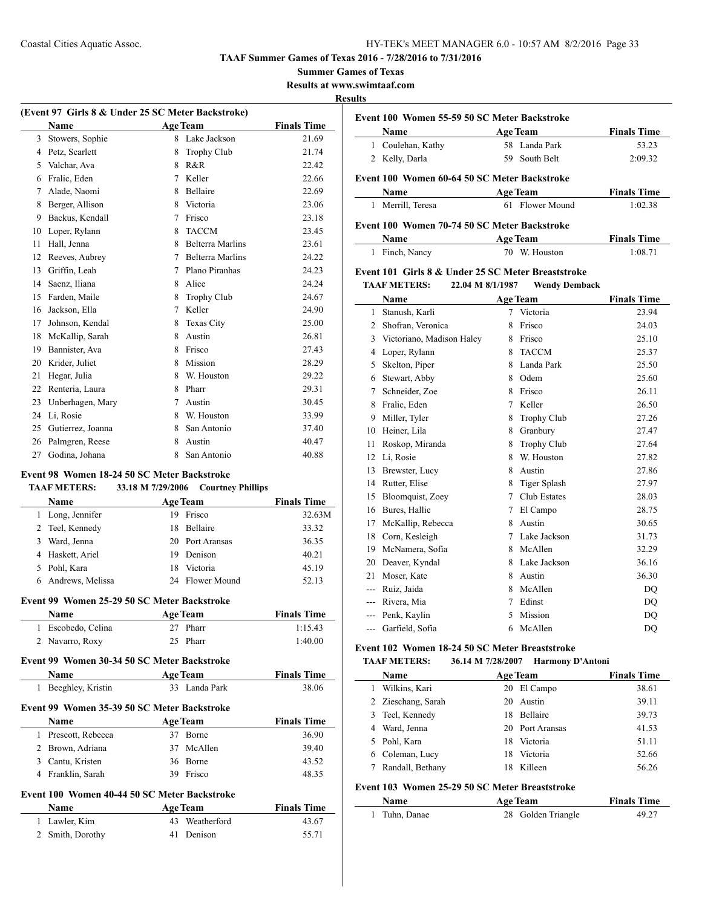#### **Summer Games of Texas**

**Results at www.swimtaaf.com**

#### **Results**

| (Event 97 Girls 8 & Under 25 SC Meter Backstroke) |                   |   |                         |                    |
|---------------------------------------------------|-------------------|---|-------------------------|--------------------|
|                                                   | Name              |   | <b>Age Team</b>         | <b>Finals Time</b> |
| 3                                                 | Stowers, Sophie   | 8 | Lake Jackson            | 21.69              |
| 4                                                 | Petz, Scarlett    | 8 | <b>Trophy Club</b>      | 21.74              |
| 5                                                 | Valchar, Ava      | 8 | R&R                     | 22.42              |
| 6                                                 | Fralic, Eden      | 7 | Keller                  | 22.66              |
| 7                                                 | Alade, Naomi      | 8 | <b>Bellaire</b>         | 22.69              |
| 8                                                 | Berger, Allison   | 8 | Victoria                | 23.06              |
| 9                                                 | Backus, Kendall   | 7 | Frisco                  | 23.18              |
| 10                                                | Loper, Rylann     | 8 | <b>TACCM</b>            | 23.45              |
| 11                                                | Hall, Jenna       | 8 | <b>Belterra Marlins</b> | 23.61              |
| 12                                                | Reeves, Aubrey    | 7 | <b>Belterra Marlins</b> | 24.22              |
| 13                                                | Griffin, Leah     | 7 | Plano Piranhas          | 24.23              |
| 14                                                | Saenz, Iliana     | 8 | Alice                   | 24.24              |
| 15                                                | Farden, Maile     | 8 | <b>Trophy Club</b>      | 24.67              |
| 16                                                | Jackson, Ella     | 7 | Keller                  | 24.90              |
| 17                                                | Johnson, Kendal   | 8 | Texas City              | 25.00              |
| 18                                                | McKallip, Sarah   | 8 | Austin                  | 26.81              |
| 19                                                | Bannister, Ava    | 8 | Frisco                  | 27.43              |
| 20                                                | Krider, Juliet    | 8 | Mission                 | 28.29              |
| 21                                                | Hegar, Julia      | 8 | W. Houston              | 29.22              |
| 22                                                | Renteria, Laura   | 8 | Pharr                   | 29.31              |
| 23                                                | Unberhagen, Mary  | 7 | Austin                  | 30.45              |
| 24                                                | Li, Rosie         | 8 | W. Houston              | 33.99              |
| 25                                                | Gutierrez, Joanna | 8 | San Antonio             | 37.40              |
| 26                                                | Palmgren, Reese   | 8 | Austin                  | 40.47              |
| 27                                                | Godina, Johana    | 8 | San Antonio             | 40.88              |
|                                                   |                   |   |                         |                    |

#### **Event 98 Women 18-24 50 SC Meter Backstroke TAAF METERS: 33.18 M 7/29/2006 Courtney Phillips**

|   |                    |    | $\frac{1}{2}$   |                    |
|---|--------------------|----|-----------------|--------------------|
|   | <b>Name</b>        |    | <b>Age Team</b> | <b>Finals Time</b> |
|   | 1 Long, Jennifer   | 19 | Frisco          | 32.63M             |
|   | 2 Teel, Kennedy    |    | 18 Bellaire     | 33.32              |
| 3 | Ward, Jenna        |    | 20 Port Aransas | 36.35              |
|   | 4 Haskett, Ariel   | 19 | Denison         | 40.21              |
|   | 5 Pohl, Kara       |    | 18 Victoria     | 45.19              |
|   | 6 Andrews, Melissa |    | 24 Flower Mound | 52.13              |

#### **Event 99 Women 25-29 50 SC Meter Backstroke**

| <b>Name</b>                                 | <b>Age Team</b> | <b>Finals Time</b> |
|---------------------------------------------|-----------------|--------------------|
| 1 Escobedo, Celina                          | 27 Pharr        | 1:15.43            |
| 2 Navarro, Roxy                             | 25 Pharr        | 1:40.00            |
| Event 99 Women 30-34 50 SC Meter Backstroke |                 |                    |
| Name                                        | <b>Age Team</b> | <b>Finals Time</b> |

## Beeghley, Kristin 33 Landa Park 38.06 **Event 99 Women 35-39 50 SC Meter Backstroke Name Age Team Finals Time**  Prescott, Rebecca 37 Borne 36.90 Brown, Adriana 37 McAllen 39.40 Cantu, Kristen 36 Borne 43.52 Franklin, Sarah 39 Frisco 48.35

### **Event 100 Women 40-44 50 SC Meter Backstroke**

| <b>Name</b>      | <b>Age Team</b> | <b>Finals Time</b> |
|------------------|-----------------|--------------------|
| 1 Lawler, Kim    | 43 Weatherford  | 43.67              |
| 2 Smith, Dorothy | 41 Denison      | 55.71              |

|                                              |                 | Event 100 Women 55-59 50 SC Meter Backstroke |                    |  |  |
|----------------------------------------------|-----------------|----------------------------------------------|--------------------|--|--|
|                                              | Name            | <b>Age Team</b>                              | <b>Finals Time</b> |  |  |
| 1                                            | Coulehan, Kathy | 58 Landa Park                                | 53.23              |  |  |
|                                              | 2 Kelly, Darla  | South Belt<br>59.                            | 2:09.32            |  |  |
|                                              |                 | Event 100 Women 60-64 50 SC Meter Backstroke |                    |  |  |
|                                              | Name            | <b>Age Team</b>                              | <b>Finals Time</b> |  |  |
| 1                                            | Merrill, Teresa | 61 Flower Mound                              | 1:02.38            |  |  |
| Event 100 Women 70-74 50 SC Meter Backstroke |                 |                                              |                    |  |  |
|                                              | <b>Name</b>     | <b>Age Team</b>                              | <b>Finals Time</b> |  |  |
|                                              | Finch, Nancy    | W. Houston<br>70                             | 1:08.71            |  |  |

## **Event 101 Girls 8 & Under 25 SC Meter Breaststroke**

**TAAF METERS: 22.04 M 8/1/1987 Wendy Demback**

|       | Name                      | <b>Age Team</b> |                    | <b>Finals Time</b> |
|-------|---------------------------|-----------------|--------------------|--------------------|
| 1     | Stanush, Karli            | 7               | Victoria           | 23.94              |
| 2     | Shofran, Veronica         | 8               | Frisco             | 24.03              |
| 3     | Victoriano, Madison Haley | 8               | Frisco             | 25.10              |
| 4     | Loper, Rylann             | 8               | <b>TACCM</b>       | 25.37              |
| 5     | Skelton, Piper            | 8               | Landa Park         | 25.50              |
| 6     | Stewart, Abby             | 8               | Odem               | 25.60              |
| 7     | Schneider, Zoe            | 8               | Frisco             | 26.11              |
| 8     | Fralic, Eden              | 7               | Keller             | 26.50              |
| 9     | Miller, Tyler             | 8               | <b>Trophy Club</b> | 27.26              |
| 10    | Heiner, Lila              | 8               | Granbury           | 27.47              |
| 11    | Roskop, Miranda           | 8               | <b>Trophy Club</b> | 27.64              |
| 12    | Li, Rosie                 | 8               | W. Houston         | 27.82              |
| 13    | Brewster, Lucy            | 8               | Austin             | 27.86              |
| 14    | Rutter, Elise             | 8               | Tiger Splash       | 27.97              |
| 15    | Bloomquist, Zoey          | 7               | Club Estates       | 28.03              |
| 16    | Bures, Hallie             | 7               | El Campo           | 28.75              |
| 17    | McKallip, Rebecca         | 8               | Austin             | 30.65              |
| 18    | Corn, Kesleigh            | 7               | Lake Jackson       | 31.73              |
| 19    | McNamera, Sofia           | 8               | McAllen            | 32.29              |
| 20    | Deaver, Kyndal            | 8               | Lake Jackson       | 36.16              |
| 21    | Moser, Kate               | 8               | Austin             | 36.30              |
| ---   | Ruiz, Jaida               | 8               | McAllen            | DO                 |
| $---$ | Rivera, Mia               | 7               | Edinst             | DQ                 |
|       | Penk, Kaylin              | 5               | Mission            | DQ                 |
| $---$ | Garfield, Sofia           | 6               | McAllen            | DQ                 |

#### **Event 102 Women 18-24 50 SC Meter Breaststroke**

#### **TAAF METERS: 36.14 M 7/28/2007 Harmony D'Antoni**

|    | Name               |    | <b>Age Team</b> | <b>Finals Time</b> |
|----|--------------------|----|-----------------|--------------------|
|    | Wilkins, Kari      |    | 20 El Campo     | 38.61              |
|    | 2 Zieschang, Sarah | 20 | Austin          | 39.11              |
|    | Teel, Kennedy      | 18 | <b>Bellaire</b> | 39.73              |
|    | Ward, Jenna        |    | 20 Port Aransas | 41.53              |
| 5. | Pohl, Kara         | 18 | Victoria        | 51.11              |
|    | Coleman, Lucy      | 18 | Victoria        | 52.66              |
|    | Randall, Bethany   | 18 | Killeen         | 56.26              |

#### **Event 103 Women 25-29 50 SC Meter Breaststroke**

| <b>Name</b>   | <b>Age Team</b>    | <b>Finals Time</b> |
|---------------|--------------------|--------------------|
| 1 Tuhn, Danae | 28 Golden Triangle | 49.27              |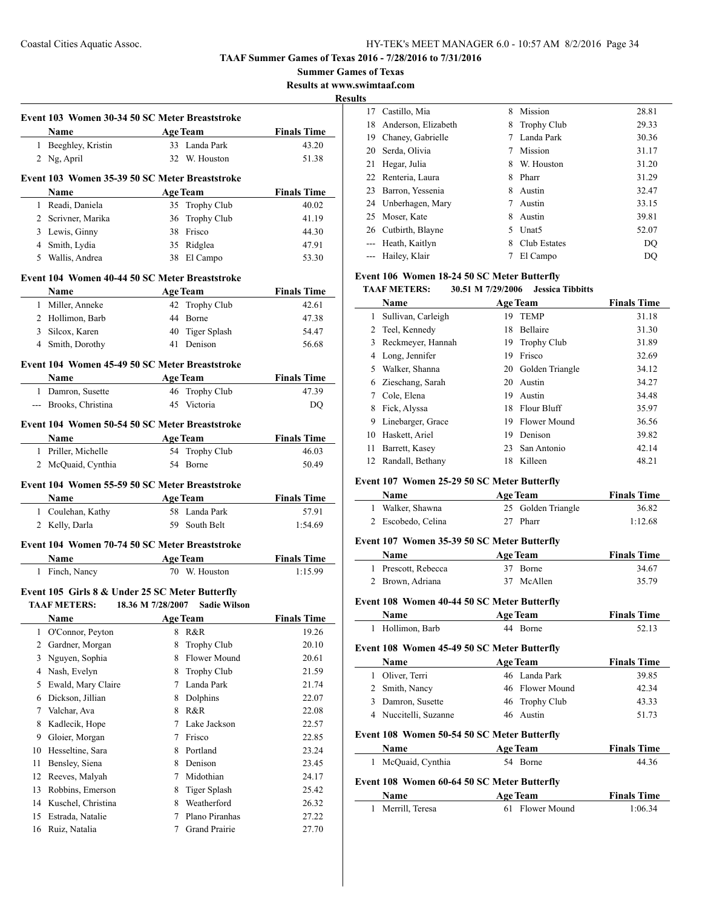**Summer Games of Texas**

**Results at www.swimtaaf.com**

**Results**

L.

|    | Event 103 Women 30-34 50 SC Meter Breaststroke     |                 |                     |                    |
|----|----------------------------------------------------|-----------------|---------------------|--------------------|
|    | Name                                               | <b>Age Team</b> |                     | <b>Finals Time</b> |
|    | 1 Beeghley, Kristin                                |                 | 33 Landa Park       | 43.20              |
|    | 2 Ng, April                                        |                 | 32 W. Houston       | 51.38              |
|    | Event 103 Women 35-39 50 SC Meter Breaststroke     |                 |                     |                    |
|    | Name                                               |                 | <b>Age Team</b>     | <b>Finals Time</b> |
|    | 1 Readi, Daniela                                   |                 | 35 Trophy Club      | 40.02              |
|    | 2 Scrivner, Marika                                 | 36              | Trophy Club         | 41.19              |
|    | 3 Lewis, Ginny                                     |                 | 38 Frisco           | 44.30              |
|    | 4 Smith, Lydia                                     |                 | 35 Ridglea          | 47.91              |
|    | 5 Wallis, Andrea                                   |                 | 38 El Campo         | 53.30              |
|    | Event 104 Women 40-44 50 SC Meter Breaststroke     |                 |                     |                    |
|    | Name                                               |                 | <b>Age Team</b>     | <b>Finals Time</b> |
|    | 1 Miller, Anneke                                   |                 | 42 Trophy Club      | 42.61              |
|    | 2 Hollimon, Barb                                   |                 | 44 Borne            | 47.38              |
|    | 3 Silcox, Karen                                    |                 | 40 Tiger Splash     | 54.47              |
|    | 4 Smith, Dorothy                                   |                 | 41 Denison          | 56.68              |
|    | Event 104 Women 45-49 50 SC Meter Breaststroke     |                 |                     |                    |
|    | <b>Name</b>                                        |                 | <b>Age Team</b>     | <b>Finals Time</b> |
|    | 1 Damron, Susette                                  |                 | 46 Trophy Club      | 47.39              |
|    | --- Brooks, Christina                              |                 | 45 Victoria         | DQ                 |
|    | Event 104 Women 50-54 50 SC Meter Breaststroke     |                 |                     |                    |
|    | Name                                               |                 | <b>Age Team</b>     | <b>Finals Time</b> |
|    | 1 Priller, Michelle                                |                 | 54 Trophy Club      | 46.03              |
|    | 2 McQuaid, Cynthia                                 |                 | 54 Borne            | 50.49              |
|    | Event 104 Women 55-59 50 SC Meter Breaststroke     |                 |                     |                    |
|    | <b>Name</b>                                        | <b>Age Team</b> |                     | <b>Finals Time</b> |
|    | 1 Coulehan, Kathy                                  |                 | 58 Landa Park       | 57.91              |
|    | 2 Kelly, Darla                                     |                 | 59 South Belt       | 1:54.69            |
|    | Event 104 Women 70-74 50 SC Meter Breaststroke     |                 |                     |                    |
|    | <b>Age Team</b><br>Name                            |                 |                     | <b>Finals Time</b> |
|    | 1 Finch, Nancy                                     |                 | 70 W. Houston       | 1:15.99            |
|    | Event 105 Girls 8 & Under 25 SC Meter Butterfly    |                 |                     |                    |
|    | <b>TAAF METERS:</b> 18.36 M 7/28/2007 Sadie Wilson |                 |                     |                    |
|    | Name                                               |                 | <b>Age Team</b>     | <b>Finals Time</b> |
| 1  | O'Connor, Peyton                                   | 8               | R&R                 | 19.26              |
| 2  | Gardner, Morgan                                    | 8               | <b>Trophy Club</b>  | 20.10              |
| 3  | Nguyen, Sophia                                     | 8               | Flower Mound        | 20.61              |
|    | 4 Nash, Evelyn                                     | 8               | Trophy Club         | 21.59              |
| 5  | Ewald, Mary Claire                                 | 7               | Landa Park          | 21.74              |
| 6  | Dickson, Jillian                                   | 8               | Dolphins            | 22.07              |
| 7  | Valchar, Ava                                       | 8               | R&R                 | 22.08              |
| 8  | Kadlecik, Hope                                     | 7               | Lake Jackson        | 22.57              |
| 9  | Gloier, Morgan                                     | 7               | Frisco              | 22.85              |
| 10 | Hesseltine, Sara                                   | 8               | Portland            | 23.24              |
| 11 | Bensley, Siena                                     | 8               | Denison             | 23.45              |
| 12 | Reeves, Malyah                                     | 7               | Midothian           | 24.17              |
| 13 | Robbins, Emerson                                   | 8               | <b>Tiger Splash</b> | 25.42              |
| 14 | Kuschel, Christina                                 | 8               | Weatherford         | 26.32              |
|    |                                                    |                 |                     |                    |
| 15 | Estrada, Natalie                                   | 7               | Plano Piranhas      | 27.22              |
| 16 | Ruiz, Natalia                                      | 7               | Grand Prairie       | 27.70              |

| 17                       | Castillo, Mia       | 8 | Mission            | 28.81 |
|--------------------------|---------------------|---|--------------------|-------|
| 18                       | Anderson, Elizabeth | 8 | <b>Trophy Club</b> | 29.33 |
| 19                       | Chaney, Gabrielle   |   | Landa Park         | 30.36 |
| 20                       | Serda, Olivia       |   | Mission            | 31.17 |
| 21                       | Hegar, Julia        | 8 | W. Houston         | 31.20 |
|                          | 22 Renteria, Laura  | 8 | Pharr              | 31.29 |
| 23                       | Barron, Yessenia    | 8 | Austin             | 32.47 |
|                          | 24 Unberhagen, Mary | 7 | Austin             | 33.15 |
|                          | 25 Moser, Kate      | 8 | Austin             | 39.81 |
|                          | 26 Cutbirth, Blayne | 5 | Unat <sub>5</sub>  | 52.07 |
| $\overline{\phantom{a}}$ | Heath, Kaitlyn      | 8 | Club Estates       | DO    |
| $---$                    | Hailey, Klair       |   | El Campo           | DO    |
|                          |                     |   |                    |       |

#### **Event 106 Women 18-24 50 SC Meter Butterfly**

#### **TAAF METERS: 30.51 M 7/29/2006 Jessica Tibbitts**

|    | Name               |    | <b>Age Team</b>    | <b>Finals Time</b> |
|----|--------------------|----|--------------------|--------------------|
| 1  | Sullivan, Carleigh | 19 | <b>TEMP</b>        | 31.18              |
| 2  | Teel, Kennedy      | 18 | <b>Bellaire</b>    | 31.30              |
| 3  | Reckmeyer, Hannah  | 19 | <b>Trophy Club</b> | 31.89              |
| 4  | Long, Jennifer     | 19 | Frisco             | 32.69              |
| 5. | Walker, Shanna     |    | 20 Golden Triangle | 34.12              |
| 6  | Zieschang, Sarah   | 20 | Austin             | 34.27              |
| 7  | Cole, Elena        | 19 | Austin             | 34.48              |
| 8  | Fick, Alyssa       | 18 | Flour Bluff        | 35.97              |
| 9  | Linebarger, Grace  | 19 | Flower Mound       | 36.56              |
| 10 | Haskett, Ariel     | 19 | Denison            | 39.82              |
| 11 | Barrett, Kasey     | 23 | San Antonio        | 42.14              |
| 12 | Randall, Bethany   | 18 | Killeen            | 48.21              |

#### **Event 107 Women 25-29 50 SC Meter Butterfly**

| <b>Age Team</b><br>Name |                    | <b>Finals Time</b> |
|-------------------------|--------------------|--------------------|
| 1 Walker, Shawna        | 25 Golden Triangle | 36.82              |
| 2 Escobedo, Celina      | 27 Pharr           | 1:12.68            |

## **Event 107 Women 35-39 50 SC Meter Butterfly**

| <b>Name</b>         | <b>Age Team</b> | <b>Finals Time</b> |
|---------------------|-----------------|--------------------|
| 1 Prescott, Rebecca | 37 Borne        | 34.67              |
| 2 Brown, Adriana    | 37 McAllen      | 35.79              |

#### **Event 108 Women 40-44 50 SC Meter Butterfly**

| <b>Name</b>      | <b>Age Team</b> | <b>Finals Time</b> |
|------------------|-----------------|--------------------|
| 1 Hollimon, Barb | 44 Borne        | 52.13              |

## **Event 108 Women 45-49 50 SC Meter Butterfly**

|                                             | Name                                                       | <b>Age Team</b> | <b>Finals Time</b> |
|---------------------------------------------|------------------------------------------------------------|-----------------|--------------------|
| 1                                           | Oliver, Terri                                              | 46 Landa Park   | 39.85              |
|                                             | 2 Smith, Nancy                                             | 46 Flower Mound | 42.34              |
| 3                                           | Damron, Susette                                            | 46 Trophy Club  | 43.33              |
| 4                                           | Nuccitelli, Suzanne                                        | 46 Austin       | 51.73              |
| Event 108 Women 50-54 50 SC Meter Butterfly |                                                            |                 |                    |
|                                             | Name                                                       | <b>Age Team</b> | <b>Finals Time</b> |
| 1                                           | McQuaid, Cynthia                                           | 54 Borne        | 44.36              |
|                                             | Event 108 Women 60-64 50 SC Meter Butterfly<br><b>Name</b> | <b>Age Team</b> | <b>Finals Time</b> |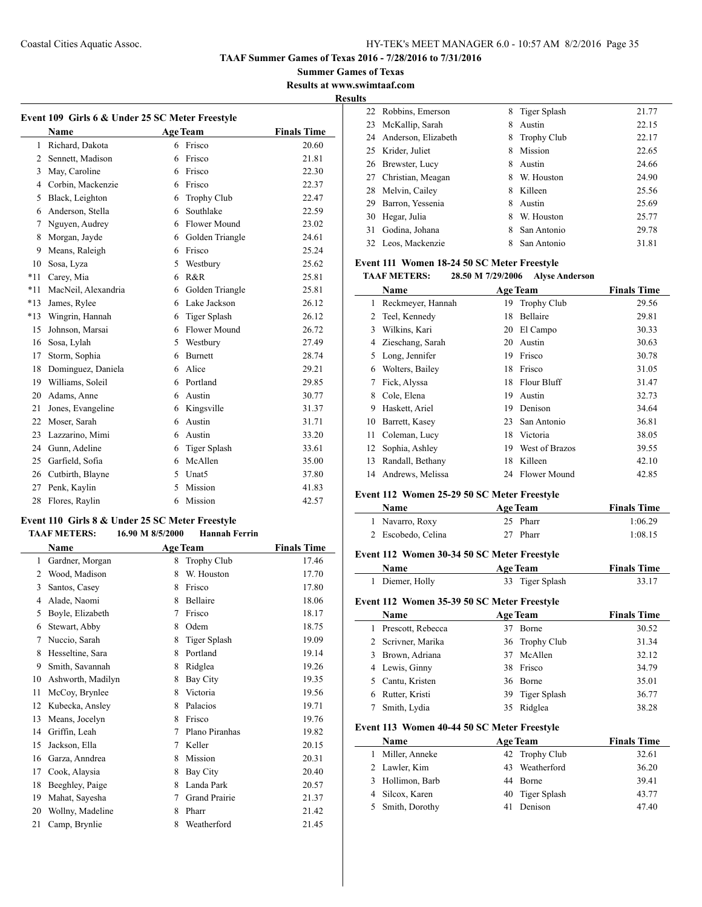**Summer Games of Texas Results at www.swimtaaf.com**

## **Results**

 $\overline{a}$ 

| Event 109 Girls 6 & Under 25 SC Meter Freestyle |                     |   |                     |                    |  |  |
|-------------------------------------------------|---------------------|---|---------------------|--------------------|--|--|
|                                                 | <b>Name</b>         |   | <b>Age Team</b>     | <b>Finals Time</b> |  |  |
| $\mathbf{1}$                                    | Richard, Dakota     |   | 6 Frisco            | 20.60              |  |  |
| 2                                               | Sennett, Madison    | 6 | Frisco              | 21.81              |  |  |
| 3                                               | May, Caroline       | 6 | Frisco              | 22.30              |  |  |
| 4                                               | Corbin, Mackenzie   | 6 | Frisco              | 22.37              |  |  |
| 5                                               | Black, Leighton     | 6 | Trophy Club         | 22.47              |  |  |
| 6                                               | Anderson, Stella    | 6 | Southlake           | 22.59              |  |  |
| $\overline{7}$                                  | Nguyen, Audrey      | 6 | <b>Flower Mound</b> | 23.02              |  |  |
| 8                                               | Morgan, Jayde       | 6 | Golden Triangle     | 24.61              |  |  |
| 9                                               | Means, Raleigh      | 6 | Frisco              | 25.24              |  |  |
| 10                                              | Sosa, Lyza          | 5 | Westbury            | 25.62              |  |  |
| $*11$                                           | Carey, Mia          | 6 | R&R                 | 25.81              |  |  |
| $*11$                                           | MacNeil, Alexandria | 6 | Golden Triangle     | 25.81              |  |  |
| $*13$                                           | James, Rylee        | 6 | Lake Jackson        | 26.12              |  |  |
| $*13$                                           | Wingrin, Hannah     | 6 | Tiger Splash        | 26.12              |  |  |
| 15                                              | Johnson, Marsai     | 6 | Flower Mound        | 26.72              |  |  |
| 16                                              | Sosa, Lylah         | 5 | Westbury            | 27.49              |  |  |
| 17                                              | Storm, Sophia       | 6 | <b>Burnett</b>      | 28.74              |  |  |
| 18                                              | Dominguez, Daniela  | 6 | Alice               | 29.21              |  |  |
| 19                                              | Williams, Soleil    | 6 | Portland            | 29.85              |  |  |
| 20                                              | Adams, Anne         | 6 | Austin              | 30.77              |  |  |
| 21                                              | Jones, Evangeline   | 6 | Kingsville          | 31.37              |  |  |
| 22                                              | Moser, Sarah        | 6 | Austin              | 31.71              |  |  |
| 23                                              | Lazzarino, Mimi     | 6 | Austin              | 33.20              |  |  |
| 24                                              | Gunn, Adeline       | 6 | Tiger Splash        | 33.61              |  |  |
| 25                                              | Garfield, Sofia     | 6 | McAllen             | 35.00              |  |  |
| 26                                              | Cutbirth, Blayne    | 5 | Unat <sub>5</sub>   | 37.80              |  |  |
| 27                                              | Penk, Kaylin        | 5 | Mission             | 41.83              |  |  |
| 28                                              | Flores, Raylin      | 6 | Mission             | 42.57              |  |  |

#### **Event 110 Girls 8 & Under 25 SC Meter Freestyle**

|    | <b>TAAF METERS:</b> | 16.90 M 8/5/2000 | <b>Hannah Ferrin</b> |                    |
|----|---------------------|------------------|----------------------|--------------------|
|    | <b>Name</b>         | <b>Age Team</b>  |                      | <b>Finals Time</b> |
| 1  | Gardner, Morgan     | 8                | <b>Trophy Club</b>   | 17.46              |
| 2  | Wood, Madison       | 8                | W. Houston           | 17.70              |
| 3  | Santos, Casey       | 8                | Frisco               | 17.80              |
| 4  | Alade, Naomi        | 8                | <b>Bellaire</b>      | 18.06              |
| 5  | Boyle, Elizabeth    | 7                | Frisco               | 18.17              |
| 6  | Stewart, Abby       | 8                | Odem                 | 18.75              |
| 7  | Nuccio, Sarah       | 8                | Tiger Splash         | 19.09              |
| 8  | Hesseltine, Sara    | 8                | Portland             | 19.14              |
| 9  | Smith, Savannah     | 8                | Ridglea              | 19.26              |
| 10 | Ashworth, Madilyn   | 8                | Bay City             | 19.35              |
| 11 | McCoy, Brynlee      | 8                | Victoria             | 19.56              |
| 12 | Kubecka, Ansley     | 8                | Palacios             | 19.71              |
| 13 | Means, Jocelyn      | 8                | Frisco               | 19.76              |
| 14 | Griffin, Leah       | 7                | Plano Piranhas       | 19.82              |
| 15 | Jackson, Ella       | 7                | Keller               | 20.15              |
| 16 | Garza, Anndrea      | 8                | Mission              | 20.31              |
| 17 | Cook, Alaysia       | 8                | Bay City             | 20.40              |
| 18 | Beeghley, Paige     | 8                | Landa Park           | 20.57              |
| 19 | Mahat, Sayesha      | 7                | <b>Grand Prairie</b> | 21.37              |
| 20 | Wollny, Madeline    | 8                | Pharr                | 21.42              |
| 21 | Camp, Brynlie       | 8                | Weatherford          | 21.45              |

|    | 22 Robbins, Emerson    | 8 | Tiger Splash       | 21.77 |
|----|------------------------|---|--------------------|-------|
| 23 | McKallip, Sarah        | 8 | Austin             | 22.15 |
|    | 24 Anderson, Elizabeth | 8 | <b>Trophy Club</b> | 22.17 |
|    | 25 Krider, Juliet      | 8 | Mission            | 22.65 |
|    | 26 Brewster, Lucy      | 8 | Austin             | 24.66 |
|    | 27 Christian, Meagan   | 8 | W. Houston         | 24.90 |
| 28 | Melvin, Cailey         | 8 | Killeen            | 25.56 |
| 29 | Barron, Yessenia       | 8 | Austin             | 25.69 |
| 30 | Hegar, Julia           | 8 | W. Houston         | 25.77 |
| 31 | Godina, Johana         | 8 | San Antonio        | 29.78 |
| 32 | Leos, Mackenzie        |   | San Antonio        | 31.81 |
|    |                        |   |                    |       |

#### **Event 111 Women 18-24 50 SC Meter Freestyle**

#### **TAAF METERS: 28.50 M 7/29/2006 Alyse Anderson**

|    | Name              |    | <b>Age Team</b>     | <b>Finals Time</b> |
|----|-------------------|----|---------------------|--------------------|
| 1  | Reckmeyer, Hannah | 19 | <b>Trophy Club</b>  | 29.56              |
| 2  | Teel, Kennedy     | 18 | Bellaire            | 29.81              |
| 3  | Wilkins, Kari     | 20 | El Campo            | 30.33              |
| 4  | Zieschang, Sarah  | 20 | Austin              | 30.63              |
| 5  | Long, Jennifer    | 19 | Frisco              | 30.78              |
| 6  | Wolters, Bailey   | 18 | Frisco              | 31.05              |
| 7  | Fick, Alyssa      | 18 | Flour Bluff         | 31.47              |
| 8  | Cole, Elena       | 19 | Austin              | 32.73              |
| 9  | Haskett, Ariel    | 19 | Denison             | 34.64              |
| 10 | Barrett, Kasey    | 23 | San Antonio         | 36.81              |
| 11 | Coleman, Lucy     | 18 | Victoria            | 38.05              |
| 12 | Sophia, Ashley    | 19 | West of Brazos      | 39.55              |
| 13 | Randall, Bethany  | 18 | Killeen             | 42.10              |
| 14 | Andrews, Melissa  | 24 | <b>Flower Mound</b> | 42.85              |

## **Event 112 Women 25-29 50 SC Meter Freestyle**

| Name               | <b>Age Team</b> | <b>Finals Time</b> |
|--------------------|-----------------|--------------------|
| 1 Navarro, Roxy    | 25 Pharr        | 1:06.29            |
| 2 Escobedo, Celina | 27 Pharr        | 1:08.15            |

## **Event 112 Women 30-34 50 SC Meter Freestyle**

| <b>Name</b>     | Age Team        | <b>Finals Time</b> |
|-----------------|-----------------|--------------------|
| 1 Diemer, Holly | 33 Tiger Splash | 33.17              |

## **Event 112 Women 35-39 50 SC Meter Freestyle**

|   | Name               |    | <b>Age Team</b> | <b>Finals Time</b> |
|---|--------------------|----|-----------------|--------------------|
| L | Prescott, Rebecca  |    | <b>Borne</b>    | 30.52              |
|   | 2 Scrivner, Marika |    | 36 Trophy Club  | 31.34              |
|   | 3 Brown, Adriana   |    | 37 McAllen      | 32.12              |
|   | 4 Lewis, Ginny     | 38 | Frisco          | 34.79              |
|   | 5 Cantu, Kristen   |    | 36 Borne        | 35.01              |
|   | Rutter, Kristi     |    | 39 Tiger Splash | 36.77              |
|   | Smith, Lydia       | 35 | Ridglea         | 38.28              |

#### **Event 113 Women 40-44 50 SC Meter Freestyle**

| <b>Name</b>      | <b>Age Team</b> | <b>Finals Time</b> |
|------------------|-----------------|--------------------|
| Miller, Anneke   | 42 Trophy Club  | 32.61              |
| 2 Lawler, Kim    | 43 Weatherford  | 36.20              |
| 3 Hollimon, Barb | 44 Borne        | 39.41              |
| 4 Silcox, Karen  | 40 Tiger Splash | 43.77              |
| 5 Smith, Dorothy | 41 Denison      | 47.40              |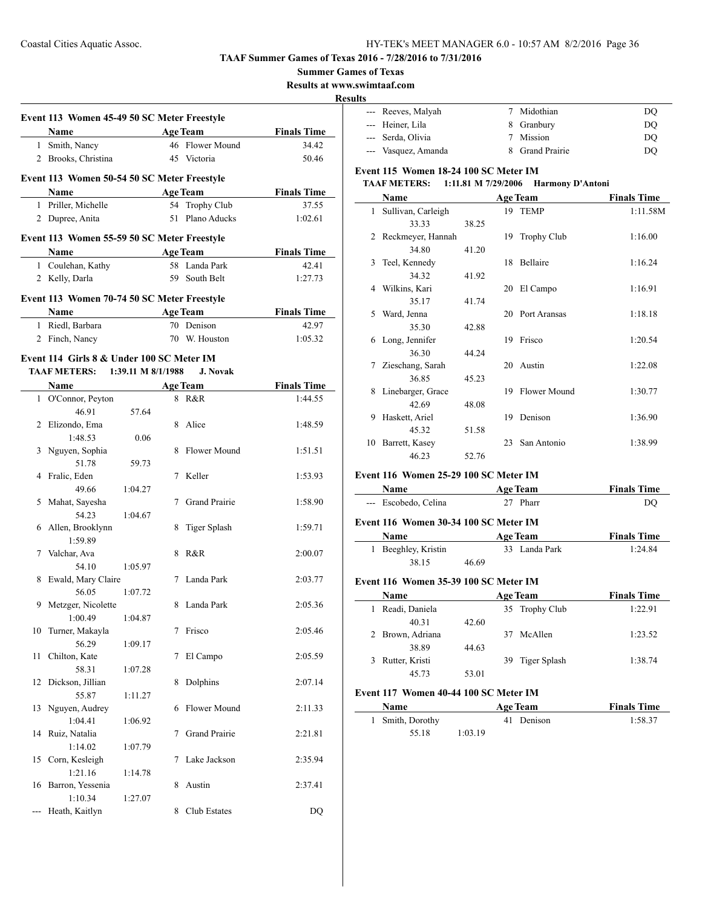**Summer Games of Texas**

**Results at www.swimtaaf.com**

#### **Results**

|    | Event 113 Women 45-49 50 SC Meter Freestyle |                                              |   |                      |                    |
|----|---------------------------------------------|----------------------------------------------|---|----------------------|--------------------|
|    | Name                                        |                                              |   | <b>Age Team</b>      | <b>Finals Time</b> |
|    | 1 Smith, Nancy                              |                                              |   | 46 Flower Mound      | 34.42              |
|    | 2 Brooks, Christina                         |                                              |   | 45 Victoria          | 50.46              |
|    | Event 113 Women 50-54 50 SC Meter Freestyle |                                              |   |                      |                    |
|    | Name                                        |                                              |   | <b>Age Team</b>      | <b>Finals Time</b> |
|    | 1 Priller, Michelle                         |                                              |   | 54 Trophy Club       | 37.55              |
|    | 2 Dupree, Anita                             |                                              |   | 51 Plano Aducks      | 1:02.61            |
|    | Event 113 Women 55-59 50 SC Meter Freestyle |                                              |   |                      |                    |
|    | Name                                        | <u> 1980 - Johann Barbara, martx</u>         |   | <b>Age Team</b>      | <b>Finals Time</b> |
|    | 1 Coulehan, Kathy                           |                                              |   | 58 Landa Park        | 42.41              |
|    | 2 Kelly, Darla                              |                                              |   | 59 South Belt        | 1:27.73            |
|    | Event 113 Women 70-74 50 SC Meter Freestyle |                                              |   |                      |                    |
|    | <b>Name</b>                                 |                                              |   | <b>Age Team</b>      | <b>Finals Time</b> |
|    | 1 Riedl, Barbara                            |                                              |   | 70 Denison           | 42.97              |
|    | 2 Finch, Nancy                              |                                              |   | 70 W. Houston        | 1:05.32            |
|    | Event 114 Girls 8 & Under 100 SC Meter IM   |                                              |   |                      |                    |
|    | TAAF METERS: 1:39.11 M 8/1/1988             |                                              |   | <b>J. Novak</b>      |                    |
|    | Name                                        | the control of the control of the control of |   | <b>Age Team</b>      | <b>Finals Time</b> |
|    | 1 O'Connor, Peyton                          |                                              |   | 8 R&R                | 1:44.55            |
|    | 46.91                                       | 57.64                                        |   |                      |                    |
|    | 2 Elizondo, Ema                             |                                              |   | 8 Alice              | 1:48.59            |
|    | 1:48.53                                     | 0.06                                         |   |                      |                    |
|    | 3 Nguyen, Sophia                            |                                              |   | 8 Flower Mound       | 1:51.51            |
|    | 51.78                                       | 59.73                                        |   |                      |                    |
|    | 4 Fralic, Eden                              |                                              |   | 7 Keller             | 1:53.93            |
|    | 49.66                                       | 1:04.27                                      |   |                      |                    |
|    | 5 Mahat, Sayesha                            |                                              |   | 7 Grand Prairie      | 1:58.90            |
|    |                                             |                                              |   |                      |                    |
|    | 54.23                                       | 1:04.67                                      |   |                      |                    |
|    | 6 Allen, Brooklynn                          |                                              |   | 8 Tiger Splash       | 1:59.71            |
|    | 1:59.89                                     |                                              |   |                      |                    |
|    | 7 Valchar, Ava                              |                                              | 8 | R&R                  | 2:00.07            |
|    | 54.10                                       | 1:05.97                                      |   |                      |                    |
| 8  | Ewald, Mary Claire                          |                                              |   | 7 Landa Park         | 2:03.77            |
|    | 56.05                                       | 1:07.72                                      |   |                      |                    |
| 9. | Metzger, Nicolette                          |                                              |   | 8 Landa Park         | 2:05.36            |
|    | 1:00.49                                     | 1:04.87                                      |   |                      |                    |
| 10 | Turner, Makayla                             |                                              |   | 7 Frisco             | 2:05.46            |
|    | 56.29                                       | 1:09.17                                      |   |                      |                    |
| 11 | Chilton, Kate                               |                                              | 7 | El Campo             | 2:05.59            |
|    | 58.31                                       | 1:07.28                                      |   |                      |                    |
| 12 | Dickson, Jillian                            |                                              | 8 | Dolphins             | 2:07.14            |
|    | 55.87                                       | 1:11.27                                      |   |                      |                    |
| 13 | Nguyen, Audrey                              |                                              | 6 | <b>Flower Mound</b>  | 2:11.33            |
|    | 1:04.41                                     | 1:06.92                                      |   |                      |                    |
| 14 | Ruiz, Natalia                               |                                              | 7 | <b>Grand Prairie</b> | 2:21.81            |
|    | 1:14.02                                     | 1:07.79                                      |   |                      |                    |
|    |                                             |                                              | 7 | Lake Jackson         |                    |
| 15 | Corn, Kesleigh                              |                                              |   |                      | 2:35.94            |
|    | 1:21.16                                     | 1:14.78                                      |   |                      |                    |
| 16 | Barron, Yessenia                            |                                              | 8 | Austin               | 2:37.41            |
|    | 1:10.34                                     | 1:27.07                                      |   |                      |                    |
|    | Heath, Kaitlyn                              |                                              | 8 | Club Estates         | DQ                 |

| --- Reeves, Malyah  | 7 Midothian     | DO |
|---------------------|-----------------|----|
| --- Heiner, Lila    | 8 Granbury      | DO |
| --- Serda, Olivia   | 7 Mission       | DO |
| --- Vasquez, Amanda | 8 Grand Prairie | DO |

## **Event 115 Women 18-24 100 SC Meter IM**

#### **TAAF METERS: 1:11.81 M 7/29/2006 Harmony D'Antoni**

|    | Name               |       |     | <b>Age Team</b>    | <b>Finals Time</b> |
|----|--------------------|-------|-----|--------------------|--------------------|
| 1  | Sullivan, Carleigh |       |     | 19 TEMP            | 1:11.58M           |
|    | 33.33              | 38.25 |     |                    |                    |
| 2  | Reckmeyer, Hannah  |       | 19. | <b>Trophy Club</b> | 1:16.00            |
|    | 34.80              | 41.20 |     |                    |                    |
| 3  | Teel, Kennedy      |       | 18  | Bellaire           | 1:16.24            |
|    | 34.32              | 41.92 |     |                    |                    |
| 4  | Wilkins, Kari      |       | 20  | El Campo           | 1:16.91            |
|    | 35.17              | 41.74 |     |                    |                    |
| 5  | Ward, Jenna        |       | 20  | Port Aransas       | 1:18.18            |
|    | 35.30              | 42.88 |     |                    |                    |
| 6  | Long, Jennifer     |       | 19  | Frisco             | 1:20.54            |
|    | 36.30              | 44.24 |     |                    |                    |
| 7  | Zieschang, Sarah   |       | 20  | Austin             | 1:22.08            |
|    | 36.85              | 45.23 |     |                    |                    |
| 8  | Linebarger, Grace  |       | 19  | Flower Mound       | 1:30.77            |
|    | 42.69              | 48.08 |     |                    |                    |
| 9  | Haskett, Ariel     |       | 19  | Denison            | 1:36.90            |
|    | 45.32              | 51.58 |     |                    |                    |
| 10 | Barrett, Kasey     |       | 23  | San Antonio        | 1:38.99            |
|    | 46.23              | 52.76 |     |                    |                    |

## **Event 116 Women 25-29 100 SC Meter IM**

| Name                                  | <b>Age Team</b> | <b>Finals Time</b> |
|---------------------------------------|-----------------|--------------------|
| --- Escobedo, Celina                  | 27 Pharr        | DO                 |
| Event 116 Women 30-34 100 SC Meter IM |                 |                    |

| <b>Name</b>         |       | <b>Age Team</b> | <b>Finals Time</b> |
|---------------------|-------|-----------------|--------------------|
| 1 Beeghley, Kristin |       | 33 Landa Park   | 1:24.84            |
| 38.15               | 46.69 |                 |                    |

### **Event 116 Women 35-39 100 SC Meter IM**

| <b>Name</b>      | <b>Age Team</b> | <b>Finals Time</b> |
|------------------|-----------------|--------------------|
| Readi, Daniela   | 35 Trophy Club  | 1:22.91            |
| 40.31            | 42.60           |                    |
| 2 Brown, Adriana | 37 McAllen      | 1:23.52            |
| 38.89            | 44.63           |                    |
| Rutter, Kristi   | 39 Tiger Splash | 1:38.74            |
| 45.73            | 53.01           |                    |

#### **Event 117 Women 40-44 100 SC Meter IM**

| Name             | <b>Age Team</b> | <b>Finals Time</b> |
|------------------|-----------------|--------------------|
| 1 Smith, Dorothy | 41 Denison      | 1:58.37            |
| 55.18            | 1:03.19         |                    |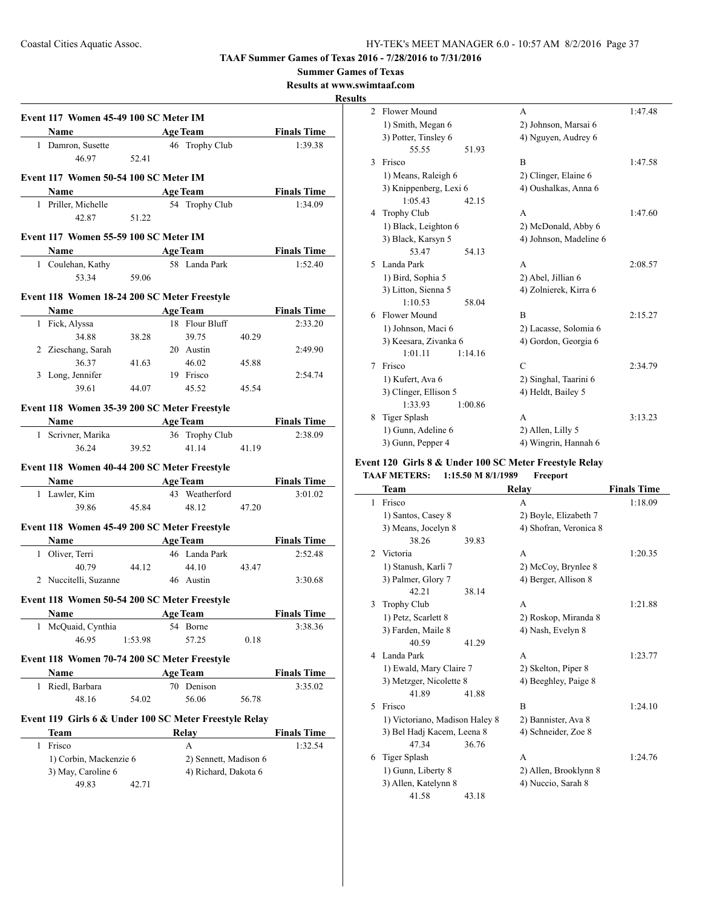**Summer Games of Texas**

**Results at www.swimtaaf.com**

## **Results**

|   | Name Age Team                                          |                                       |                       |       | <b>Finals Time</b> |
|---|--------------------------------------------------------|---------------------------------------|-----------------------|-------|--------------------|
|   | 1 Damron, Susette                                      |                                       | 46 Trophy Club        |       | 1:39.38            |
|   | 46.97                                                  | 52.41                                 |                       |       |                    |
|   |                                                        |                                       |                       |       |                    |
|   | Event 117 Women 50-54 100 SC Meter IM                  |                                       |                       |       |                    |
|   | Name                                                   |                                       | <b>Age Team</b>       |       | <b>Finals Time</b> |
|   | 1 Priller, Michelle<br>42.87                           | 51.22                                 | 54 Trophy Club        |       | 1:34.09            |
|   |                                                        |                                       |                       |       |                    |
|   | Event 117 Women 55-59 100 SC Meter IM                  |                                       |                       |       |                    |
|   | Name                                                   |                                       | <b>Age Team</b>       |       | <b>Finals Time</b> |
|   | 1 Coulehan, Kathy                                      |                                       | 58 Landa Park         |       | 1:52.40            |
|   | 53.34                                                  | 59.06                                 |                       |       |                    |
|   | Event 118 Women 18-24 200 SC Meter Freestyle           |                                       |                       |       |                    |
|   | Name                                                   |                                       | <b>Age Team</b>       |       | <b>Finals Time</b> |
|   | 1 Fick, Alyssa                                         |                                       | 18 Flour Bluff        |       | 2:33.20            |
|   | 34.88                                                  | 38.28                                 | 39.75                 | 40.29 |                    |
|   | 2 Zieschang, Sarah                                     |                                       | 20 Austin             |       | 2:49.90            |
|   | 36.37                                                  | 41.63                                 | 46.02                 | 45.88 |                    |
|   | 3 Long, Jennifer                                       |                                       | 19 Frisco             |       | 2:54.74            |
|   | 39.61                                                  | 44.07                                 | 45.52                 | 45.54 |                    |
|   | Event 118 Women 35-39 200 SC Meter Freestyle           |                                       |                       |       |                    |
|   | Name                                                   |                                       | Age Team              |       | <b>Finals Time</b> |
|   | 1 Scrivner, Marika                                     |                                       | 36 Trophy Club        |       | 2:38.09            |
|   | 36.24                                                  | 39.52                                 | 41.14                 | 41.19 |                    |
|   | Event 118 Women 40-44 200 SC Meter Freestyle           |                                       |                       |       |                    |
|   |                                                        |                                       | <b>Age Team</b>       |       | <b>Finals Time</b> |
|   | 1 Lawler, Kim                                          |                                       | 43 Weatherford        |       | 3:01.02            |
|   | 39.86                                                  | 45.84                                 | 48.12                 | 47.20 |                    |
|   |                                                        |                                       |                       |       |                    |
|   | Event 118 Women 45-49 200 SC Meter Freestyle           |                                       |                       |       |                    |
|   | <b>Name</b>                                            | <u> 1980 - Johann Barbara, martxa</u> | Age Team              |       | <b>Finals Time</b> |
|   | 1 Oliver, Terri                                        |                                       | 46 Landa Park         |       | 2:52.48            |
|   | 40.79                                                  | 44.12                                 | 44.10                 | 43.47 |                    |
|   | 2 Nuccitelli, Suzanne                                  |                                       | 46 Austin             |       | 3:30.68            |
|   | Event 118 Women 50-54 200 SC Meter Freestyle           |                                       |                       |       |                    |
|   | <b>Name</b> Age Team                                   |                                       |                       |       | <b>Finals Time</b> |
|   | 1 McQuaid, Cynthia                                     |                                       | 54 Borne              |       | 3:38.36            |
|   | 46.95                                                  | 1:53.98                               | 57.25                 | 0.18  |                    |
|   | Event 118 Women 70-74 200 SC Meter Freestyle           |                                       |                       |       |                    |
|   | Name                                                   |                                       | <b>Age Team</b>       |       | <b>Finals Time</b> |
|   |                                                        |                                       | 70 Denison            |       | 3:35.02            |
|   |                                                        |                                       | 56.06                 | 56.78 |                    |
| 1 | Riedl, Barbara                                         |                                       |                       |       |                    |
|   | 48.16                                                  | 54.02                                 |                       |       |                    |
|   | Event 119 Girls 6 & Under 100 SC Meter Freestyle Relay |                                       |                       |       |                    |
|   | Team                                                   |                                       | Relay                 |       | <b>Finals Time</b> |
| 1 | Frisco                                                 |                                       | A                     |       | 1:32.54            |
|   | 1) Corbin, Mackenzie 6                                 |                                       | 2) Sennett, Madison 6 |       |                    |
|   | 3) May, Caroline 6<br>49.83                            | 42.71                                 | 4) Richard, Dakota 6  |       |                    |

| 2  | Flower Mound           | A                      | 1:47.48 |
|----|------------------------|------------------------|---------|
|    | 1) Smith, Megan 6      | 2) Johnson, Marsai 6   |         |
|    | 3) Potter, Tinsley 6   | 4) Nguyen, Audrey 6    |         |
|    | 55.55<br>51.93         |                        |         |
| 3  | Frisco                 | B                      | 1:47.58 |
|    | 1) Means, Raleigh 6    | 2) Clinger, Elaine 6   |         |
|    | 3) Knippenberg, Lexi 6 | 4) Oushalkas, Anna 6   |         |
|    | 1:05.43<br>42.15       |                        |         |
| 4  | <b>Trophy Club</b>     | A                      | 1:47.60 |
|    | 1) Black, Leighton 6   | 2) McDonald, Abby 6    |         |
|    | 3) Black, Karsyn 5     | 4) Johnson, Madeline 6 |         |
|    | 53.47<br>54.13         |                        |         |
| 5. | Landa Park             | A                      | 2:08.57 |
|    | 1) Bird, Sophia 5      | 2) Abel, Jillian 6     |         |
|    | 3) Litton, Sienna 5    | 4) Zolnierek, Kirra 6  |         |
|    | 1:10.53<br>58.04       |                        |         |
|    | 6 Flower Mound         | B                      | 2:15.27 |
|    | 1) Johnson, Maci 6     | 2) Lacasse, Solomia 6  |         |
|    | 3) Keesara, Zivanka 6  | 4) Gordon, Georgia 6   |         |
|    | 1:01.11<br>1:14.16     |                        |         |
| 7  | Frisco                 | $\mathcal{C}$          | 2:34.79 |
|    | 1) Kufert, Ava 6       | 2) Singhal, Taarini 6  |         |
|    | 3) Clinger, Ellison 5  | 4) Heldt, Bailey 5     |         |
|    | 1:33.93<br>1:00.86     |                        |         |
| 8  | <b>Tiger Splash</b>    | A                      | 3:13.23 |
|    | 1) Gunn, Adeline 6     | 2) Allen, Lilly 5      |         |
|    | 3) Gunn, Pepper 4      | 4) Wingrin, Hannah 6   |         |

#### **Event 120 Girls 8 & Under 100 SC Meter Freestyle Relay TAAF METERS: 1:15.50 M 8/1/1989 Freeport**

|                | Team                           |       | Relay                  | <b>Finals Time</b> |
|----------------|--------------------------------|-------|------------------------|--------------------|
| 1              | Frisco                         |       | A                      | 1:18.09            |
|                | 1) Santos, Casey 8             |       | 2) Boyle, Elizabeth 7  |                    |
|                | 3) Means, Jocelyn 8            |       | 4) Shofran, Veronica 8 |                    |
|                | 38.26                          | 39.83 |                        |                    |
| $\mathfrak{D}$ | Victoria                       |       | A                      | 1:20.35            |
|                | 1) Stanush, Karli 7            |       | 2) McCoy, Brynlee 8    |                    |
|                | 3) Palmer, Glory 7             |       | 4) Berger, Allison 8   |                    |
|                | 42.21                          | 38.14 |                        |                    |
| 3              | Trophy Club                    |       | A                      | 1:21.88            |
|                | 1) Petz, Scarlett 8            |       | 2) Roskop, Miranda 8   |                    |
|                | 3) Farden, Maile 8             |       | 4) Nash, Evelyn 8      |                    |
|                | 40.59                          | 41.29 |                        |                    |
| 4              | Landa Park                     |       | A                      | 1:23.77            |
|                | 1) Ewald, Mary Claire 7        |       | 2) Skelton, Piper 8    |                    |
|                | 3) Metzger, Nicolette 8        |       | 4) Beeghley, Paige 8   |                    |
|                | 41.89                          | 41.88 |                        |                    |
| 5              | Frisco                         |       | B                      | 1:24.10            |
|                | 1) Victoriano, Madison Haley 8 |       | 2) Bannister, Ava 8    |                    |
|                | 3) Bel Hadj Kacem, Leena 8     |       | 4) Schneider, Zoe 8    |                    |
|                | 47.34                          | 36.76 |                        |                    |
| 6              | <b>Tiger Splash</b>            |       | A                      | 1:24.76            |
|                | 1) Gunn, Liberty 8             |       | 2) Allen, Brooklynn 8  |                    |
|                | 3) Allen, Katelynn 8           |       | 4) Nuccio, Sarah 8     |                    |
|                | 41.58                          | 43.18 |                        |                    |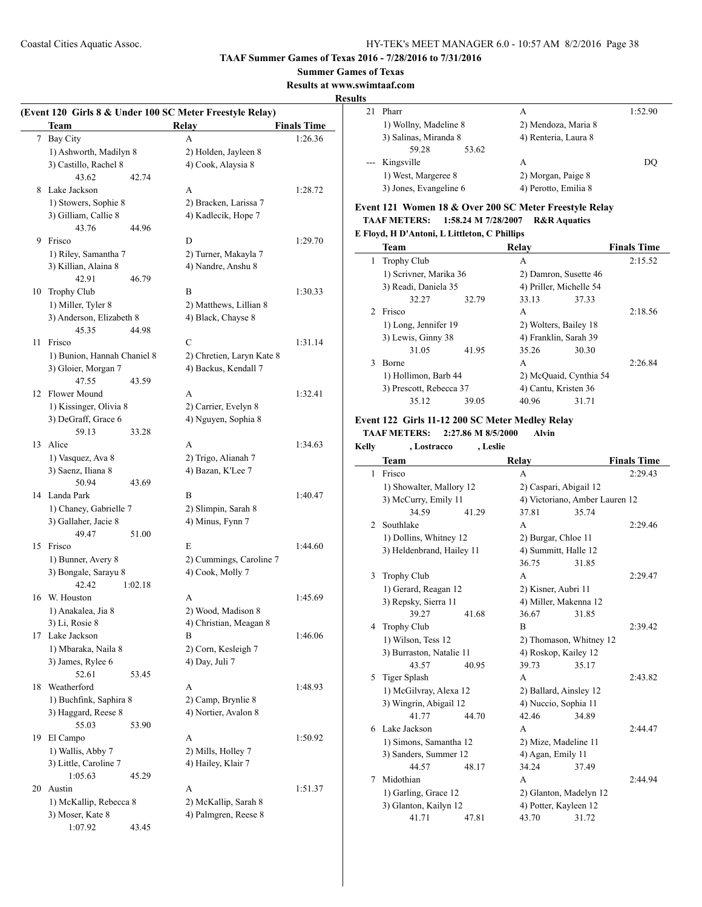#### **Summer Games of Texas**

**Results at www.swimtaaf.com**

## **Results**

| (Event 120 Girls 8 & Under 100 SC Meter Freestyle Relay) |                                            |         |                                                   |                    |  |
|----------------------------------------------------------|--------------------------------------------|---------|---------------------------------------------------|--------------------|--|
|                                                          | <b>Team</b>                                |         | Relay                                             | <b>Finals Time</b> |  |
| 7                                                        | Bay City                                   |         | A                                                 | 1:26.36            |  |
|                                                          | 1) Ashworth, Madilyn 8                     |         | 2) Holden, Jayleen 8                              |                    |  |
|                                                          | 3) Castillo, Rachel 8                      |         | 4) Cook, Alaysia 8                                |                    |  |
|                                                          | 43.62                                      | 42.74   |                                                   |                    |  |
| 8                                                        | Lake Jackson                               |         | A                                                 | 1:28.72            |  |
|                                                          | 1) Stowers, Sophie 8                       |         | 2) Bracken, Larissa 7                             |                    |  |
|                                                          | 3) Gilliam, Callie 8                       |         | 4) Kadlecik, Hope 7                               |                    |  |
|                                                          | 43.76                                      | 44.96   |                                                   |                    |  |
| 9                                                        | Frisco                                     |         | D                                                 | 1:29.70            |  |
|                                                          | 1) Riley, Samantha 7                       |         | 2) Turner, Makayla 7                              |                    |  |
|                                                          | 3) Killian, Alaina 8                       |         | 4) Nandre, Anshu 8                                |                    |  |
|                                                          | 42.91                                      | 46.79   |                                                   |                    |  |
|                                                          | 10 Trophy Club                             |         | B                                                 | 1:30.33            |  |
|                                                          | 1) Miller, Tyler 8                         |         | 2) Matthews, Lillian 8                            |                    |  |
|                                                          | 3) Anderson, Elizabeth 8<br>45.35          |         | 4) Black, Chayse 8                                |                    |  |
| 11                                                       | Frisco                                     | 44.98   | C                                                 |                    |  |
|                                                          |                                            |         |                                                   | 1:31.14            |  |
|                                                          | 1) Bunion, Hannah Chaniel 8                |         | 2) Chretien, Laryn Kate 8<br>4) Backus, Kendall 7 |                    |  |
|                                                          | 3) Gloier, Morgan 7<br>47.55               | 43.59   |                                                   |                    |  |
| 12                                                       | Flower Mound                               |         | A                                                 | 1:32.41            |  |
|                                                          | 1) Kissinger, Olivia 8                     |         | 2) Carrier, Evelyn 8                              |                    |  |
|                                                          | 3) DeGraff, Grace 6                        |         | 4) Nguyen, Sophia 8                               |                    |  |
|                                                          | 59.13                                      | 33.28   |                                                   |                    |  |
| 13                                                       | Alice                                      |         | A                                                 | 1:34.63            |  |
|                                                          | 1) Vasquez, Ava 8                          |         | 2) Trigo, Alianah 7                               |                    |  |
|                                                          | 3) Saenz, Iliana 8                         |         | 4) Bazan, K'Lee 7                                 |                    |  |
|                                                          | 50.94                                      | 43.69   |                                                   |                    |  |
|                                                          | 14 Landa Park                              |         | B                                                 | 1:40.47            |  |
|                                                          | 1) Chaney, Gabrielle 7                     |         | 2) Slimpin, Sarah 8                               |                    |  |
|                                                          | 3) Gallaher, Jacie 8                       |         | 4) Minus, Fynn 7                                  |                    |  |
|                                                          | 49.47                                      | 51.00   |                                                   |                    |  |
| 15                                                       | Frisco                                     |         | E                                                 | 1:44.60            |  |
|                                                          | 1) Bunner, Avery 8                         |         | 2) Cummings, Caroline 7                           |                    |  |
|                                                          | 3) Bongale, Sarayu 8                       |         | 4) Cook, Molly 7                                  |                    |  |
|                                                          | 42.42                                      | 1:02.18 |                                                   |                    |  |
| 16                                                       | W. Houston                                 |         | A                                                 | 1:45.69            |  |
|                                                          | 1) Anakalea, Jia 8                         |         | 2) Wood, Madison 8                                |                    |  |
|                                                          | 3) Li, Rosie 8                             |         | 4) Christian, Meagan 8                            |                    |  |
| 17                                                       | Lake Jackson                               |         | B                                                 | 1:46.06            |  |
|                                                          | 1) Mbaraka, Naila 8                        |         | 2) Corn, Kesleigh 7                               |                    |  |
|                                                          | 3) James, Rylee 6                          |         | 4) Day, Juli 7                                    |                    |  |
|                                                          | 52.61                                      | 53.45   |                                                   |                    |  |
| 18                                                       | Weatherford                                |         | A                                                 | 1:48.93            |  |
|                                                          | 1) Buchfink, Saphira 8                     |         | 2) Camp, Brynlie 8                                |                    |  |
|                                                          | 3) Haggard, Reese 8                        |         | 4) Nortier, Avalon 8                              |                    |  |
|                                                          | 55.03                                      | 53.90   |                                                   |                    |  |
| 19                                                       | El Campo                                   |         | А                                                 | 1:50.92            |  |
|                                                          | 1) Wallis, Abby 7                          |         | 2) Mills, Holley 7                                |                    |  |
|                                                          | 3) Little, Caroline 7                      |         | 4) Hailey, Klair 7                                |                    |  |
|                                                          | 1:05.63                                    | 45.29   |                                                   |                    |  |
| 20                                                       | Austin                                     |         | A                                                 | 1:51.37            |  |
|                                                          | 1) McKallip, Rebecca 8<br>3) Moser, Kate 8 |         | 2) McKallip, Sarah 8<br>4) Palmgren, Reese 8      |                    |  |
|                                                          | 1:07.92                                    | 43.45   |                                                   |                    |  |
|                                                          |                                            |         |                                                   |                    |  |

| ШS |                        |                      |         |
|----|------------------------|----------------------|---------|
|    | Pharr                  | A                    | 1:52.90 |
|    | 1) Wollny, Madeline 8  | 2) Mendoza, Maria 8  |         |
|    | 3) Salinas, Miranda 8  | 4) Renteria, Laura 8 |         |
|    | 59.28<br>53.62         |                      |         |
|    | --- Kingsville         | A                    | DO      |
|    | 1) West, Margeree 8    | 2) Morgan, Paige 8   |         |
|    | 3) Jones, Evangeline 6 | 4) Perotto, Emilia 8 |         |

## **Event 121 Women 18 & Over 200 SC Meter Freestyle Relay TAAF METERS: 1:58.24 M 7/28/2007 R&R Aquatics**

## **E Floyd, H D'Antoni, L Littleton, C Phillips**

|               | <b>Team</b>             |       | Relav                   |       | <b>Finals Time</b> |
|---------------|-------------------------|-------|-------------------------|-------|--------------------|
| 1             | <b>Trophy Club</b>      |       | A                       |       | 2:15.52            |
|               | 1) Scrivner, Marika 36  |       | 2) Damron, Susette 46   |       |                    |
|               | 3) Readi, Daniela 35    |       | 4) Priller, Michelle 54 |       |                    |
|               | 32.27                   | 32.79 | 33.13                   | 37.33 |                    |
| $\mathcal{D}$ | Frisco                  |       | A                       |       | 2:18.56            |
|               | 1) Long, Jennifer 19    |       | 2) Wolters, Bailey 18   |       |                    |
|               | 3) Lewis, Ginny 38      |       | 4) Franklin, Sarah 39   |       |                    |
|               | 31.05                   | 41.95 | 35.26                   | 30.30 |                    |
| 3             | Borne                   |       | A                       |       | 2:26.84            |
|               | 1) Hollimon, Barb 44    |       | 2) McQuaid, Cynthia 54  |       |                    |
|               | 3) Prescott, Rebecca 37 |       | 4) Cantu, Kristen 36    |       |                    |
|               | 35.12                   | 39.05 | 40.96                   | 31.71 |                    |

## **Event 122 Girls 11-12 200 SC Meter Medley Relay**

**TAAF METERS: 2:27.86 M 8/5/2000 Alvin**

| <b>Kelly</b> | , Lostracco               | , Leslie |                                |       |                    |
|--------------|---------------------------|----------|--------------------------------|-------|--------------------|
|              | <b>Team</b>               |          | Relay                          |       | <b>Finals Time</b> |
| 1            | Frisco                    |          | $\mathsf{A}$                   |       | 2:29.43            |
|              | 1) Showalter, Mallory 12  |          | 2) Caspari, Abigail 12         |       |                    |
|              | 3) McCurry, Emily 11      |          | 4) Victoriano, Amber Lauren 12 |       |                    |
|              | 34.59                     | 41.29    | 37.81                          | 35.74 |                    |
| 2            | Southlake                 |          | A                              |       | 2:29.46            |
|              | 1) Dollins, Whitney 12    |          | 2) Burgar, Chloe 11            |       |                    |
|              | 3) Heldenbrand, Hailey 11 |          | 4) Summitt, Halle 12           |       |                    |
|              |                           |          | 36.75                          | 31.85 |                    |
| 3            | <b>Trophy Club</b>        |          | A                              |       | 2:29.47            |
|              | 1) Gerard, Reagan 12      |          | 2) Kisner, Aubri 11            |       |                    |
|              | 3) Repsky, Sierra 11      |          | 4) Miller, Makenna 12          |       |                    |
|              | 39.27                     | 41.68    | 36.67                          | 31.85 |                    |
|              | 4 Trophy Club             |          | B                              |       | 2:39.42            |
|              | 1) Wilson, Tess 12        |          | 2) Thomason, Whitney 12        |       |                    |
|              | 3) Burraston, Natalie 11  |          | 4) Roskop, Kailey 12           |       |                    |
|              | 43.57                     | 40.95    | 39.73                          | 35.17 |                    |
| 5            | <b>Tiger Splash</b>       |          | A                              |       | 2:43.82            |
|              | 1) McGilvray, Alexa 12    |          | 2) Ballard, Ainsley 12         |       |                    |
|              | 3) Wingrin, Abigail 12    |          | 4) Nuccio, Sophia 11           |       |                    |
|              | 41.77                     | 44.70    | 42.46                          | 34.89 |                    |
|              | 6 Lake Jackson            |          | A                              |       | 2:44.47            |
|              | 1) Simons, Samantha 12    |          | 2) Mize, Madeline 11           |       |                    |
|              | 3) Sanders, Summer 12     |          | 4) Agan, Emily 11              |       |                    |
|              | 44.57                     | 48.17    | 34.24                          | 37.49 |                    |
| 7            | Midothian                 |          | A                              |       | 2:44.94            |
|              | 1) Garling, Grace 12      |          | 2) Glanton, Madelyn 12         |       |                    |
|              | 3) Glanton, Kailyn 12     |          | 4) Potter, Kayleen 12          |       |                    |
|              | 41.71                     | 47.81    | 43.70                          | 31.72 |                    |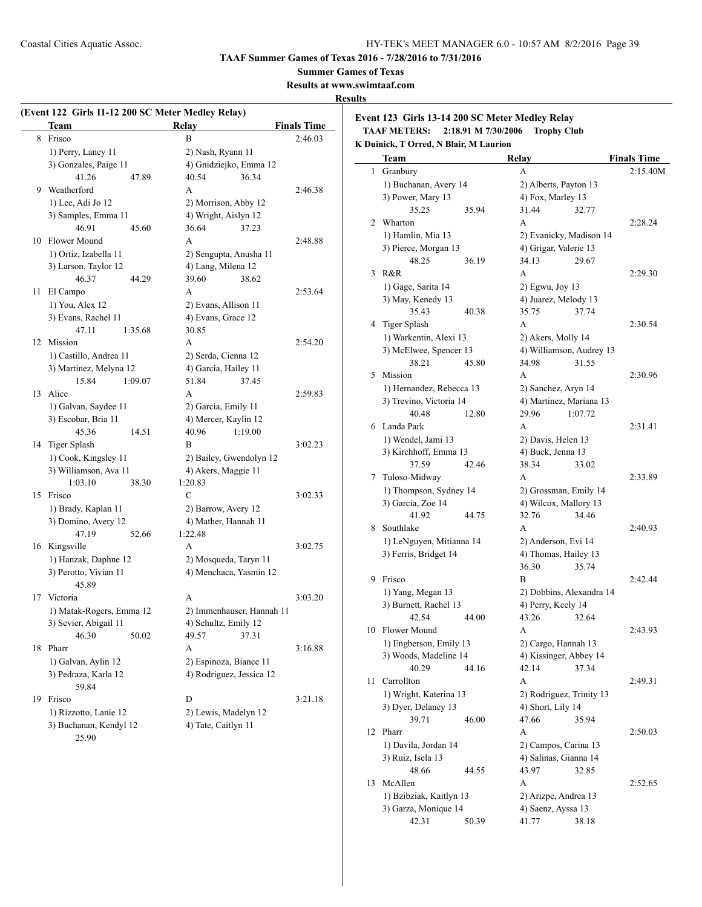**Summer Games of Texas**

**Results at www.swimtaaf.com**

#### **Results**

 $\overline{\phantom{a}}$ 

| (Event 122 Girls 11-12 200 SC Meter Medley Relay) |                                            |         |                                             |         |                    |
|---------------------------------------------------|--------------------------------------------|---------|---------------------------------------------|---------|--------------------|
|                                                   | <b>Team</b>                                |         | Relay                                       |         | <b>Finals Time</b> |
|                                                   | 8 Frisco                                   |         | B                                           |         | 2:46.03            |
|                                                   | 1) Perry, Laney 11                         |         | 2) Nash, Ryann 11                           |         |                    |
|                                                   | 3) Gonzales, Paige 11                      |         | 4) Gnidziejko, Emma 12                      |         |                    |
|                                                   | 41.26                                      | 47.89   | 40.54                                       | 36.34   |                    |
| 9                                                 | Weatherford                                |         | A                                           |         | 2:46.38            |
|                                                   | 1) Lee, Adi Jo 12                          |         | 2) Morrison, Abby 12                        |         |                    |
|                                                   | 3) Samples, Emma 11                        |         | 4) Wright, Aislyn 12                        |         |                    |
|                                                   | 46.91                                      | 45.60   | 36.64                                       | 37.23   |                    |
| 10                                                | Flower Mound                               |         | A                                           |         | 2:48.88            |
|                                                   | 1) Ortiz, Izabella 11                      |         | 2) Sengupta, Anusha 11                      |         |                    |
|                                                   | 3) Larson, Taylor 12                       |         | 4) Lang, Milena 12                          |         |                    |
|                                                   | 46.37                                      | 44.29   | 39.60                                       | 38.62   |                    |
| 11                                                | El Campo                                   |         | A                                           |         | 2:53.64            |
|                                                   | 1) You, Alex 12                            |         | 2) Evans, Allison 11                        |         |                    |
|                                                   | 3) Evans, Rachel 11                        |         | 4) Evans, Grace 12                          |         |                    |
|                                                   | 47.11                                      | 1:35.68 | 30.85                                       |         |                    |
| 12                                                | Mission                                    |         | A                                           |         | 2:54.20            |
|                                                   | 1) Castillo, Andrea 11                     |         | 2) Serda, Cienna 12                         |         |                    |
|                                                   | 3) Martinez, Melyna 12                     |         | 4) Garcia, Hailey 11                        |         |                    |
|                                                   | 15.84                                      | 1:09.07 | 51.84                                       | 37.45   |                    |
| 13                                                | Alice                                      |         | A                                           |         | 2:59.83            |
|                                                   | 1) Galvan, Saydee 11                       |         | 2) Garcia, Emily 11                         |         |                    |
|                                                   | 3) Escobar, Bria 11                        |         | 4) Mercer, Kaylin 12                        |         |                    |
|                                                   | 45.36                                      | 14.51   | 40.96                                       | 1:19.00 |                    |
| 14                                                | Tiger Splash                               |         | B                                           |         | 3:02.23            |
|                                                   | 1) Cook, Kingsley 11                       |         | 2) Bailey, Gwendolyn 12                     |         |                    |
|                                                   | 3) Williamson, Ava 11                      |         | 4) Akers, Maggie 11                         |         |                    |
| 15                                                | 1:03.10<br>Frisco                          | 38.30   | 1:20.83<br>C                                |         |                    |
|                                                   |                                            |         |                                             |         | 3:02.33            |
|                                                   | 1) Brady, Kaplan 11<br>3) Domino, Avery 12 |         | 2) Barrow, Avery 12<br>4) Mather, Hannah 11 |         |                    |
|                                                   | 47.19                                      | 52.66   | 1:22.48                                     |         |                    |
|                                                   | 16 Kingsville                              |         | A                                           |         | 3:02.75            |
|                                                   | 1) Hanzak, Daphne 12                       |         | 2) Mosqueda, Taryn 11                       |         |                    |
|                                                   | 3) Perotto, Vivian 11                      |         | 4) Menchaca, Yasmin 12                      |         |                    |
|                                                   | 45.89                                      |         |                                             |         |                    |
| 17                                                | Victoria                                   |         | A                                           |         | 3:03.20            |
|                                                   | 1) Matak-Rogers, Emma 12                   |         | 2) Immenhauser, Hannah 11                   |         |                    |
|                                                   | 3) Sevier, Abigail 11                      |         | 4) Schultz, Emily 12                        |         |                    |
|                                                   | 46.30                                      | 50.02   | 49.57                                       | 37.31   |                    |
| 18                                                | Pharr                                      |         | A                                           |         | 3:16.88            |
|                                                   | 1) Galvan, Aylin 12                        |         | 2) Espinoza, Biance 11                      |         |                    |
|                                                   | 3) Pedraza, Karla 12                       |         | 4) Rodriguez, Jessica 12                    |         |                    |
|                                                   | 59.84                                      |         |                                             |         |                    |
| 19                                                | Frisco                                     |         | D                                           |         | 3:21.18            |
|                                                   | 1) Rizzotto, Lanie 12                      |         | 2) Lewis, Madelyn 12                        |         |                    |
|                                                   | 3) Buchanan, Kendyl 12                     |         | 4) Tate, Caitlyn 11                         |         |                    |
|                                                   | 25.90                                      |         |                                             |         |                    |

**Event 123 Girls 13-14 200 SC Meter Medley Relay TAAF METERS: 2:18.91 M 7/30/2006 Trophy Club**

**K Duinick, T Orred, N Blair, M Laurion**

|    | <b>Team</b>                             | Relay                                          | <b>Finals Time</b> |
|----|-----------------------------------------|------------------------------------------------|--------------------|
| 1  | Granbury                                | А                                              | 2:15.40M           |
|    | 1) Buchanan, Avery 14                   | 2) Alberts, Payton 13                          |                    |
|    | 3) Power, Mary 13                       | 4) Fox, Marley 13                              |                    |
|    | 35.25<br>35.94                          | 31.44<br>32.77                                 |                    |
| 2  | Wharton                                 | A                                              | 2:28.24            |
|    | 1) Hamlin, Mia 13                       | 2) Evanicky, Madison 14                        |                    |
|    | 3) Pierce, Morgan 13                    | 4) Grigar, Valerie 13                          |                    |
|    | 48.25<br>36.19                          | 34.13<br>29.67                                 |                    |
| 3  | R&R                                     | A                                              | 2:29.30            |
|    | 1) Gage, Sarita 14                      | 2) Egwu, Joy 13                                |                    |
|    | 3) May, Kenedy 13                       | 4) Juarez, Melody 13                           |                    |
|    | 35.43<br>40.38                          | 35.75<br>37.74                                 |                    |
| 4  | Tiger Splash                            | A                                              | 2:30.54            |
|    | 1) Warkentin, Alexi 13                  | 2) Akers, Molly 14                             |                    |
|    | 3) McElwee, Spencer 13                  | 4) Williamson, Audrey 13                       |                    |
|    | 38.21<br>45.80                          | 34.98<br>31.55                                 |                    |
| 5  | Mission                                 | A                                              | 2:30.96            |
|    | 1) Hernandez, Rebecca 13                | 2) Sanchez, Aryn 14                            |                    |
|    | 3) Trevino, Victoria 14                 | 4) Martinez, Mariana 13                        |                    |
|    | 40.48<br>12.80                          | 29.96<br>1:07.72                               |                    |
| 6  | Landa Park                              | A                                              | 2:31.41            |
|    | 1) Wendel, Jami 13                      | 2) Davis, Helen 13                             |                    |
|    | 3) Kirchhoff, Emma 13                   | 4) Buck, Jenna 13                              |                    |
|    | 37.59<br>42.46                          | 38.34<br>33.02                                 |                    |
| 7  | Tuloso-Midway                           | A                                              | 2:33.89            |
|    | 1) Thompson, Sydney 14                  | 2) Grossman, Emily 14                          |                    |
|    | 3) Garcia, Zoe 14                       | 4) Wilcox, Mallory 13                          |                    |
|    | 41.92<br>44.75                          | 32.76<br>34.46                                 |                    |
| 8  | Southlake                               | A                                              | 2:40.93            |
|    | 1) LeNguyen, Mitianna 14                | 2) Anderson, Evi 14                            |                    |
|    | 3) Ferris, Bridget 14                   | 4) Thomas, Hailey 13                           |                    |
|    |                                         | 36.30<br>35.74<br>B                            |                    |
| 9  | Frisco                                  |                                                | 2:42.44            |
|    | 1) Yang, Megan 13                       | 2) Dobbins, Alexandra 14<br>4) Perry, Keely 14 |                    |
|    | 3) Burnett, Rachel 13<br>42.54<br>44.00 | 43.26<br>32.64                                 |                    |
| 10 | Flower Mound                            | A                                              | 2:43.93            |
|    | 1) Engberson, Emily 13                  | 2) Cargo, Hannah 13                            |                    |
|    | 3) Woods, Madeline 14                   | 4) Kissinger, Abbey 14                         |                    |
|    | 40.29<br>44.16                          | 42.14<br>37.34                                 |                    |
| 11 | Carrollton                              | А                                              | 2:49.31            |
|    | 1) Wright, Katerina 13                  | 2) Rodriguez, Trinity 13                       |                    |
|    | 3) Dyer, Delaney 13                     | 4) Short, Lily 14                              |                    |
|    | 39.71<br>46.00                          | 47.66<br>35.94                                 |                    |
| 12 | Pharr                                   | А                                              | 2:50.03            |
|    | 1) Davila, Jordan 14                    | 2) Campos, Carina 13                           |                    |
|    | 3) Ruiz, Isela 13                       | 4) Salinas, Gianna 14                          |                    |
|    | 48.66<br>44.55                          | 43.97<br>32.85                                 |                    |
| 13 | McAllen                                 | А                                              | 2:52.65            |
|    | 1) Bzibziak, Kaitlyn 13                 | 2) Arizpe, Andrea 13                           |                    |
|    | 3) Garza, Monique 14                    | 4) Saenz, Ayssa 13                             |                    |
|    | 42.31<br>50.39                          | 41.77<br>38.18                                 |                    |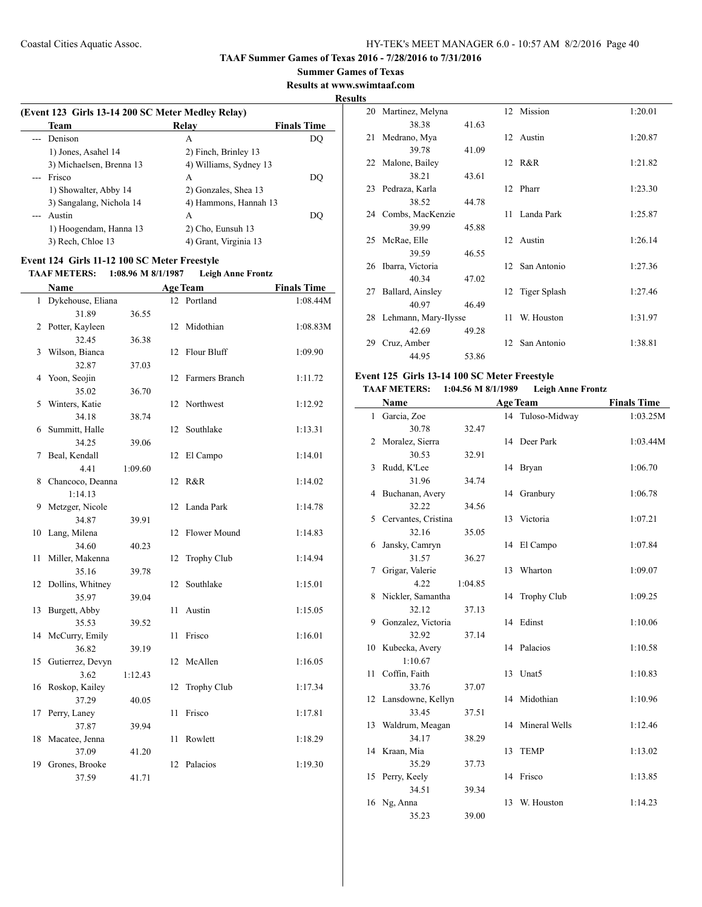#### **Summer Games of Texas**

#### **Results at www.swimtaaf.com**

#### **Results**

 $\sim$ 

| Team                     | Relay                  | <b>Finals Time</b> |
|--------------------------|------------------------|--------------------|
| Denison                  | A                      | DO                 |
| 1) Jones, Asahel 14      | 2) Finch, Brinley 13   |                    |
| 3) Michaelsen, Brenna 13 | 4) Williams, Sydney 13 |                    |
| Frisco                   | A                      | DO                 |
| 1) Showalter, Abby 14    | 2) Gonzales, Shea 13   |                    |
| 3) Sangalang, Nichola 14 | 4) Hammons, Hannah 13  |                    |
| Austin                   | А                      | DO                 |
| 1) Hoogendam, Hanna 13   | 2) Cho, Eunsuh 13      |                    |
| 3) Rech, Chloe 13        | 4) Grant, Virginia 13  |                    |

#### **Event 124 Girls 11-12 100 SC Meter Freestyle**

 $\overline{a}$ 

#### **TAAF METERS: 1:08.96 M 8/1/1987 Leigh Anne Frontz**

|                | Name                |         |    | <b>Age Team</b>    | <b>Finals Time</b> |
|----------------|---------------------|---------|----|--------------------|--------------------|
|                | 1 Dykehouse, Eliana |         | 12 | Portland           | 1:08.44M           |
|                | 31.89               | 36.55   |    |                    |                    |
| $\overline{2}$ | Potter, Kayleen     |         | 12 | Midothian          | 1:08.83M           |
|                | 32.45               | 36.38   |    |                    |                    |
| 3              | Wilson, Bianca      |         | 12 | Flour Bluff        | 1:09.90            |
|                | 32.87               | 37.03   |    |                    |                    |
| 4              | Yoon, Seojin        |         | 12 | Farmers Branch     | 1:11.72            |
|                | 35.02               | 36.70   |    |                    |                    |
| 5              | Winters, Katie      |         | 12 | Northwest          | 1:12.92            |
|                | 34.18               | 38.74   |    |                    |                    |
| 6              | Summitt, Halle      |         | 12 | Southlake          | 1:13.31            |
|                | 34.25               | 39.06   |    |                    |                    |
| 7              | Beal, Kendall       |         | 12 | El Campo           | 1:14.01            |
|                | 4.41                | 1:09.60 |    |                    |                    |
| 8              | Chancoco, Deanna    |         | 12 | R&R                | 1:14.02            |
|                | 1:14.13             |         |    |                    |                    |
| 9              | Metzger, Nicole     |         | 12 | Landa Park         | 1:14.78            |
|                | 34.87               | 39.91   |    |                    |                    |
| 10             | Lang, Milena        |         | 12 | Flower Mound       | 1:14.83            |
|                | 34.60               | 40.23   |    |                    |                    |
| 11             | Miller, Makenna     |         | 12 | <b>Trophy Club</b> | 1:14.94            |
|                | 35.16               | 39.78   |    |                    |                    |
| 12             | Dollins, Whitney    |         | 12 | Southlake          | 1:15.01            |
|                | 35.97               | 39.04   |    |                    |                    |
| 13             | Burgett, Abby       |         | 11 | Austin             | 1:15.05            |
|                | 35.53               | 39.52   |    |                    |                    |
|                | 14 McCurry, Emily   |         | 11 | Frisco             | 1:16.01            |
|                | 36.82               | 39.19   |    |                    |                    |
| 15             | Gutierrez, Devyn    |         | 12 | McAllen            | 1:16.05            |
|                | 3.62                | 1:12.43 |    |                    |                    |
| 16             | Roskop, Kailey      |         | 12 | Trophy Club        | 1:17.34            |
|                | 37.29               | 40.05   |    |                    |                    |
| 17             | Perry, Laney        |         | 11 | Frisco             | 1:17.81            |
|                | 37.87               | 39.94   |    |                    |                    |
| 18             | Macatee, Jenna      |         | 11 | Rowlett            | 1:18.29            |
|                | 37.09               | 41.20   |    |                    |                    |
| 19             | Grones, Brooke      |         | 12 | Palacios           | 1:19.30            |
|                | 37.59               | 41.71   |    |                    |                    |

| 20 | Martinez, Melyna     |       |    | 12 Mission      | 1:20.01 |
|----|----------------------|-------|----|-----------------|---------|
|    | 38.38                | 41.63 |    |                 |         |
| 21 | Medrano, Mya         |       |    | 12 Austin       | 1:20.87 |
|    | 39.78                | 41.09 |    |                 |         |
| 22 | Malone, Bailey       |       |    | 12 R&R          | 1:21.82 |
|    | 38.21                | 43.61 |    |                 |         |
| 23 | Pedraza, Karla       |       |    | 12 Pharr        | 1:23.30 |
|    | 38.52                | 44.78 |    |                 |         |
|    | 24 Combs, MacKenzie  |       |    | 11 Landa Park   | 1:25.87 |
|    | 39.99                | 45.88 |    |                 |         |
| 25 | McRae, Elle          |       |    | 12 Austin       | 1:26.14 |
|    | 39.59                | 46.55 |    |                 |         |
| 26 | Ibarra, Victoria     |       |    | 12 San Antonio  | 1:27.36 |
|    | 40.34                | 47.02 |    |                 |         |
| 27 | Ballard, Ainsley     |       |    | 12 Tiger Splash | 1:27.46 |
|    | 40.97                | 46.49 |    |                 |         |
| 28 | Lehmann, Mary-Ilysse |       | 11 | W. Houston      | 1:31.97 |
|    | 42.69                | 49.28 |    |                 |         |
| 29 | Cruz, Amber          |       |    | 12 San Antonio  | 1:38.81 |
|    | 44.95                | 53.86 |    |                 |         |

## **Event 125 Girls 13-14 100 SC Meter Freestyle**

## **TAAF METERS: 1:04.56 M 8/1/1989 Leigh Anne Frontz**

|              | Name                 |         |    | <b>Age Team</b>    | <b>Finals Time</b> |
|--------------|----------------------|---------|----|--------------------|--------------------|
| $\mathbf{1}$ | Garcia, Zoe          |         |    | 14 Tuloso-Midway   | 1:03.25M           |
|              | 30.78                | 32.47   |    |                    |                    |
| 2            | Moralez, Sierra      |         |    | 14 Deer Park       | 1:03.44M           |
|              | 30.53                | 32.91   |    |                    |                    |
| 3            | Rudd, K'Lee          |         |    | 14 Bryan           | 1:06.70            |
|              | 31.96                | 34.74   |    |                    |                    |
| 4            | Buchanan, Avery      |         | 14 | Granbury           | 1:06.78            |
|              | 32.22                | 34.56   |    |                    |                    |
| 5            | Cervantes, Cristina  |         | 13 | Victoria           | 1:07.21            |
|              | 32.16                | 35.05   |    |                    |                    |
| 6            | Jansky, Camryn       |         | 14 | El Campo           | 1:07.84            |
|              | 31.57                | 36.27   |    |                    |                    |
| 7            | Grigar, Valerie      |         | 13 | Wharton            | 1:09.07            |
|              | 4.22                 | 1:04.85 |    |                    |                    |
| 8            | Nickler, Samantha    |         | 14 | <b>Trophy Club</b> | 1:09.25            |
|              | 32.12                | 37.13   |    |                    |                    |
| 9            | Gonzalez, Victoria   |         |    | 14 Edinst          | 1:10.06            |
|              | 32.92                | 37.14   |    |                    |                    |
| 10           | Kubecka, Avery       |         |    | 14 Palacios        | 1:10.58            |
|              | 1:10.67              |         |    |                    |                    |
| 11           | Coffin, Faith        |         | 13 | Unat <sub>5</sub>  | 1:10.83            |
|              | 33.76                | 37.07   |    |                    |                    |
|              | 12 Lansdowne, Kellyn |         |    | 14 Midothian       | 1:10.96            |
|              | 33.45                | 37.51   |    |                    |                    |
|              | 13 Waldrum, Meagan   |         |    | 14 Mineral Wells   | 1:12.46            |
|              | 34.17                | 38.29   |    |                    |                    |
|              | 14 Kraan, Mia        |         | 13 | <b>TEMP</b>        | 1:13.02            |
|              | 35.29                | 37.73   |    |                    |                    |
|              | 15 Perry, Keely      |         |    | 14 Frisco          | 1:13.85            |
|              | 34.51                | 39.34   |    |                    |                    |
| 16           | Ng, Anna             |         | 13 | W. Houston         | 1:14.23            |
|              | 35.23                | 39.00   |    |                    |                    |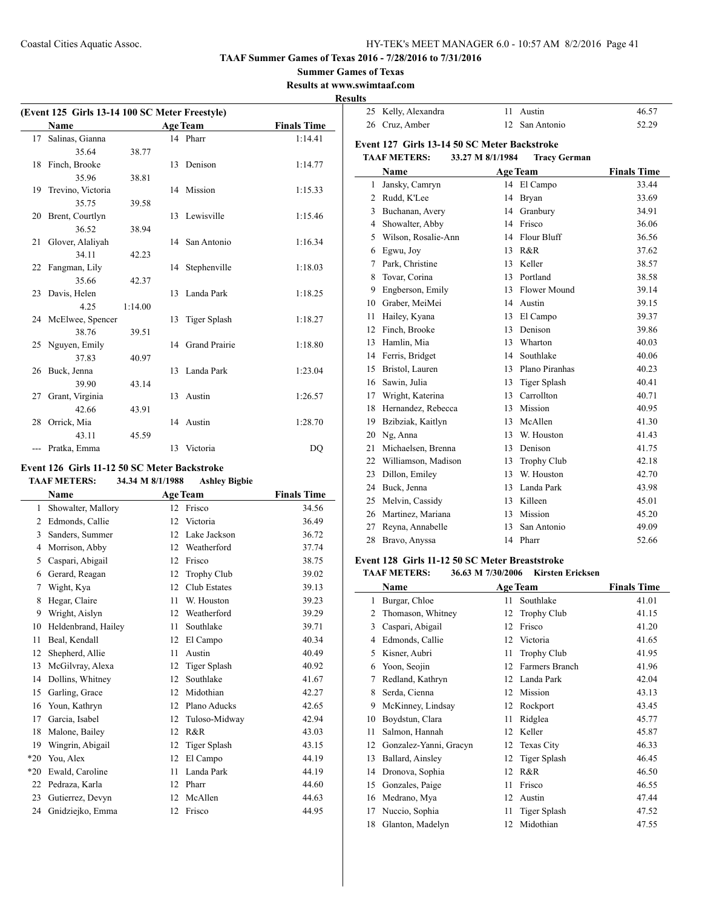**Summer Games of Texas**

**Results at www.swimtaaf.com**

**Results**

| (Event 125 Girls 13-14 100 SC Meter Freestyle) |         |    |                     |                    |  |
|------------------------------------------------|---------|----|---------------------|--------------------|--|
| <b>Name</b>                                    |         |    | <b>Age Team</b>     | <b>Finals Time</b> |  |
| 17 Salinas, Gianna                             |         |    | 14 Pharr            | 1:14.41            |  |
| 35.64                                          | 38.77   |    |                     |                    |  |
| 18 Finch, Brooke                               |         |    | 13 Denison          | 1:14.77            |  |
| 35.96                                          | 38.81   |    |                     |                    |  |
| 19 Trevino, Victoria                           |         |    | 14 Mission          | 1:15.33            |  |
| 35.75                                          | 39.58   |    |                     |                    |  |
| 20 Brent, Courtlyn                             |         |    | 13 Lewisville       | 1:15.46            |  |
| 36.52                                          | 38.94   |    |                     |                    |  |
| 21 Glover, Alaliyah                            |         |    | 14 San Antonio      | 1:16.34            |  |
| 34.11                                          | 42.23   |    |                     |                    |  |
| 22 Fangman, Lily                               |         |    | 14 Stephenville     | 1:18.03            |  |
| 35.66                                          | 42.37   |    |                     |                    |  |
| 23 Davis, Helen                                |         |    | 13 Landa Park       | 1:18.25            |  |
| 4.25                                           | 1:14.00 |    |                     |                    |  |
| 24 McElwee, Spencer                            |         | 13 | <b>Tiger Splash</b> | 1:18.27            |  |
| 38.76                                          | 39.51   |    |                     |                    |  |
| 25 Nguyen, Emily                               |         |    | 14 Grand Prairie    | 1:18.80            |  |
| 37.83                                          | 40.97   |    |                     |                    |  |
| 26 Buck, Jenna                                 |         |    | 13 Landa Park       | 1:23.04            |  |
| 39.90                                          | 43.14   |    |                     |                    |  |
| 27 Grant, Virginia                             |         |    | 13 Austin           | 1:26.57            |  |
| 42.66                                          | 43.91   |    |                     |                    |  |
| 28 Orrick, Mia                                 |         |    | 14 Austin           | 1:28.70            |  |
| 43.11                                          | 45.59   |    |                     |                    |  |
| Pratka, Emma                                   |         | 13 | Victoria            | D <sub>O</sub>     |  |

## **Event 126 Girls 11-12 50 SC Meter Backstroke**

 $\overline{a}$ 

## **TAAF METERS: 34.34 M 8/1/1988 Ashley Bigbie**

|       | Name                | <b>Age Team</b> |                     | <b>Finals Time</b> |
|-------|---------------------|-----------------|---------------------|--------------------|
| 1     | Showalter, Mallory  | 12              | Frisco              | 34.56              |
| 2     | Edmonds, Callie     | 12              | Victoria            | 36.49              |
| 3     | Sanders, Summer     | 12              | Lake Jackson        | 36.72              |
| 4     | Morrison, Abby      | 12              | Weatherford         | 37.74              |
| 5     | Caspari, Abigail    | 12              | Frisco              | 38.75              |
| 6     | Gerard, Reagan      | 12              | <b>Trophy Club</b>  | 39.02              |
| 7     | Wight, Kya          | 12              | Club Estates        | 39.13              |
| 8     | Hegar, Claire       | 11              | W. Houston          | 39.23              |
| 9     | Wright, Aislyn      | 12              | Weatherford         | 39.29              |
| 10    | Heldenbrand, Hailey | 11              | Southlake           | 39.71              |
| 11    | Beal, Kendall       | 12              | El Campo            | 40.34              |
| 12    | Shepherd, Allie     | 11              | Austin              | 40.49              |
| 13    | McGilvray, Alexa    | 12              | <b>Tiger Splash</b> | 40.92              |
| 14    | Dollins, Whitney    | 12              | Southlake           | 41.67              |
| 15    | Garling, Grace      | 12              | Midothian           | 42.27              |
| 16    | Youn, Kathryn       | 12              | Plano Aducks        | 42.65              |
| 17    | Garcia, Isabel      | 12              | Tuloso-Midway       | 42.94              |
| 18    | Malone, Bailey      | 12              | R&R                 | 43.03              |
| 19    | Wingrin, Abigail    | 12              | <b>Tiger Splash</b> | 43.15              |
| $*20$ | You, Alex           | 12              | El Campo            | 44.19              |
| $*20$ | Ewald, Caroline     | 11              | Landa Park          | 44.19              |
| 22    | Pedraza, Karla      | 12              | Pharr               | 44.60              |
| 23    | Gutierrez, Devyn    | 12              | McAllen             | 44.63              |
| 24    | Gnidziejko, Emma    | 12              | Frisco              | 44.95              |
|       |                     |                 |                     |                    |

| 25 Kelly, Alexandra | 11 Austin      | 46.57 |
|---------------------|----------------|-------|
| 26 Cruz, Amber      | 12 San Antonio | 52.29 |

#### **Event 127 Girls 13-14 50 SC Meter Backstroke TAAF METERS: 33.27 M 8/1/1984 Tracy German**

|                | Name                |    | <b>Age Team</b>     | <b>Finals Time</b> |
|----------------|---------------------|----|---------------------|--------------------|
| 1              | Jansky, Camryn      | 14 | El Campo            | 33.44              |
| $\overline{c}$ | Rudd, K'Lee         | 14 | Bryan               | 33.69              |
| 3              | Buchanan, Avery     | 14 | Granbury            | 34.91              |
| $\overline{4}$ | Showalter, Abby     | 14 | Frisco              | 36.06              |
| 5              | Wilson, Rosalie-Ann | 14 | Flour Bluff         | 36.56              |
| 6              | Egwu, Joy           | 13 | R&R                 | 37.62              |
| 7              | Park, Christine     | 13 | Keller              | 38.57              |
| 8              | Tovar, Corina       | 13 | Portland            | 38.58              |
| 9              | Engberson, Emily    | 13 | Flower Mound        | 39.14              |
| 10             | Graber, MeiMei      | 14 | Austin              | 39.15              |
| 11             | Hailey, Kyana       | 13 | El Campo            | 39.37              |
| 12             | Finch, Brooke       | 13 | Denison             | 39.86              |
| 13             | Hamlin, Mia         | 13 | Wharton             | 40.03              |
| 14             | Ferris, Bridget     | 14 | Southlake           | 40.06              |
| 15             | Bristol, Lauren     | 13 | Plano Piranhas      | 40.23              |
| 16             | Sawin, Julia        | 13 | <b>Tiger Splash</b> | 40.41              |
| 17             | Wright, Katerina    | 13 | Carrollton          | 40.71              |
| 18             | Hernandez, Rebecca  | 13 | Mission             | 40.95              |
| 19             | Bzibziak, Kaitlyn   | 13 | McAllen             | 41.30              |
| 20             | Ng, Anna            | 13 | W. Houston          | 41.43              |
| 21             | Michaelsen, Brenna  | 13 | Denison             | 41.75              |
| 22             | Williamson, Madison | 13 | <b>Trophy Club</b>  | 42.18              |
| 23             | Dillon, Emiley      | 13 | W. Houston          | 42.70              |
| 24             | Buck, Jenna         | 13 | Landa Park          | 43.98              |
| 25             | Melvin, Cassidy     | 13 | Killeen             | 45.01              |
| 26             | Martinez, Mariana   | 13 | Mission             | 45.20              |
| 27             | Reyna, Annabelle    | 13 | San Antonio         | 49.09              |
| 28             | Bravo, Anyssa       | 14 | Pharr               | 52.66              |

#### **Event 128 Girls 11-12 50 SC Meter Breaststroke**

#### **TAAF METERS: 36.63 M 7/30/2006 Kirsten Ericksen**

|    | Name                   |    | <b>Age Team</b>    | <b>Finals Time</b> |
|----|------------------------|----|--------------------|--------------------|
| 1  | Burgar, Chloe          | 11 | Southlake          | 41.01              |
| 2  | Thomason, Whitney      | 12 | <b>Trophy Club</b> | 41.15              |
| 3  | Caspari, Abigail       | 12 | Frisco             | 41.20              |
| 4  | Edmonds, Callie        | 12 | Victoria           | 41.65              |
| 5  | Kisner, Aubri          | 11 | Trophy Club        | 41.95              |
| 6  | Yoon, Seojin           | 12 | Farmers Branch     | 41.96              |
| 7  | Redland, Kathryn       | 12 | Landa Park         | 42.04              |
| 8  | Serda, Cienna          | 12 | Mission            | 43.13              |
| 9  | McKinney, Lindsay      | 12 | Rockport           | 43.45              |
| 10 | Boydstun, Clara        | 11 | Ridglea            | 45.77              |
| 11 | Salmon, Hannah         | 12 | Keller             | 45.87              |
| 12 | Gonzalez-Yanni, Gracyn | 12 | <b>Texas City</b>  | 46.33              |
| 13 | Ballard, Ainsley       | 12 | Tiger Splash       | 46.45              |
| 14 | Dronova, Sophia        | 12 | R&R                | 46.50              |
| 15 | Gonzales, Paige        | 11 | Frisco             | 46.55              |
| 16 | Medrano, Mya           | 12 | Austin             | 47.44              |
| 17 | Nuccio, Sophia         | 11 | Tiger Splash       | 47.52              |
| 18 | Glanton, Madelyn       | 12 | Midothian          | 47.55              |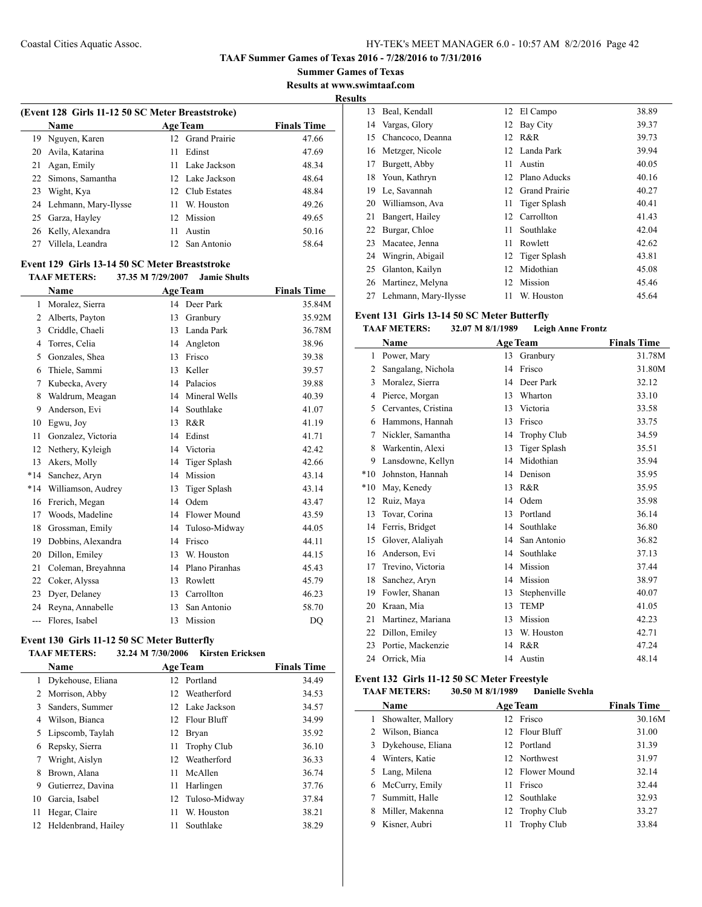**Summer Games of Texas Results at www.swimtaaf.com**

## **Results**

| (Event 128 Girls 11-12 50 SC Meter Breaststroke) |                         |     |                  |                    |  |  |
|--------------------------------------------------|-------------------------|-----|------------------|--------------------|--|--|
|                                                  | <b>Name</b>             |     | <b>Age Team</b>  | <b>Finals Time</b> |  |  |
| 19.                                              | Nguyen, Karen           |     | 12 Grand Prairie | 47.66              |  |  |
| 20                                               | Avila, Katarina         | 11  | Edinst           | 47.69              |  |  |
| 21                                               | Agan, Emily             |     | 11 Lake Jackson  | 48.34              |  |  |
|                                                  | 22 Simons, Samantha     |     | 12 Lake Jackson  | 48.64              |  |  |
| 23                                               | Wight, Kya              |     | 12 Club Estates  | 48.84              |  |  |
|                                                  | 24 Lehmann, Mary-Ilysse | 11. | W. Houston       | 49.26              |  |  |
|                                                  | 25 Garza, Hayley        | 12. | Mission          | 49.65              |  |  |
|                                                  | 26 Kelly, Alexandra     | 11  | Austin           | 50.16              |  |  |
|                                                  | 27 Villela, Leandra     |     | 12 San Antonio   | 58.64              |  |  |

## **Event 129 Girls 13-14 50 SC Meter Breaststroke**

## **TAAF METERS: 37.35 M 7/29/2007 Jamie Shults**

|              | Name               | <b>Age Team</b> |                     | <b>Finals Time</b> |
|--------------|--------------------|-----------------|---------------------|--------------------|
| $\mathbf{1}$ | Moralez, Sierra    | 14              | Deer Park           | 35.84M             |
| 2            | Alberts, Payton    | 13              | Granbury            | 35.92M             |
| 3            | Criddle, Chaeli    | 13              | Landa Park          | 36.78M             |
| 4            | Torres, Celia      | 14              | Angleton            | 38.96              |
| 5            | Gonzales, Shea     | 13              | Frisco              | 39.38              |
| 6            | Thiele, Sammi      | 13              | Keller              | 39.57              |
| 7            | Kubecka, Avery     | 14              | Palacios            | 39.88              |
| 8            | Waldrum, Meagan    | 14              | Mineral Wells       | 40.39              |
| 9            | Anderson, Evi      | 14              | Southlake           | 41.07              |
| 10           | Egwu, Joy          | 13              | R&R                 | 41.19              |
| 11           | Gonzalez, Victoria | 14              | Edinst              | 41.71              |
| 12           | Nethery, Kyleigh   | 14              | Victoria            | 42.42              |
| 13           | Akers, Molly       | 14              | <b>Tiger Splash</b> | 42.66              |
| $*14$        | Sanchez, Aryn      | 14              | Mission             | 43.14              |
| $*14$        | Williamson, Audrey | 13              | Tiger Splash        | 43.14              |
| 16           | Frerich, Megan     | 14              | Odem                | 43.47              |
| 17           | Woods, Madeline    | 14              | Flower Mound        | 43.59              |
| 18           | Grossman, Emily    | 14              | Tuloso-Midway       | 44.05              |
| 19           | Dobbins, Alexandra | 14              | Frisco              | 44.11              |
| 20           | Dillon, Emiley     | 13              | W. Houston          | 44.15              |
| 21           | Coleman, Breyahnna | 14              | Plano Piranhas      | 45.43              |
| 22           | Coker, Alyssa      | 13              | Rowlett             | 45.79              |
| 23           | Dyer, Delaney      | 13              | Carrollton          | 46.23              |
| 24           | Reyna, Annabelle   | 13              | San Antonio         | 58.70              |
| ---          | Flores, Isabel     | 13              | Mission             | DQ                 |

## **Event 130 Girls 11-12 50 SC Meter Butterfly**

## **TAAF METERS: 32.24 M 7/30/2006 Kirsten Ericksen**

| Name                |    | <b>Finals Time</b> |                                                                                                                    |
|---------------------|----|--------------------|--------------------------------------------------------------------------------------------------------------------|
| Dykehouse, Eliana   |    |                    | 34.49                                                                                                              |
| Morrison, Abby      |    |                    | 34.53                                                                                                              |
| Sanders, Summer     |    |                    | 34.57                                                                                                              |
| Wilson, Bianca      |    |                    | 34.99                                                                                                              |
| Lipscomb, Taylah    | 12 |                    | 35.92                                                                                                              |
| Repsky, Sierra      | 11 | <b>Trophy Club</b> | 36.10                                                                                                              |
| Wright, Aislyn      | 12 | Weatherford        | 36.33                                                                                                              |
| Brown, Alana        | 11 | McAllen            | 36.74                                                                                                              |
| Gutierrez, Davina   | 11 | Harlingen          | 37.76                                                                                                              |
| Garcia, Isabel      |    |                    | 37.84                                                                                                              |
| Hegar, Claire       | 11 | W. Houston         | 38.21                                                                                                              |
| Heldenbrand, Hailey | 11 | Southlake          | 38.29                                                                                                              |
|                     |    |                    | <b>Age Team</b><br>12 Portland<br>12 Weatherford<br>12 Lake Jackson<br>12 Flour Bluff<br>Bryan<br>12 Tuloso-Midway |

| ັ  |                      |    |                      |       |
|----|----------------------|----|----------------------|-------|
| 13 | Beal, Kendall        | 12 | El Campo             | 38.89 |
| 14 | Vargas, Glory        | 12 | Bay City             | 39.37 |
| 15 | Chancoco, Deanna     | 12 | R&R                  | 39.73 |
| 16 | Metzger, Nicole      |    | 12 Landa Park        | 39.94 |
| 17 | Burgett, Abby        | 11 | Austin               | 40.05 |
| 18 | Youn, Kathryn        | 12 | Plano Aducks         | 40.16 |
| 19 | Le, Savannah         | 12 | <b>Grand Prairie</b> | 40.27 |
| 20 | Williamson, Ava      | 11 | Tiger Splash         | 40.41 |
| 21 | Bangert, Hailey      | 12 | Carrollton           | 41.43 |
| 22 | Burgar, Chloe        | 11 | Southlake            | 42.04 |
| 23 | Macatee, Jenna       | 11 | Rowlett              | 42.62 |
| 24 | Wingrin, Abigail     |    | 12 Tiger Splash      | 43.81 |
| 25 | Glanton, Kailyn      | 12 | Midothian            | 45.08 |
| 26 | Martinez, Melyna     | 12 | Mission              | 45.46 |
| 27 | Lehmann, Mary-Ilysse | 11 | W. Houston           | 45.64 |

## **Event 131 Girls 13-14 50 SC Meter Butterfly**

## **TAAF METERS: 32.07 M 8/1/1989 Leigh Anne Frontz**

| Name  |                     |    | <b>Age Team</b>     | <b>Finals Time</b> |
|-------|---------------------|----|---------------------|--------------------|
| 1     | Power, Mary         | 13 | Granbury            | 31.78M             |
| 2     | Sangalang, Nichola  | 14 | Frisco              | 31.80M             |
| 3     | Moralez, Sierra     | 14 | Deer Park           | 32.12              |
| 4     | Pierce, Morgan      | 13 | Wharton             | 33.10              |
| 5     | Cervantes, Cristina | 13 | Victoria            | 33.58              |
| 6     | Hammons, Hannah     | 13 | Frisco              | 33.75              |
| 7     | Nickler, Samantha   | 14 | <b>Trophy Club</b>  | 34.59              |
| 8     | Warkentin, Alexi    | 13 | <b>Tiger Splash</b> | 35.51              |
| 9     | Lansdowne, Kellyn   | 14 | Midothian           | 35.94              |
| $*10$ | Johnston, Hannah    | 14 | Denison             | 35.95              |
| $*10$ | May, Kenedy         | 13 | R&R                 | 35.95              |
| 12    | Ruiz, Maya          | 14 | Odem                | 35.98              |
| 13    | Tovar, Corina       | 13 | Portland            | 36.14              |
| 14    | Ferris, Bridget     | 14 | Southlake           | 36.80              |
| 15    | Glover, Alaliyah    | 14 | San Antonio         | 36.82              |
| 16    | Anderson, Evi       | 14 | Southlake           | 37.13              |
| 17    | Trevino, Victoria   | 14 | Mission             | 37.44              |
| 18    | Sanchez, Aryn       | 14 | Mission             | 38.97              |
| 19    | Fowler, Shanan      | 13 | Stephenville        | 40.07              |
| 20    | Kraan, Mia          | 13 | <b>TEMP</b>         | 41.05              |
| 21    | Martinez, Mariana   | 13 | Mission             | 42.23              |
| 22    | Dillon, Emiley      | 13 | W. Houston          | 42.71              |
| 23    | Portie, Mackenzie   | 14 | R&R                 | 47.24              |
| 24    | Orrick, Mia         | 14 | Austin              | 48.14              |

## **Event 132 Girls 11-12 50 SC Meter Freestyle**

## **TAAF METERS: 30.50 M 8/1/1989 Danielle Svehla**

| Name                |    | <b>Age Team</b>    | <b>Finals Time</b> |
|---------------------|----|--------------------|--------------------|
| Showalter, Mallory  |    | 12 Frisco          | 30.16M             |
| Wilson, Bianca      |    | 12 Flour Bluff     | 31.00              |
| 3 Dykehouse, Eliana |    | 12 Portland        | 31.39              |
| 4 Winters, Katie    |    | 12 Northwest       | 31.97              |
| 5 Lang, Milena      |    | 12 Flower Mound    | 32.14              |
| 6 McCurry, Emily    | 11 | Frisco             | 32.44              |
| Summitt, Halle      |    | 12 Southlake       | 32.93              |
| Miller, Makenna     |    | 12 Trophy Club     | 33.27              |
| Kisner, Aubri       | 11 | <b>Trophy Club</b> | 33.84              |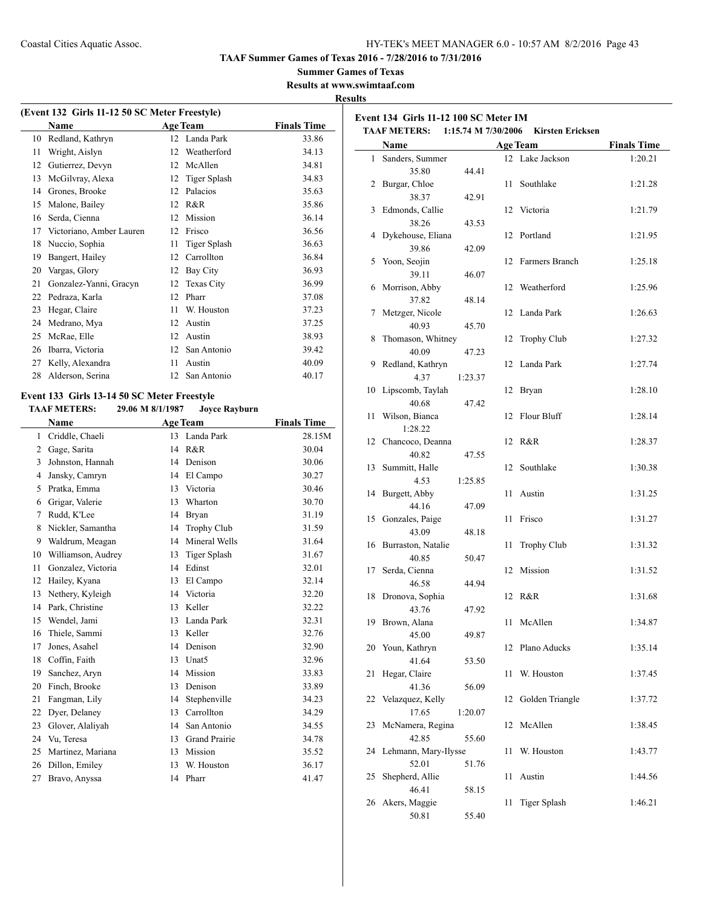**TAAF Summer Games of Texas 2016 - 7/28/2016 to 7/31/2016**

#### **Summer Games of Texas**

**Results at www.swimtaaf.com**

#### **Results**

| (Event 132 Girls 11-12 50 SC Meter Freestyle) |                          |    |                     |                    |  |  |  |
|-----------------------------------------------|--------------------------|----|---------------------|--------------------|--|--|--|
|                                               | Name                     |    | <b>Age Team</b>     | <b>Finals Time</b> |  |  |  |
| 10                                            | Redland, Kathryn         | 12 | Landa Park          | 33.86              |  |  |  |
| 11                                            | Wright, Aislyn           | 12 | Weatherford         | 34.13              |  |  |  |
| 12                                            | Gutierrez, Devyn         | 12 | McAllen             | 34.81              |  |  |  |
| 13                                            | McGilvray, Alexa         | 12 | <b>Tiger Splash</b> | 34.83              |  |  |  |
| 14                                            | Grones, Brooke           | 12 | Palacios            | 35.63              |  |  |  |
| 15                                            | Malone, Bailey           | 12 | R&R                 | 35.86              |  |  |  |
| 16                                            | Serda, Cienna            | 12 | Mission             | 36.14              |  |  |  |
| 17                                            | Victoriano, Amber Lauren | 12 | Frisco              | 36.56              |  |  |  |
| 18                                            | Nuccio, Sophia           | 11 | <b>Tiger Splash</b> | 36.63              |  |  |  |
| 19                                            | Bangert, Hailey          | 12 | Carrollton          | 36.84              |  |  |  |
| 20                                            | Vargas, Glory            | 12 | Bay City            | 36.93              |  |  |  |
| 21                                            | Gonzalez-Yanni, Gracyn   | 12 | Texas City          | 36.99              |  |  |  |
| 22                                            | Pedraza, Karla           | 12 | Pharr               | 37.08              |  |  |  |
| 23                                            | Hegar, Claire            | 11 | W. Houston          | 37.23              |  |  |  |
| 24                                            | Medrano, Mya             | 12 | Austin              | 37.25              |  |  |  |
| 25                                            | McRae, Elle              | 12 | Austin              | 38.93              |  |  |  |
| 26                                            | Ibarra, Victoria         | 12 | San Antonio         | 39.42              |  |  |  |
| 27                                            | Kelly, Alexandra         | 11 | Austin              | 40.09              |  |  |  |
| 28                                            | Alderson, Serina         | 12 | San Antonio         | 40.17              |  |  |  |
|                                               |                          |    |                     |                    |  |  |  |

## **Event 133 Girls 13-14 50 SC Meter Freestyle**

 $\frac{1}{2}$ 

**TAAF METERS: 29.06 M 8/1/1987 Joyce Rayburn**

|    | Name               | <b>Age Team</b> | <b>Finals Time</b>   |        |
|----|--------------------|-----------------|----------------------|--------|
| 1  | Criddle, Chaeli    | 13              | Landa Park           | 28.15M |
| 2  | Gage, Sarita       | 14              | R&R                  | 30.04  |
| 3  | Johnston, Hannah   | 14              | Denison              | 30.06  |
| 4  | Jansky, Camryn     | 14              | El Campo             | 30.27  |
| 5  | Pratka, Emma       | 13              | Victoria             | 30.46  |
| 6  | Grigar, Valerie    | 13              | Wharton              | 30.70  |
| 7  | Rudd, K'Lee        | 14              | <b>Bryan</b>         | 31.19  |
| 8  | Nickler, Samantha  | 14              | <b>Trophy Club</b>   | 31.59  |
| 9  | Waldrum, Meagan    | 14              | Mineral Wells        | 31.64  |
| 10 | Williamson, Audrey | 13              | <b>Tiger Splash</b>  | 31.67  |
| 11 | Gonzalez, Victoria | 14              | Edinst               | 32.01  |
| 12 | Hailey, Kyana      | 13              | El Campo             | 32.14  |
| 13 | Nethery, Kyleigh   | 14              | Victoria             | 32.20  |
| 14 | Park, Christine    | 13              | Keller               | 32.22  |
| 15 | Wendel, Jami       | 13              | Landa Park           | 32.31  |
| 16 | Thiele, Sammi      | 13              | Keller               | 32.76  |
| 17 | Jones, Asahel      | 14              | Denison              | 32.90  |
| 18 | Coffin, Faith      | 13              | Unat <sub>5</sub>    | 32.96  |
| 19 | Sanchez, Aryn      | 14              | Mission              | 33.83  |
| 20 | Finch, Brooke      | 13              | Denison              | 33.89  |
| 21 | Fangman, Lily      | 14              | Stephenville         | 34.23  |
| 22 | Dyer, Delaney      | 13              | Carrollton           | 34.29  |
| 23 | Glover, Alaliyah   | 14              | San Antonio          | 34.55  |
| 24 | Vu. Teresa         | 13              | <b>Grand Prairie</b> | 34.78  |
| 25 | Martinez, Mariana  | 13              | Mission              | 35.52  |
| 26 | Dillon, Emiley     | 13              | W. Houston           | 36.17  |
| 27 | Bravo, Anyssa      | 14              | Pharr                | 41.47  |
|    |                    |                 |                      |        |

| Event 134 Girls 11-12 100 SC Meter IM<br><b>TAAF METERS:</b><br>1:15.74 M 7/30/2006<br><b>Kirsten Ericksen</b> |                      |         |    |                     |                    |  |
|----------------------------------------------------------------------------------------------------------------|----------------------|---------|----|---------------------|--------------------|--|
|                                                                                                                | Name                 |         |    | <b>Age Team</b>     | <b>Finals Time</b> |  |
| $\mathbf{1}$                                                                                                   | Sanders, Summer      |         |    | 12 Lake Jackson     | 1:20.21            |  |
|                                                                                                                | 35.80                | 44.41   |    |                     |                    |  |
| 2                                                                                                              | Burgar, Chloe        |         | 11 | Southlake           | 1:21.28            |  |
|                                                                                                                | 38.37                | 42.91   |    |                     |                    |  |
| 3                                                                                                              | Edmonds, Callie      |         |    | 12 Victoria         | 1:21.79            |  |
|                                                                                                                | 38.26                | 43.53   |    |                     |                    |  |
| 4                                                                                                              | Dykehouse, Eliana    |         |    | 12 Portland         | 1:21.95            |  |
|                                                                                                                | 39.86                |         |    |                     |                    |  |
|                                                                                                                |                      | 42.09   |    | 12 Farmers Branch   |                    |  |
| 5                                                                                                              | Yoon, Seojin         |         |    |                     | 1:25.18            |  |
|                                                                                                                | 39.11                | 46.07   |    |                     |                    |  |
| 6                                                                                                              | Morrison, Abby       |         |    | 12 Weatherford      | 1:25.96            |  |
|                                                                                                                | 37.82                | 48.14   |    |                     |                    |  |
| 7                                                                                                              | Metzger, Nicole      |         |    | 12 Landa Park       | 1:26.63            |  |
|                                                                                                                | 40.93                | 45.70   |    |                     |                    |  |
| 8                                                                                                              | Thomason, Whitney    |         | 12 | Trophy Club         | 1:27.32            |  |
|                                                                                                                | 40.09                | 47.23   |    |                     |                    |  |
| 9                                                                                                              | Redland, Kathryn     |         |    | 12 Landa Park       | 1:27.74            |  |
|                                                                                                                | 4.37                 | 1:23.37 |    |                     |                    |  |
| 10                                                                                                             | Lipscomb, Taylah     |         |    | 12 Bryan            | 1:28.10            |  |
|                                                                                                                | 40.68                | 47.42   |    |                     |                    |  |
| 11                                                                                                             | Wilson, Bianca       |         | 12 | <b>Flour Bluff</b>  | 1:28.14            |  |
|                                                                                                                | 1:28.22              |         |    |                     |                    |  |
| 12                                                                                                             | Chancoco, Deanna     |         |    | 12 R&R              | 1:28.37            |  |
|                                                                                                                | 40.82                | 47.55   |    |                     |                    |  |
| 13                                                                                                             | Summitt, Halle       |         | 12 | Southlake           | 1:30.38            |  |
|                                                                                                                | 4.53                 | 1:25.85 |    |                     |                    |  |
| 14                                                                                                             | Burgett, Abby        |         | 11 | Austin              | 1:31.25            |  |
|                                                                                                                | 44.16                | 47.09   |    |                     |                    |  |
| 15                                                                                                             | Gonzales, Paige      |         | 11 | Frisco              | 1:31.27            |  |
|                                                                                                                | 43.09                | 48.18   |    |                     |                    |  |
| 16                                                                                                             | Burraston, Natalie   |         | 11 | Trophy Club         | 1:31.32            |  |
|                                                                                                                | 40.85                | 50.47   |    |                     |                    |  |
| 17                                                                                                             | Serda, Cienna        |         |    | 12 Mission          | 1:31.52            |  |
|                                                                                                                | 46.58                | 44.94   |    |                     |                    |  |
| 18                                                                                                             | Dronova, Sophia      |         |    | 12 R&R              | 1:31.68            |  |
|                                                                                                                | 43.76                | 47.92   |    |                     |                    |  |
|                                                                                                                | 19 Brown, Alana      |         |    | 11 McAllen          | 1:34.87            |  |
|                                                                                                                | 45.00                | 49.87   |    |                     |                    |  |
| 20                                                                                                             | Youn, Kathryn        |         | 12 | Plano Aducks        | 1:35.14            |  |
|                                                                                                                | 41.64                | 53.50   |    |                     |                    |  |
| 21                                                                                                             | Hegar, Claire        |         | 11 | W. Houston          | 1:37.45            |  |
|                                                                                                                | 41.36                | 56.09   |    |                     |                    |  |
| 22                                                                                                             | Velazquez, Kelly     |         |    | 12 Golden Triangle  | 1:37.72            |  |
|                                                                                                                | 17.65                | 1:20.07 |    |                     |                    |  |
| 23                                                                                                             | McNamera, Regina     |         | 12 | McAllen             | 1:38.45            |  |
|                                                                                                                | 42.85                | 55.60   |    |                     |                    |  |
| 24                                                                                                             | Lehmann, Mary-Ilysse |         | 11 | W. Houston          | 1:43.77            |  |
|                                                                                                                | 52.01                | 51.76   |    |                     |                    |  |
| 25                                                                                                             | Shepherd, Allie      |         | 11 | Austin              | 1:44.56            |  |
|                                                                                                                | 46.41                | 58.15   |    |                     |                    |  |
| 26                                                                                                             | Akers, Maggie        |         | 11 | <b>Tiger Splash</b> | 1:46.21            |  |
|                                                                                                                | 50.81                | 55.40   |    |                     |                    |  |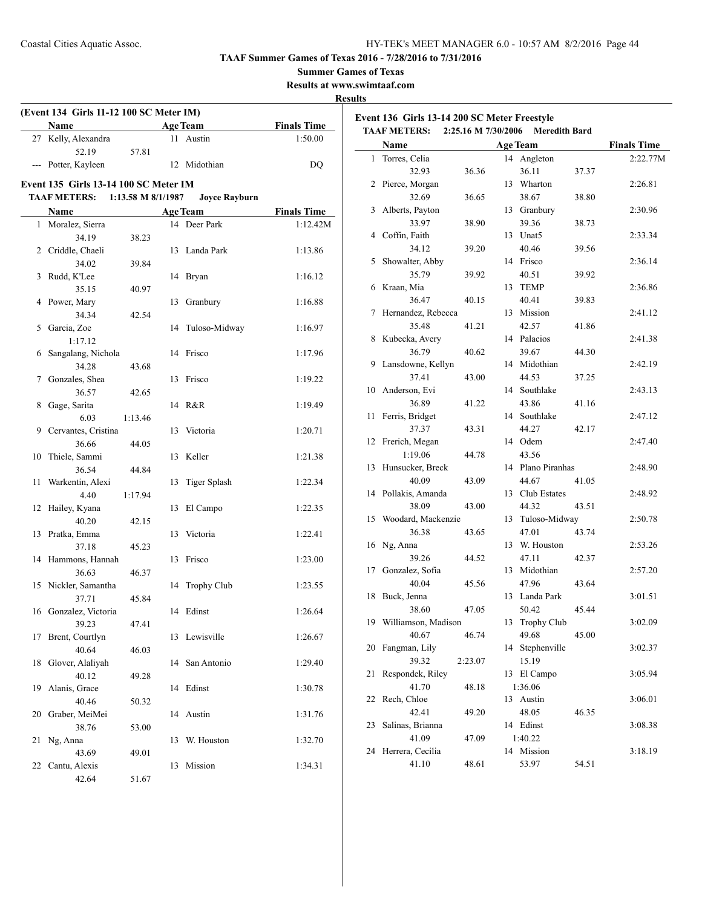**Summer Games of Texas**

**Results at www.swimtaaf.com**

#### **Results**

| 27 Kelly, Alexandra<br>52.19<br>--- Potter, Kayleen<br><b>Event 135 Girls 13-14 100 SC Meter IM</b> | 57.81              | 11 Austin            |                    | <b>TAAF METERS:</b>    | 2:25.16 M 7/30/2006 Meredith Bard |                 |                   |      |
|-----------------------------------------------------------------------------------------------------|--------------------|----------------------|--------------------|------------------------|-----------------------------------|-----------------|-------------------|------|
|                                                                                                     |                    |                      | 1:50.00            | Name                   |                                   | <b>Age Team</b> |                   |      |
|                                                                                                     |                    |                      |                    | 1 Torres, Celia        |                                   |                 | 14 Angleton       |      |
|                                                                                                     |                    | 12 Midothian         | DQ                 | 32.93                  | 36.36                             |                 | 36.11             | 37.3 |
|                                                                                                     |                    |                      |                    | 2 Pierce, Morgan       |                                   |                 | 13 Wharton        |      |
| <b>TAAF METERS:</b>                                                                                 | 1:13.58 M 8/1/1987 | <b>Joyce Rayburn</b> |                    | 32.69                  | 36.65                             |                 | 38.67             | 38.8 |
| Name                                                                                                |                    | <b>Age Team</b>      | <b>Finals Time</b> | 3 Alberts, Payton      |                                   |                 | 13 Granbury       |      |
| 1 Moralez, Sierra                                                                                   |                    | 14 Deer Park         | 1:12.42M           | 33.97                  | 38.90                             |                 | 39.36             | 38.7 |
| 34.19                                                                                               | 38.23              |                      |                    | 4 Coffin, Faith        |                                   |                 | 13 Unat5          |      |
| 2 Criddle, Chaeli                                                                                   |                    | 13 Landa Park        | 1:13.86            | 34.12                  | 39.20                             |                 | 40.46             | 39.5 |
| 34.02                                                                                               | 39.84              |                      |                    | 5 Showalter, Abby      |                                   |                 | 14 Frisco         |      |
| 3 Rudd, K'Lee                                                                                       |                    | 14 Bryan             | 1:16.12            | 35.79                  | 39.92                             |                 | 40.51             | 39.9 |
| 35.15                                                                                               | 40.97              |                      |                    | 6 Kraan, Mia           |                                   |                 | 13 TEMP           |      |
| 4 Power, Mary                                                                                       |                    | 13 Granbury          | 1:16.88            | 36.47                  | 40.15                             |                 | 40.41             | 39.8 |
| 34.34                                                                                               | 42.54              |                      |                    | 7 Hernandez, Rebecca   |                                   |                 | 13 Mission        |      |
| 5 Garcia, Zoe                                                                                       |                    | 14 Tuloso-Midway     | 1:16.97            | 35.48                  | 41.21                             |                 | 42.57             | 41.8 |
| 1:17.12                                                                                             |                    |                      |                    | 8 Kubecka, Avery       |                                   |                 | 14 Palacios       |      |
| 6 Sangalang, Nichola                                                                                |                    | 14 Frisco            | 1:17.96            | 36.79                  | 40.62                             |                 | 39.67             | 44.3 |
| 34.28                                                                                               | 43.68              |                      |                    | 9 Lansdowne, Kellyn    |                                   |                 | 14 Midothian      |      |
| 7 Gonzales, Shea                                                                                    |                    | 13 Frisco            | 1:19.22            | 37.41                  | 43.00                             |                 | 44.53             | 37.2 |
| 36.57                                                                                               | 42.65              |                      |                    | 10 Anderson, Evi       |                                   |                 | 14 Southlake      |      |
| 8 Gage, Sarita                                                                                      |                    | 14 R&R               | 1:19.49            | 36.89                  | 41.22                             |                 | 43.86             | 41.1 |
| 6.03                                                                                                | 1:13.46            |                      |                    | 11 Ferris, Bridget     |                                   |                 | 14 Southlake      |      |
| 9 Cervantes, Cristina                                                                               |                    | 13 Victoria          | 1:20.71            | 37.37                  | 43.31                             |                 | 44.27             | 42.1 |
| 36.66                                                                                               | 44.05              |                      |                    | 12 Frerich, Megan      |                                   |                 | 14 Odem           |      |
| 10 Thiele, Sammi                                                                                    |                    | 13 Keller            | 1:21.38            | 1:19.06                | 44.78                             |                 | 43.56             |      |
| 36.54                                                                                               | 44.84              |                      |                    | 13 Hunsucker, Breck    |                                   |                 | 14 Plano Piranhas |      |
| 11 Warkentin, Alexi                                                                                 |                    | 13 Tiger Splash      | 1:22.34            | 40.09                  | 43.09                             |                 | 44.67             | 41.0 |
| 4.40                                                                                                | 1:17.94            |                      |                    | 14 Pollakis, Amanda    |                                   |                 | 13 Club Estates   |      |
| 12 Hailey, Kyana                                                                                    |                    | 13 El Campo          | 1:22.35            | 38.09                  | 43.00                             |                 | 44.32             | 43.5 |
| 40.20                                                                                               | 42.15              |                      |                    | 15 Woodard, Mackenzie  |                                   |                 | 13 Tuloso-Midway  |      |
| 13 Pratka, Emma                                                                                     |                    | 13 Victoria          | 1:22.41            | 36.38                  | 43.65                             |                 | 47.01             | 43.7 |
| 37.18                                                                                               | 45.23              |                      |                    | 16 Ng, Anna            |                                   |                 | 13 W. Houston     |      |
| 14 Hammons, Hannah                                                                                  |                    | 13 Frisco            | 1:23.00            | 39.26                  | 44.52                             |                 | 47.11             | 42.3 |
| 36.63                                                                                               | 46.37              |                      |                    | 17 Gonzalez, Sofia     |                                   |                 | 13 Midothian      |      |
| 15 Nickler, Samantha                                                                                |                    | 14 Trophy Club       | 1:23.55            | 40.04                  | 45.56                             |                 | 47.96             | 43.6 |
| 37.71                                                                                               | 45.84              |                      |                    | 18 Buck, Jenna         |                                   |                 | 13 Landa Park     |      |
| 16 Gonzalez, Victoria                                                                               |                    | 14 Edinst            | 1:26.64            | 38.60                  | 47.05                             |                 | 50.42             | 45.4 |
| 39.23                                                                                               | 47.41              |                      |                    | 19 Williamson, Madison |                                   |                 | 13 Trophy Club    |      |
| 17 Brent, Courtlyn                                                                                  |                    | 13 Lewisville        | 1:26.67            | 40.67                  | 46.74                             |                 | 49.68             | 45.0 |
| 40.64                                                                                               | 46.03              |                      |                    | 20 Fangman, Lily       |                                   |                 | 14 Stephenville   |      |
| 18 Glover, Alaliyah                                                                                 |                    | 14 San Antonio       | 1:29.40            | 39.32                  | 2:23.07                           |                 | 15.19             |      |
| 40.12                                                                                               | 49.28              |                      |                    | 21 Respondek, Riley    |                                   |                 | 13 El Campo       |      |
| 19 Alanis, Grace                                                                                    |                    | 14 Edinst            | 1:30.78            | 41.70                  | 48.18                             |                 | 1:36.06           |      |
| 40.46                                                                                               | 50.32              |                      |                    | 22 Rech, Chloe         |                                   |                 | 13 Austin         |      |
| 20 Graber, MeiMei                                                                                   |                    | 14 Austin            | 1:31.76            | 42.41                  | 49.20                             |                 | 48.05             | 46.3 |
| 38.76                                                                                               | 53.00              |                      |                    | 23 Salinas, Brianna    |                                   |                 | 14 Edinst         |      |
| 21 Ng, Anna                                                                                         |                    | 13 W. Houston        | 1:32.70            | 41.09                  | 47.09                             |                 | 1:40.22           |      |
| 43.69                                                                                               | 49.01              |                      |                    | 24 Herrera, Cecilia    |                                   |                 | 14 Mission        |      |
| 22 Cantu, Alexis                                                                                    |                    | 13 Mission           | 1:34.31            | 41.10                  | 48.61                             |                 | 53.97             | 54.5 |
| 42.64                                                                                               | 51.67              |                      |                    |                        |                                   |                 |                   |      |

|                 |                                                                                                                                                                                                                                                                                                                                                                                                                                                                    |                                                                                                                                                                                                                                     |                                                                              |                                                                                                                                                                                                                                                                                                                                                                                                               | <b>Finals Time</b>                                                                                                                                                     |
|-----------------|--------------------------------------------------------------------------------------------------------------------------------------------------------------------------------------------------------------------------------------------------------------------------------------------------------------------------------------------------------------------------------------------------------------------------------------------------------------------|-------------------------------------------------------------------------------------------------------------------------------------------------------------------------------------------------------------------------------------|------------------------------------------------------------------------------|---------------------------------------------------------------------------------------------------------------------------------------------------------------------------------------------------------------------------------------------------------------------------------------------------------------------------------------------------------------------------------------------------------------|------------------------------------------------------------------------------------------------------------------------------------------------------------------------|
| Torres, Celia   |                                                                                                                                                                                                                                                                                                                                                                                                                                                                    | 14                                                                                                                                                                                                                                  | Angleton                                                                     |                                                                                                                                                                                                                                                                                                                                                                                                               | 2:22.77M                                                                                                                                                               |
| 32.93           | 36.36                                                                                                                                                                                                                                                                                                                                                                                                                                                              |                                                                                                                                                                                                                                     | 36.11                                                                        | 37.37                                                                                                                                                                                                                                                                                                                                                                                                         |                                                                                                                                                                        |
| Pierce, Morgan  |                                                                                                                                                                                                                                                                                                                                                                                                                                                                    | 13                                                                                                                                                                                                                                  |                                                                              |                                                                                                                                                                                                                                                                                                                                                                                                               | 2:26.81                                                                                                                                                                |
|                 | 36.65                                                                                                                                                                                                                                                                                                                                                                                                                                                              |                                                                                                                                                                                                                                     | 38.67                                                                        | 38.80                                                                                                                                                                                                                                                                                                                                                                                                         |                                                                                                                                                                        |
| Alberts, Payton |                                                                                                                                                                                                                                                                                                                                                                                                                                                                    | 13                                                                                                                                                                                                                                  | Granbury                                                                     |                                                                                                                                                                                                                                                                                                                                                                                                               | 2:30.96                                                                                                                                                                |
| 33.97           | 38.90                                                                                                                                                                                                                                                                                                                                                                                                                                                              |                                                                                                                                                                                                                                     | 39.36                                                                        |                                                                                                                                                                                                                                                                                                                                                                                                               |                                                                                                                                                                        |
| Coffin, Faith   |                                                                                                                                                                                                                                                                                                                                                                                                                                                                    | 13                                                                                                                                                                                                                                  | Unat <sub>5</sub>                                                            |                                                                                                                                                                                                                                                                                                                                                                                                               | 2:33.34                                                                                                                                                                |
| 34.12           | 39.20                                                                                                                                                                                                                                                                                                                                                                                                                                                              |                                                                                                                                                                                                                                     | 40.46                                                                        | 39.56                                                                                                                                                                                                                                                                                                                                                                                                         |                                                                                                                                                                        |
|                 |                                                                                                                                                                                                                                                                                                                                                                                                                                                                    | 14                                                                                                                                                                                                                                  | Frisco                                                                       |                                                                                                                                                                                                                                                                                                                                                                                                               | 2:36.14                                                                                                                                                                |
| 35.79           | 39.92                                                                                                                                                                                                                                                                                                                                                                                                                                                              |                                                                                                                                                                                                                                     | 40.51                                                                        | 39.92                                                                                                                                                                                                                                                                                                                                                                                                         |                                                                                                                                                                        |
| Kraan, Mia      |                                                                                                                                                                                                                                                                                                                                                                                                                                                                    | 13                                                                                                                                                                                                                                  | <b>TEMP</b>                                                                  |                                                                                                                                                                                                                                                                                                                                                                                                               | 2:36.86                                                                                                                                                                |
| 36.47           | 40.15                                                                                                                                                                                                                                                                                                                                                                                                                                                              |                                                                                                                                                                                                                                     | 40.41                                                                        | 39.83                                                                                                                                                                                                                                                                                                                                                                                                         |                                                                                                                                                                        |
|                 |                                                                                                                                                                                                                                                                                                                                                                                                                                                                    | 13                                                                                                                                                                                                                                  | Mission                                                                      |                                                                                                                                                                                                                                                                                                                                                                                                               | 2:41.12                                                                                                                                                                |
| 35.48           |                                                                                                                                                                                                                                                                                                                                                                                                                                                                    |                                                                                                                                                                                                                                     |                                                                              |                                                                                                                                                                                                                                                                                                                                                                                                               |                                                                                                                                                                        |
|                 |                                                                                                                                                                                                                                                                                                                                                                                                                                                                    | 14                                                                                                                                                                                                                                  |                                                                              |                                                                                                                                                                                                                                                                                                                                                                                                               | 2:41.38                                                                                                                                                                |
|                 |                                                                                                                                                                                                                                                                                                                                                                                                                                                                    |                                                                                                                                                                                                                                     |                                                                              |                                                                                                                                                                                                                                                                                                                                                                                                               |                                                                                                                                                                        |
|                 |                                                                                                                                                                                                                                                                                                                                                                                                                                                                    |                                                                                                                                                                                                                                     |                                                                              |                                                                                                                                                                                                                                                                                                                                                                                                               | 2:42.19                                                                                                                                                                |
|                 |                                                                                                                                                                                                                                                                                                                                                                                                                                                                    |                                                                                                                                                                                                                                     |                                                                              |                                                                                                                                                                                                                                                                                                                                                                                                               |                                                                                                                                                                        |
|                 |                                                                                                                                                                                                                                                                                                                                                                                                                                                                    |                                                                                                                                                                                                                                     |                                                                              |                                                                                                                                                                                                                                                                                                                                                                                                               | 2:43.13                                                                                                                                                                |
|                 |                                                                                                                                                                                                                                                                                                                                                                                                                                                                    |                                                                                                                                                                                                                                     |                                                                              |                                                                                                                                                                                                                                                                                                                                                                                                               |                                                                                                                                                                        |
|                 |                                                                                                                                                                                                                                                                                                                                                                                                                                                                    |                                                                                                                                                                                                                                     |                                                                              |                                                                                                                                                                                                                                                                                                                                                                                                               | 2:47.12                                                                                                                                                                |
|                 |                                                                                                                                                                                                                                                                                                                                                                                                                                                                    |                                                                                                                                                                                                                                     |                                                                              |                                                                                                                                                                                                                                                                                                                                                                                                               |                                                                                                                                                                        |
|                 |                                                                                                                                                                                                                                                                                                                                                                                                                                                                    |                                                                                                                                                                                                                                     |                                                                              |                                                                                                                                                                                                                                                                                                                                                                                                               | 2:47.40                                                                                                                                                                |
|                 |                                                                                                                                                                                                                                                                                                                                                                                                                                                                    |                                                                                                                                                                                                                                     |                                                                              |                                                                                                                                                                                                                                                                                                                                                                                                               |                                                                                                                                                                        |
|                 |                                                                                                                                                                                                                                                                                                                                                                                                                                                                    |                                                                                                                                                                                                                                     |                                                                              |                                                                                                                                                                                                                                                                                                                                                                                                               | 2:48.90                                                                                                                                                                |
|                 |                                                                                                                                                                                                                                                                                                                                                                                                                                                                    |                                                                                                                                                                                                                                     |                                                                              |                                                                                                                                                                                                                                                                                                                                                                                                               |                                                                                                                                                                        |
|                 |                                                                                                                                                                                                                                                                                                                                                                                                                                                                    |                                                                                                                                                                                                                                     |                                                                              |                                                                                                                                                                                                                                                                                                                                                                                                               | 2:48.92                                                                                                                                                                |
|                 |                                                                                                                                                                                                                                                                                                                                                                                                                                                                    |                                                                                                                                                                                                                                     |                                                                              |                                                                                                                                                                                                                                                                                                                                                                                                               |                                                                                                                                                                        |
|                 |                                                                                                                                                                                                                                                                                                                                                                                                                                                                    |                                                                                                                                                                                                                                     |                                                                              |                                                                                                                                                                                                                                                                                                                                                                                                               | 2:50.78                                                                                                                                                                |
|                 |                                                                                                                                                                                                                                                                                                                                                                                                                                                                    |                                                                                                                                                                                                                                     |                                                                              |                                                                                                                                                                                                                                                                                                                                                                                                               |                                                                                                                                                                        |
|                 |                                                                                                                                                                                                                                                                                                                                                                                                                                                                    |                                                                                                                                                                                                                                     |                                                                              |                                                                                                                                                                                                                                                                                                                                                                                                               | 2:53.26                                                                                                                                                                |
|                 |                                                                                                                                                                                                                                                                                                                                                                                                                                                                    |                                                                                                                                                                                                                                     |                                                                              |                                                                                                                                                                                                                                                                                                                                                                                                               |                                                                                                                                                                        |
|                 |                                                                                                                                                                                                                                                                                                                                                                                                                                                                    |                                                                                                                                                                                                                                     |                                                                              |                                                                                                                                                                                                                                                                                                                                                                                                               | 2:57.20                                                                                                                                                                |
|                 |                                                                                                                                                                                                                                                                                                                                                                                                                                                                    |                                                                                                                                                                                                                                     |                                                                              |                                                                                                                                                                                                                                                                                                                                                                                                               |                                                                                                                                                                        |
|                 |                                                                                                                                                                                                                                                                                                                                                                                                                                                                    |                                                                                                                                                                                                                                     |                                                                              |                                                                                                                                                                                                                                                                                                                                                                                                               | 3:01.51                                                                                                                                                                |
|                 |                                                                                                                                                                                                                                                                                                                                                                                                                                                                    |                                                                                                                                                                                                                                     |                                                                              |                                                                                                                                                                                                                                                                                                                                                                                                               |                                                                                                                                                                        |
|                 |                                                                                                                                                                                                                                                                                                                                                                                                                                                                    |                                                                                                                                                                                                                                     |                                                                              |                                                                                                                                                                                                                                                                                                                                                                                                               | 3:02.09                                                                                                                                                                |
|                 |                                                                                                                                                                                                                                                                                                                                                                                                                                                                    |                                                                                                                                                                                                                                     |                                                                              |                                                                                                                                                                                                                                                                                                                                                                                                               |                                                                                                                                                                        |
|                 |                                                                                                                                                                                                                                                                                                                                                                                                                                                                    |                                                                                                                                                                                                                                     |                                                                              |                                                                                                                                                                                                                                                                                                                                                                                                               | 3:02.37                                                                                                                                                                |
|                 |                                                                                                                                                                                                                                                                                                                                                                                                                                                                    |                                                                                                                                                                                                                                     |                                                                              |                                                                                                                                                                                                                                                                                                                                                                                                               |                                                                                                                                                                        |
|                 |                                                                                                                                                                                                                                                                                                                                                                                                                                                                    |                                                                                                                                                                                                                                     |                                                                              |                                                                                                                                                                                                                                                                                                                                                                                                               | 3:05.94                                                                                                                                                                |
|                 |                                                                                                                                                                                                                                                                                                                                                                                                                                                                    |                                                                                                                                                                                                                                     |                                                                              |                                                                                                                                                                                                                                                                                                                                                                                                               |                                                                                                                                                                        |
|                 |                                                                                                                                                                                                                                                                                                                                                                                                                                                                    |                                                                                                                                                                                                                                     |                                                                              |                                                                                                                                                                                                                                                                                                                                                                                                               | 3:06.01                                                                                                                                                                |
|                 |                                                                                                                                                                                                                                                                                                                                                                                                                                                                    |                                                                                                                                                                                                                                     |                                                                              |                                                                                                                                                                                                                                                                                                                                                                                                               |                                                                                                                                                                        |
|                 |                                                                                                                                                                                                                                                                                                                                                                                                                                                                    |                                                                                                                                                                                                                                     |                                                                              |                                                                                                                                                                                                                                                                                                                                                                                                               |                                                                                                                                                                        |
|                 |                                                                                                                                                                                                                                                                                                                                                                                                                                                                    |                                                                                                                                                                                                                                     |                                                                              |                                                                                                                                                                                                                                                                                                                                                                                                               | 3:08.38                                                                                                                                                                |
|                 |                                                                                                                                                                                                                                                                                                                                                                                                                                                                    |                                                                                                                                                                                                                                     |                                                                              |                                                                                                                                                                                                                                                                                                                                                                                                               |                                                                                                                                                                        |
|                 |                                                                                                                                                                                                                                                                                                                                                                                                                                                                    |                                                                                                                                                                                                                                     |                                                                              |                                                                                                                                                                                                                                                                                                                                                                                                               | 3:18.19                                                                                                                                                                |
|                 |                                                                                                                                                                                                                                                                                                                                                                                                                                                                    |                                                                                                                                                                                                                                     |                                                                              |                                                                                                                                                                                                                                                                                                                                                                                                               |                                                                                                                                                                        |
|                 | 32.69<br>Showalter, Abby<br>Kubecka, Avery<br>36.79<br>Lansdowne, Kellyn<br>37.41<br>Anderson, Evi<br>36.89<br>Ferris, Bridget<br>37.37<br>Frerich, Megan<br>1:19.06<br>Hunsucker, Breck<br>40.09<br>Pollakis, Amanda<br>38.09<br>36.38<br>Ng, Anna<br>39.26<br>Gonzalez, Sofia<br>40.04<br>Buck, Jenna<br>38.60<br>40.67<br>Fangman, Lily<br>39.32<br>Respondek, Riley<br>41.70<br>Rech, Chloe<br>42.41<br>Salinas, Brianna<br>41.09<br>Herrera, Cecilia<br>41.10 | Hernandez, Rebecca<br>41.21<br>40.62<br>43.00<br>41.22<br>43.31<br>44.78<br>43.09<br>43.00<br>Woodard, Mackenzie<br>43.65<br>44.52<br>45.56<br>47.05<br>Williamson, Madison<br>46.74<br>2:23.07<br>48.18<br>49.20<br>47.09<br>48.61 | Name<br>14<br>14<br>14<br>14<br>13<br>13<br>13<br>13<br>13<br>13<br>14<br>13 | <b>Age Team</b><br>Wharton<br>42.57<br>Palacios<br>39.67<br>Midothian<br>44.53<br>Southlake<br>43.86<br>Southlake<br>44.27<br>Odem<br>14<br>43.56<br>44.67<br>Club Estates<br>44.32<br>47.01<br>W. Houston<br>47.11<br>Midothian<br>47.96<br>Landa Park<br>50.42<br>Trophy Club<br>49.68<br>Stephenville<br>15.19<br>El Campo<br>1:36.06<br>13 Austin<br>48.05<br>14 Edinst<br>1:40.22<br>14 Mission<br>53.97 | 38.73<br>41.86<br>44.30<br>37.25<br>41.16<br>42.17<br>Plano Piranhas<br>41.05<br>43.51<br>Tuloso-Midway<br>43.74<br>42.37<br>43.64<br>45.44<br>45.00<br>46.35<br>54.51 |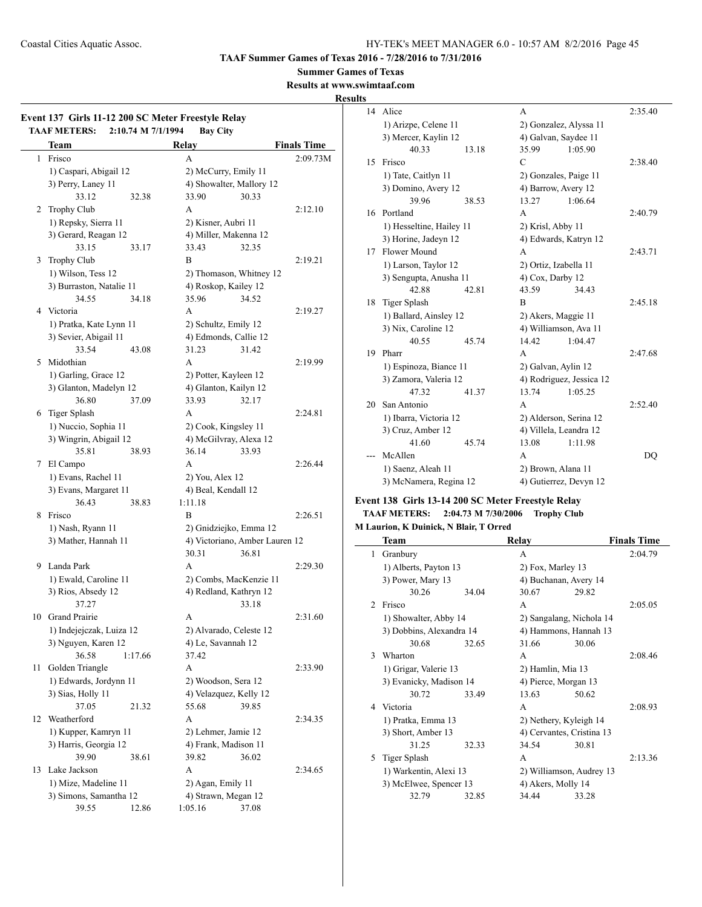**Summer Games of Texas**

**Results at www.swimtaaf.com**

## **Results**

|    |                          |                                          | <b>Finals Time</b> |
|----|--------------------------|------------------------------------------|--------------------|
|    | Team<br>Frisco           | Relay                                    |                    |
| 1  |                          | A                                        | 2:09.73M           |
|    | 1) Caspari, Abigail 12   | 2) McCurry, Emily 11                     |                    |
|    | 3) Perry, Laney 11       | 4) Showalter, Mallory 12                 |                    |
|    | 33.12<br>32.38           | 33.90<br>30.33                           |                    |
| 2  | Trophy Club              | A                                        | 2:12.10            |
|    | 1) Repsky, Sierra 11     | 2) Kisner, Aubri 11                      |                    |
|    | 3) Gerard, Reagan 12     | 4) Miller, Makenna 12                    |                    |
|    | 33.15<br>33.17           | 33.43<br>32.35                           |                    |
| 3  | Trophy Club              | B                                        | 2:19.21            |
|    | 1) Wilson, Tess 12       | 2) Thomason, Whitney 12                  |                    |
|    | 3) Burraston, Natalie 11 | 4) Roskop, Kailey 12                     |                    |
|    | 34.55<br>34.18           | 35.96<br>34.52                           |                    |
|    | 4 Victoria               | A                                        | 2:19.27            |
|    | 1) Pratka, Kate Lynn 11  | 2) Schultz, Emily 12                     |                    |
|    | 3) Sevier, Abigail 11    | 4) Edmonds, Callie 12                    |                    |
|    | 33.54<br>43.08           | 31.23<br>31.42                           |                    |
| 5  | Midothian                | A                                        | 2:19.99            |
|    | 1) Garling, Grace 12     | 2) Potter, Kayleen 12                    |                    |
|    | 3) Glanton, Madelyn 12   | 4) Glanton, Kailyn 12                    |                    |
|    | 36.80<br>37.09           | 33.93<br>32.17                           |                    |
|    | 6 Tiger Splash           | A                                        | 2:24.81            |
|    |                          |                                          |                    |
|    | 1) Nuccio, Sophia 11     | 2) Cook, Kingsley 11                     |                    |
|    | 3) Wingrin, Abigail 12   | 4) McGilvray, Alexa 12                   |                    |
|    | 35.81<br>38.93           | 36.14<br>33.93                           |                    |
| 7  | El Campo                 | A                                        | 2:26.44            |
|    | 1) Evans, Rachel 11      | 2) You, Alex 12                          |                    |
|    | 3) Evans, Margaret 11    | 4) Beal, Kendall 12                      |                    |
|    | 36.43<br>38.83           | 1:11.18                                  |                    |
| 8  | Frisco                   | B                                        | 2:26.51            |
|    | 1) Nash, Ryann 11        | 2) Gnidziejko, Emma 12                   |                    |
|    | 3) Mather, Hannah 11     | 4) Victoriano, Amber Lauren 12           |                    |
|    |                          | 30.31<br>36.81                           |                    |
| 9  | Landa Park               | A                                        | 2:29.30            |
|    | 1) Ewald, Caroline 11    | 2) Combs, MacKenzie 11                   |                    |
|    | 3) Rios, Absedy 12       | 4) Redland, Kathryn 12                   |                    |
|    | 37.27                    | 33.18                                    |                    |
|    | 10 Grand Prairie         | A                                        | 2:31.60            |
|    | 1) Indejejczak, Luiza 12 | 2) Alvarado, Celeste 12                  |                    |
|    | 3) Nguyen, Karen 12      | 4) Le, Savannah 12                       |                    |
|    | 36.58<br>1:17.66         | 37.42                                    |                    |
| 11 | Golden Triangle          | A                                        | 2:33.90            |
|    | 1) Edwards, Jordynn 11   | 2) Woodson, Sera 12                      |                    |
|    | 3) Sias, Holly 11        | 4) Velazquez, Kelly 12                   |                    |
|    | 37.05<br>21.32           | 55.68<br>39.85                           |                    |
| 12 | Weatherford              | A                                        | 2:34.35            |
|    | 1) Kupper, Kamryn 11     | 2) Lehmer, Jamie 12                      |                    |
|    | 3) Harris, Georgia 12    | 4) Frank, Madison 11                     |                    |
|    | 39.90<br>38.61           | 39.82<br>36.02                           |                    |
| 13 | Lake Jackson             | А                                        | 2:34.65            |
|    | 1) Mize, Madeline 11     |                                          |                    |
|    | 3) Simons, Samantha 12   | 2) Agan, Emily 11<br>4) Strawn, Megan 12 |                    |
|    |                          |                                          |                    |

| 14 | Alice                    |       | A                        |         | 2:35.40 |
|----|--------------------------|-------|--------------------------|---------|---------|
|    | 1) Arizpe, Celene 11     |       | 2) Gonzalez, Alyssa 11   |         |         |
|    | 3) Mercer, Kaylin 12     |       | 4) Galvan, Saydee 11     |         |         |
|    | 40.33                    | 13.18 | 35.99                    | 1:05.90 |         |
| 15 | Frisco                   |       | C                        |         | 2:38.40 |
|    | 1) Tate, Caitlyn 11      |       | 2) Gonzales, Paige 11    |         |         |
|    | 3) Domino, Avery 12      |       | 4) Barrow, Avery 12      |         |         |
|    | 39.96                    | 38.53 | 13.27                    | 1:06.64 |         |
| 16 | Portland                 |       | A                        |         | 2:40.79 |
|    | 1) Hesseltine, Hailey 11 |       | 2) Krisl, Abby 11        |         |         |
|    | 3) Horine, Jadeyn 12     |       | 4) Edwards, Katryn 12    |         |         |
| 17 | Flower Mound             |       | A                        |         | 2:43.71 |
|    | 1) Larson, Taylor 12     |       | 2) Ortiz, Izabella 11    |         |         |
|    | 3) Sengupta, Anusha 11   |       | 4) Cox, Darby 12         |         |         |
|    | 42.88                    | 42.81 | 43.59                    | 34.43   |         |
| 18 | <b>Tiger Splash</b>      |       | B                        |         | 2:45.18 |
|    | 1) Ballard, Ainsley 12   |       | 2) Akers, Maggie 11      |         |         |
|    | 3) Nix, Caroline 12      |       | 4) Williamson, Ava 11    |         |         |
|    | 40.55                    | 45.74 | 14.42                    | 1:04.47 |         |
| 19 | Pharr                    |       | A                        |         | 2:47.68 |
|    | 1) Espinoza, Biance 11   |       | 2) Galvan, Aylin 12      |         |         |
|    | 3) Zamora, Valeria 12    |       | 4) Rodriguez, Jessica 12 |         |         |
|    | 47.32                    | 41.37 | 13.74                    | 1:05.25 |         |
| 20 | San Antonio              |       | A                        |         | 2:52.40 |
|    | 1) Ibarra, Victoria 12   |       | 2) Alderson, Serina 12   |         |         |
|    | 3) Cruz, Amber 12        |       | 4) Villela, Leandra 12   |         |         |
|    | 41.60                    | 45.74 | 13.08                    | 1:11.98 |         |
|    | McAllen                  |       | A                        |         | DO      |
|    | 1) Saenz, Aleah 11       |       | 2) Brown, Alana 11       |         |         |
|    | 3) McNamera, Regina 12   |       | 4) Gutierrez, Devyn 12   |         |         |
|    |                          |       |                          |         |         |

## **Event 138 Girls 13-14 200 SC Meter Freestyle Relay TAAF METERS: 2:04.73 M 7/30/2006 Trophy Club**

## **M Laurion, K Duinick, N Blair, T Orred**

|               | Team                     | Relay | <b>Finals Time</b>        |       |         |
|---------------|--------------------------|-------|---------------------------|-------|---------|
| 1             | Granbury                 |       | A                         |       | 2:04.79 |
|               | 1) Alberts, Payton 13    |       | 2) Fox, Marley 13         |       |         |
|               | 3) Power, Mary 13        |       | 4) Buchanan, Avery 14     |       |         |
|               | 30.26                    | 34.04 | 30.67                     | 29.82 |         |
| $\mathcal{D}$ | Frisco                   |       | A                         |       | 2:05.05 |
|               | 1) Showalter, Abby 14    |       | 2) Sangalang, Nichola 14  |       |         |
|               | 3) Dobbins, Alexandra 14 |       | 4) Hammons, Hannah 13     |       |         |
|               | 30.68                    | 32.65 | 31.66                     | 30.06 |         |
| 3             | Wharton                  |       | A                         |       | 2:08.46 |
|               | 1) Grigar, Valerie 13    |       | 2) Hamlin, Mia 13         |       |         |
|               | 3) Evanicky, Madison 14  |       | 4) Pierce, Morgan 13      |       |         |
|               | 30.72                    | 33.49 | 13.63                     | 50.62 |         |
| 4             | Victoria                 |       | A                         |       | 2:08.93 |
|               | 1) Pratka, Emma 13       |       | 2) Nethery, Kyleigh 14    |       |         |
|               | 3) Short, Amber 13       |       | 4) Cervantes, Cristina 13 |       |         |
|               | 31 25                    | 32.33 | 34.54                     | 30.81 |         |
| 5             | Tiger Splash             |       | A                         |       | 2:13.36 |
|               | 1) Warkentin, Alexi 13   |       | 2) Williamson, Audrey 13  |       |         |
|               | 3) McElwee, Spencer 13   |       | 4) Akers, Molly 14        |       |         |
|               | 32.79                    | 32.85 | 34.44                     | 33.28 |         |